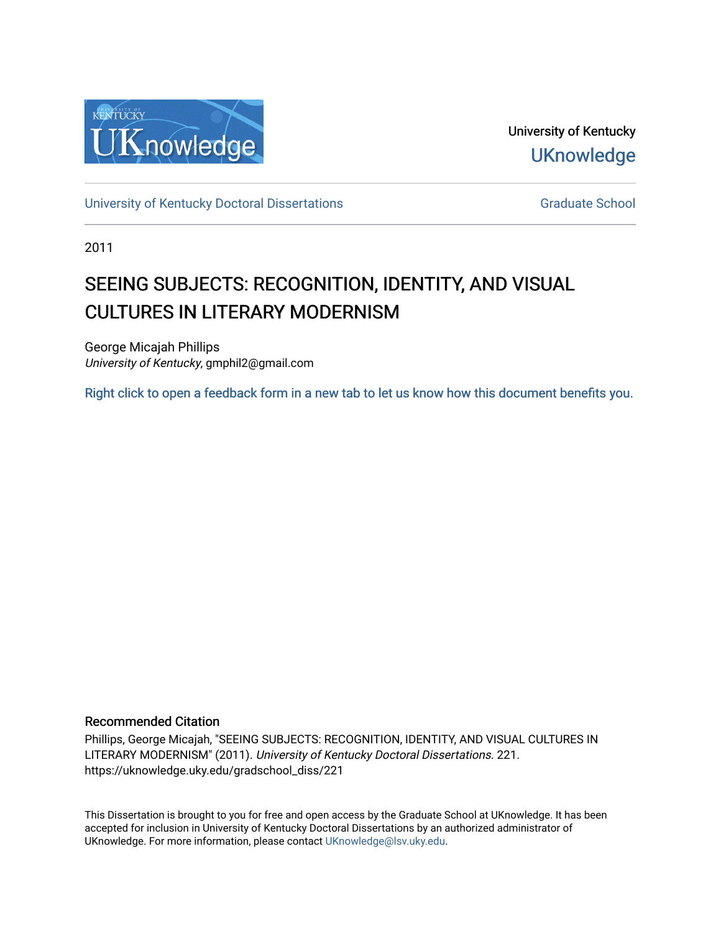

University of Kentucky **UKnowledge** 

[University of Kentucky Doctoral Dissertations](https://uknowledge.uky.edu/gradschool_diss) [Graduate School](https://uknowledge.uky.edu/gradschool) Graduate School

2011

# SEEING SUBJECTS: RECOGNITION, IDENTITY, AND VISUAL CULTURES IN LITERARY MODERNISM

George Micajah Phillips University of Kentucky, gmphil2@gmail.com

[Right click to open a feedback form in a new tab to let us know how this document benefits you.](https://uky.az1.qualtrics.com/jfe/form/SV_9mq8fx2GnONRfz7)

### Recommended Citation

Phillips, George Micajah, "SEEING SUBJECTS: RECOGNITION, IDENTITY, AND VISUAL CULTURES IN LITERARY MODERNISM" (2011). University of Kentucky Doctoral Dissertations. 221. https://uknowledge.uky.edu/gradschool\_diss/221

This Dissertation is brought to you for free and open access by the Graduate School at UKnowledge. It has been accepted for inclusion in University of Kentucky Doctoral Dissertations by an authorized administrator of UKnowledge. For more information, please contact [UKnowledge@lsv.uky.edu](mailto:UKnowledge@lsv.uky.edu).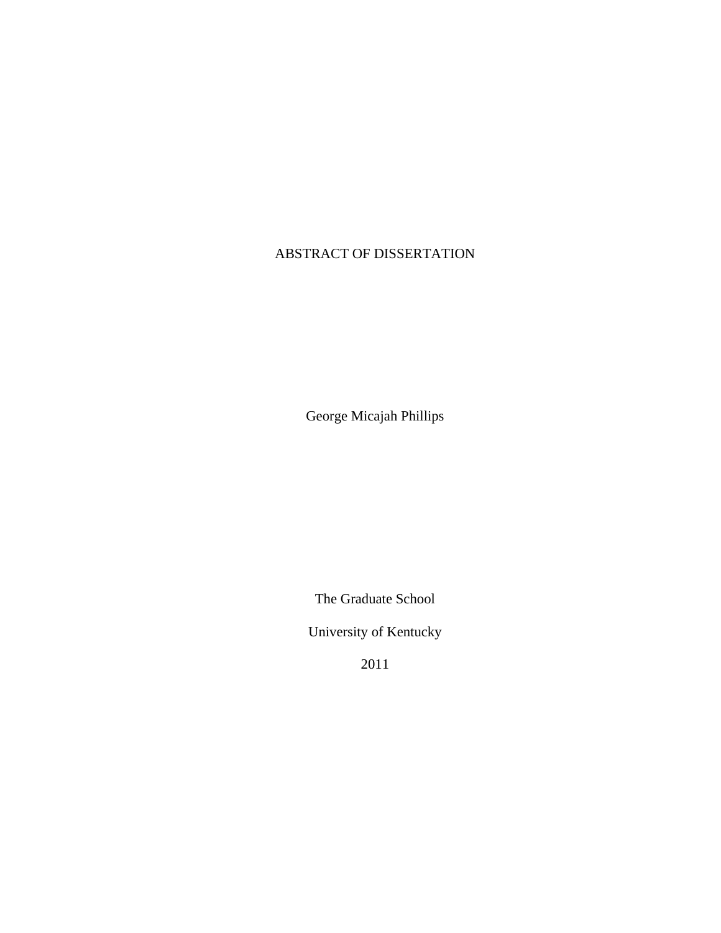# ABSTRACT OF DISSERTATION

George Micajah Phillips

The Graduate School

University of Kentucky

2011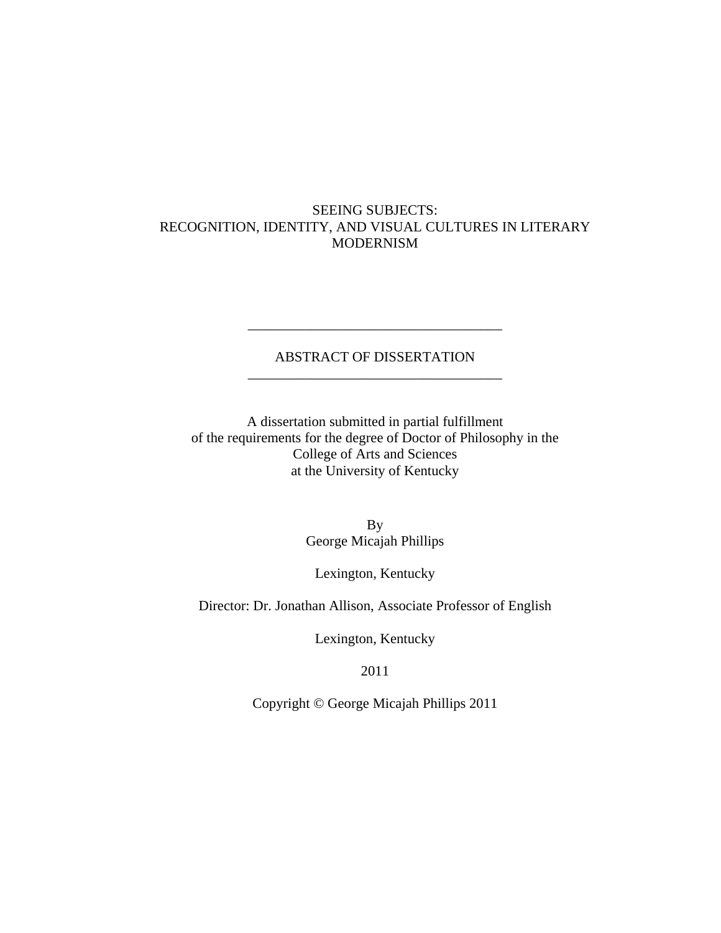## SEEING SUBJECTS: RECOGNITION, IDENTITY, AND VISUAL CULTURES IN LITERARY MODERNISM

## ABSTRACT OF DISSERTATION \_\_\_\_\_\_\_\_\_\_\_\_\_\_\_\_\_\_\_\_\_\_\_\_\_\_\_\_\_\_\_\_\_\_\_\_

\_\_\_\_\_\_\_\_\_\_\_\_\_\_\_\_\_\_\_\_\_\_\_\_\_\_\_\_\_\_\_\_\_\_\_\_

A dissertation submitted in partial fulfillment of the requirements for the degree of Doctor of Philosophy in the College of Arts and Sciences at the University of Kentucky

> By George Micajah Phillips

Lexington, Kentucky

Director: Dr. Jonathan Allison, Associate Professor of English

Lexington, Kentucky

2011

Copyright © George Micajah Phillips 2011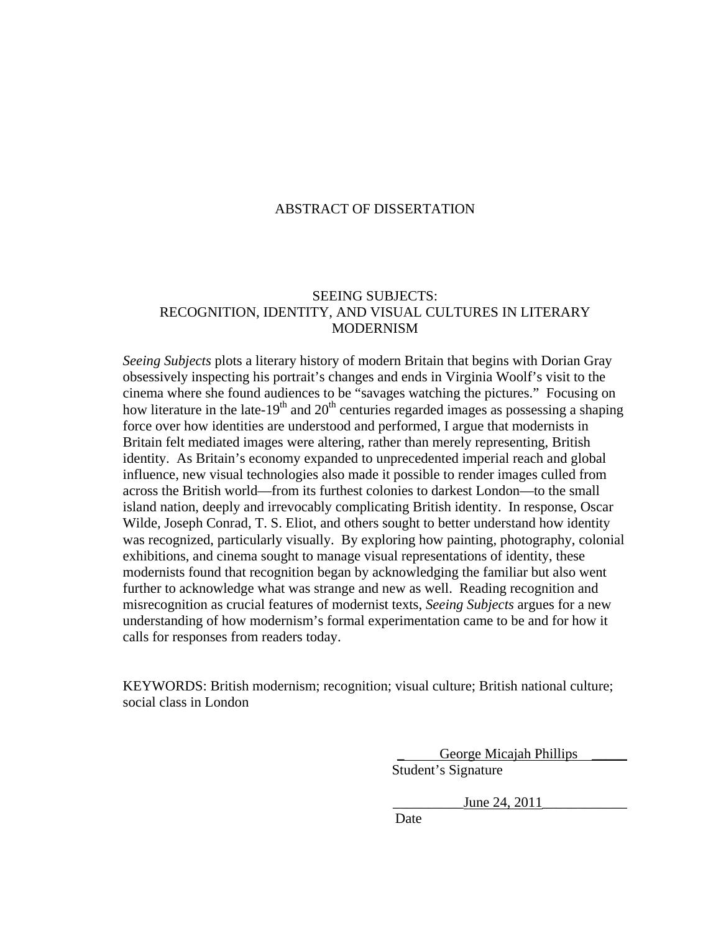### ABSTRACT OF DISSERTATION

## SEEING SUBJECTS: RECOGNITION, IDENTITY, AND VISUAL CULTURES IN LITERARY MODERNISM

*Seeing Subjects* plots a literary history of modern Britain that begins with Dorian Gray obsessively inspecting his portrait's changes and ends in Virginia Woolf's visit to the cinema where she found audiences to be "savages watching the pictures." Focusing on how literature in the late- $19<sup>th</sup>$  and  $20<sup>th</sup>$  centuries regarded images as possessing a shaping force over how identities are understood and performed, I argue that modernists in Britain felt mediated images were altering, rather than merely representing, British identity. As Britain's economy expanded to unprecedented imperial reach and global influence, new visual technologies also made it possible to render images culled from across the British world—from its furthest colonies to darkest London—to the small island nation, deeply and irrevocably complicating British identity. In response, Oscar Wilde, Joseph Conrad, T. S. Eliot, and others sought to better understand how identity was recognized, particularly visually. By exploring how painting, photography, colonial exhibitions, and cinema sought to manage visual representations of identity, these modernists found that recognition began by acknowledging the familiar but also went further to acknowledge what was strange and new as well. Reading recognition and misrecognition as crucial features of modernist texts, *Seeing Subjects* argues for a new understanding of how modernism's formal experimentation came to be and for how it calls for responses from readers today.

KEYWORDS: British modernism; recognition; visual culture; British national culture; social class in London

> George Micajah Phillips Student's Signature

> > \_\_\_\_\_\_\_\_\_\_June 24, 2011\_\_\_\_\_\_\_\_\_\_\_\_

Date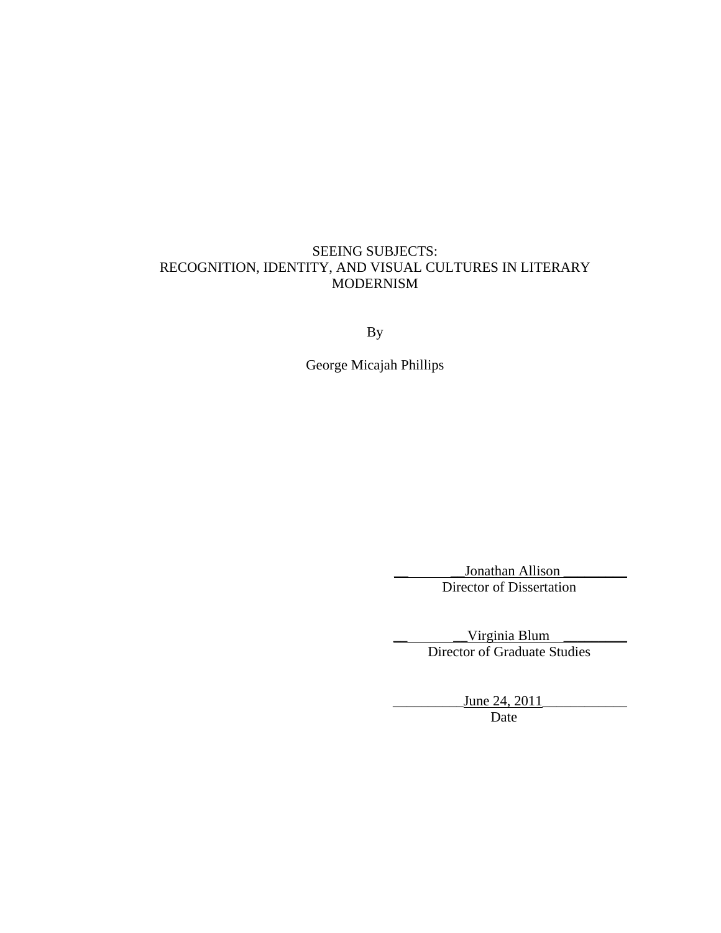## SEEING SUBJECTS: RECOGNITION, IDENTITY, AND VISUAL CULTURES IN LITERARY MODERNISM

By

George Micajah Phillips

Jonathan Allison Director of Dissertation

 $\rule{1em}{0.15mm} \vspace{1em}$   $\qquad \qquad \text{Virginia Blum}$ Director of Graduate Studies

> June 24, 2011 **Date**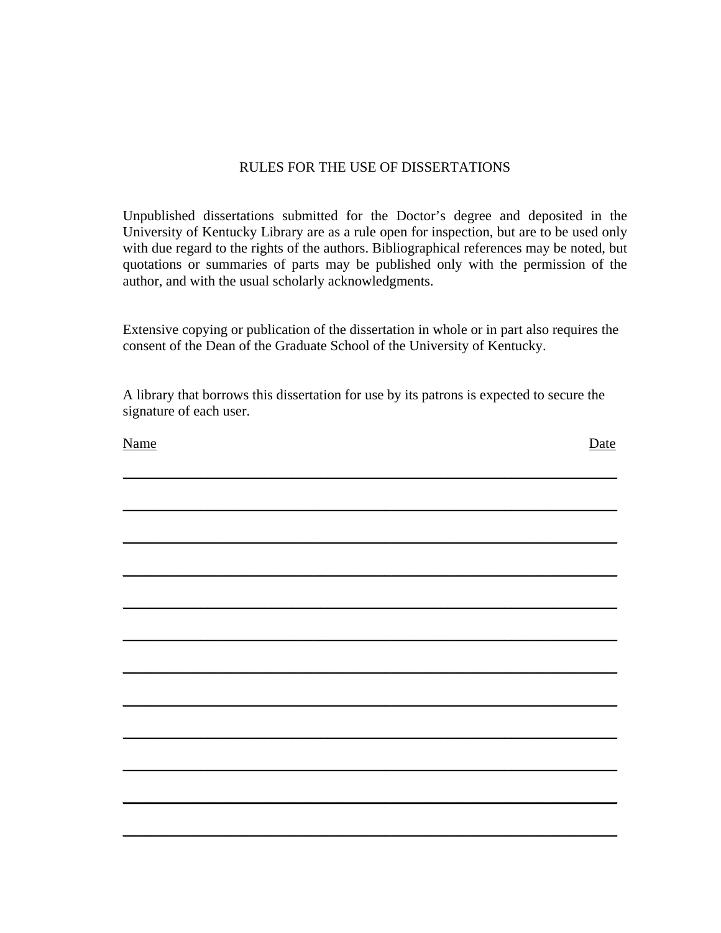## RULES FOR THE USE OF DISSERTATIONS

Unpublished dissertations submitted for the Doctor's degree and deposited in the University of Kentucky Library are as a rule open for inspection, but are to be used only with due regard to the rights of the authors. Bibliographical references may be noted, but quotations or summaries of parts may be published only with the permission of the author, and with the usual scholarly acknowledgments.

Extensive copying or publication of the dissertation in whole or in part also requires the consent of the Dean of the Graduate School of the University of Kentucky.

A library that borrows this dissertation for use by its patrons is expected to secure the signature of each user.

| <b>Name</b> | Date |
|-------------|------|
|             |      |
|             |      |
|             |      |
|             |      |
|             |      |
|             |      |
|             |      |
|             |      |
|             |      |
|             |      |
|             |      |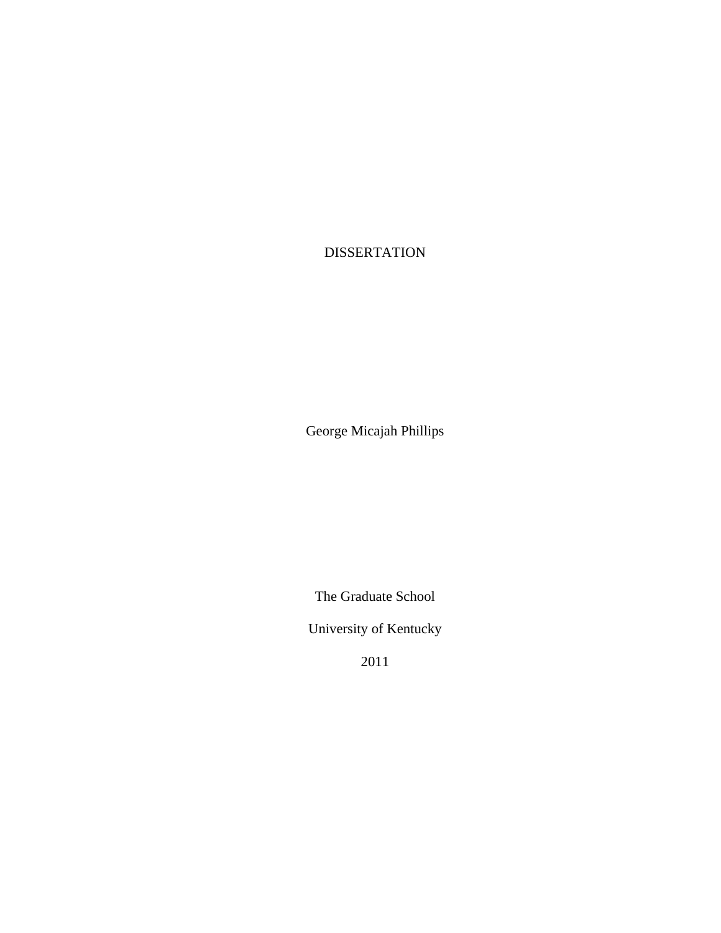# DISSERTATION

George Micajah Phillips

The Graduate School

University of Kentucky

2011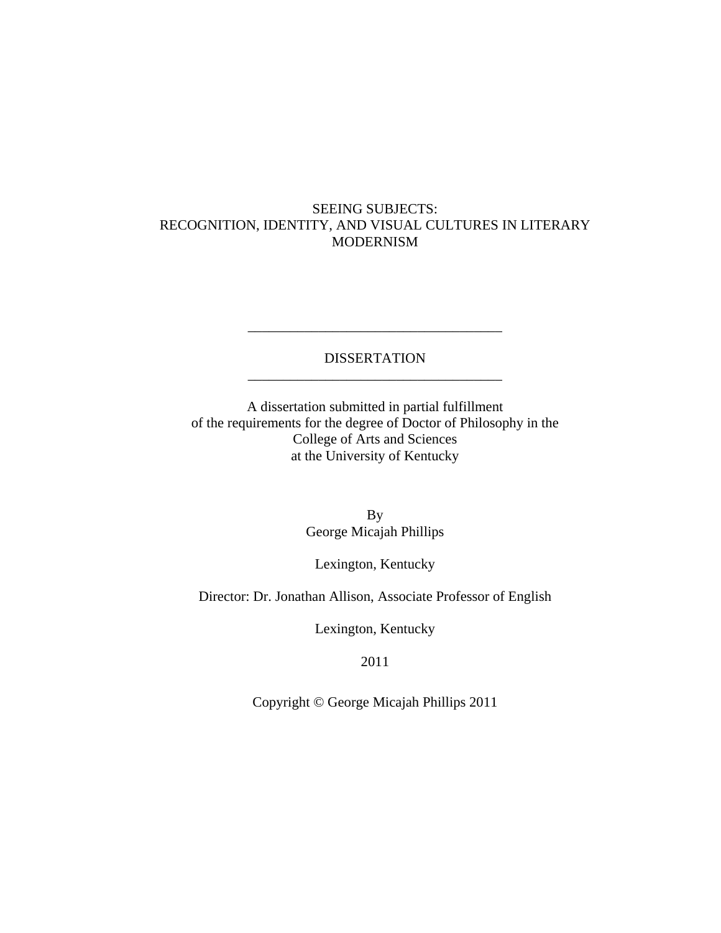## SEEING SUBJECTS: RECOGNITION, IDENTITY, AND VISUAL CULTURES IN LITERARY MODERNISM

## DISSERTATION \_\_\_\_\_\_\_\_\_\_\_\_\_\_\_\_\_\_\_\_\_\_\_\_\_\_\_\_\_\_\_\_\_\_\_\_

\_\_\_\_\_\_\_\_\_\_\_\_\_\_\_\_\_\_\_\_\_\_\_\_\_\_\_\_\_\_\_\_\_\_\_\_

A dissertation submitted in partial fulfillment of the requirements for the degree of Doctor of Philosophy in the College of Arts and Sciences at the University of Kentucky

> By George Micajah Phillips

Lexington, Kentucky

Director: Dr. Jonathan Allison, Associate Professor of English

Lexington, Kentucky

2011

Copyright © George Micajah Phillips 2011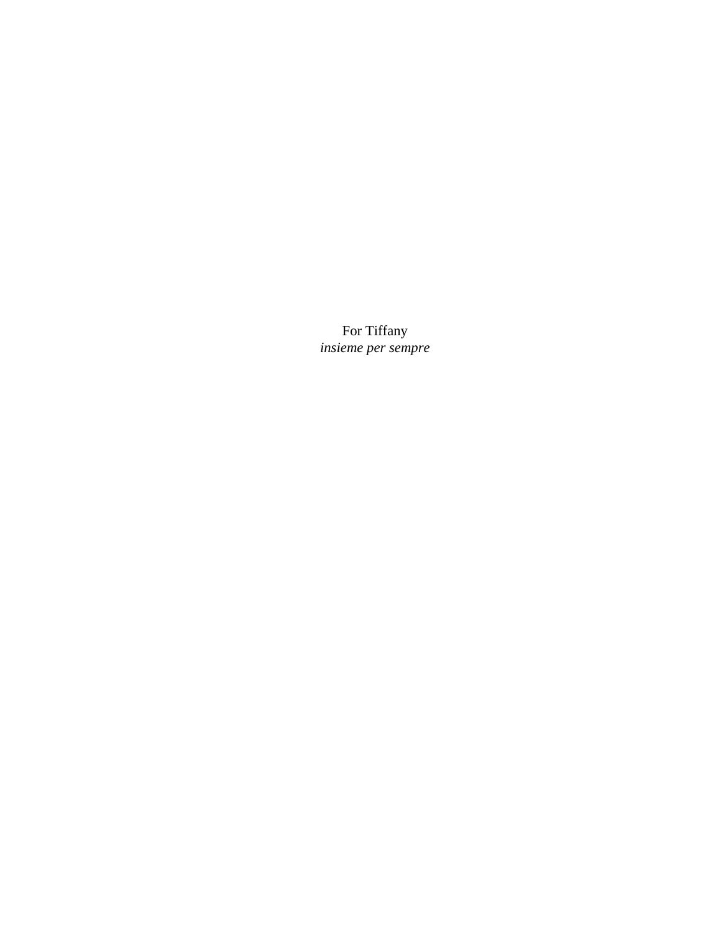For Tiffany *insieme per sempre*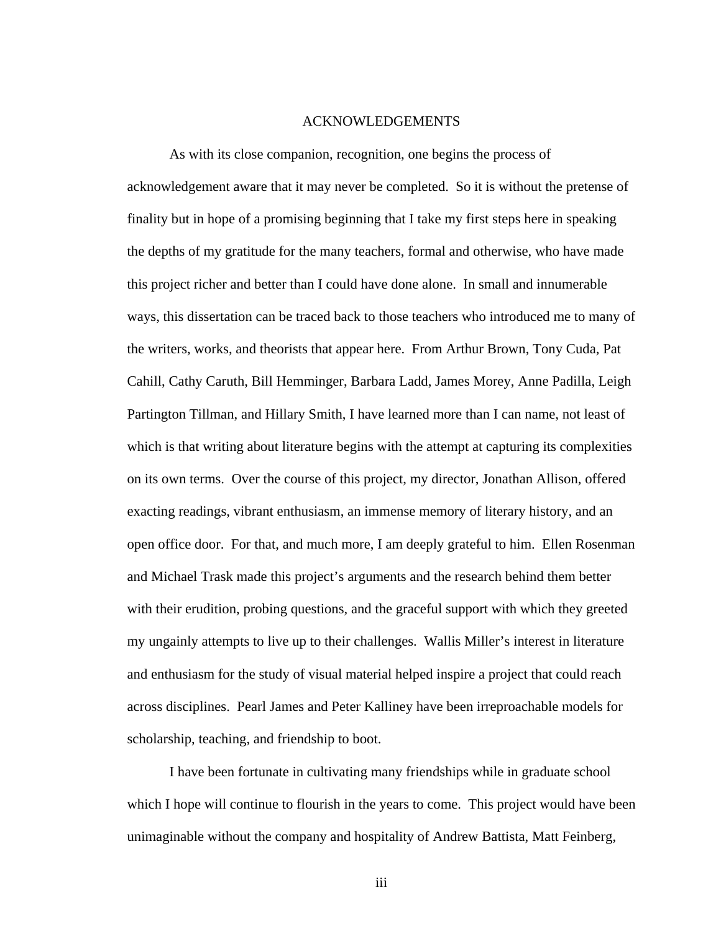#### ACKNOWLEDGEMENTS

As with its close companion, recognition, one begins the process of acknowledgement aware that it may never be completed. So it is without the pretense of finality but in hope of a promising beginning that I take my first steps here in speaking the depths of my gratitude for the many teachers, formal and otherwise, who have made this project richer and better than I could have done alone. In small and innumerable ways, this dissertation can be traced back to those teachers who introduced me to many of the writers, works, and theorists that appear here. From Arthur Brown, Tony Cuda, Pat Cahill, Cathy Caruth, Bill Hemminger, Barbara Ladd, James Morey, Anne Padilla, Leigh Partington Tillman, and Hillary Smith, I have learned more than I can name, not least of which is that writing about literature begins with the attempt at capturing its complexities on its own terms. Over the course of this project, my director, Jonathan Allison, offered exacting readings, vibrant enthusiasm, an immense memory of literary history, and an open office door. For that, and much more, I am deeply grateful to him. Ellen Rosenman and Michael Trask made this project's arguments and the research behind them better with their erudition, probing questions, and the graceful support with which they greeted my ungainly attempts to live up to their challenges. Wallis Miller's interest in literature and enthusiasm for the study of visual material helped inspire a project that could reach across disciplines. Pearl James and Peter Kalliney have been irreproachable models for scholarship, teaching, and friendship to boot.

I have been fortunate in cultivating many friendships while in graduate school which I hope will continue to flourish in the years to come. This project would have been unimaginable without the company and hospitality of Andrew Battista, Matt Feinberg,

iii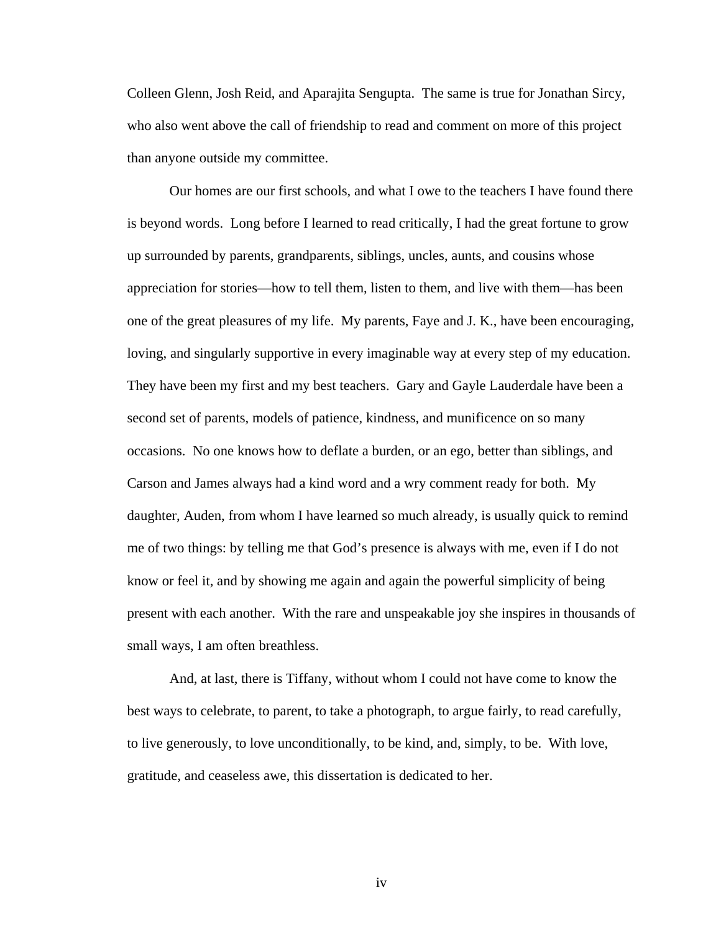Colleen Glenn, Josh Reid, and Aparajita Sengupta. The same is true for Jonathan Sircy, who also went above the call of friendship to read and comment on more of this project than anyone outside my committee.

Our homes are our first schools, and what I owe to the teachers I have found there is beyond words. Long before I learned to read critically, I had the great fortune to grow up surrounded by parents, grandparents, siblings, uncles, aunts, and cousins whose appreciation for stories—how to tell them, listen to them, and live with them—has been one of the great pleasures of my life. My parents, Faye and J. K., have been encouraging, loving, and singularly supportive in every imaginable way at every step of my education. They have been my first and my best teachers. Gary and Gayle Lauderdale have been a second set of parents, models of patience, kindness, and munificence on so many occasions. No one knows how to deflate a burden, or an ego, better than siblings, and Carson and James always had a kind word and a wry comment ready for both. My daughter, Auden, from whom I have learned so much already, is usually quick to remind me of two things: by telling me that God's presence is always with me, even if I do not know or feel it, and by showing me again and again the powerful simplicity of being present with each another. With the rare and unspeakable joy she inspires in thousands of small ways, I am often breathless.

And, at last, there is Tiffany, without whom I could not have come to know the best ways to celebrate, to parent, to take a photograph, to argue fairly, to read carefully, to live generously, to love unconditionally, to be kind, and, simply, to be. With love, gratitude, and ceaseless awe, this dissertation is dedicated to her.

iv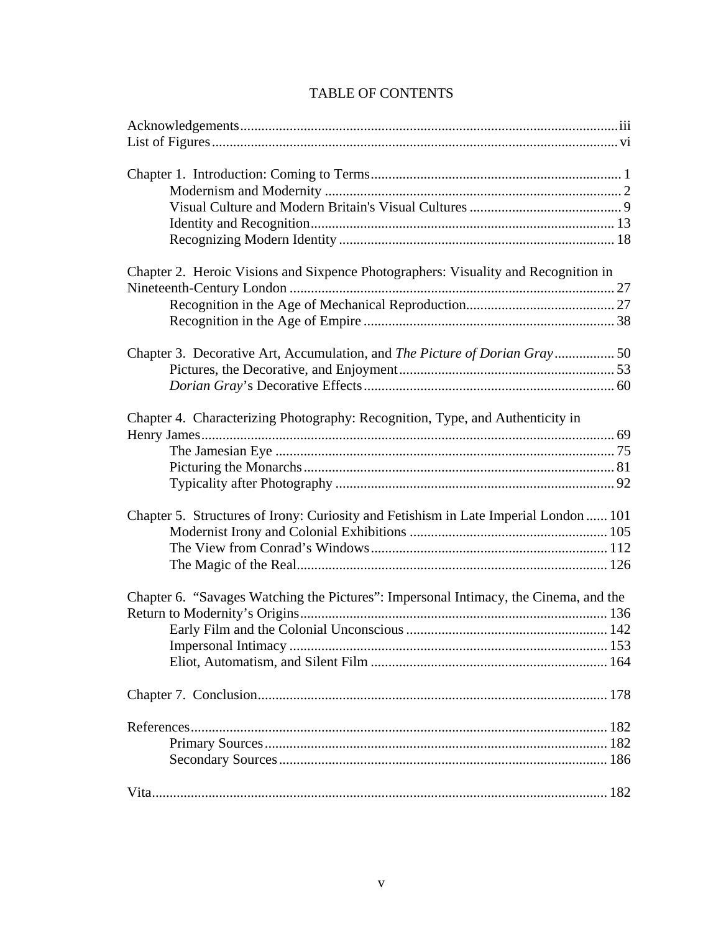| Chapter 2. Heroic Visions and Sixpence Photographers: Visuality and Recognition in   |  |
|--------------------------------------------------------------------------------------|--|
|                                                                                      |  |
|                                                                                      |  |
|                                                                                      |  |
|                                                                                      |  |
|                                                                                      |  |
|                                                                                      |  |
| Chapter 4. Characterizing Photography: Recognition, Type, and Authenticity in        |  |
|                                                                                      |  |
|                                                                                      |  |
|                                                                                      |  |
| Chapter 5. Structures of Irony: Curiosity and Fetishism in Late Imperial London  101 |  |
|                                                                                      |  |
|                                                                                      |  |
|                                                                                      |  |
|                                                                                      |  |
| Chapter 6. "Savages Watching the Pictures": Impersonal Intimacy, the Cinema, and the |  |
|                                                                                      |  |
|                                                                                      |  |
|                                                                                      |  |
|                                                                                      |  |
|                                                                                      |  |
|                                                                                      |  |
|                                                                                      |  |
|                                                                                      |  |
|                                                                                      |  |

# TABLE OF CONTENTS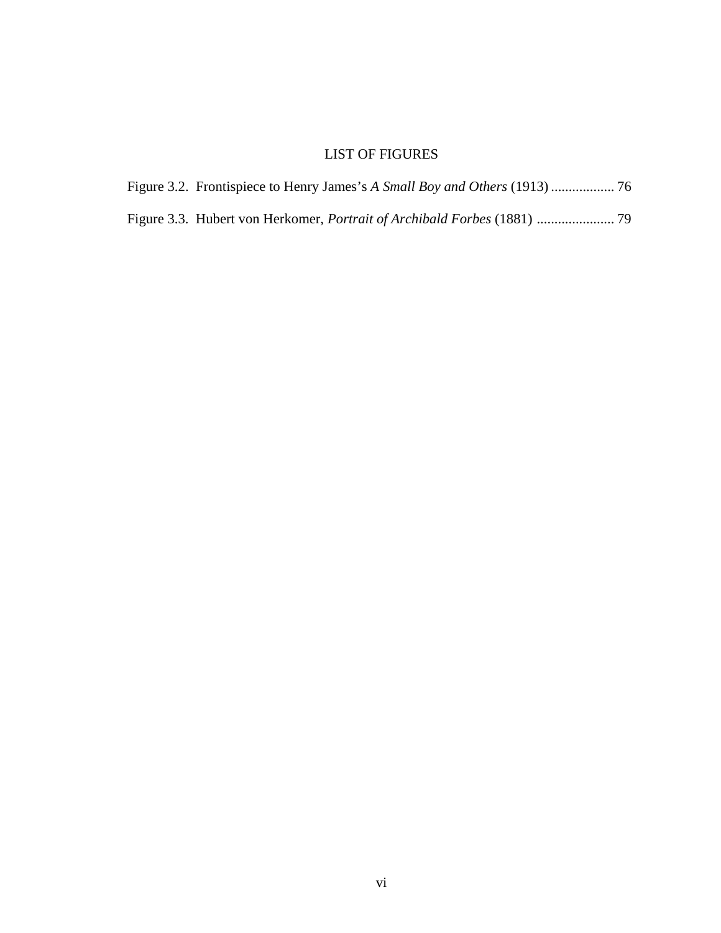## LIST OF FIGURES

Figure 3.3. Hubert von Herkomer, *Portrait of Archibald Forbes* (1881) ...................... 79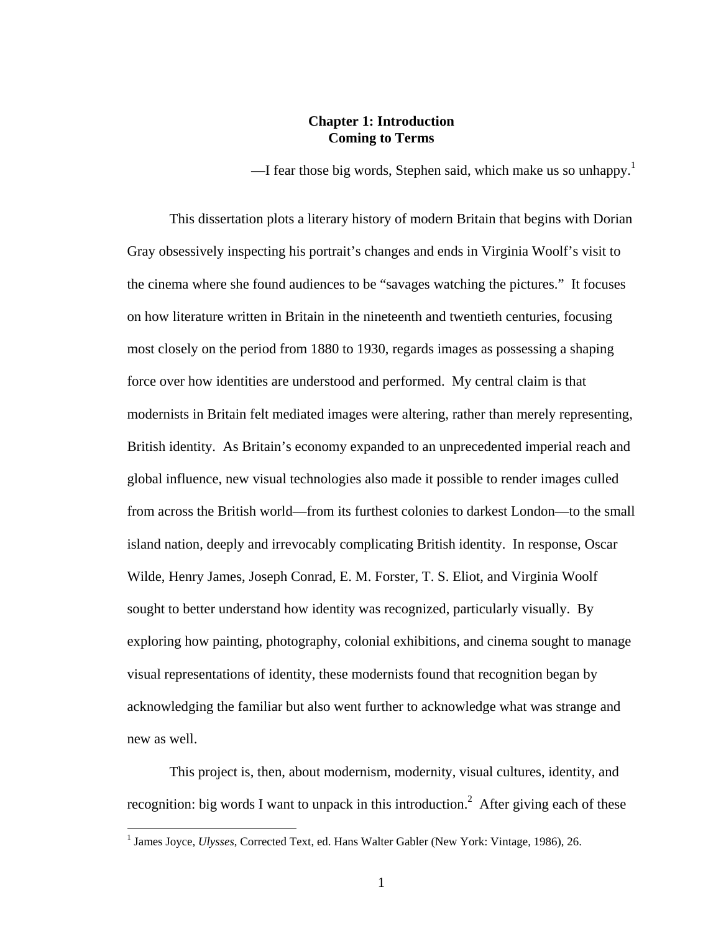### **Chapter 1: Introduction Coming to Terms**

—I fear those big words, Stephen said, which make us so unhappy.<sup>1</sup>

This dissertation plots a literary history of modern Britain that begins with Dorian Gray obsessively inspecting his portrait's changes and ends in Virginia Woolf's visit to the cinema where she found audiences to be "savages watching the pictures." It focuses on how literature written in Britain in the nineteenth and twentieth centuries, focusing most closely on the period from 1880 to 1930, regards images as possessing a shaping force over how identities are understood and performed. My central claim is that modernists in Britain felt mediated images were altering, rather than merely representing, British identity. As Britain's economy expanded to an unprecedented imperial reach and global influence, new visual technologies also made it possible to render images culled from across the British world—from its furthest colonies to darkest London—to the small island nation, deeply and irrevocably complicating British identity. In response, Oscar Wilde, Henry James, Joseph Conrad, E. M. Forster, T. S. Eliot, and Virginia Woolf sought to better understand how identity was recognized, particularly visually. By exploring how painting, photography, colonial exhibitions, and cinema sought to manage visual representations of identity, these modernists found that recognition began by acknowledging the familiar but also went further to acknowledge what was strange and new as well.

This project is, then, about modernism, modernity, visual cultures, identity, and recognition: big words I want to unpack in this introduction.<sup>2</sup> After giving each of these

<sup>&</sup>lt;sup>1</sup> James Joyce, *Ulysses*, Corrected Text, ed. Hans Walter Gabler (New York: Vintage, 1986), 26.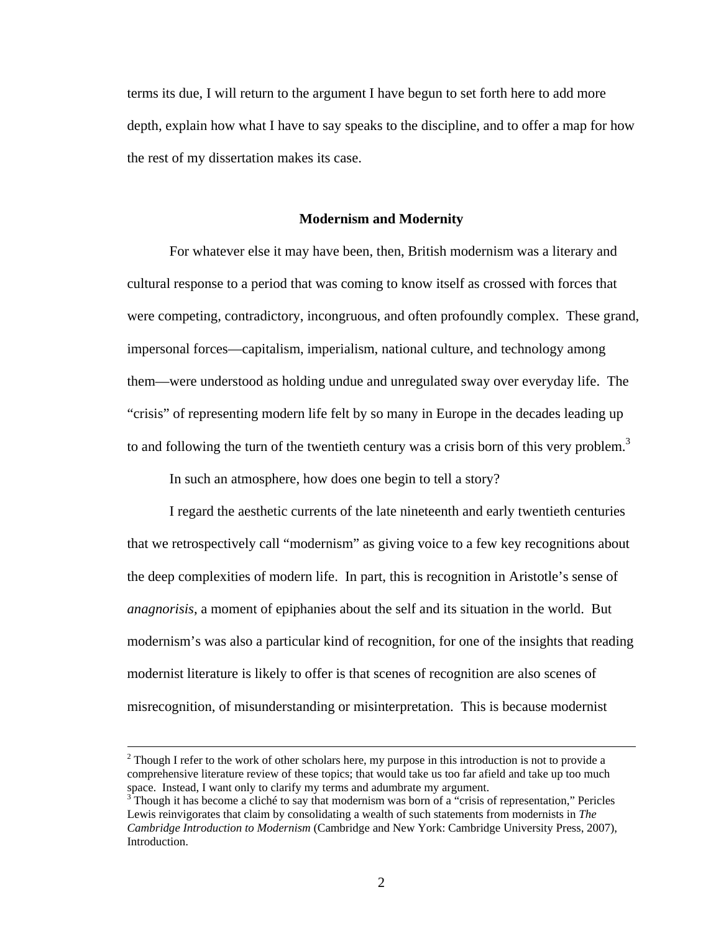terms its due, I will return to the argument I have begun to set forth here to add more depth, explain how what I have to say speaks to the discipline, and to offer a map for how the rest of my dissertation makes its case.

#### **Modernism and Modernity**

For whatever else it may have been, then, British modernism was a literary and cultural response to a period that was coming to know itself as crossed with forces that were competing, contradictory, incongruous, and often profoundly complex. These grand, impersonal forces—capitalism, imperialism, national culture, and technology among them—were understood as holding undue and unregulated sway over everyday life. The "crisis" of representing modern life felt by so many in Europe in the decades leading up to and following the turn of the twentieth century was a crisis born of this very problem.<sup>3</sup>

In such an atmosphere, how does one begin to tell a story?

I regard the aesthetic currents of the late nineteenth and early twentieth centuries that we retrospectively call "modernism" as giving voice to a few key recognitions about the deep complexities of modern life. In part, this is recognition in Aristotle's sense of *anagnorisis*, a moment of epiphanies about the self and its situation in the world. But modernism's was also a particular kind of recognition, for one of the insights that reading modernist literature is likely to offer is that scenes of recognition are also scenes of misrecognition, of misunderstanding or misinterpretation. This is because modernist

 $\frac{1}{2}$  $2$  Though I refer to the work of other scholars here, my purpose in this introduction is not to provide a comprehensive literature review of these topics; that would take us too far afield and take up too much space. Instead, I want only to clarify my terms and adumbrate my argument.

 $3\overline{1}$ Though it has become a cliché to say that modernism was born of a "crisis of representation," Pericles Lewis reinvigorates that claim by consolidating a wealth of such statements from modernists in *The Cambridge Introduction to Modernism* (Cambridge and New York: Cambridge University Press, 2007), Introduction.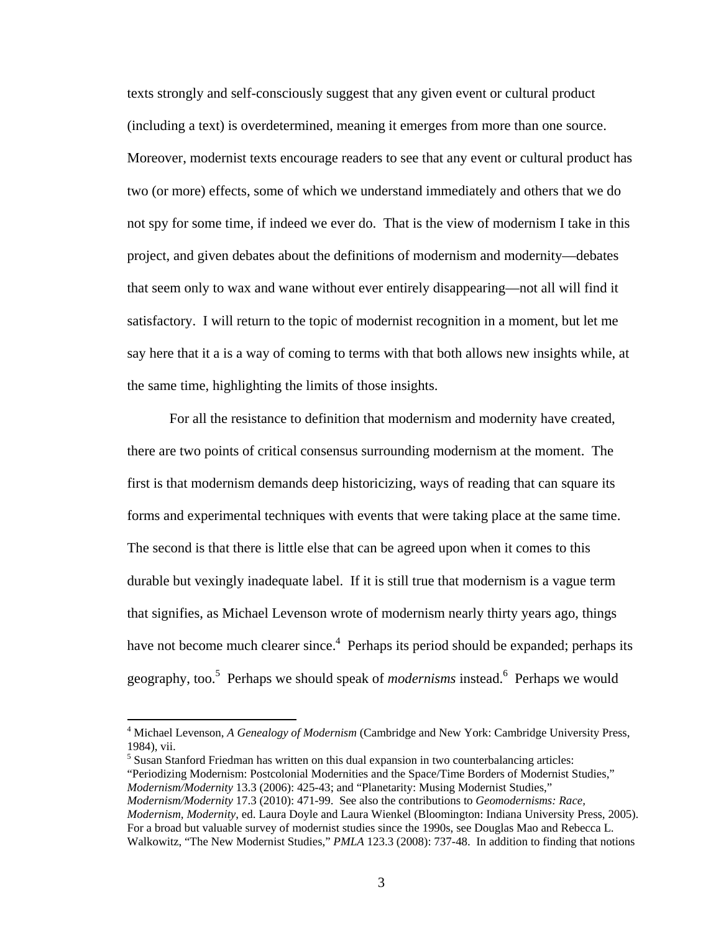texts strongly and self-consciously suggest that any given event or cultural product (including a text) is overdetermined, meaning it emerges from more than one source. Moreover, modernist texts encourage readers to see that any event or cultural product has two (or more) effects, some of which we understand immediately and others that we do not spy for some time, if indeed we ever do. That is the view of modernism I take in this project, and given debates about the definitions of modernism and modernity—debates that seem only to wax and wane without ever entirely disappearing—not all will find it satisfactory. I will return to the topic of modernist recognition in a moment, but let me say here that it a is a way of coming to terms with that both allows new insights while, at the same time, highlighting the limits of those insights.

For all the resistance to definition that modernism and modernity have created, there are two points of critical consensus surrounding modernism at the moment. The first is that modernism demands deep historicizing, ways of reading that can square its forms and experimental techniques with events that were taking place at the same time. The second is that there is little else that can be agreed upon when it comes to this durable but vexingly inadequate label. If it is still true that modernism is a vague term that signifies, as Michael Levenson wrote of modernism nearly thirty years ago, things have not become much clearer since.<sup>4</sup> Perhaps its period should be expanded; perhaps its geography, too.<sup>5</sup> Perhaps we should speak of *modernisms* instead.<sup>6</sup> Perhaps we would

 $\overline{a}$ 

 $<sup>5</sup>$  Susan Stanford Friedman has written on this dual expansion in two counterbalancing articles:</sup> "Periodizing Modernism: Postcolonial Modernities and the Space/Time Borders of Modernist Studies," *Modernism/Modernity* 13.3 (2006): 425-43; and "Planetarity: Musing Modernist Studies," *Modernism/Modernity* 17.3 (2010): 471-99. See also the contributions to *Geomodernisms: Race, Modernism, Modernity*, ed. Laura Doyle and Laura Wienkel (Bloomington: Indiana University Press, 2005). For a broad but valuable survey of modernist studies since the 1990s, see Douglas Mao and Rebecca L. Walkowitz, "The New Modernist Studies," *PMLA* 123.3 (2008): 737-48. In addition to finding that notions

<sup>4</sup> Michael Levenson, *A Genealogy of Modernism* (Cambridge and New York: Cambridge University Press, 1984), vii.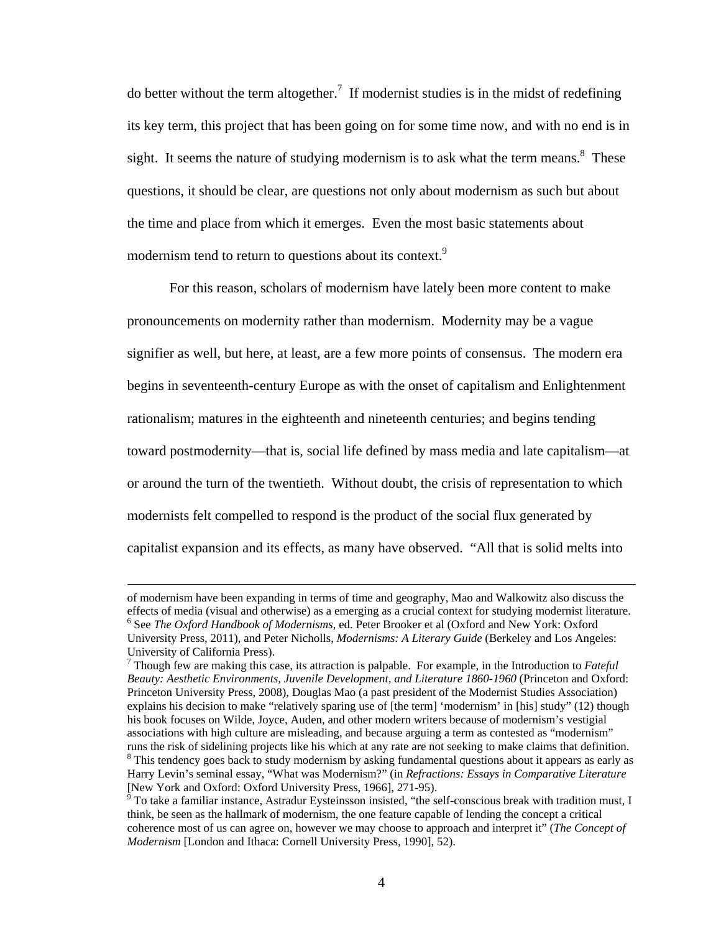do better without the term altogether.<sup>7</sup> If modernist studies is in the midst of redefining its key term, this project that has been going on for some time now, and with no end is in sight. It seems the nature of studying modernism is to ask what the term means. $\delta$  These questions, it should be clear, are questions not only about modernism as such but about the time and place from which it emerges. Even the most basic statements about modernism tend to return to questions about its context.<sup>9</sup>

For this reason, scholars of modernism have lately been more content to make pronouncements on modernity rather than modernism. Modernity may be a vague signifier as well, but here, at least, are a few more points of consensus. The modern era begins in seventeenth-century Europe as with the onset of capitalism and Enlightenment rationalism; matures in the eighteenth and nineteenth centuries; and begins tending toward postmodernity—that is, social life defined by mass media and late capitalism—at or around the turn of the twentieth. Without doubt, the crisis of representation to which modernists felt compelled to respond is the product of the social flux generated by capitalist expansion and its effects, as many have observed. "All that is solid melts into

of modernism have been expanding in terms of time and geography, Mao and Walkowitz also discuss the effects of media (visual and otherwise) as a emerging as a crucial context for studying modernist literature. 6 See *The Oxford Handbook of Modernisms*, ed. Peter Brooker et al (Oxford and New York: Oxford University Press, 2011), and Peter Nicholls, *Modernisms: A Literary Guide* (Berkeley and Los Angeles: University of California Press).

<sup>7</sup> Though few are making this case, its attraction is palpable. For example, in the Introduction to *Fateful Beauty: Aesthetic Environments, Juvenile Development, and Literature 1860-1960* (Princeton and Oxford: Princeton University Press, 2008), Douglas Mao (a past president of the Modernist Studies Association) explains his decision to make "relatively sparing use of [the term] 'modernism' in [his] study" (12) though his book focuses on Wilde, Joyce, Auden, and other modern writers because of modernism's vestigial associations with high culture are misleading, and because arguing a term as contested as "modernism" runs the risk of sidelining projects like his which at any rate are not seeking to make claims that definition. <sup>8</sup> This tendency goes back to study modernism by asking fundamental questions about it appears as early as Harry Levin's seminal essay, "What was Modernism?" (in *Refractions: Essays in Comparative Literature*  [New York and Oxford: Oxford University Press, 1966], 271-95).

 $\overline{9}$  To take a familiar instance, Astradur Eysteinsson insisted, "the self-conscious break with tradition must, I think, be seen as the hallmark of modernism, the one feature capable of lending the concept a critical coherence most of us can agree on, however we may choose to approach and interpret it" (*The Concept of Modernism* [London and Ithaca: Cornell University Press, 1990], 52).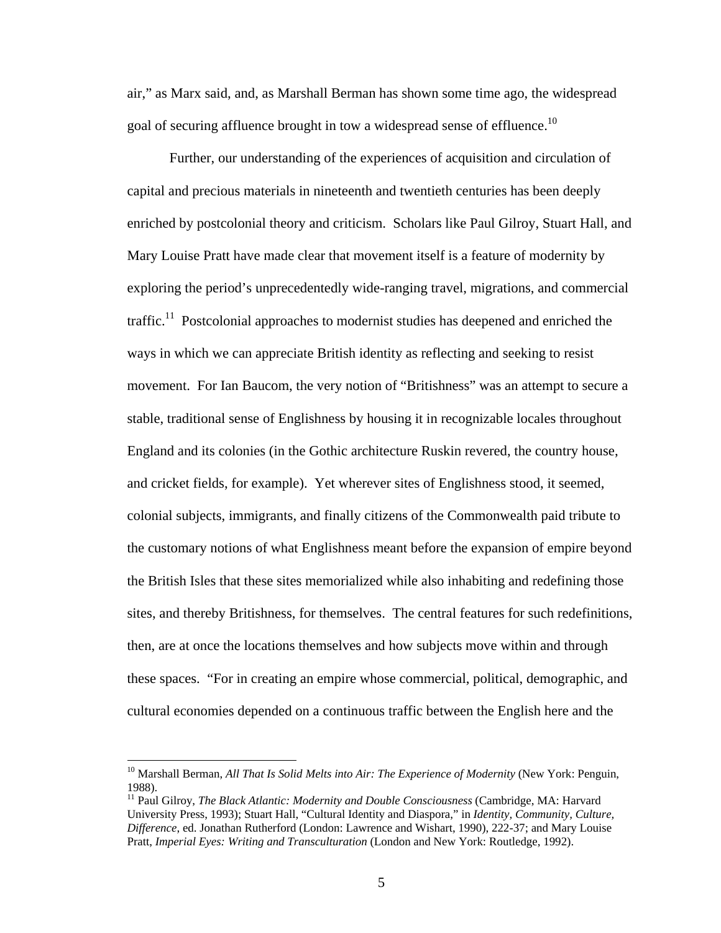air," as Marx said, and, as Marshall Berman has shown some time ago, the widespread goal of securing affluence brought in tow a widespread sense of effluence.<sup>10</sup>

Further, our understanding of the experiences of acquisition and circulation of capital and precious materials in nineteenth and twentieth centuries has been deeply enriched by postcolonial theory and criticism. Scholars like Paul Gilroy, Stuart Hall, and Mary Louise Pratt have made clear that movement itself is a feature of modernity by exploring the period's unprecedentedly wide-ranging travel, migrations, and commercial traffic.<sup>11</sup> Postcolonial approaches to modernist studies has deepened and enriched the ways in which we can appreciate British identity as reflecting and seeking to resist movement. For Ian Baucom, the very notion of "Britishness" was an attempt to secure a stable, traditional sense of Englishness by housing it in recognizable locales throughout England and its colonies (in the Gothic architecture Ruskin revered, the country house, and cricket fields, for example). Yet wherever sites of Englishness stood, it seemed, colonial subjects, immigrants, and finally citizens of the Commonwealth paid tribute to the customary notions of what Englishness meant before the expansion of empire beyond the British Isles that these sites memorialized while also inhabiting and redefining those sites, and thereby Britishness, for themselves. The central features for such redefinitions, then, are at once the locations themselves and how subjects move within and through these spaces. "For in creating an empire whose commercial, political, demographic, and cultural economies depended on a continuous traffic between the English here and the

<sup>10</sup> Marshall Berman, *All That Is Solid Melts into Air: The Experience of Modernity* (New York: Penguin, 1988).

<sup>11</sup> Paul Gilroy, *The Black Atlantic: Modernity and Double Consciousness* (Cambridge, MA: Harvard University Press, 1993); Stuart Hall, "Cultural Identity and Diaspora," in *Identity, Community, Culture, Difference*, ed. Jonathan Rutherford (London: Lawrence and Wishart, 1990), 222-37; and Mary Louise Pratt, *Imperial Eyes: Writing and Transculturation* (London and New York: Routledge, 1992).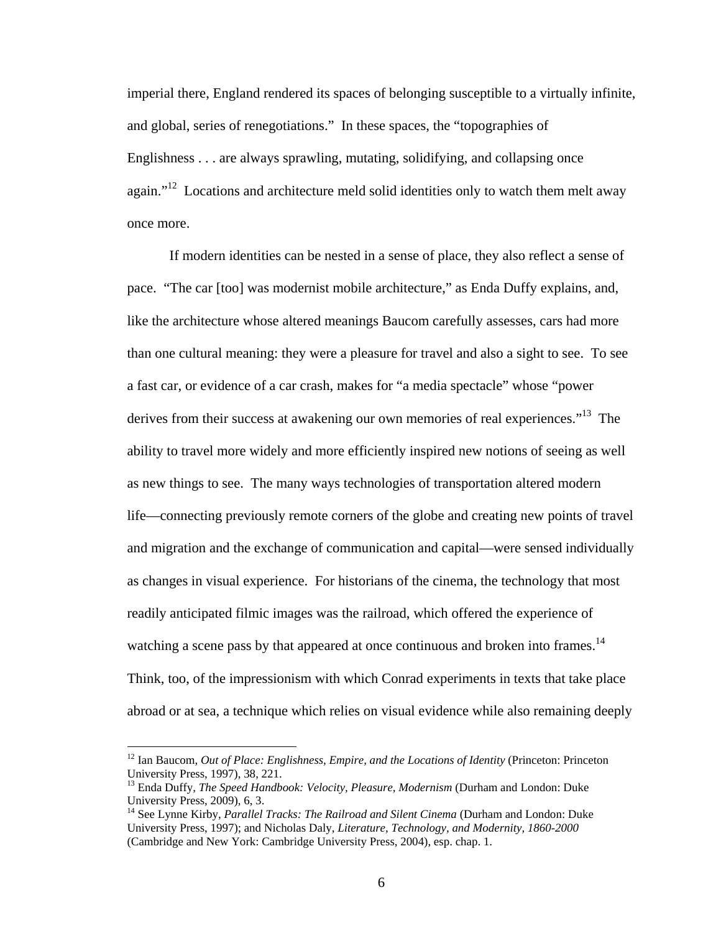imperial there, England rendered its spaces of belonging susceptible to a virtually infinite, and global, series of renegotiations." In these spaces, the "topographies of Englishness . . . are always sprawling, mutating, solidifying, and collapsing once again. $12^2$  Locations and architecture meld solid identities only to watch them melt away once more.

 If modern identities can be nested in a sense of place, they also reflect a sense of pace. "The car [too] was modernist mobile architecture," as Enda Duffy explains, and, like the architecture whose altered meanings Baucom carefully assesses, cars had more than one cultural meaning: they were a pleasure for travel and also a sight to see. To see a fast car, or evidence of a car crash, makes for "a media spectacle" whose "power derives from their success at awakening our own memories of real experiences."<sup>13</sup> The ability to travel more widely and more efficiently inspired new notions of seeing as well as new things to see. The many ways technologies of transportation altered modern life—connecting previously remote corners of the globe and creating new points of travel and migration and the exchange of communication and capital—were sensed individually as changes in visual experience. For historians of the cinema, the technology that most readily anticipated filmic images was the railroad, which offered the experience of watching a scene pass by that appeared at once continuous and broken into frames.<sup>14</sup> Think, too, of the impressionism with which Conrad experiments in texts that take place abroad or at sea, a technique which relies on visual evidence while also remaining deeply

<sup>12</sup> Ian Baucom, *Out of Place: Englishness, Empire, and the Locations of Identity* (Princeton: Princeton University Press, 1997), 38, 221.

<sup>&</sup>lt;sup>13</sup> Enda Duffy, *The Speed Handbook: Velocity, Pleasure, Modernism* (Durham and London: Duke University Press, 2009), 6, 3.

<sup>&</sup>lt;sup>14</sup> See Lynne Kirby, *Parallel Tracks: The Railroad and Silent Cinema* (Durham and London: Duke University Press, 1997); and Nicholas Daly, *Literature, Technology, and Modernity, 1860-2000* (Cambridge and New York: Cambridge University Press, 2004), esp. chap. 1.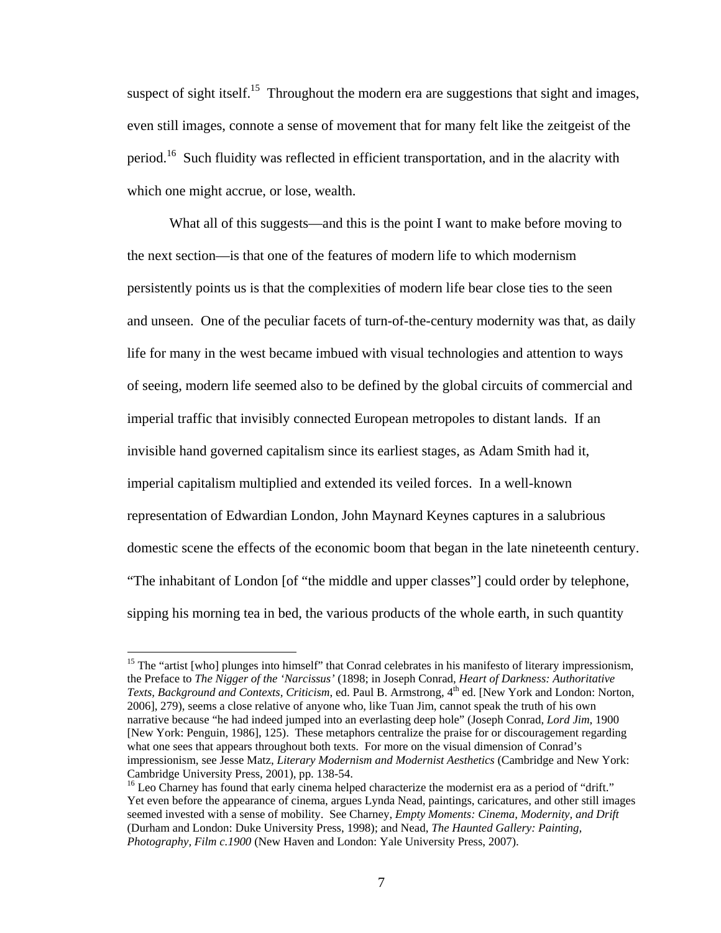suspect of sight itself.<sup>15</sup> Throughout the modern era are suggestions that sight and images, even still images, connote a sense of movement that for many felt like the zeitgeist of the period.<sup>16</sup> Such fluidity was reflected in efficient transportation, and in the alacrity with which one might accrue, or lose, wealth.

What all of this suggests—and this is the point I want to make before moving to the next section—is that one of the features of modern life to which modernism persistently points us is that the complexities of modern life bear close ties to the seen and unseen. One of the peculiar facets of turn-of-the-century modernity was that, as daily life for many in the west became imbued with visual technologies and attention to ways of seeing, modern life seemed also to be defined by the global circuits of commercial and imperial traffic that invisibly connected European metropoles to distant lands. If an invisible hand governed capitalism since its earliest stages, as Adam Smith had it, imperial capitalism multiplied and extended its veiled forces. In a well-known representation of Edwardian London, John Maynard Keynes captures in a salubrious domestic scene the effects of the economic boom that began in the late nineteenth century. "The inhabitant of London [of "the middle and upper classes"] could order by telephone, sipping his morning tea in bed, the various products of the whole earth, in such quantity

<sup>&</sup>lt;sup>15</sup> The "artist [who] plunges into himself" that Conrad celebrates in his manifesto of literary impressionism, the Preface to *The Nigger of the 'Narcissus'* (1898; in Joseph Conrad, *Heart of Darkness: Authoritative*  Texts, Background and Contexts, Criticism, ed. Paul B. Armstrong, 4<sup>th</sup> ed. [New York and London: Norton, 2006], 279), seems a close relative of anyone who, like Tuan Jim, cannot speak the truth of his own narrative because "he had indeed jumped into an everlasting deep hole" (Joseph Conrad, *Lord Jim*, 1900 [New York: Penguin, 1986], 125). These metaphors centralize the praise for or discouragement regarding what one sees that appears throughout both texts. For more on the visual dimension of Conrad's impressionism, see Jesse Matz, *Literary Modernism and Modernist Aesthetics* (Cambridge and New York: Cambridge University Press, 2001), pp. 138-54.

<sup>&</sup>lt;sup>16</sup> Leo Charney has found that early cinema helped characterize the modernist era as a period of "drift." Yet even before the appearance of cinema, argues Lynda Nead, paintings, caricatures, and other still images seemed invested with a sense of mobility. See Charney, *Empty Moments: Cinema, Modernity, and Drift* (Durham and London: Duke University Press, 1998); and Nead, *The Haunted Gallery: Painting, Photography, Film c.1900* (New Haven and London: Yale University Press, 2007).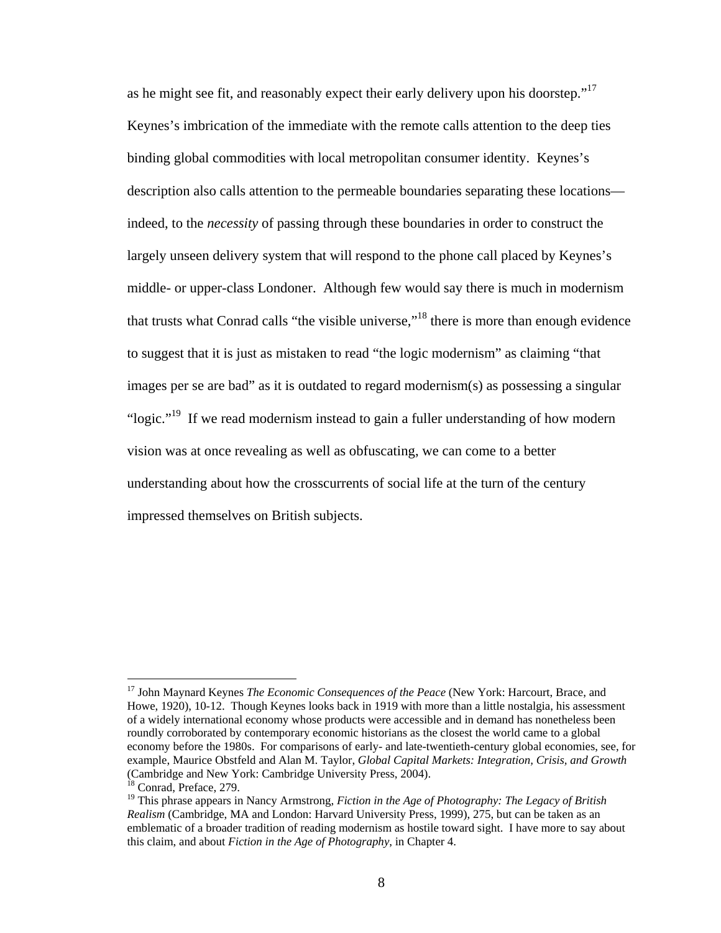as he might see fit, and reasonably expect their early delivery upon his doorstep."<sup>17</sup> Keynes's imbrication of the immediate with the remote calls attention to the deep ties binding global commodities with local metropolitan consumer identity. Keynes's description also calls attention to the permeable boundaries separating these locations indeed, to the *necessity* of passing through these boundaries in order to construct the largely unseen delivery system that will respond to the phone call placed by Keynes's middle- or upper-class Londoner. Although few would say there is much in modernism that trusts what Conrad calls "the visible universe,"18 there is more than enough evidence to suggest that it is just as mistaken to read "the logic modernism" as claiming "that images per se are bad" as it is outdated to regard modernism(s) as possessing a singular "logic."19 If we read modernism instead to gain a fuller understanding of how modern vision was at once revealing as well as obfuscating, we can come to a better understanding about how the crosscurrents of social life at the turn of the century impressed themselves on British subjects.

<sup>17</sup> John Maynard Keynes *The Economic Consequences of the Peace* (New York: Harcourt, Brace, and Howe, 1920), 10-12. Though Keynes looks back in 1919 with more than a little nostalgia, his assessment of a widely international economy whose products were accessible and in demand has nonetheless been roundly corroborated by contemporary economic historians as the closest the world came to a global economy before the 1980s. For comparisons of early- and late-twentieth-century global economies, see, for example, Maurice Obstfeld and Alan M. Taylor, *Global Capital Markets: Integration, Crisis, and Growth* (Cambridge and New York: Cambridge University Press, 2004).

<sup>&</sup>lt;sup>18</sup> Conrad, Preface, 279.

<sup>19</sup> This phrase appears in Nancy Armstrong, *Fiction in the Age of Photography: The Legacy of British Realism* (Cambridge, MA and London: Harvard University Press, 1999), 275, but can be taken as an emblematic of a broader tradition of reading modernism as hostile toward sight. I have more to say about this claim, and about *Fiction in the Age of Photography*, in Chapter 4.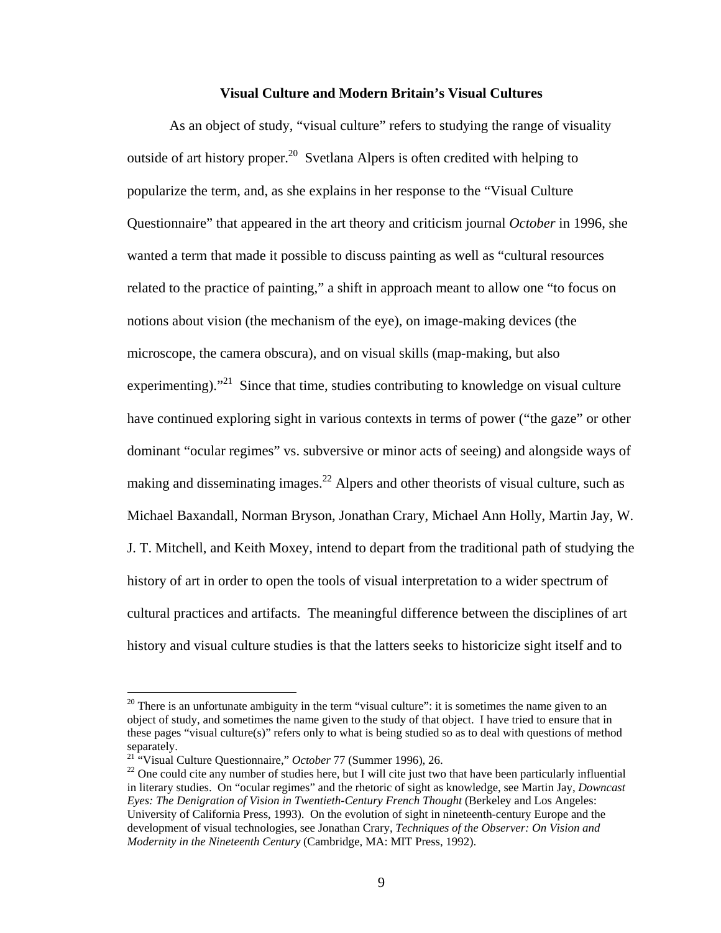#### **Visual Culture and Modern Britain's Visual Cultures**

As an object of study, "visual culture" refers to studying the range of visuality outside of art history proper.<sup>20</sup> Svetlana Alpers is often credited with helping to popularize the term, and, as she explains in her response to the "Visual Culture Questionnaire" that appeared in the art theory and criticism journal *October* in 1996, she wanted a term that made it possible to discuss painting as well as "cultural resources related to the practice of painting," a shift in approach meant to allow one "to focus on notions about vision (the mechanism of the eye), on image-making devices (the microscope, the camera obscura), and on visual skills (map-making, but also experimenting). $^{21}$  Since that time, studies contributing to knowledge on visual culture have continued exploring sight in various contexts in terms of power ("the gaze" or other dominant "ocular regimes" vs. subversive or minor acts of seeing) and alongside ways of making and disseminating images.<sup>22</sup> Alpers and other theorists of visual culture, such as Michael Baxandall, Norman Bryson, Jonathan Crary, Michael Ann Holly, Martin Jay, W. J. T. Mitchell, and Keith Moxey, intend to depart from the traditional path of studying the history of art in order to open the tools of visual interpretation to a wider spectrum of cultural practices and artifacts. The meaningful difference between the disciplines of art history and visual culture studies is that the latters seeks to historicize sight itself and to

<sup>&</sup>lt;sup>20</sup> There is an unfortunate ambiguity in the term "visual culture": it is sometimes the name given to an object of study, and sometimes the name given to the study of that object. I have tried to ensure that in these pages "visual culture(s)" refers only to what is being studied so as to deal with questions of method separately.<br><sup>21</sup> "Visual Culture Questionnaire," *October* 77 (Summer 1996), 26.

<sup>&</sup>lt;sup>22</sup> One could cite any number of studies here, but I will cite just two that have been particularly influential in literary studies. On "ocular regimes" and the rhetoric of sight as knowledge, see Martin Jay, *Downcast Eyes: The Denigration of Vision in Twentieth-Century French Thought* (Berkeley and Los Angeles: University of California Press, 1993). On the evolution of sight in nineteenth-century Europe and the development of visual technologies, see Jonathan Crary, *Techniques of the Observer: On Vision and Modernity in the Nineteenth Century* (Cambridge, MA: MIT Press, 1992).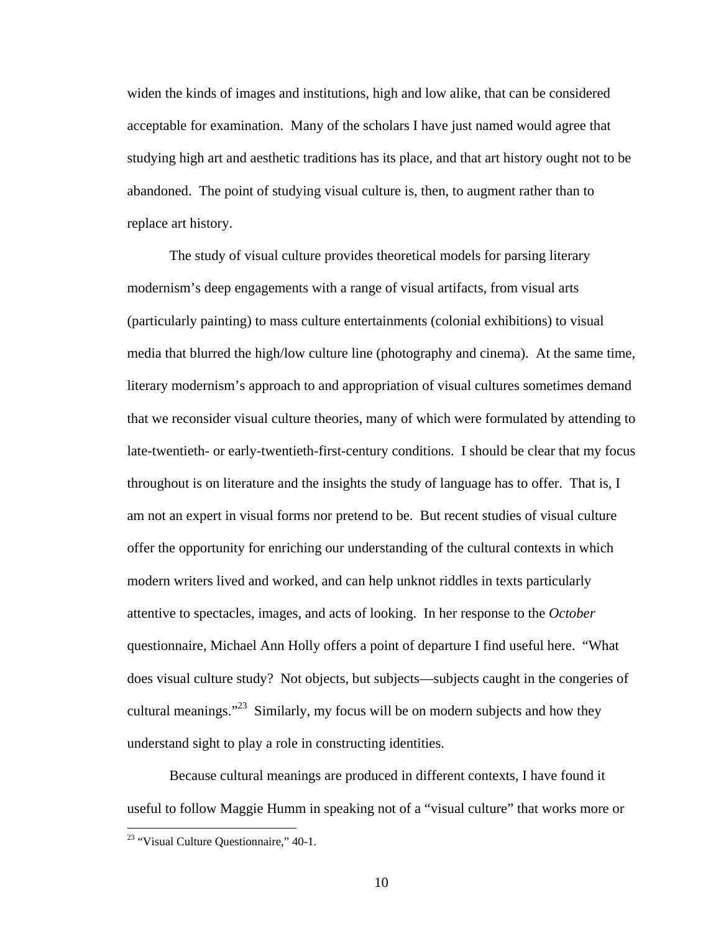widen the kinds of images and institutions, high and low alike, that can be considered acceptable for examination. Many of the scholars I have just named would agree that studying high art and aesthetic traditions has its place, and that art history ought not to be abandoned. The point of studying visual culture is, then, to augment rather than to replace art history.

The study of visual culture provides theoretical models for parsing literary modernism's deep engagements with a range of visual artifacts, from visual arts (particularly painting) to mass culture entertainments (colonial exhibitions) to visual media that blurred the high/low culture line (photography and cinema). At the same time, literary modernism's approach to and appropriation of visual cultures sometimes demand that we reconsider visual culture theories, many of which were formulated by attending to late-twentieth- or early-twentieth-first-century conditions. I should be clear that my focus throughout is on literature and the insights the study of language has to offer. That is, I am not an expert in visual forms nor pretend to be. But recent studies of visual culture offer the opportunity for enriching our understanding of the cultural contexts in which modern writers lived and worked, and can help unknot riddles in texts particularly attentive to spectacles, images, and acts of looking. In her response to the *October* questionnaire, Michael Ann Holly offers a point of departure I find useful here. "What does visual culture study? Not objects, but subjects—subjects caught in the congeries of cultural meanings."<sup>23</sup> Similarly, my focus will be on modern subjects and how they understand sight to play a role in constructing identities.

 Because cultural meanings are produced in different contexts, I have found it useful to follow Maggie Humm in speaking not of a "visual culture" that works more or

<sup>&</sup>lt;sup>23</sup> "Visual Culture Questionnaire," 40-1.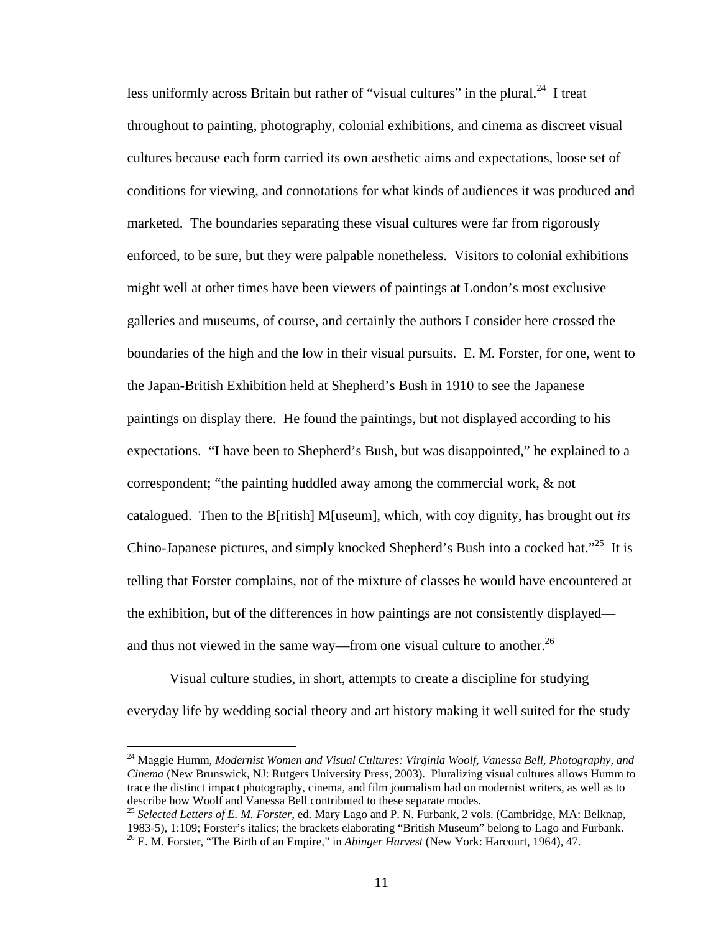less uniformly across Britain but rather of "visual cultures" in the plural. $^{24}$  I treat throughout to painting, photography, colonial exhibitions, and cinema as discreet visual cultures because each form carried its own aesthetic aims and expectations, loose set of conditions for viewing, and connotations for what kinds of audiences it was produced and marketed. The boundaries separating these visual cultures were far from rigorously enforced, to be sure, but they were palpable nonetheless. Visitors to colonial exhibitions might well at other times have been viewers of paintings at London's most exclusive galleries and museums, of course, and certainly the authors I consider here crossed the boundaries of the high and the low in their visual pursuits. E. M. Forster, for one, went to the Japan-British Exhibition held at Shepherd's Bush in 1910 to see the Japanese paintings on display there. He found the paintings, but not displayed according to his expectations. "I have been to Shepherd's Bush, but was disappointed," he explained to a correspondent; "the painting huddled away among the commercial work, & not catalogued. Then to the B[ritish] M[useum], which, with coy dignity, has brought out *its* Chino-Japanese pictures, and simply knocked Shepherd's Bush into a cocked hat."<sup>25</sup> It is telling that Forster complains, not of the mixture of classes he would have encountered at the exhibition, but of the differences in how paintings are not consistently displayed and thus not viewed in the same way—from one visual culture to another. $^{26}$ 

 Visual culture studies, in short, attempts to create a discipline for studying everyday life by wedding social theory and art history making it well suited for the study

<sup>24</sup> Maggie Humm, *Modernist Women and Visual Cultures: Virginia Woolf, Vanessa Bell, Photography, and Cinema* (New Brunswick, NJ: Rutgers University Press, 2003). Pluralizing visual cultures allows Humm to trace the distinct impact photography, cinema, and film journalism had on modernist writers, as well as to describe how Woolf and Vanessa Bell contributed to these separate modes.

<sup>25</sup> *Selected Letters of E. M. Forster*, ed. Mary Lago and P. N. Furbank, 2 vols. (Cambridge, MA: Belknap, 1983-5), 1:109; Forster's italics; the brackets elaborating "British Museum" belong to Lago and Furbank. 26 E. M. Forster, "The Birth of an Empire," in *Abinger Harvest* (New York: Harcourt, 1964), 47.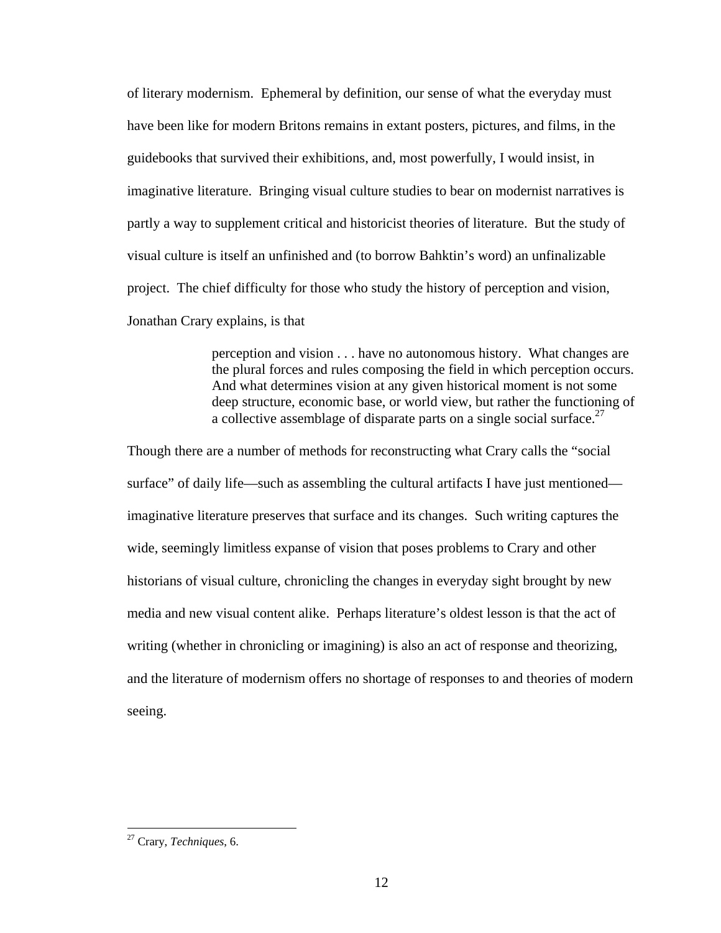of literary modernism. Ephemeral by definition, our sense of what the everyday must have been like for modern Britons remains in extant posters, pictures, and films, in the guidebooks that survived their exhibitions, and, most powerfully, I would insist, in imaginative literature. Bringing visual culture studies to bear on modernist narratives is partly a way to supplement critical and historicist theories of literature. But the study of visual culture is itself an unfinished and (to borrow Bahktin's word) an unfinalizable project. The chief difficulty for those who study the history of perception and vision, Jonathan Crary explains, is that

> perception and vision . . . have no autonomous history. What changes are the plural forces and rules composing the field in which perception occurs. And what determines vision at any given historical moment is not some deep structure, economic base, or world view, but rather the functioning of a collective assemblage of disparate parts on a single social surface.<sup>27</sup>

Though there are a number of methods for reconstructing what Crary calls the "social surface" of daily life—such as assembling the cultural artifacts I have just mentioned imaginative literature preserves that surface and its changes. Such writing captures the wide, seemingly limitless expanse of vision that poses problems to Crary and other historians of visual culture, chronicling the changes in everyday sight brought by new media and new visual content alike. Perhaps literature's oldest lesson is that the act of writing (whether in chronicling or imagining) is also an act of response and theorizing, and the literature of modernism offers no shortage of responses to and theories of modern seeing.

<u>.</u>

<sup>27</sup> Crary, *Techniques*, 6.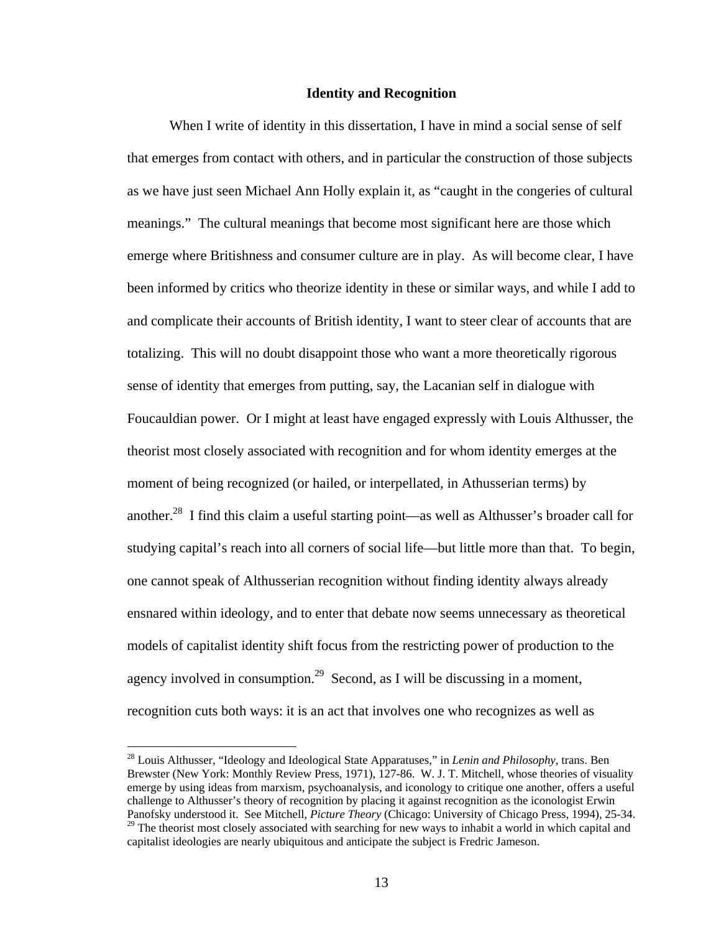#### **Identity and Recognition**

When I write of identity in this dissertation, I have in mind a social sense of self that emerges from contact with others, and in particular the construction of those subjects as we have just seen Michael Ann Holly explain it, as "caught in the congeries of cultural meanings." The cultural meanings that become most significant here are those which emerge where Britishness and consumer culture are in play. As will become clear, I have been informed by critics who theorize identity in these or similar ways, and while I add to and complicate their accounts of British identity, I want to steer clear of accounts that are totalizing. This will no doubt disappoint those who want a more theoretically rigorous sense of identity that emerges from putting, say, the Lacanian self in dialogue with Foucauldian power. Or I might at least have engaged expressly with Louis Althusser, the theorist most closely associated with recognition and for whom identity emerges at the moment of being recognized (or hailed, or interpellated, in Athusserian terms) by another.<sup>28</sup> I find this claim a useful starting point—as well as Althusser's broader call for studying capital's reach into all corners of social life—but little more than that. To begin, one cannot speak of Althusserian recognition without finding identity always already ensnared within ideology, and to enter that debate now seems unnecessary as theoretical models of capitalist identity shift focus from the restricting power of production to the agency involved in consumption.<sup>29</sup> Second, as I will be discussing in a moment, recognition cuts both ways: it is an act that involves one who recognizes as well as

<sup>28</sup> Louis Althusser, "Ideology and Ideological State Apparatuses," in *Lenin and Philosophy*, trans. Ben Brewster (New York: Monthly Review Press, 1971), 127-86. W. J. T. Mitchell, whose theories of visuality emerge by using ideas from marxism, psychoanalysis, and iconology to critique one another, offers a useful challenge to Althusser's theory of recognition by placing it against recognition as the iconologist Erwin Panofsky understood it. See Mitchell, *Picture Theory* (Chicago: University of Chicago Press, 1994), 25-34. <sup>29</sup> The theorist most closely associated with searching for new ways to inhabit a world in which capital and capitalist ideologies are nearly ubiquitous and anticipate the subject is Fredric Jameson.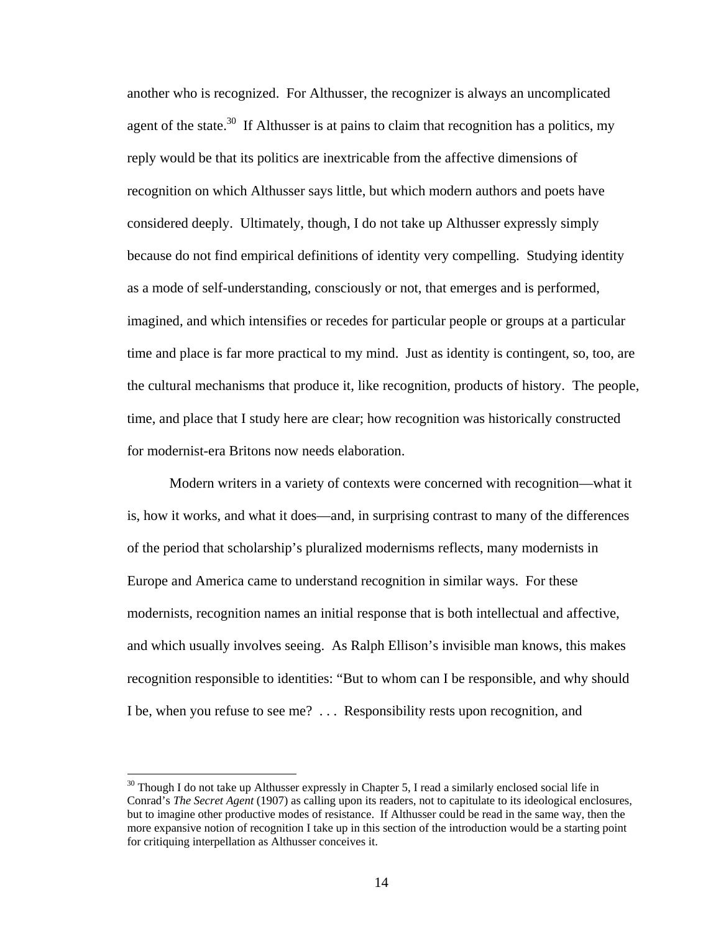another who is recognized. For Althusser, the recognizer is always an uncomplicated agent of the state. $30$  If Althusser is at pains to claim that recognition has a politics, my reply would be that its politics are inextricable from the affective dimensions of recognition on which Althusser says little, but which modern authors and poets have considered deeply. Ultimately, though, I do not take up Althusser expressly simply because do not find empirical definitions of identity very compelling. Studying identity as a mode of self-understanding, consciously or not, that emerges and is performed, imagined, and which intensifies or recedes for particular people or groups at a particular time and place is far more practical to my mind. Just as identity is contingent, so, too, are the cultural mechanisms that produce it, like recognition, products of history. The people, time, and place that I study here are clear; how recognition was historically constructed for modernist-era Britons now needs elaboration.

Modern writers in a variety of contexts were concerned with recognition—what it is, how it works, and what it does—and, in surprising contrast to many of the differences of the period that scholarship's pluralized modernisms reflects, many modernists in Europe and America came to understand recognition in similar ways. For these modernists, recognition names an initial response that is both intellectual and affective, and which usually involves seeing. As Ralph Ellison's invisible man knows, this makes recognition responsible to identities: "But to whom can I be responsible, and why should I be, when you refuse to see me? . . . Responsibility rests upon recognition, and

 $30$  Though I do not take up Althusser expressly in Chapter 5, I read a similarly enclosed social life in Conrad's *The Secret Agent* (1907) as calling upon its readers, not to capitulate to its ideological enclosures, but to imagine other productive modes of resistance. If Althusser could be read in the same way, then the more expansive notion of recognition I take up in this section of the introduction would be a starting point for critiquing interpellation as Althusser conceives it.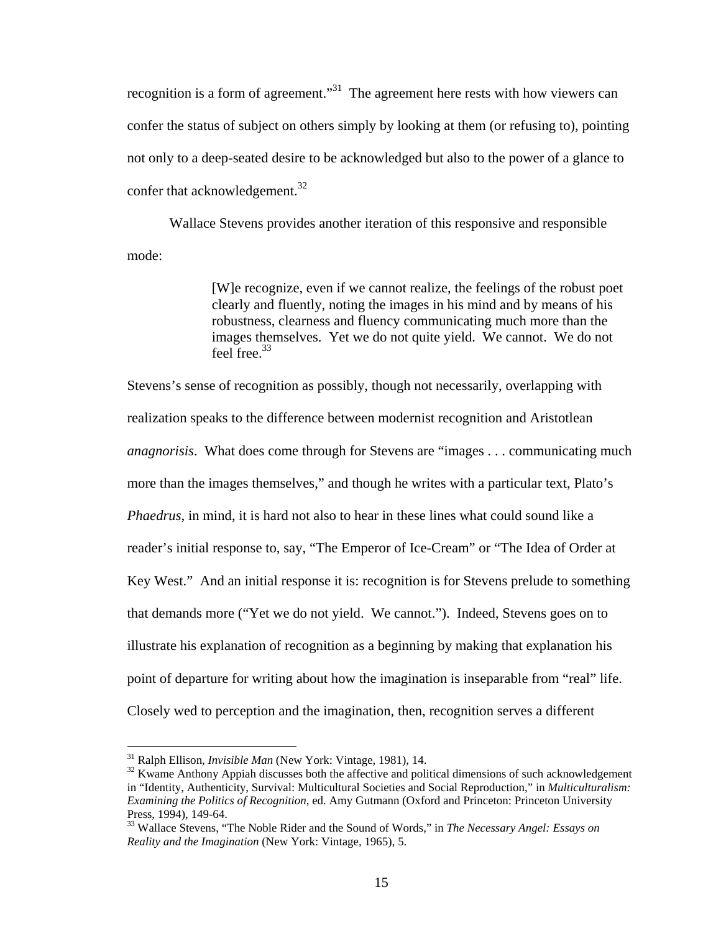recognition is a form of agreement."<sup>31</sup> The agreement here rests with how viewers can confer the status of subject on others simply by looking at them (or refusing to), pointing not only to a deep-seated desire to be acknowledged but also to the power of a glance to confer that acknowledgement.<sup>32</sup>

Wallace Stevens provides another iteration of this responsive and responsible mode:

> [W]e recognize, even if we cannot realize, the feelings of the robust poet clearly and fluently, noting the images in his mind and by means of his robustness, clearness and fluency communicating much more than the images themselves. Yet we do not quite yield. We cannot. We do not feel free. $33$

Stevens's sense of recognition as possibly, though not necessarily, overlapping with realization speaks to the difference between modernist recognition and Aristotlean *anagnorisis*. What does come through for Stevens are "images . . . communicating much more than the images themselves," and though he writes with a particular text, Plato's *Phaedrus*, in mind, it is hard not also to hear in these lines what could sound like a reader's initial response to, say, "The Emperor of Ice-Cream" or "The Idea of Order at Key West." And an initial response it is: recognition is for Stevens prelude to something that demands more ("Yet we do not yield. We cannot."). Indeed, Stevens goes on to illustrate his explanation of recognition as a beginning by making that explanation his point of departure for writing about how the imagination is inseparable from "real" life. Closely wed to perception and the imagination, then, recognition serves a different

<sup>&</sup>lt;sup>31</sup> Ralph Ellison, *Invisible Man* (New York: Vintage, 1981), 14.<br><sup>32</sup> Kwame Anthony Appiah discusses both the affective and political dimensions of such acknowledgement in "Identity, Authenticity, Survival: Multicultural Societies and Social Reproduction," in *Multiculturalism: Examining the Politics of Recognition*, ed. Amy Gutmann (Oxford and Princeton: Princeton University Press, 1994), 149-64.

<sup>33</sup> Wallace Stevens, "The Noble Rider and the Sound of Words," in *The Necessary Angel: Essays on Reality and the Imagination* (New York: Vintage, 1965), 5.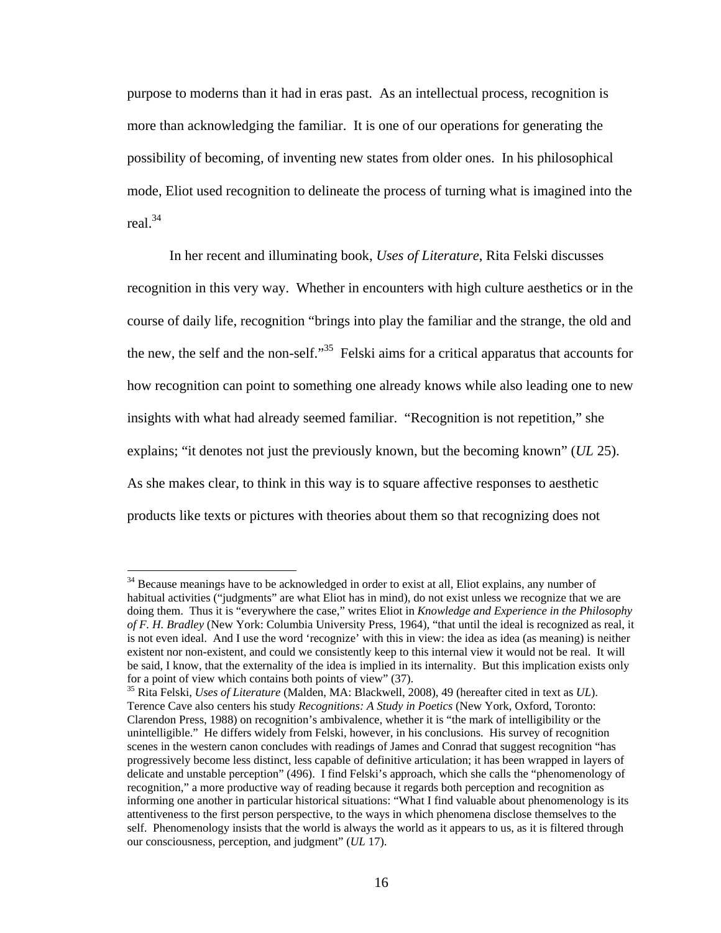purpose to moderns than it had in eras past. As an intellectual process, recognition is more than acknowledging the familiar. It is one of our operations for generating the possibility of becoming, of inventing new states from older ones. In his philosophical mode, Eliot used recognition to delineate the process of turning what is imagined into the real.34

In her recent and illuminating book, *Uses of Literature*, Rita Felski discusses recognition in this very way. Whether in encounters with high culture aesthetics or in the course of daily life, recognition "brings into play the familiar and the strange, the old and the new, the self and the non-self."<sup>35</sup> Felski aims for a critical apparatus that accounts for how recognition can point to something one already knows while also leading one to new insights with what had already seemed familiar. "Recognition is not repetition," she explains; "it denotes not just the previously known, but the becoming known" (*UL* 25). As she makes clear, to think in this way is to square affective responses to aesthetic products like texts or pictures with theories about them so that recognizing does not

1

 $34$  Because meanings have to be acknowledged in order to exist at all, Eliot explains, any number of habitual activities ("judgments" are what Eliot has in mind), do not exist unless we recognize that we are doing them. Thus it is "everywhere the case," writes Eliot in *Knowledge and Experience in the Philosophy of F. H. Bradley* (New York: Columbia University Press, 1964), "that until the ideal is recognized as real, it is not even ideal. And I use the word 'recognize' with this in view: the idea as idea (as meaning) is neither existent nor non-existent, and could we consistently keep to this internal view it would not be real. It will be said, I know, that the externality of the idea is implied in its internality. But this implication exists only for a point of view which contains both points of view" (37).

<sup>35</sup> Rita Felski, *Uses of Literature* (Malden, MA: Blackwell, 2008), 49 (hereafter cited in text as *UL*). Terence Cave also centers his study *Recognitions: A Study in Poetics* (New York, Oxford, Toronto: Clarendon Press, 1988) on recognition's ambivalence, whether it is "the mark of intelligibility or the unintelligible." He differs widely from Felski, however, in his conclusions. His survey of recognition scenes in the western canon concludes with readings of James and Conrad that suggest recognition "has progressively become less distinct, less capable of definitive articulation; it has been wrapped in layers of delicate and unstable perception" (496). I find Felski's approach, which she calls the "phenomenology of recognition," a more productive way of reading because it regards both perception and recognition as informing one another in particular historical situations: "What I find valuable about phenomenology is its attentiveness to the first person perspective, to the ways in which phenomena disclose themselves to the self. Phenomenology insists that the world is always the world as it appears to us, as it is filtered through our consciousness, perception, and judgment" (*UL* 17).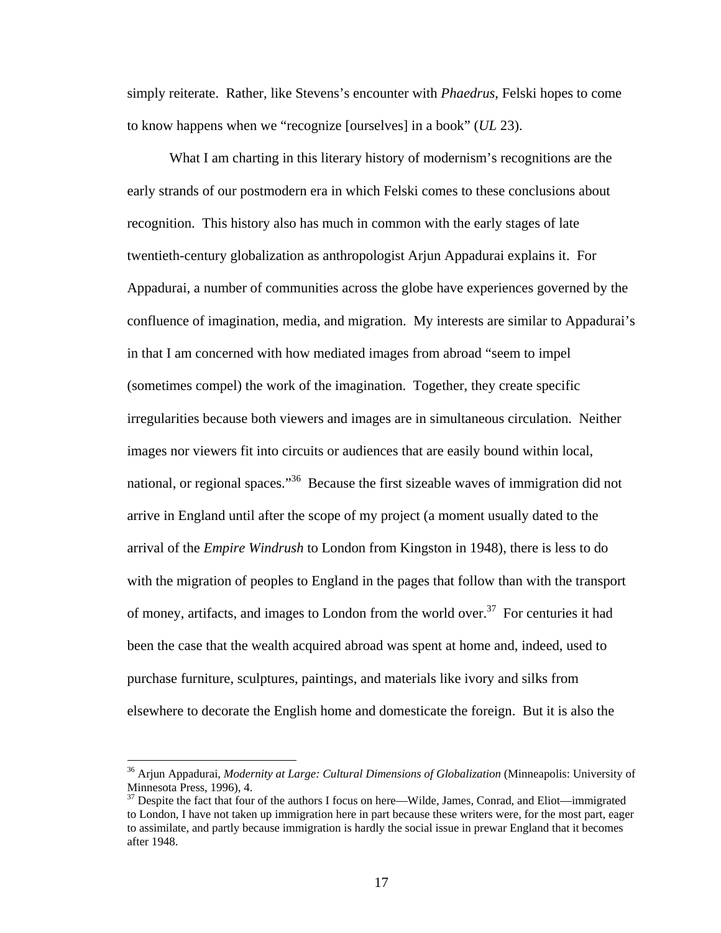simply reiterate. Rather, like Stevens's encounter with *Phaedrus*, Felski hopes to come to know happens when we "recognize [ourselves] in a book" (*UL* 23).

What I am charting in this literary history of modernism's recognitions are the early strands of our postmodern era in which Felski comes to these conclusions about recognition. This history also has much in common with the early stages of late twentieth-century globalization as anthropologist Arjun Appadurai explains it. For Appadurai, a number of communities across the globe have experiences governed by the confluence of imagination, media, and migration. My interests are similar to Appadurai's in that I am concerned with how mediated images from abroad "seem to impel (sometimes compel) the work of the imagination. Together, they create specific irregularities because both viewers and images are in simultaneous circulation. Neither images nor viewers fit into circuits or audiences that are easily bound within local, national, or regional spaces."<sup>36</sup> Because the first sizeable waves of immigration did not arrive in England until after the scope of my project (a moment usually dated to the arrival of the *Empire Windrush* to London from Kingston in 1948), there is less to do with the migration of peoples to England in the pages that follow than with the transport of money, artifacts, and images to London from the world over.<sup>37</sup> For centuries it had been the case that the wealth acquired abroad was spent at home and, indeed, used to purchase furniture, sculptures, paintings, and materials like ivory and silks from elsewhere to decorate the English home and domesticate the foreign. But it is also the

1

<sup>36</sup> Arjun Appadurai, *Modernity at Large: Cultural Dimensions of Globalization* (Minneapolis: University of Minnesota Press, 1996), 4.

 $37$  Despite the fact that four of the authors I focus on here—Wilde, James, Conrad, and Eliot—immigrated to London, I have not taken up immigration here in part because these writers were, for the most part, eager to assimilate, and partly because immigration is hardly the social issue in prewar England that it becomes after 1948.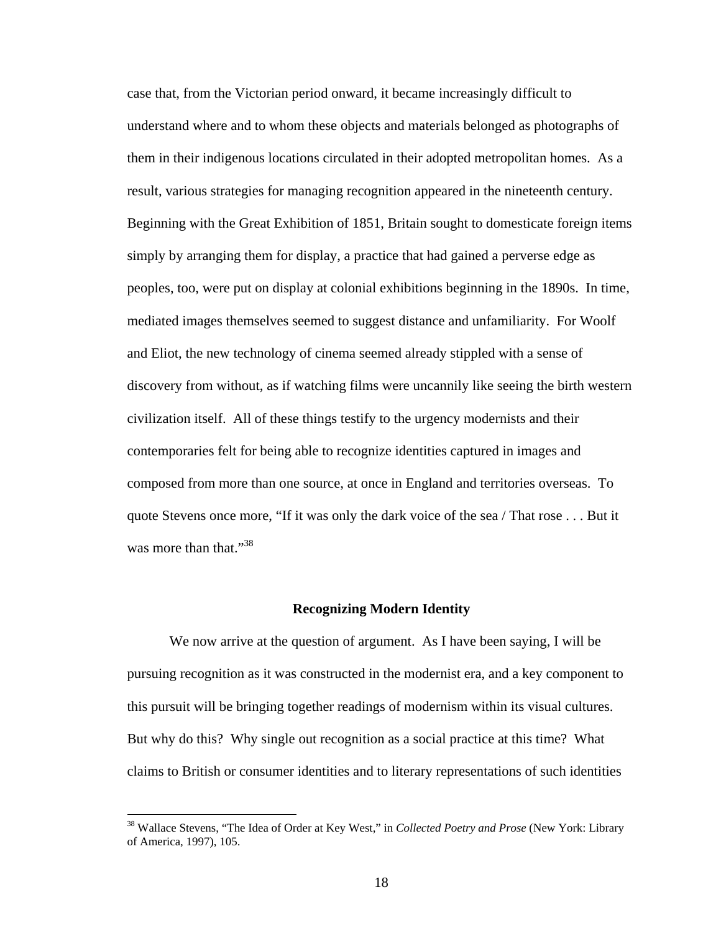case that, from the Victorian period onward, it became increasingly difficult to understand where and to whom these objects and materials belonged as photographs of them in their indigenous locations circulated in their adopted metropolitan homes. As a result, various strategies for managing recognition appeared in the nineteenth century. Beginning with the Great Exhibition of 1851, Britain sought to domesticate foreign items simply by arranging them for display, a practice that had gained a perverse edge as peoples, too, were put on display at colonial exhibitions beginning in the 1890s. In time, mediated images themselves seemed to suggest distance and unfamiliarity. For Woolf and Eliot, the new technology of cinema seemed already stippled with a sense of discovery from without, as if watching films were uncannily like seeing the birth western civilization itself. All of these things testify to the urgency modernists and their contemporaries felt for being able to recognize identities captured in images and composed from more than one source, at once in England and territories overseas. To quote Stevens once more, "If it was only the dark voice of the sea / That rose . . . But it was more than that."<sup>38</sup>

#### **Recognizing Modern Identity**

We now arrive at the question of argument. As I have been saying, I will be pursuing recognition as it was constructed in the modernist era, and a key component to this pursuit will be bringing together readings of modernism within its visual cultures. But why do this? Why single out recognition as a social practice at this time? What claims to British or consumer identities and to literary representations of such identities

<sup>38</sup> Wallace Stevens, "The Idea of Order at Key West," in *Collected Poetry and Prose* (New York: Library of America, 1997), 105.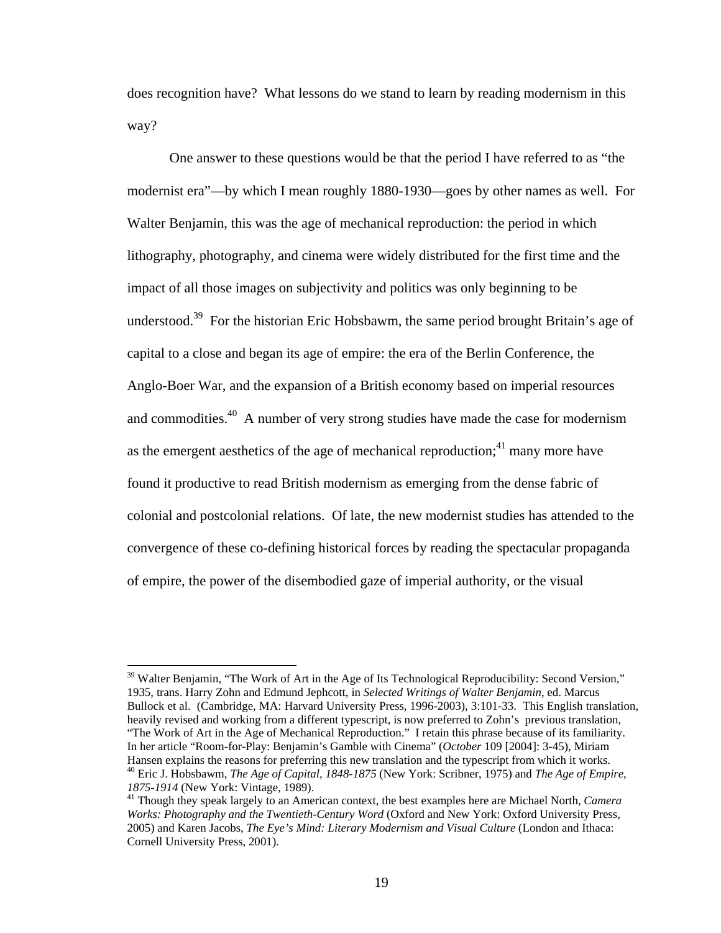does recognition have? What lessons do we stand to learn by reading modernism in this way?

One answer to these questions would be that the period I have referred to as "the modernist era"—by which I mean roughly 1880-1930—goes by other names as well. For Walter Benjamin, this was the age of mechanical reproduction: the period in which lithography, photography, and cinema were widely distributed for the first time and the impact of all those images on subjectivity and politics was only beginning to be understood.<sup>39</sup> For the historian Eric Hobsbawm, the same period brought Britain's age of capital to a close and began its age of empire: the era of the Berlin Conference, the Anglo-Boer War, and the expansion of a British economy based on imperial resources and commodities.<sup>40</sup> A number of very strong studies have made the case for modernism as the emergent aesthetics of the age of mechanical reproduction; $41$  many more have found it productive to read British modernism as emerging from the dense fabric of colonial and postcolonial relations. Of late, the new modernist studies has attended to the convergence of these co-defining historical forces by reading the spectacular propaganda of empire, the power of the disembodied gaze of imperial authority, or the visual

 $39$  Walter Benjamin, "The Work of Art in the Age of Its Technological Reproducibility: Second Version," 1935, trans. Harry Zohn and Edmund Jephcott, in *Selected Writings of Walter Benjamin*, ed. Marcus Bullock et al. (Cambridge, MA: Harvard University Press, 1996-2003), 3:101-33. This English translation, heavily revised and working from a different typescript, is now preferred to Zohn's previous translation, "The Work of Art in the Age of Mechanical Reproduction." I retain this phrase because of its familiarity. In her article "Room-for-Play: Benjamin's Gamble with Cinema" (*October* 109 [2004]: 3-45), Miriam Hansen explains the reasons for preferring this new translation and the typescript from which it works. 40 Eric J. Hobsbawm, *The Age of Capital, 1848-1875* (New York: Scribner, 1975) and *The Age of Empire,* 

*<sup>1875-1914</sup>* (New York: Vintage, 1989). 41 Though they speak largely to an American context, the best examples here are Michael North, *Camera Works: Photography and the Twentieth-Century Word* (Oxford and New York: Oxford University Press, 2005) and Karen Jacobs, *The Eye's Mind: Literary Modernism and Visual Culture* (London and Ithaca: Cornell University Press, 2001).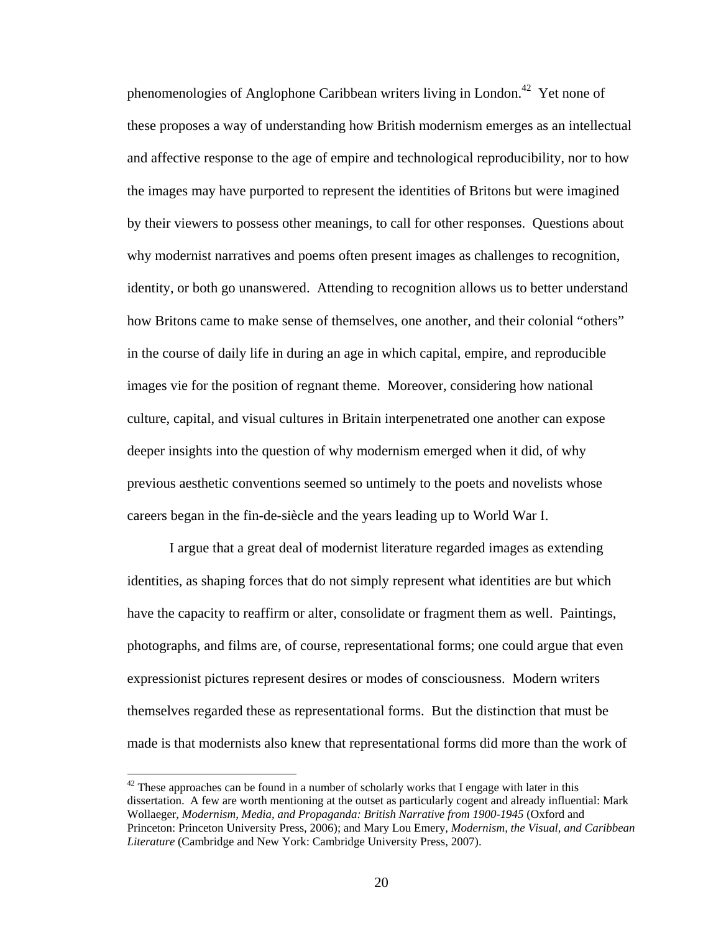phenomenologies of Anglophone Caribbean writers living in London.<sup>42</sup> Yet none of these proposes a way of understanding how British modernism emerges as an intellectual and affective response to the age of empire and technological reproducibility, nor to how the images may have purported to represent the identities of Britons but were imagined by their viewers to possess other meanings, to call for other responses. Questions about why modernist narratives and poems often present images as challenges to recognition, identity, or both go unanswered. Attending to recognition allows us to better understand how Britons came to make sense of themselves, one another, and their colonial "others" in the course of daily life in during an age in which capital, empire, and reproducible images vie for the position of regnant theme. Moreover, considering how national culture, capital, and visual cultures in Britain interpenetrated one another can expose deeper insights into the question of why modernism emerged when it did, of why previous aesthetic conventions seemed so untimely to the poets and novelists whose careers began in the fin-de-siècle and the years leading up to World War I.

I argue that a great deal of modernist literature regarded images as extending identities, as shaping forces that do not simply represent what identities are but which have the capacity to reaffirm or alter, consolidate or fragment them as well. Paintings, photographs, and films are, of course, representational forms; one could argue that even expressionist pictures represent desires or modes of consciousness. Modern writers themselves regarded these as representational forms. But the distinction that must be made is that modernists also knew that representational forms did more than the work of

 $42$  These approaches can be found in a number of scholarly works that I engage with later in this dissertation. A few are worth mentioning at the outset as particularly cogent and already influential: Mark Wollaeger, *Modernism, Media, and Propaganda: British Narrative from 1900-1945* (Oxford and Princeton: Princeton University Press, 2006); and Mary Lou Emery, *Modernism, the Visual, and Caribbean Literature* (Cambridge and New York: Cambridge University Press, 2007).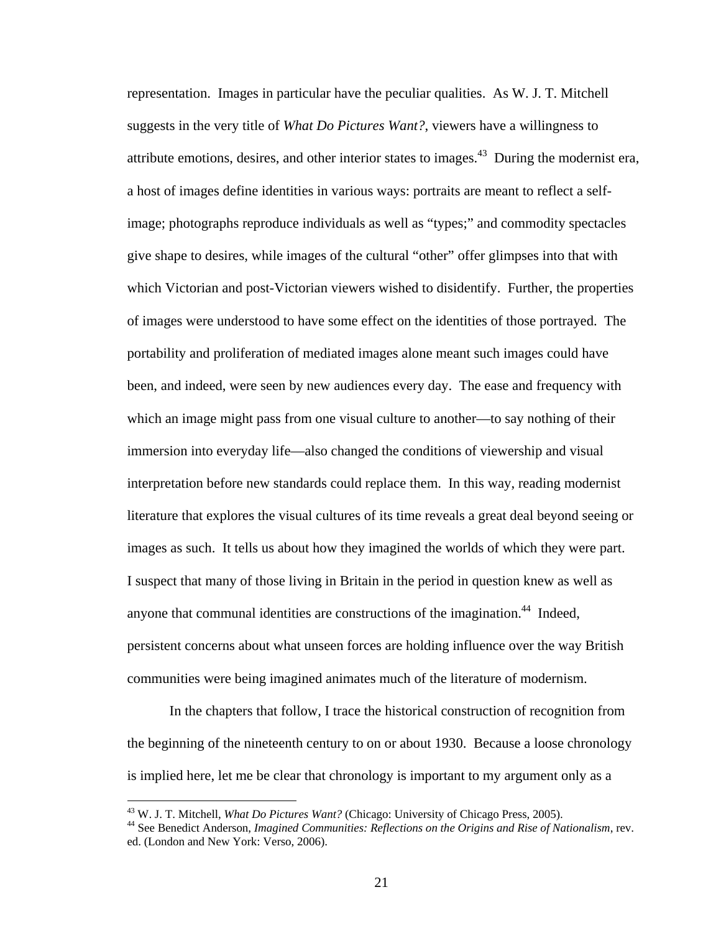representation. Images in particular have the peculiar qualities. As W. J. T. Mitchell suggests in the very title of *What Do Pictures Want?*, viewers have a willingness to attribute emotions, desires, and other interior states to images.<sup>43</sup> During the modernist era, a host of images define identities in various ways: portraits are meant to reflect a selfimage; photographs reproduce individuals as well as "types;" and commodity spectacles give shape to desires, while images of the cultural "other" offer glimpses into that with which Victorian and post-Victorian viewers wished to disidentify. Further, the properties of images were understood to have some effect on the identities of those portrayed. The portability and proliferation of mediated images alone meant such images could have been, and indeed, were seen by new audiences every day. The ease and frequency with which an image might pass from one visual culture to another—to say nothing of their immersion into everyday life—also changed the conditions of viewership and visual interpretation before new standards could replace them. In this way, reading modernist literature that explores the visual cultures of its time reveals a great deal beyond seeing or images as such. It tells us about how they imagined the worlds of which they were part. I suspect that many of those living in Britain in the period in question knew as well as anyone that communal identities are constructions of the imagination.<sup>44</sup> Indeed, persistent concerns about what unseen forces are holding influence over the way British communities were being imagined animates much of the literature of modernism.

 In the chapters that follow, I trace the historical construction of recognition from the beginning of the nineteenth century to on or about 1930. Because a loose chronology is implied here, let me be clear that chronology is important to my argument only as a

<sup>&</sup>lt;sup>43</sup> W. J. T. Mitchell, *What Do Pictures Want?* (Chicago: University of Chicago Press, 2005).<br><sup>44</sup> See Benedict Anderson, *Imagined Communities: Reflections on the Origins and Rise of Nationalism*, rev. ed. (London and New York: Verso, 2006).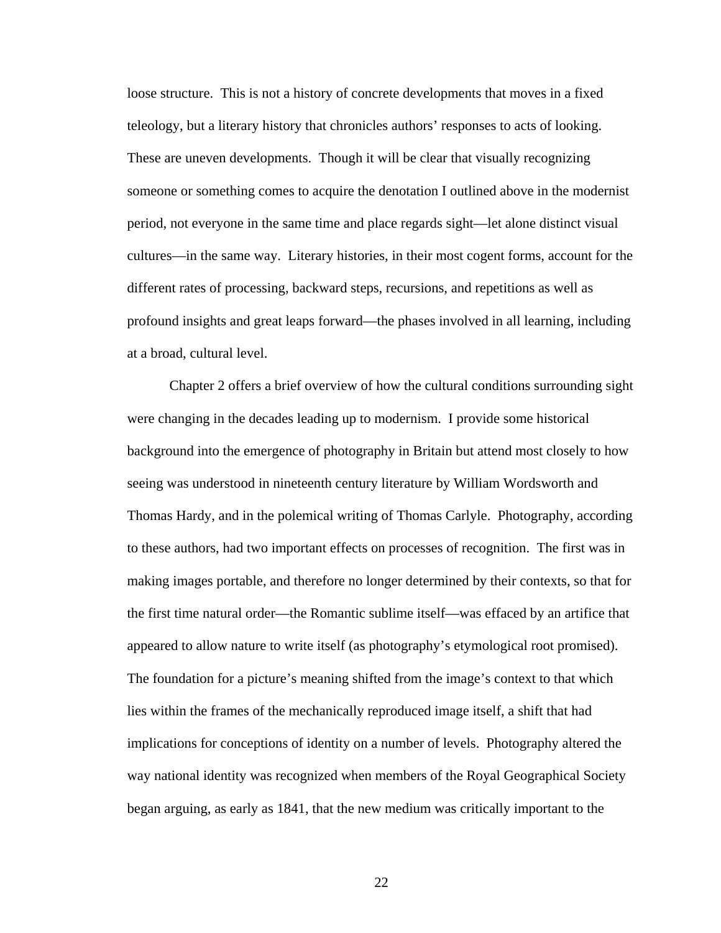loose structure. This is not a history of concrete developments that moves in a fixed teleology, but a literary history that chronicles authors' responses to acts of looking. These are uneven developments. Though it will be clear that visually recognizing someone or something comes to acquire the denotation I outlined above in the modernist period, not everyone in the same time and place regards sight—let alone distinct visual cultures—in the same way. Literary histories, in their most cogent forms, account for the different rates of processing, backward steps, recursions, and repetitions as well as profound insights and great leaps forward—the phases involved in all learning, including at a broad, cultural level.

Chapter 2 offers a brief overview of how the cultural conditions surrounding sight were changing in the decades leading up to modernism. I provide some historical background into the emergence of photography in Britain but attend most closely to how seeing was understood in nineteenth century literature by William Wordsworth and Thomas Hardy, and in the polemical writing of Thomas Carlyle. Photography, according to these authors, had two important effects on processes of recognition. The first was in making images portable, and therefore no longer determined by their contexts, so that for the first time natural order—the Romantic sublime itself—was effaced by an artifice that appeared to allow nature to write itself (as photography's etymological root promised). The foundation for a picture's meaning shifted from the image's context to that which lies within the frames of the mechanically reproduced image itself, a shift that had implications for conceptions of identity on a number of levels. Photography altered the way national identity was recognized when members of the Royal Geographical Society began arguing, as early as 1841, that the new medium was critically important to the

22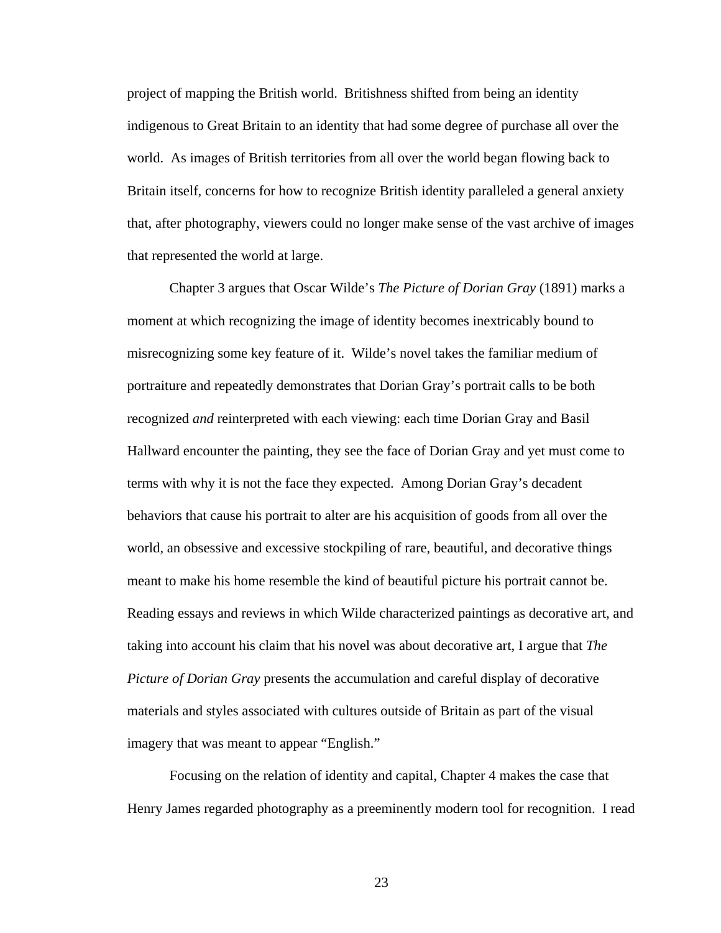project of mapping the British world. Britishness shifted from being an identity indigenous to Great Britain to an identity that had some degree of purchase all over the world. As images of British territories from all over the world began flowing back to Britain itself, concerns for how to recognize British identity paralleled a general anxiety that, after photography, viewers could no longer make sense of the vast archive of images that represented the world at large.

 Chapter 3 argues that Oscar Wilde's *The Picture of Dorian Gray* (1891) marks a moment at which recognizing the image of identity becomes inextricably bound to misrecognizing some key feature of it. Wilde's novel takes the familiar medium of portraiture and repeatedly demonstrates that Dorian Gray's portrait calls to be both recognized *and* reinterpreted with each viewing: each time Dorian Gray and Basil Hallward encounter the painting, they see the face of Dorian Gray and yet must come to terms with why it is not the face they expected. Among Dorian Gray's decadent behaviors that cause his portrait to alter are his acquisition of goods from all over the world, an obsessive and excessive stockpiling of rare, beautiful, and decorative things meant to make his home resemble the kind of beautiful picture his portrait cannot be. Reading essays and reviews in which Wilde characterized paintings as decorative art, and taking into account his claim that his novel was about decorative art, I argue that *The Picture of Dorian Gray* presents the accumulation and careful display of decorative materials and styles associated with cultures outside of Britain as part of the visual imagery that was meant to appear "English."

Focusing on the relation of identity and capital, Chapter 4 makes the case that Henry James regarded photography as a preeminently modern tool for recognition. I read

23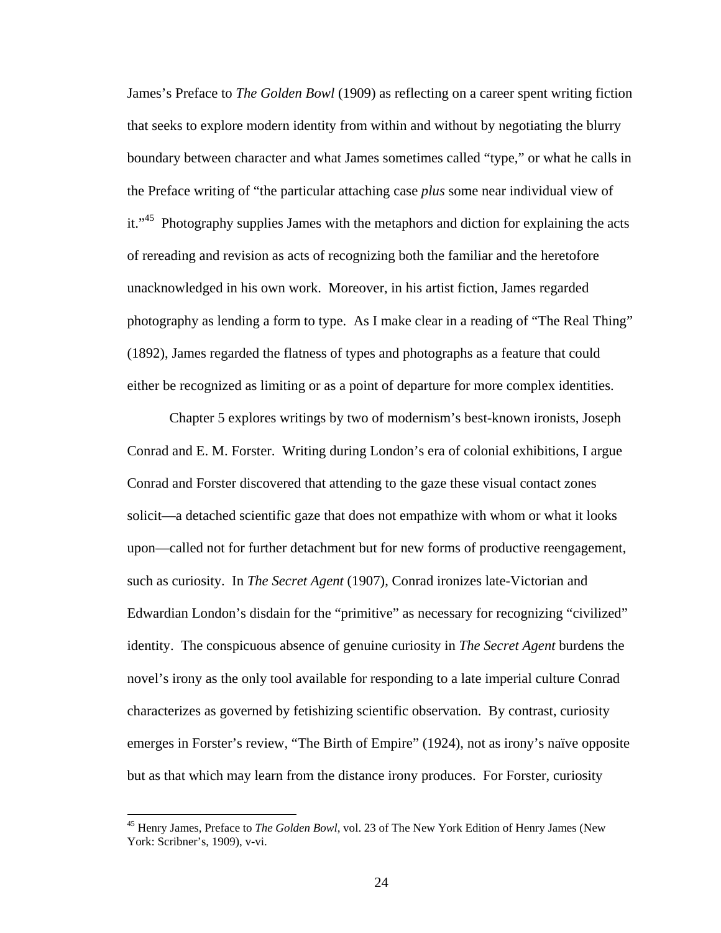James's Preface to *The Golden Bowl* (1909) as reflecting on a career spent writing fiction that seeks to explore modern identity from within and without by negotiating the blurry boundary between character and what James sometimes called "type," or what he calls in the Preface writing of "the particular attaching case *plus* some near individual view of it."<sup>45</sup> Photography supplies James with the metaphors and diction for explaining the acts of rereading and revision as acts of recognizing both the familiar and the heretofore unacknowledged in his own work. Moreover, in his artist fiction, James regarded photography as lending a form to type. As I make clear in a reading of "The Real Thing" (1892), James regarded the flatness of types and photographs as a feature that could either be recognized as limiting or as a point of departure for more complex identities.

Chapter 5 explores writings by two of modernism's best-known ironists, Joseph Conrad and E. M. Forster. Writing during London's era of colonial exhibitions, I argue Conrad and Forster discovered that attending to the gaze these visual contact zones solicit—a detached scientific gaze that does not empathize with whom or what it looks upon—called not for further detachment but for new forms of productive reengagement, such as curiosity. In *The Secret Agent* (1907), Conrad ironizes late-Victorian and Edwardian London's disdain for the "primitive" as necessary for recognizing "civilized" identity. The conspicuous absence of genuine curiosity in *The Secret Agent* burdens the novel's irony as the only tool available for responding to a late imperial culture Conrad characterizes as governed by fetishizing scientific observation. By contrast, curiosity emerges in Forster's review, "The Birth of Empire" (1924), not as irony's naïve opposite but as that which may learn from the distance irony produces. For Forster, curiosity

<sup>45</sup> Henry James, Preface to *The Golden Bowl*, vol. 23 of The New York Edition of Henry James (New York: Scribner's, 1909), v-vi.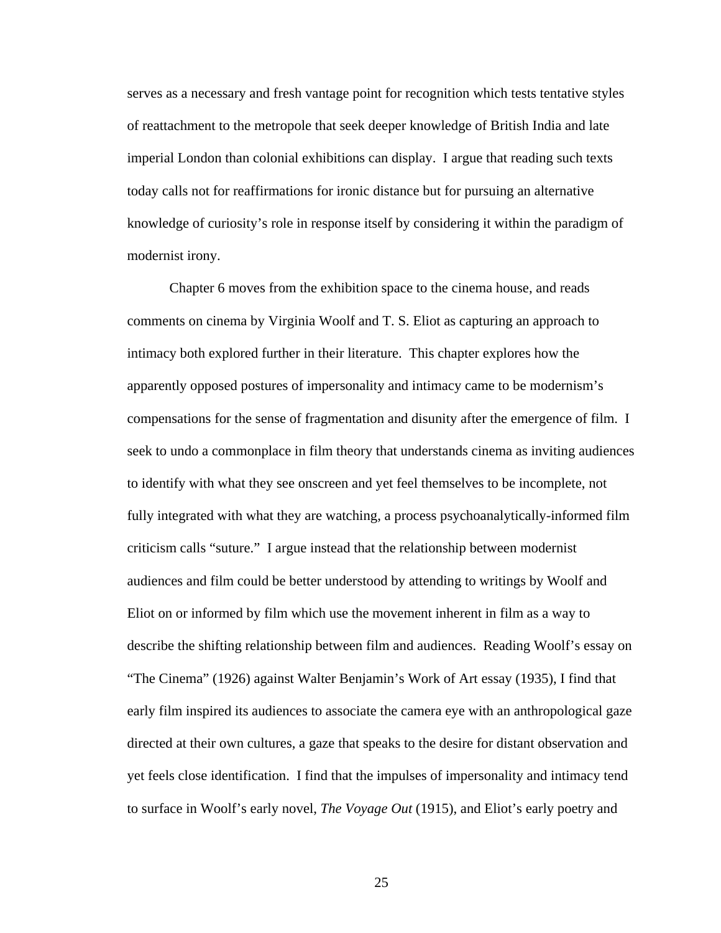serves as a necessary and fresh vantage point for recognition which tests tentative styles of reattachment to the metropole that seek deeper knowledge of British India and late imperial London than colonial exhibitions can display. I argue that reading such texts today calls not for reaffirmations for ironic distance but for pursuing an alternative knowledge of curiosity's role in response itself by considering it within the paradigm of modernist irony.

 Chapter 6 moves from the exhibition space to the cinema house, and reads comments on cinema by Virginia Woolf and T. S. Eliot as capturing an approach to intimacy both explored further in their literature. This chapter explores how the apparently opposed postures of impersonality and intimacy came to be modernism's compensations for the sense of fragmentation and disunity after the emergence of film. I seek to undo a commonplace in film theory that understands cinema as inviting audiences to identify with what they see onscreen and yet feel themselves to be incomplete, not fully integrated with what they are watching, a process psychoanalytically-informed film criticism calls "suture." I argue instead that the relationship between modernist audiences and film could be better understood by attending to writings by Woolf and Eliot on or informed by film which use the movement inherent in film as a way to describe the shifting relationship between film and audiences. Reading Woolf's essay on "The Cinema" (1926) against Walter Benjamin's Work of Art essay (1935), I find that early film inspired its audiences to associate the camera eye with an anthropological gaze directed at their own cultures, a gaze that speaks to the desire for distant observation and yet feels close identification. I find that the impulses of impersonality and intimacy tend to surface in Woolf's early novel, *The Voyage Out* (1915), and Eliot's early poetry and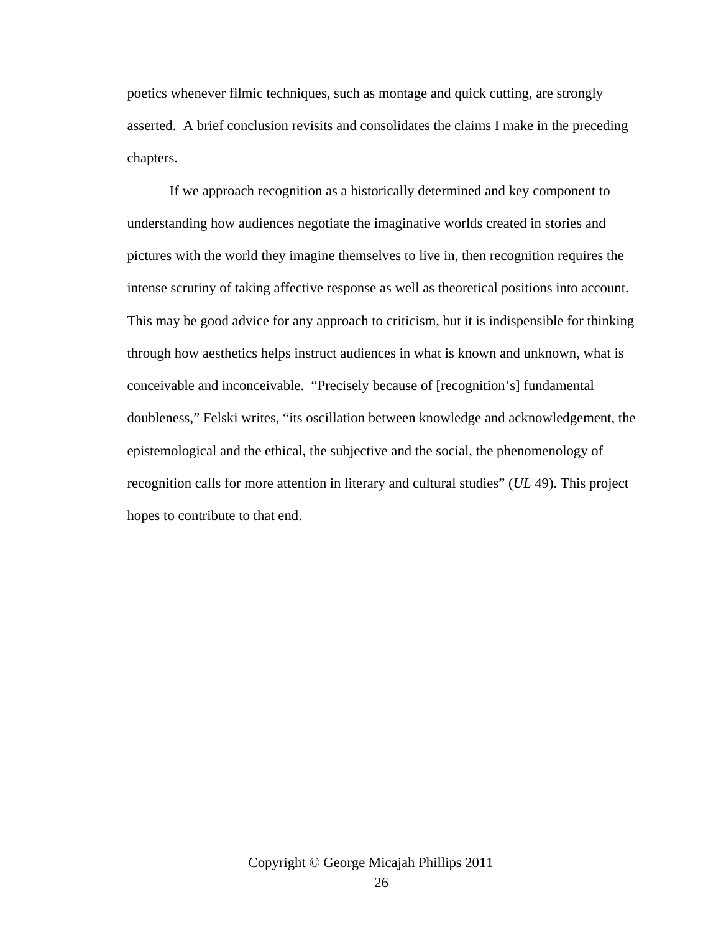poetics whenever filmic techniques, such as montage and quick cutting, are strongly asserted. A brief conclusion revisits and consolidates the claims I make in the preceding chapters.

If we approach recognition as a historically determined and key component to understanding how audiences negotiate the imaginative worlds created in stories and pictures with the world they imagine themselves to live in, then recognition requires the intense scrutiny of taking affective response as well as theoretical positions into account. This may be good advice for any approach to criticism, but it is indispensible for thinking through how aesthetics helps instruct audiences in what is known and unknown, what is conceivable and inconceivable. "Precisely because of [recognition's] fundamental doubleness," Felski writes, "its oscillation between knowledge and acknowledgement, the epistemological and the ethical, the subjective and the social, the phenomenology of recognition calls for more attention in literary and cultural studies" (*UL* 49). This project hopes to contribute to that end.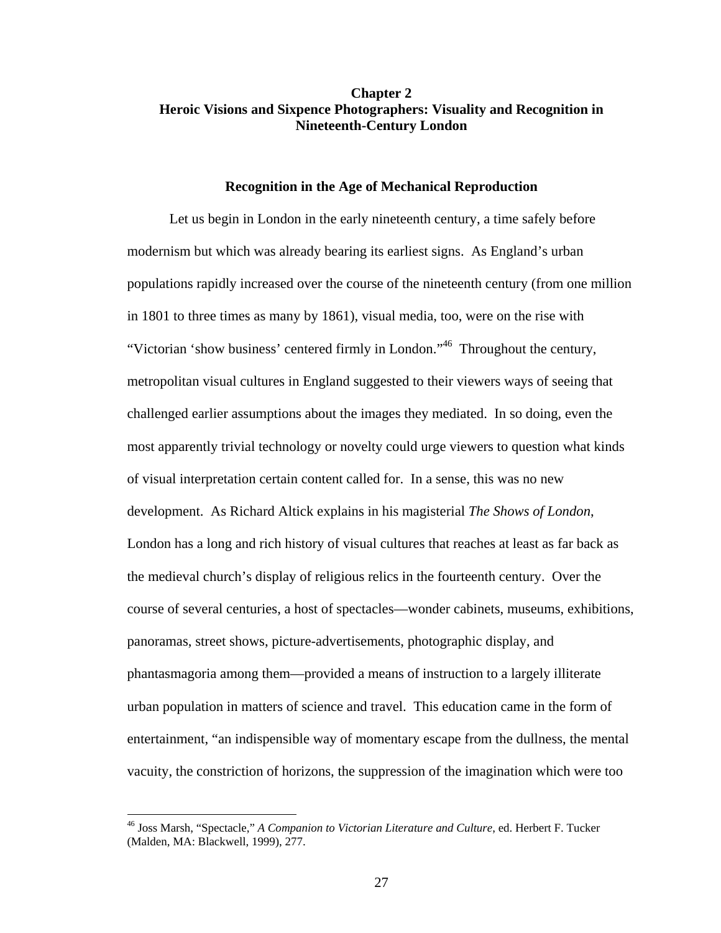# **Chapter 2 Heroic Visions and Sixpence Photographers: Visuality and Recognition in Nineteenth-Century London**

#### **Recognition in the Age of Mechanical Reproduction**

Let us begin in London in the early nineteenth century, a time safely before modernism but which was already bearing its earliest signs. As England's urban populations rapidly increased over the course of the nineteenth century (from one million in 1801 to three times as many by 1861), visual media, too, were on the rise with "Victorian 'show business' centered firmly in London."46 Throughout the century, metropolitan visual cultures in England suggested to their viewers ways of seeing that challenged earlier assumptions about the images they mediated. In so doing, even the most apparently trivial technology or novelty could urge viewers to question what kinds of visual interpretation certain content called for. In a sense, this was no new development. As Richard Altick explains in his magisterial *The Shows of London*, London has a long and rich history of visual cultures that reaches at least as far back as the medieval church's display of religious relics in the fourteenth century. Over the course of several centuries, a host of spectacles—wonder cabinets, museums, exhibitions, panoramas, street shows, picture-advertisements, photographic display, and phantasmagoria among them—provided a means of instruction to a largely illiterate urban population in matters of science and travel. This education came in the form of entertainment, "an indispensible way of momentary escape from the dullness, the mental vacuity, the constriction of horizons, the suppression of the imagination which were too

<sup>46</sup> Joss Marsh, "Spectacle," *A Companion to Victorian Literature and Culture*, ed. Herbert F. Tucker (Malden, MA: Blackwell, 1999), 277.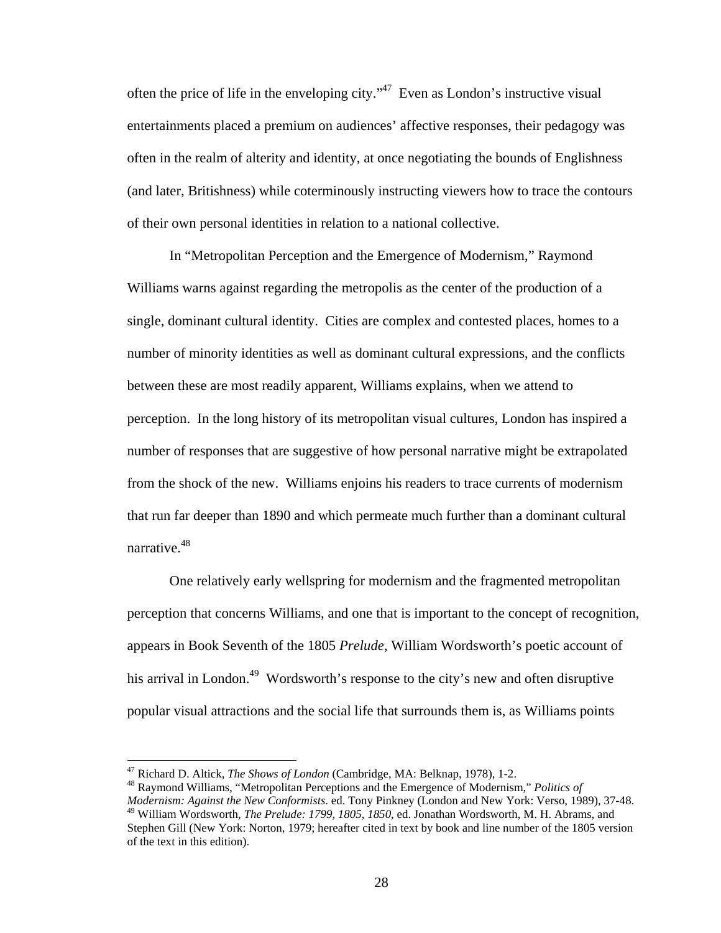often the price of life in the enveloping city."47 Even as London's instructive visual entertainments placed a premium on audiences' affective responses, their pedagogy was often in the realm of alterity and identity, at once negotiating the bounds of Englishness (and later, Britishness) while coterminously instructing viewers how to trace the contours of their own personal identities in relation to a national collective.

In "Metropolitan Perception and the Emergence of Modernism," Raymond Williams warns against regarding the metropolis as the center of the production of a single, dominant cultural identity. Cities are complex and contested places, homes to a number of minority identities as well as dominant cultural expressions, and the conflicts between these are most readily apparent, Williams explains, when we attend to perception. In the long history of its metropolitan visual cultures, London has inspired a number of responses that are suggestive of how personal narrative might be extrapolated from the shock of the new. Williams enjoins his readers to trace currents of modernism that run far deeper than 1890 and which permeate much further than a dominant cultural narrative.48

One relatively early wellspring for modernism and the fragmented metropolitan perception that concerns Williams, and one that is important to the concept of recognition, appears in Book Seventh of the 1805 *Prelude*, William Wordsworth's poetic account of his arrival in London.<sup>49</sup> Wordsworth's response to the city's new and often disruptive popular visual attractions and the social life that surrounds them is, as Williams points

<sup>&</sup>lt;sup>47</sup> Richard D. Altick, *The Shows of London* (Cambridge, MA: Belknap, 1978), 1-2.<br><sup>48</sup> Raymond Williams, "Metropolitan Perceptions and the Emergence of Modernism," *Politics of Modernism: Against the New Conformists*. ed. Tony Pinkney (London and New York: Verso, 1989), 37-48. 49 William Wordsworth, *The Prelude: 1799, 1805, 1850*, ed. Jonathan Wordsworth, M. H. Abrams, and Stephen Gill (New York: Norton, 1979; hereafter cited in text by book and line number of the 1805 version

of the text in this edition).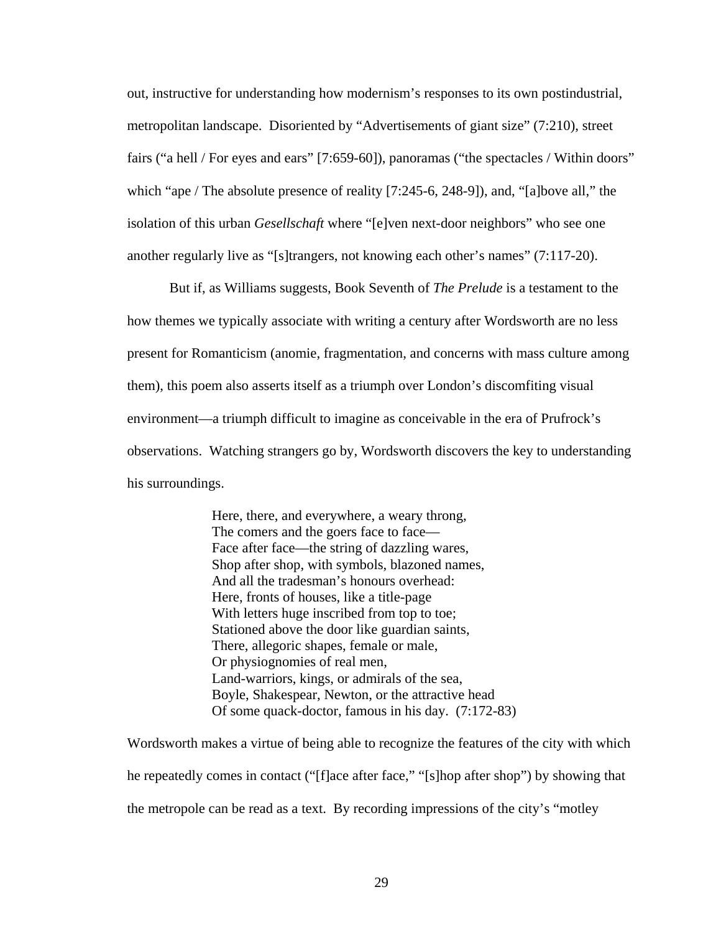out, instructive for understanding how modernism's responses to its own postindustrial, metropolitan landscape. Disoriented by "Advertisements of giant size" (7:210), street fairs ("a hell / For eyes and ears" [7:659-60]), panoramas ("the spectacles / Within doors" which "ape / The absolute presence of reality [7:245-6, 248-9]), and, "[a]bove all," the isolation of this urban *Gesellschaft* where "[e]ven next-door neighbors" who see one another regularly live as "[s]trangers, not knowing each other's names" (7:117-20).

But if, as Williams suggests, Book Seventh of *The Prelude* is a testament to the how themes we typically associate with writing a century after Wordsworth are no less present for Romanticism (anomie, fragmentation, and concerns with mass culture among them), this poem also asserts itself as a triumph over London's discomfiting visual environment—a triumph difficult to imagine as conceivable in the era of Prufrock's observations. Watching strangers go by, Wordsworth discovers the key to understanding his surroundings.

> Here, there, and everywhere, a weary throng, The comers and the goers face to face— Face after face—the string of dazzling wares, Shop after shop, with symbols, blazoned names, And all the tradesman's honours overhead: Here, fronts of houses, like a title-page With letters huge inscribed from top to toe; Stationed above the door like guardian saints, There, allegoric shapes, female or male, Or physiognomies of real men, Land-warriors, kings, or admirals of the sea, Boyle, Shakespear, Newton, or the attractive head Of some quack-doctor, famous in his day. (7:172-83)

Wordsworth makes a virtue of being able to recognize the features of the city with which he repeatedly comes in contact ("[f]ace after face," "[s]hop after shop") by showing that the metropole can be read as a text. By recording impressions of the city's "motley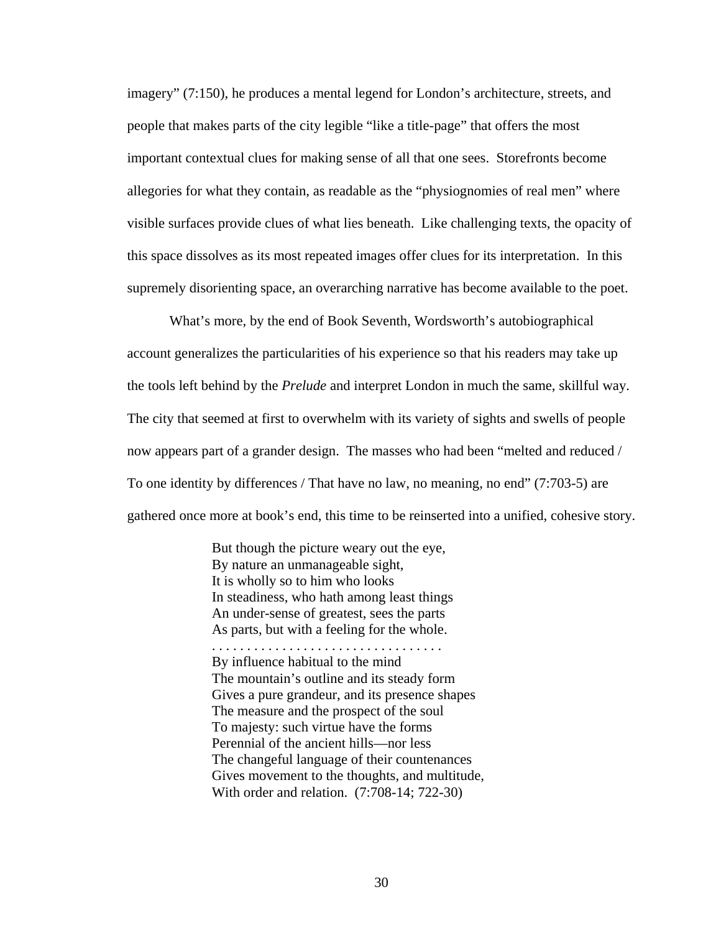imagery" (7:150), he produces a mental legend for London's architecture, streets, and people that makes parts of the city legible "like a title-page" that offers the most important contextual clues for making sense of all that one sees. Storefronts become allegories for what they contain, as readable as the "physiognomies of real men" where visible surfaces provide clues of what lies beneath. Like challenging texts, the opacity of this space dissolves as its most repeated images offer clues for its interpretation. In this supremely disorienting space, an overarching narrative has become available to the poet.

What's more, by the end of Book Seventh, Wordsworth's autobiographical account generalizes the particularities of his experience so that his readers may take up the tools left behind by the *Prelude* and interpret London in much the same, skillful way. The city that seemed at first to overwhelm with its variety of sights and swells of people now appears part of a grander design. The masses who had been "melted and reduced / To one identity by differences / That have no law, no meaning, no end" (7:703-5) are gathered once more at book's end, this time to be reinserted into a unified, cohesive story.

> But though the picture weary out the eye, By nature an unmanageable sight, It is wholly so to him who looks In steadiness, who hath among least things An under-sense of greatest, sees the parts As parts, but with a feeling for the whole.

. . . . . . . . . . . . . . . . . . . . . . . . . . . . . . . . . By influence habitual to the mind The mountain's outline and its steady form Gives a pure grandeur, and its presence shapes The measure and the prospect of the soul To majesty: such virtue have the forms Perennial of the ancient hills—nor less The changeful language of their countenances Gives movement to the thoughts, and multitude, With order and relation. (7:708-14; 722-30)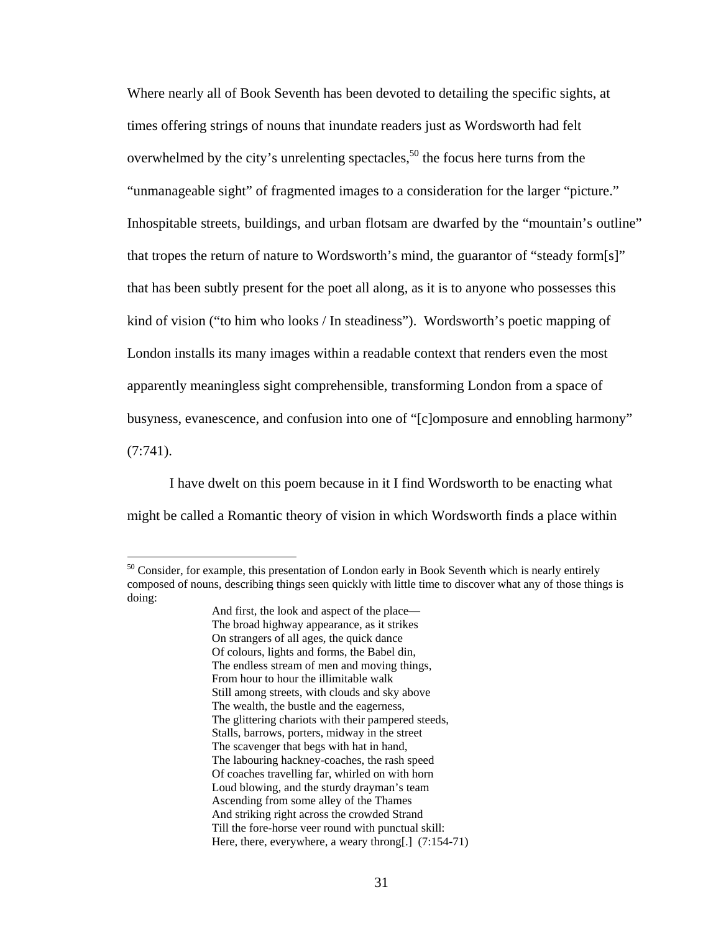Where nearly all of Book Seventh has been devoted to detailing the specific sights, at times offering strings of nouns that inundate readers just as Wordsworth had felt overwhelmed by the city's unrelenting spectacles,<sup>50</sup> the focus here turns from the "unmanageable sight" of fragmented images to a consideration for the larger "picture." Inhospitable streets, buildings, and urban flotsam are dwarfed by the "mountain's outline" that tropes the return of nature to Wordsworth's mind, the guarantor of "steady form[s]" that has been subtly present for the poet all along, as it is to anyone who possesses this kind of vision ("to him who looks / In steadiness"). Wordsworth's poetic mapping of London installs its many images within a readable context that renders even the most apparently meaningless sight comprehensible, transforming London from a space of busyness, evanescence, and confusion into one of "[c]omposure and ennobling harmony" (7:741).

 I have dwelt on this poem because in it I find Wordsworth to be enacting what might be called a Romantic theory of vision in which Wordsworth finds a place within

 $50$  Consider, for example, this presentation of London early in Book Seventh which is nearly entirely composed of nouns, describing things seen quickly with little time to discover what any of those things is doing:

And first, the look and aspect of the place— The broad highway appearance, as it strikes On strangers of all ages, the quick dance Of colours, lights and forms, the Babel din, The endless stream of men and moving things, From hour to hour the illimitable walk Still among streets, with clouds and sky above The wealth, the bustle and the eagerness, The glittering chariots with their pampered steeds, Stalls, barrows, porters, midway in the street The scavenger that begs with hat in hand, The labouring hackney-coaches, the rash speed Of coaches travelling far, whirled on with horn Loud blowing, and the sturdy drayman's team Ascending from some alley of the Thames And striking right across the crowded Strand Till the fore-horse veer round with punctual skill: Here, there, everywhere, a weary throng[.] (7:154-71)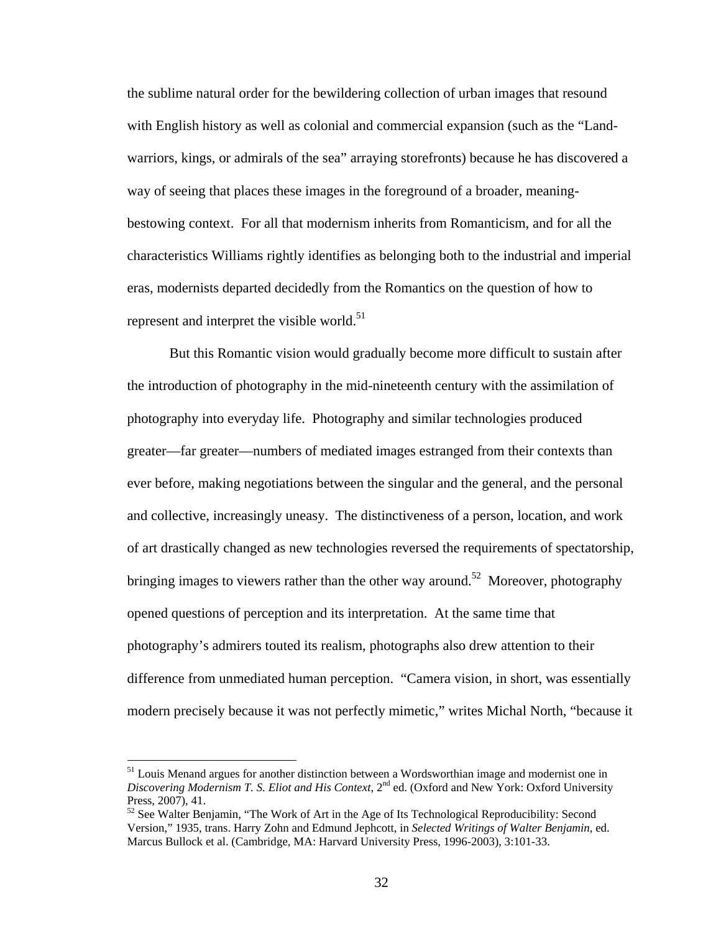the sublime natural order for the bewildering collection of urban images that resound with English history as well as colonial and commercial expansion (such as the "Landwarriors, kings, or admirals of the sea" arraying storefronts) because he has discovered a way of seeing that places these images in the foreground of a broader, meaningbestowing context. For all that modernism inherits from Romanticism, and for all the characteristics Williams rightly identifies as belonging both to the industrial and imperial eras, modernists departed decidedly from the Romantics on the question of how to represent and interpret the visible world. $51$ 

But this Romantic vision would gradually become more difficult to sustain after the introduction of photography in the mid-nineteenth century with the assimilation of photography into everyday life. Photography and similar technologies produced greater—far greater—numbers of mediated images estranged from their contexts than ever before, making negotiations between the singular and the general, and the personal and collective, increasingly uneasy. The distinctiveness of a person, location, and work of art drastically changed as new technologies reversed the requirements of spectatorship, bringing images to viewers rather than the other way around.<sup>52</sup> Moreover, photography opened questions of perception and its interpretation. At the same time that photography's admirers touted its realism, photographs also drew attention to their difference from unmediated human perception. "Camera vision, in short, was essentially modern precisely because it was not perfectly mimetic," writes Michal North, "because it

<sup>&</sup>lt;sup>51</sup> Louis Menand argues for another distinction between a Wordsworthian image and modernist one in *Discovering Modernism T. S. Eliot and His Context*, 2nd ed. (Oxford and New York: Oxford University Press, 2007), 41.

<sup>&</sup>lt;sup>52</sup> See Walter Benjamin, "The Work of Art in the Age of Its Technological Reproducibility: Second Version," 1935, trans. Harry Zohn and Edmund Jephcott, in *Selected Writings of Walter Benjamin*, ed. Marcus Bullock et al. (Cambridge, MA: Harvard University Press, 1996-2003), 3:101-33.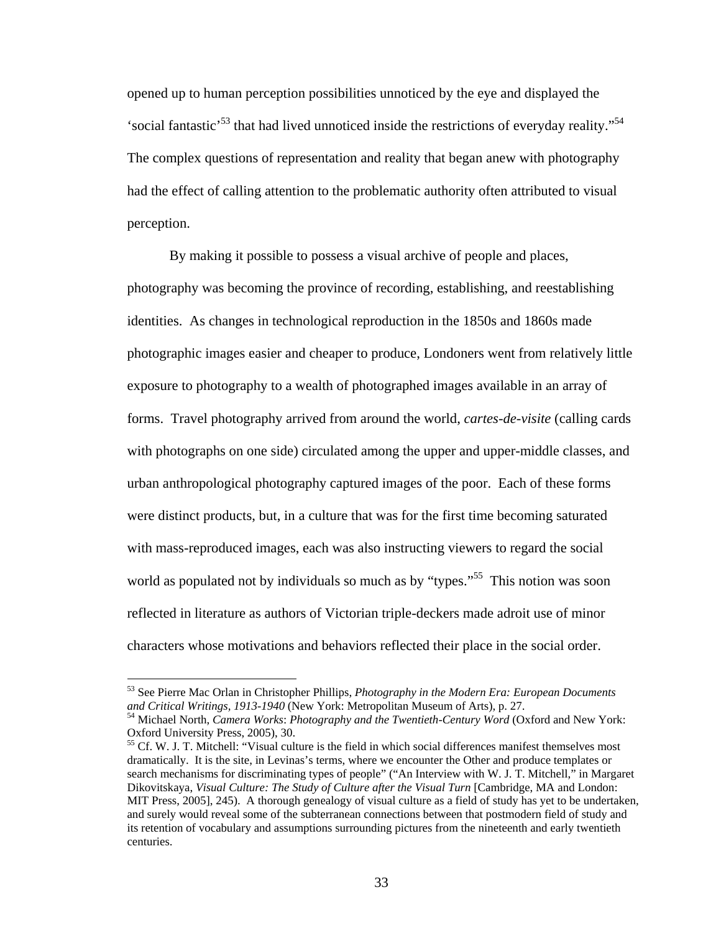opened up to human perception possibilities unnoticed by the eye and displayed the 'social fantastic'<sup>53</sup> that had lived unnoticed inside the restrictions of everyday reality."<sup>54</sup> The complex questions of representation and reality that began anew with photography had the effect of calling attention to the problematic authority often attributed to visual perception.

By making it possible to possess a visual archive of people and places, photography was becoming the province of recording, establishing, and reestablishing identities. As changes in technological reproduction in the 1850s and 1860s made photographic images easier and cheaper to produce, Londoners went from relatively little exposure to photography to a wealth of photographed images available in an array of forms. Travel photography arrived from around the world, *cartes-de-visite* (calling cards with photographs on one side) circulated among the upper and upper-middle classes, and urban anthropological photography captured images of the poor. Each of these forms were distinct products, but, in a culture that was for the first time becoming saturated with mass-reproduced images, each was also instructing viewers to regard the social world as populated not by individuals so much as by "types."<sup>55</sup> This notion was soon reflected in literature as authors of Victorian triple-deckers made adroit use of minor characters whose motivations and behaviors reflected their place in the social order.

<sup>53</sup> See Pierre Mac Orlan in Christopher Phillips, *Photography in the Modern Era: European Documents and Critical Writings, 1913-1940* (New York: Metropolitan Museum of Arts), p. 27. 54 Michael North, *Camera Works*: *Photography and the Twentieth-Century Word* (Oxford and New York:

Oxford University Press, 2005), 30.

<sup>&</sup>lt;sup>55</sup> Cf. W. J. T. Mitchell: "Visual culture is the field in which social differences manifest themselves most dramatically. It is the site, in Levinas's terms, where we encounter the Other and produce templates or search mechanisms for discriminating types of people" ("An Interview with W. J. T. Mitchell," in Margaret Dikovitskaya, *Visual Culture: The Study of Culture after the Visual Turn* [Cambridge, MA and London: MIT Press, 2005], 245). A thorough genealogy of visual culture as a field of study has yet to be undertaken, and surely would reveal some of the subterranean connections between that postmodern field of study and its retention of vocabulary and assumptions surrounding pictures from the nineteenth and early twentieth centuries.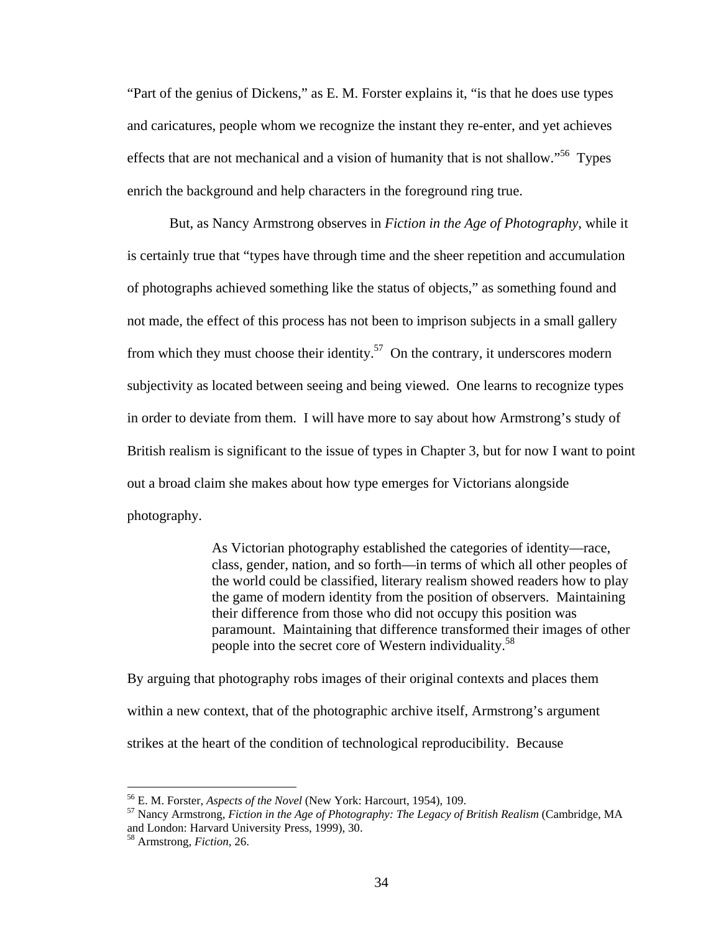"Part of the genius of Dickens," as E. M. Forster explains it, "is that he does use types and caricatures, people whom we recognize the instant they re-enter, and yet achieves effects that are not mechanical and a vision of humanity that is not shallow."<sup>56</sup> Types enrich the background and help characters in the foreground ring true.

But, as Nancy Armstrong observes in *Fiction in the Age of Photography*, while it is certainly true that "types have through time and the sheer repetition and accumulation of photographs achieved something like the status of objects," as something found and not made, the effect of this process has not been to imprison subjects in a small gallery from which they must choose their identity.<sup>57</sup> On the contrary, it underscores modern subjectivity as located between seeing and being viewed. One learns to recognize types in order to deviate from them. I will have more to say about how Armstrong's study of British realism is significant to the issue of types in Chapter 3, but for now I want to point out a broad claim she makes about how type emerges for Victorians alongside photography.

> As Victorian photography established the categories of identity—race, class, gender, nation, and so forth—in terms of which all other peoples of the world could be classified, literary realism showed readers how to play the game of modern identity from the position of observers. Maintaining their difference from those who did not occupy this position was paramount. Maintaining that difference transformed their images of other people into the secret core of Western individuality.<sup>58</sup>

By arguing that photography robs images of their original contexts and places them within a new context, that of the photographic archive itself, Armstrong's argument strikes at the heart of the condition of technological reproducibility. Because

<sup>&</sup>lt;sup>56</sup> E. M. Forster, *Aspects of the Novel* (New York: Harcourt, 1954), 109.

<sup>&</sup>lt;sup>57</sup> Nancy Armstrong, *Fiction in the Age of Photography: The Legacy of British Realism* (Cambridge, MA and London: Harvard University Press, 1999), 30.

<sup>58</sup> Armstrong, *Fiction*, 26.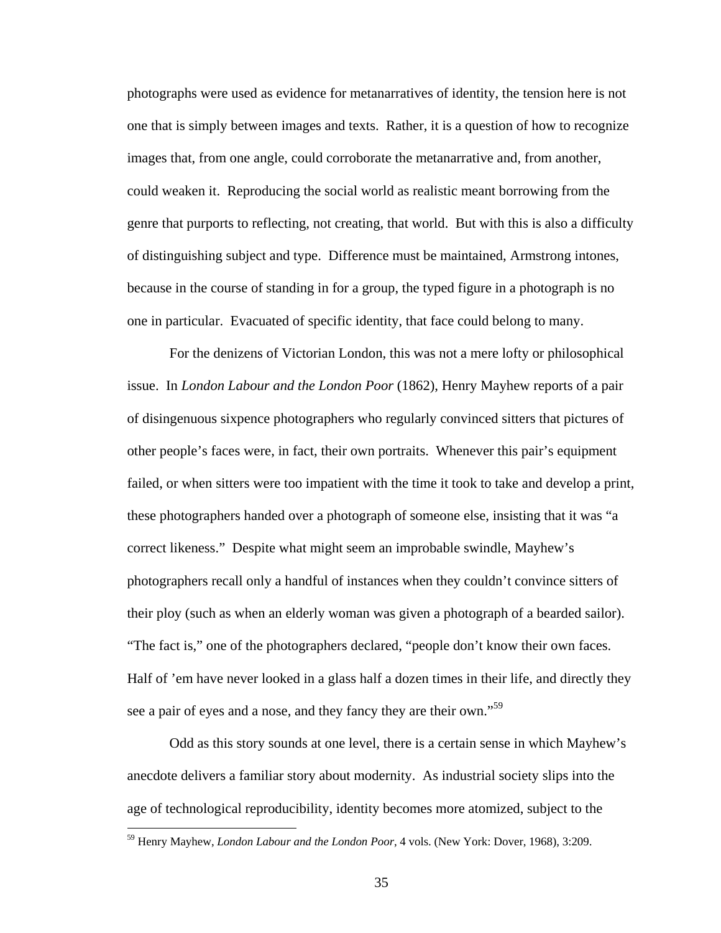photographs were used as evidence for metanarratives of identity, the tension here is not one that is simply between images and texts. Rather, it is a question of how to recognize images that, from one angle, could corroborate the metanarrative and, from another, could weaken it. Reproducing the social world as realistic meant borrowing from the genre that purports to reflecting, not creating, that world. But with this is also a difficulty of distinguishing subject and type. Difference must be maintained, Armstrong intones, because in the course of standing in for a group, the typed figure in a photograph is no one in particular. Evacuated of specific identity, that face could belong to many.

For the denizens of Victorian London, this was not a mere lofty or philosophical issue. In *London Labour and the London Poor* (1862), Henry Mayhew reports of a pair of disingenuous sixpence photographers who regularly convinced sitters that pictures of other people's faces were, in fact, their own portraits. Whenever this pair's equipment failed, or when sitters were too impatient with the time it took to take and develop a print, these photographers handed over a photograph of someone else, insisting that it was "a correct likeness." Despite what might seem an improbable swindle, Mayhew's photographers recall only a handful of instances when they couldn't convince sitters of their ploy (such as when an elderly woman was given a photograph of a bearded sailor). "The fact is," one of the photographers declared, "people don't know their own faces. Half of 'em have never looked in a glass half a dozen times in their life, and directly they see a pair of eyes and a nose, and they fancy they are their own."<sup>59</sup>

 Odd as this story sounds at one level, there is a certain sense in which Mayhew's anecdote delivers a familiar story about modernity. As industrial society slips into the age of technological reproducibility, identity becomes more atomized, subject to the

<sup>59</sup> Henry Mayhew, *London Labour and the London Poor*, 4 vols. (New York: Dover, 1968), 3:209.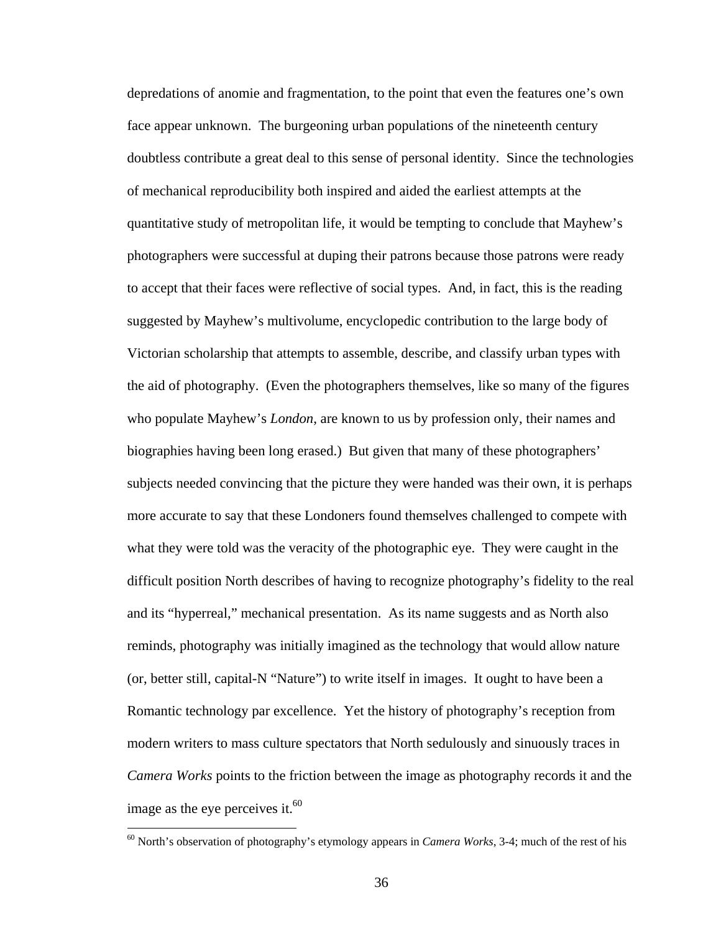depredations of anomie and fragmentation, to the point that even the features one's own face appear unknown. The burgeoning urban populations of the nineteenth century doubtless contribute a great deal to this sense of personal identity. Since the technologies of mechanical reproducibility both inspired and aided the earliest attempts at the quantitative study of metropolitan life, it would be tempting to conclude that Mayhew's photographers were successful at duping their patrons because those patrons were ready to accept that their faces were reflective of social types. And, in fact, this is the reading suggested by Mayhew's multivolume, encyclopedic contribution to the large body of Victorian scholarship that attempts to assemble, describe, and classify urban types with the aid of photography. (Even the photographers themselves, like so many of the figures who populate Mayhew's *London*, are known to us by profession only, their names and biographies having been long erased.) But given that many of these photographers' subjects needed convincing that the picture they were handed was their own, it is perhaps more accurate to say that these Londoners found themselves challenged to compete with what they were told was the veracity of the photographic eye. They were caught in the difficult position North describes of having to recognize photography's fidelity to the real and its "hyperreal," mechanical presentation. As its name suggests and as North also reminds, photography was initially imagined as the technology that would allow nature (or, better still, capital-N "Nature") to write itself in images. It ought to have been a Romantic technology par excellence. Yet the history of photography's reception from modern writers to mass culture spectators that North sedulously and sinuously traces in *Camera Works* points to the friction between the image as photography records it and the image as the eye perceives it. $60$ 

<u>.</u>

<sup>60</sup> North's observation of photography's etymology appears in *Camera Works*, 3-4; much of the rest of his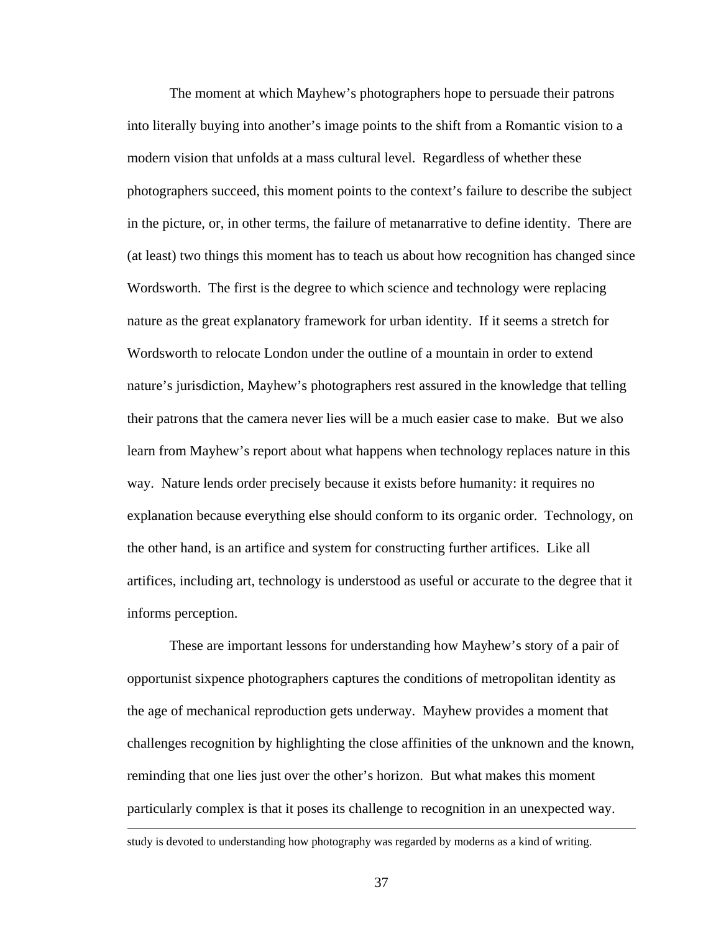The moment at which Mayhew's photographers hope to persuade their patrons into literally buying into another's image points to the shift from a Romantic vision to a modern vision that unfolds at a mass cultural level. Regardless of whether these photographers succeed, this moment points to the context's failure to describe the subject in the picture, or, in other terms, the failure of metanarrative to define identity. There are (at least) two things this moment has to teach us about how recognition has changed since Wordsworth. The first is the degree to which science and technology were replacing nature as the great explanatory framework for urban identity. If it seems a stretch for Wordsworth to relocate London under the outline of a mountain in order to extend nature's jurisdiction, Mayhew's photographers rest assured in the knowledge that telling their patrons that the camera never lies will be a much easier case to make. But we also learn from Mayhew's report about what happens when technology replaces nature in this way. Nature lends order precisely because it exists before humanity: it requires no explanation because everything else should conform to its organic order. Technology, on the other hand, is an artifice and system for constructing further artifices. Like all artifices, including art, technology is understood as useful or accurate to the degree that it informs perception.

These are important lessons for understanding how Mayhew's story of a pair of opportunist sixpence photographers captures the conditions of metropolitan identity as the age of mechanical reproduction gets underway. Mayhew provides a moment that challenges recognition by highlighting the close affinities of the unknown and the known, reminding that one lies just over the other's horizon. But what makes this moment particularly complex is that it poses its challenge to recognition in an unexpected way.

study is devoted to understanding how photography was regarded by moderns as a kind of writing.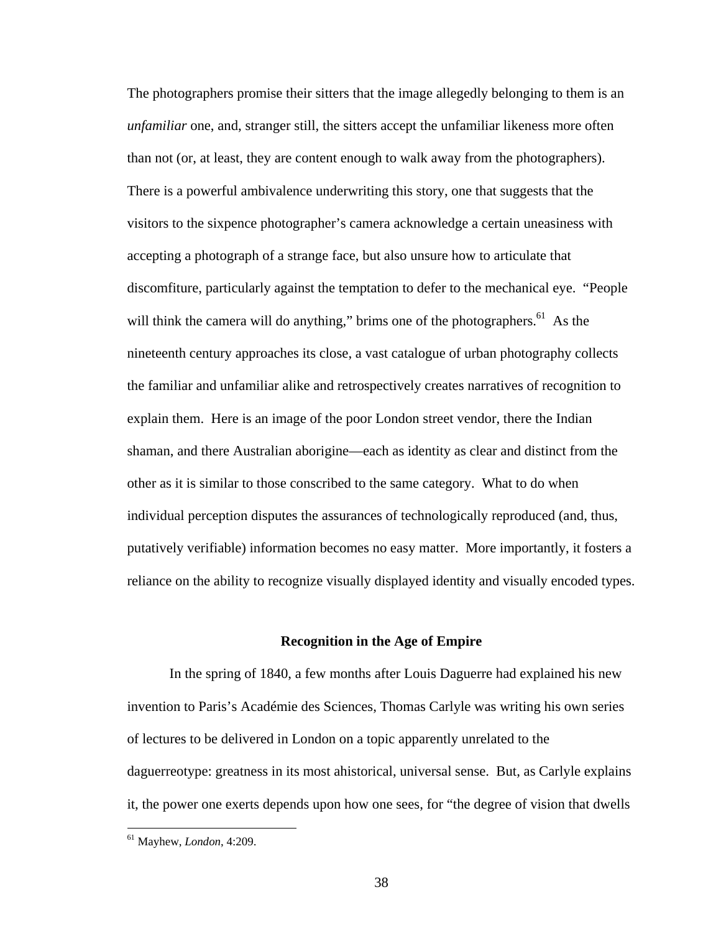The photographers promise their sitters that the image allegedly belonging to them is an *unfamiliar* one, and, stranger still, the sitters accept the unfamiliar likeness more often than not (or, at least, they are content enough to walk away from the photographers). There is a powerful ambivalence underwriting this story, one that suggests that the visitors to the sixpence photographer's camera acknowledge a certain uneasiness with accepting a photograph of a strange face, but also unsure how to articulate that discomfiture, particularly against the temptation to defer to the mechanical eye. "People will think the camera will do anything," brims one of the photographers.<sup>61</sup> As the nineteenth century approaches its close, a vast catalogue of urban photography collects the familiar and unfamiliar alike and retrospectively creates narratives of recognition to explain them. Here is an image of the poor London street vendor, there the Indian shaman, and there Australian aborigine—each as identity as clear and distinct from the other as it is similar to those conscribed to the same category. What to do when individual perception disputes the assurances of technologically reproduced (and, thus, putatively verifiable) information becomes no easy matter. More importantly, it fosters a reliance on the ability to recognize visually displayed identity and visually encoded types.

### **Recognition in the Age of Empire**

In the spring of 1840, a few months after Louis Daguerre had explained his new invention to Paris's Académie des Sciences, Thomas Carlyle was writing his own series of lectures to be delivered in London on a topic apparently unrelated to the daguerreotype: greatness in its most ahistorical, universal sense. But, as Carlyle explains it, the power one exerts depends upon how one sees, for "the degree of vision that dwells

<sup>61</sup> Mayhew, *London*, 4:209.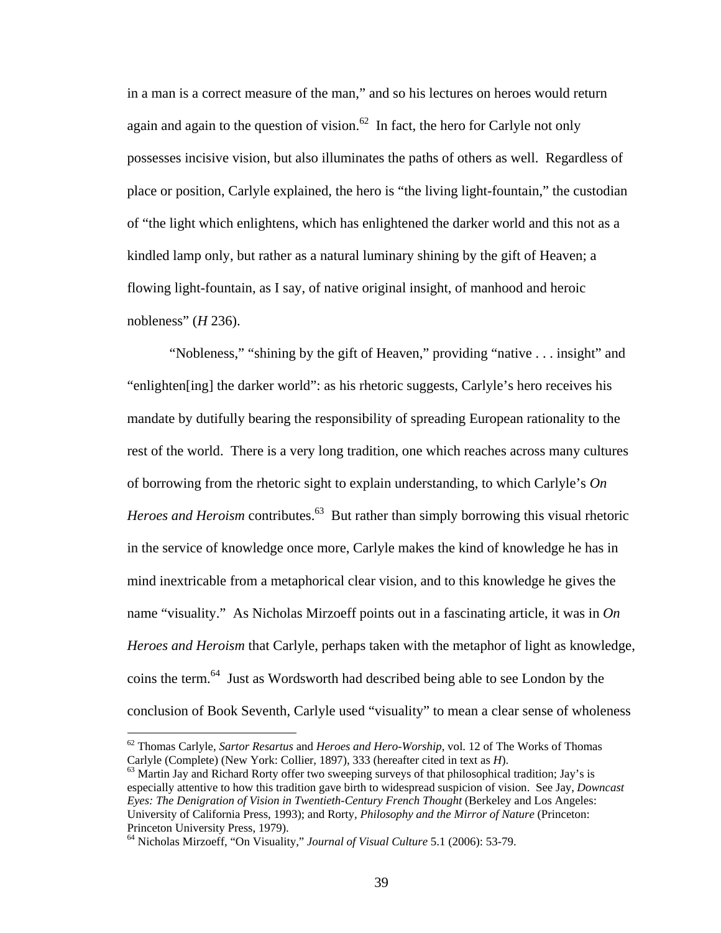in a man is a correct measure of the man," and so his lectures on heroes would return again and again to the question of vision.<sup>62</sup> In fact, the hero for Carlyle not only possesses incisive vision, but also illuminates the paths of others as well. Regardless of place or position, Carlyle explained, the hero is "the living light-fountain," the custodian of "the light which enlightens, which has enlightened the darker world and this not as a kindled lamp only, but rather as a natural luminary shining by the gift of Heaven; a flowing light-fountain, as I say, of native original insight, of manhood and heroic nobleness" (*H* 236).

"Nobleness," "shining by the gift of Heaven," providing "native . . . insight" and "enlighten[ing] the darker world": as his rhetoric suggests, Carlyle's hero receives his mandate by dutifully bearing the responsibility of spreading European rationality to the rest of the world. There is a very long tradition, one which reaches across many cultures of borrowing from the rhetoric sight to explain understanding, to which Carlyle's *On Heroes and Heroism* contributes.<sup>63</sup> But rather than simply borrowing this visual rhetoric in the service of knowledge once more, Carlyle makes the kind of knowledge he has in mind inextricable from a metaphorical clear vision, and to this knowledge he gives the name "visuality." As Nicholas Mirzoeff points out in a fascinating article, it was in *On Heroes and Heroism* that Carlyle, perhaps taken with the metaphor of light as knowledge, coins the term.64 Just as Wordsworth had described being able to see London by the conclusion of Book Seventh, Carlyle used "visuality" to mean a clear sense of wholeness

<sup>62</sup> Thomas Carlyle, *Sartor Resartus* and *Heroes and Hero-Worship*, vol. 12 of The Works of Thomas Carlyle (Complete) (New York: Collier, 1897), 333 (hereafter cited in text as  $H$ ).

<sup>63</sup> Martin Jay and Richard Rorty offer two sweeping surveys of that philosophical tradition; Jay's is especially attentive to how this tradition gave birth to widespread suspicion of vision. See Jay, *Downcast Eyes: The Denigration of Vision in Twentieth-Century French Thought* (Berkeley and Los Angeles: University of California Press, 1993); and Rorty, *Philosophy and the Mirror of Nature* (Princeton: Princeton University Press, 1979).

<sup>64</sup> Nicholas Mirzoeff, "On Visuality," *Journal of Visual Culture* 5.1 (2006): 53-79.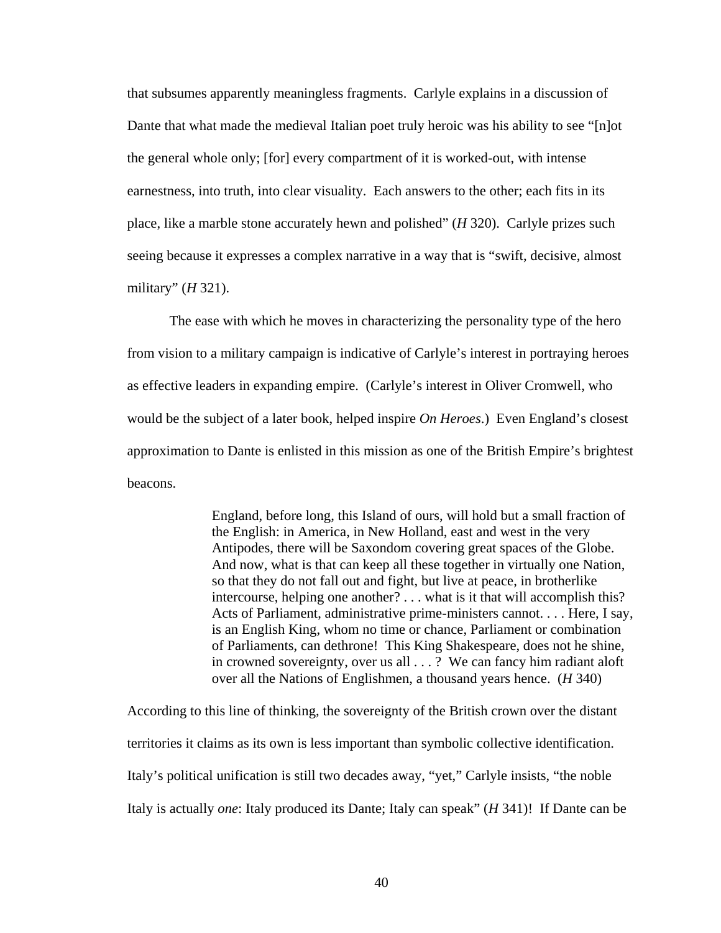that subsumes apparently meaningless fragments. Carlyle explains in a discussion of Dante that what made the medieval Italian poet truly heroic was his ability to see "[n]ot the general whole only; [for] every compartment of it is worked-out, with intense earnestness, into truth, into clear visuality. Each answers to the other; each fits in its place, like a marble stone accurately hewn and polished" (*H* 320). Carlyle prizes such seeing because it expresses a complex narrative in a way that is "swift, decisive, almost military" (*H* 321).

The ease with which he moves in characterizing the personality type of the hero from vision to a military campaign is indicative of Carlyle's interest in portraying heroes as effective leaders in expanding empire. (Carlyle's interest in Oliver Cromwell, who would be the subject of a later book, helped inspire *On Heroes*.) Even England's closest approximation to Dante is enlisted in this mission as one of the British Empire's brightest beacons.

> England, before long, this Island of ours, will hold but a small fraction of the English: in America, in New Holland, east and west in the very Antipodes, there will be Saxondom covering great spaces of the Globe. And now, what is that can keep all these together in virtually one Nation, so that they do not fall out and fight, but live at peace, in brotherlike intercourse, helping one another? . . . what is it that will accomplish this? Acts of Parliament, administrative prime-ministers cannot. . . . Here, I say, is an English King, whom no time or chance, Parliament or combination of Parliaments, can dethrone! This King Shakespeare, does not he shine, in crowned sovereignty, over us all . . . ? We can fancy him radiant aloft over all the Nations of Englishmen, a thousand years hence. (*H* 340)

According to this line of thinking, the sovereignty of the British crown over the distant territories it claims as its own is less important than symbolic collective identification. Italy's political unification is still two decades away, "yet," Carlyle insists, "the noble Italy is actually *one*: Italy produced its Dante; Italy can speak" (*H* 341)! If Dante can be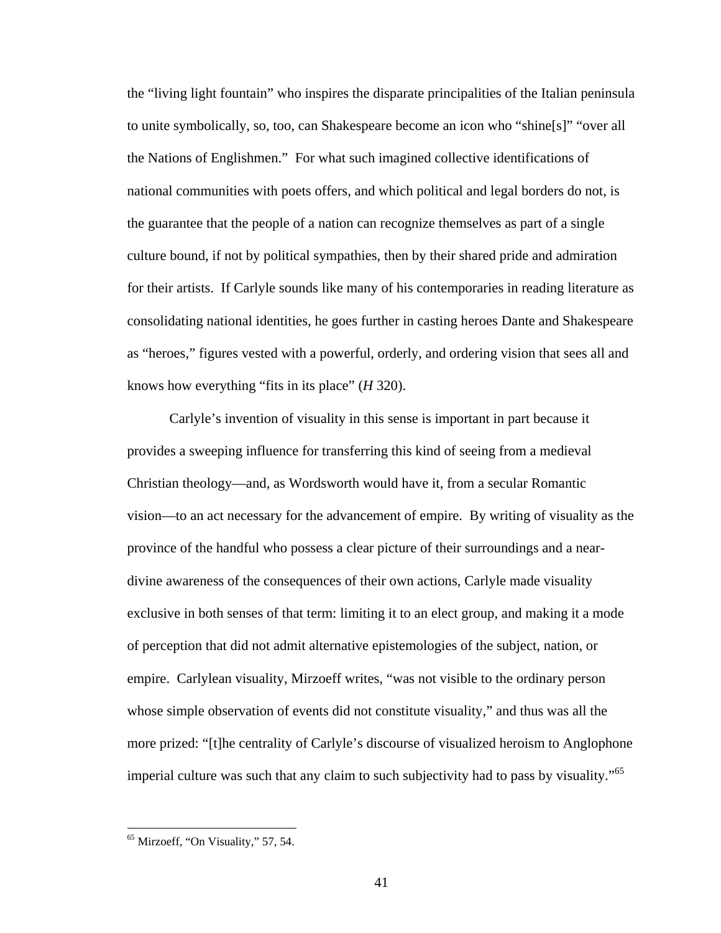the "living light fountain" who inspires the disparate principalities of the Italian peninsula to unite symbolically, so, too, can Shakespeare become an icon who "shine[s]" "over all the Nations of Englishmen." For what such imagined collective identifications of national communities with poets offers, and which political and legal borders do not, is the guarantee that the people of a nation can recognize themselves as part of a single culture bound, if not by political sympathies, then by their shared pride and admiration for their artists. If Carlyle sounds like many of his contemporaries in reading literature as consolidating national identities, he goes further in casting heroes Dante and Shakespeare as "heroes," figures vested with a powerful, orderly, and ordering vision that sees all and knows how everything "fits in its place" (*H* 320).

Carlyle's invention of visuality in this sense is important in part because it provides a sweeping influence for transferring this kind of seeing from a medieval Christian theology—and, as Wordsworth would have it, from a secular Romantic vision—to an act necessary for the advancement of empire. By writing of visuality as the province of the handful who possess a clear picture of their surroundings and a neardivine awareness of the consequences of their own actions, Carlyle made visuality exclusive in both senses of that term: limiting it to an elect group, and making it a mode of perception that did not admit alternative epistemologies of the subject, nation, or empire. Carlylean visuality, Mirzoeff writes, "was not visible to the ordinary person whose simple observation of events did not constitute visuality," and thus was all the more prized: "[t]he centrality of Carlyle's discourse of visualized heroism to Anglophone imperial culture was such that any claim to such subjectivity had to pass by visuality."<sup>65</sup>

<sup>&</sup>lt;sup>65</sup> Mirzoeff, "On Visuality," 57, 54.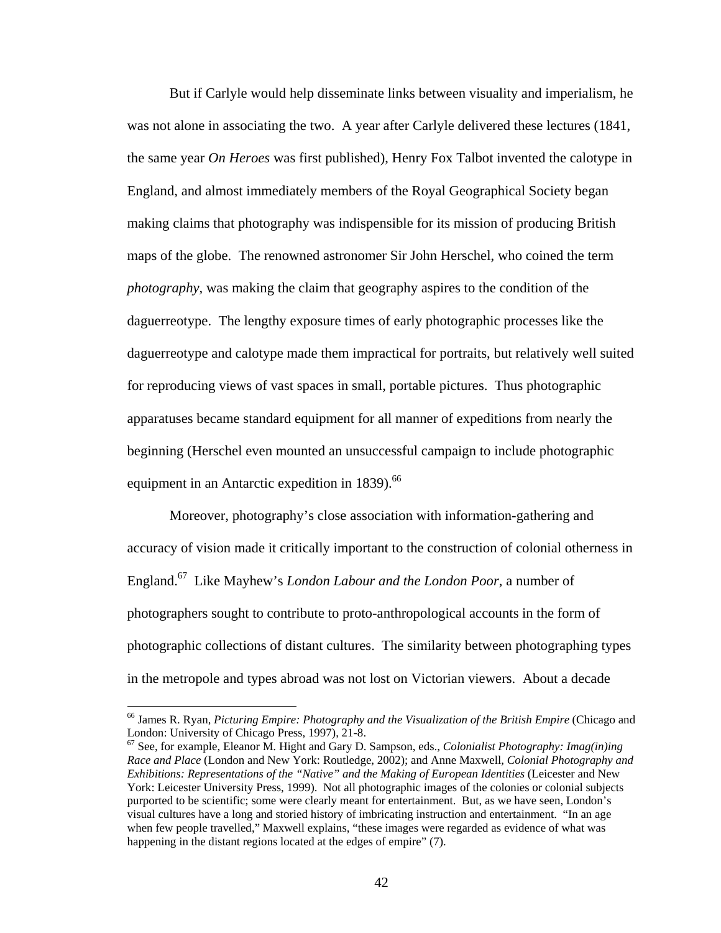But if Carlyle would help disseminate links between visuality and imperialism, he was not alone in associating the two. A year after Carlyle delivered these lectures (1841, the same year *On Heroes* was first published), Henry Fox Talbot invented the calotype in England, and almost immediately members of the Royal Geographical Society began making claims that photography was indispensible for its mission of producing British maps of the globe. The renowned astronomer Sir John Herschel, who coined the term *photography*, was making the claim that geography aspires to the condition of the daguerreotype. The lengthy exposure times of early photographic processes like the daguerreotype and calotype made them impractical for portraits, but relatively well suited for reproducing views of vast spaces in small, portable pictures. Thus photographic apparatuses became standard equipment for all manner of expeditions from nearly the beginning (Herschel even mounted an unsuccessful campaign to include photographic equipment in an Antarctic expedition in  $1839$ ).<sup>66</sup>

Moreover, photography's close association with information-gathering and accuracy of vision made it critically important to the construction of colonial otherness in England.67 Like Mayhew's *London Labour and the London Poor*, a number of photographers sought to contribute to proto-anthropological accounts in the form of photographic collections of distant cultures. The similarity between photographing types in the metropole and types abroad was not lost on Victorian viewers. About a decade

<sup>66</sup> James R. Ryan, *Picturing Empire: Photography and the Visualization of the British Empire* (Chicago and London: University of Chicago Press, 1997), 21-8.

<sup>67</sup> See, for example, Eleanor M. Hight and Gary D. Sampson, eds., *Colonialist Photography: Imag(in)ing Race and Place* (London and New York: Routledge, 2002); and Anne Maxwell, *Colonial Photography and Exhibitions: Representations of the "Native" and the Making of European Identities* (Leicester and New York: Leicester University Press, 1999). Not all photographic images of the colonies or colonial subjects purported to be scientific; some were clearly meant for entertainment. But, as we have seen, London's visual cultures have a long and storied history of imbricating instruction and entertainment. "In an age when few people travelled," Maxwell explains, "these images were regarded as evidence of what was happening in the distant regions located at the edges of empire" (7).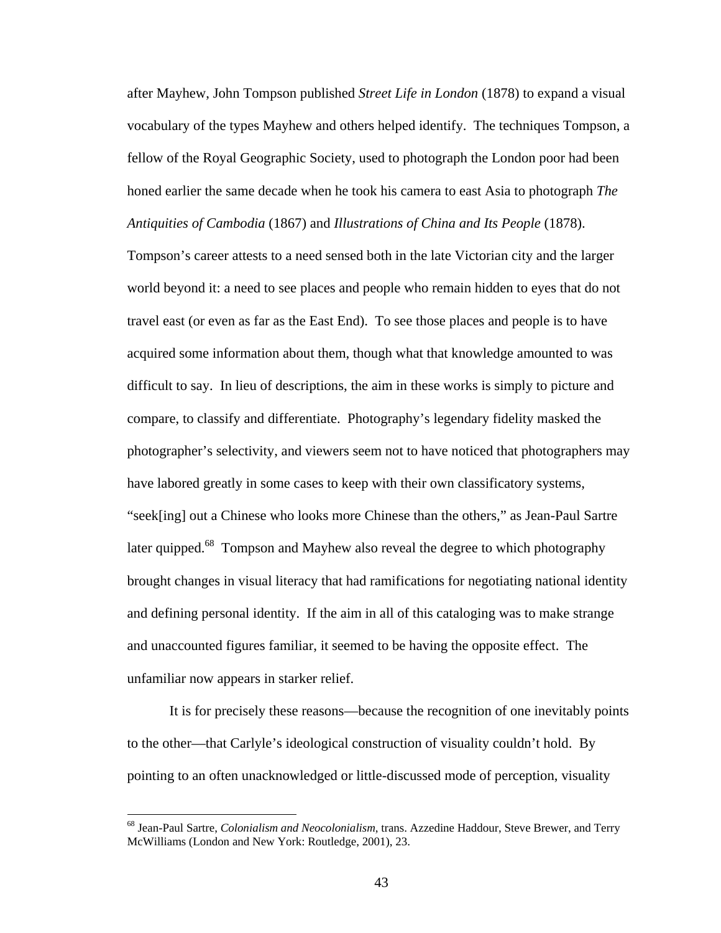after Mayhew, John Tompson published *Street Life in London* (1878) to expand a visual vocabulary of the types Mayhew and others helped identify. The techniques Tompson, a fellow of the Royal Geographic Society, used to photograph the London poor had been honed earlier the same decade when he took his camera to east Asia to photograph *The Antiquities of Cambodia* (1867) and *Illustrations of China and Its People* (1878).

Tompson's career attests to a need sensed both in the late Victorian city and the larger world beyond it: a need to see places and people who remain hidden to eyes that do not travel east (or even as far as the East End). To see those places and people is to have acquired some information about them, though what that knowledge amounted to was difficult to say. In lieu of descriptions, the aim in these works is simply to picture and compare, to classify and differentiate. Photography's legendary fidelity masked the photographer's selectivity, and viewers seem not to have noticed that photographers may have labored greatly in some cases to keep with their own classificatory systems, "seek[ing] out a Chinese who looks more Chinese than the others," as Jean-Paul Sartre later quipped.<sup>68</sup> Tompson and Mayhew also reveal the degree to which photography brought changes in visual literacy that had ramifications for negotiating national identity and defining personal identity. If the aim in all of this cataloging was to make strange and unaccounted figures familiar, it seemed to be having the opposite effect. The unfamiliar now appears in starker relief.

It is for precisely these reasons—because the recognition of one inevitably points to the other—that Carlyle's ideological construction of visuality couldn't hold. By pointing to an often unacknowledged or little-discussed mode of perception, visuality

<sup>68</sup> Jean-Paul Sartre, *Colonialism and Neocolonialism*, trans. Azzedine Haddour, Steve Brewer, and Terry McWilliams (London and New York: Routledge, 2001), 23.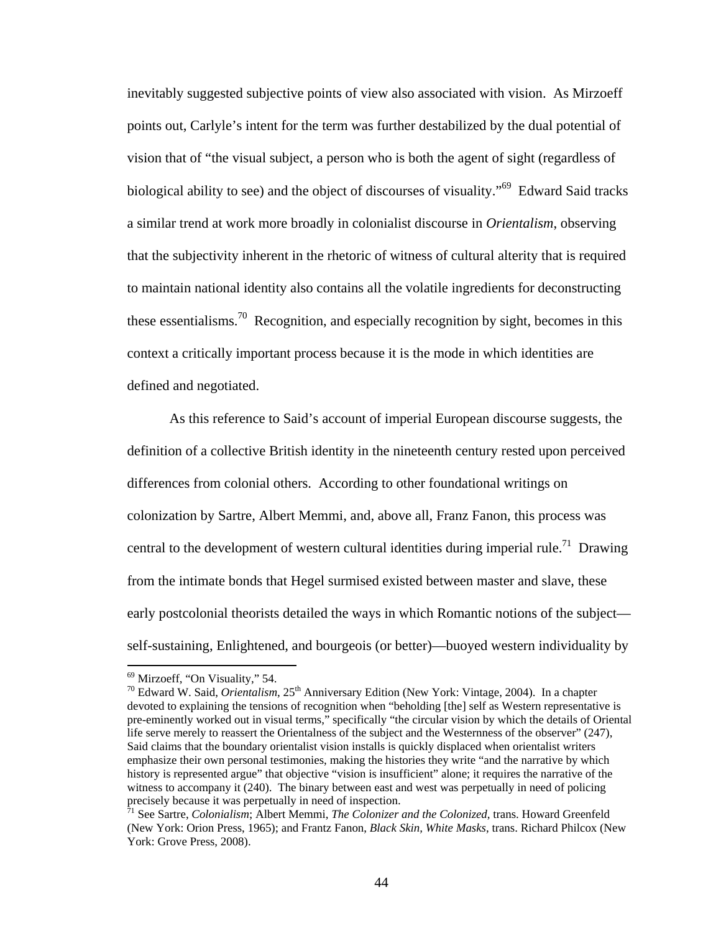inevitably suggested subjective points of view also associated with vision. As Mirzoeff points out, Carlyle's intent for the term was further destabilized by the dual potential of vision that of "the visual subject, a person who is both the agent of sight (regardless of biological ability to see) and the object of discourses of visuality."<sup>69</sup> Edward Said tracks a similar trend at work more broadly in colonialist discourse in *Orientalism*, observing that the subjectivity inherent in the rhetoric of witness of cultural alterity that is required to maintain national identity also contains all the volatile ingredients for deconstructing these essentialisms.<sup>70</sup> Recognition, and especially recognition by sight, becomes in this context a critically important process because it is the mode in which identities are defined and negotiated.

As this reference to Said's account of imperial European discourse suggests, the definition of a collective British identity in the nineteenth century rested upon perceived differences from colonial others. According to other foundational writings on colonization by Sartre, Albert Memmi, and, above all, Franz Fanon, this process was central to the development of western cultural identities during imperial rule.<sup>71</sup> Drawing from the intimate bonds that Hegel surmised existed between master and slave, these early postcolonial theorists detailed the ways in which Romantic notions of the subject self-sustaining, Enlightened, and bourgeois (or better)—buoyed western individuality by

<sup>69</sup> Mirzoeff, "On Visuality," 54.

<sup>&</sup>lt;sup>70</sup> Edward W. Said, *Orientalism*, 25<sup>th</sup> Anniversary Edition (New York: Vintage, 2004). In a chapter devoted to explaining the tensions of recognition when "beholding [the] self as Western representative is pre-eminently worked out in visual terms," specifically "the circular vision by which the details of Oriental life serve merely to reassert the Orientalness of the subject and the Westernness of the observer" (247), Said claims that the boundary orientalist vision installs is quickly displaced when orientalist writers emphasize their own personal testimonies, making the histories they write "and the narrative by which history is represented argue" that objective "vision is insufficient" alone; it requires the narrative of the witness to accompany it (240). The binary between east and west was perpetually in need of policing precisely because it was perpetually in need of inspection.

<sup>71</sup> See Sartre, *Colonialism*; Albert Memmi, *The Colonizer and the Colonized*, trans. Howard Greenfeld (New York: Orion Press, 1965); and Frantz Fanon, *Black Skin, White Masks*, trans. Richard Philcox (New York: Grove Press, 2008).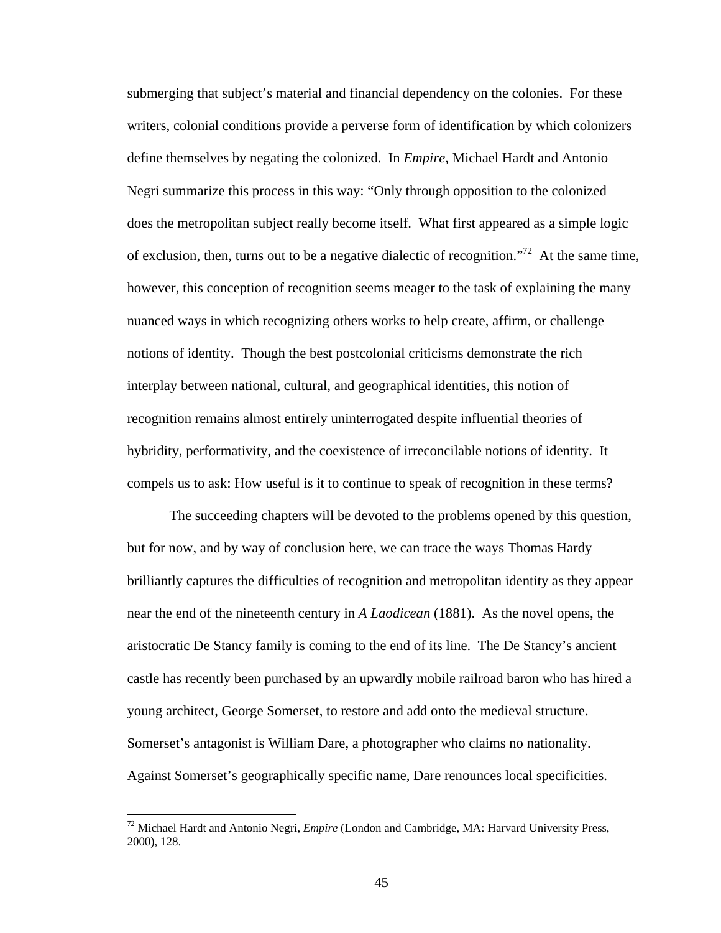submerging that subject's material and financial dependency on the colonies. For these writers, colonial conditions provide a perverse form of identification by which colonizers define themselves by negating the colonized. In *Empire*, Michael Hardt and Antonio Negri summarize this process in this way: "Only through opposition to the colonized does the metropolitan subject really become itself. What first appeared as a simple logic of exclusion, then, turns out to be a negative dialectic of recognition."<sup>72</sup> At the same time, however, this conception of recognition seems meager to the task of explaining the many nuanced ways in which recognizing others works to help create, affirm, or challenge notions of identity. Though the best postcolonial criticisms demonstrate the rich interplay between national, cultural, and geographical identities, this notion of recognition remains almost entirely uninterrogated despite influential theories of hybridity, performativity, and the coexistence of irreconcilable notions of identity. It compels us to ask: How useful is it to continue to speak of recognition in these terms?

The succeeding chapters will be devoted to the problems opened by this question, but for now, and by way of conclusion here, we can trace the ways Thomas Hardy brilliantly captures the difficulties of recognition and metropolitan identity as they appear near the end of the nineteenth century in *A Laodicean* (1881). As the novel opens, the aristocratic De Stancy family is coming to the end of its line. The De Stancy's ancient castle has recently been purchased by an upwardly mobile railroad baron who has hired a young architect, George Somerset, to restore and add onto the medieval structure. Somerset's antagonist is William Dare, a photographer who claims no nationality. Against Somerset's geographically specific name, Dare renounces local specificities.

<sup>72</sup> Michael Hardt and Antonio Negri, *Empire* (London and Cambridge, MA: Harvard University Press, 2000), 128.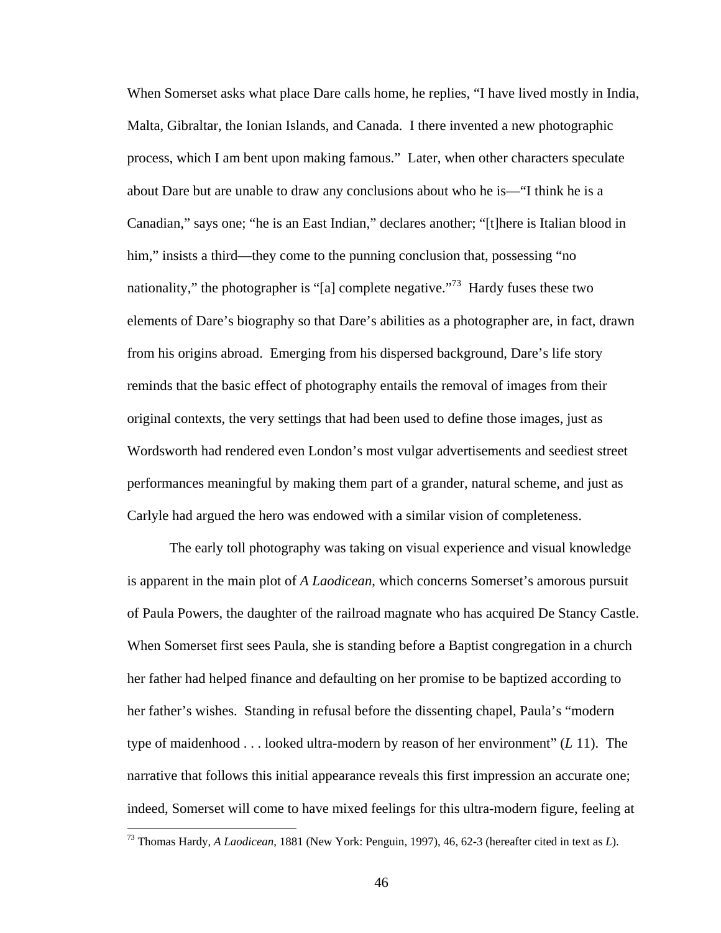When Somerset asks what place Dare calls home, he replies, "I have lived mostly in India, Malta, Gibraltar, the Ionian Islands, and Canada. I there invented a new photographic process, which I am bent upon making famous." Later, when other characters speculate about Dare but are unable to draw any conclusions about who he is—"I think he is a Canadian," says one; "he is an East Indian," declares another; "[t]here is Italian blood in him," insists a third—they come to the punning conclusion that, possessing "no nationality," the photographer is "[a] complete negative."<sup>73</sup> Hardy fuses these two elements of Dare's biography so that Dare's abilities as a photographer are, in fact, drawn from his origins abroad. Emerging from his dispersed background, Dare's life story reminds that the basic effect of photography entails the removal of images from their original contexts, the very settings that had been used to define those images, just as Wordsworth had rendered even London's most vulgar advertisements and seediest street performances meaningful by making them part of a grander, natural scheme, and just as Carlyle had argued the hero was endowed with a similar vision of completeness.

The early toll photography was taking on visual experience and visual knowledge is apparent in the main plot of *A Laodicean*, which concerns Somerset's amorous pursuit of Paula Powers, the daughter of the railroad magnate who has acquired De Stancy Castle. When Somerset first sees Paula, she is standing before a Baptist congregation in a church her father had helped finance and defaulting on her promise to be baptized according to her father's wishes. Standing in refusal before the dissenting chapel, Paula's "modern type of maidenhood . . . looked ultra-modern by reason of her environment" (*L* 11). The narrative that follows this initial appearance reveals this first impression an accurate one; indeed, Somerset will come to have mixed feelings for this ultra-modern figure, feeling at

<sup>73</sup> Thomas Hardy, *A Laodicean*, 1881 (New York: Penguin, 1997), 46, 62-3 (hereafter cited in text as *L*).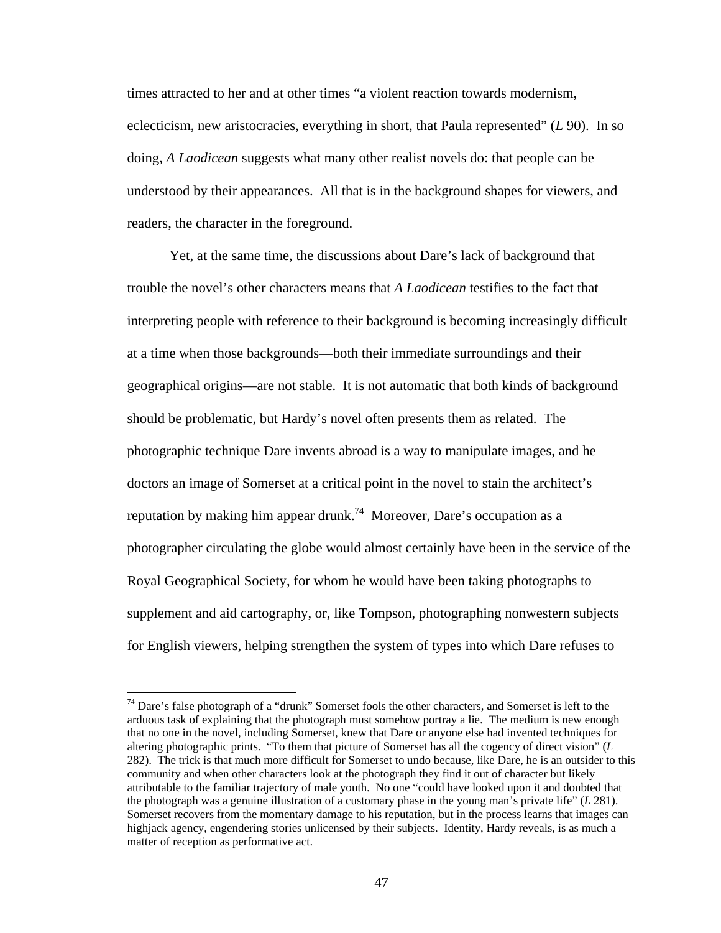times attracted to her and at other times "a violent reaction towards modernism, eclecticism, new aristocracies, everything in short, that Paula represented" (*L* 90). In so doing, *A Laodicean* suggests what many other realist novels do: that people can be understood by their appearances. All that is in the background shapes for viewers, and readers, the character in the foreground.

Yet, at the same time, the discussions about Dare's lack of background that trouble the novel's other characters means that *A Laodicean* testifies to the fact that interpreting people with reference to their background is becoming increasingly difficult at a time when those backgrounds—both their immediate surroundings and their geographical origins—are not stable. It is not automatic that both kinds of background should be problematic, but Hardy's novel often presents them as related. The photographic technique Dare invents abroad is a way to manipulate images, and he doctors an image of Somerset at a critical point in the novel to stain the architect's reputation by making him appear drunk.<sup>74</sup> Moreover, Dare's occupation as a photographer circulating the globe would almost certainly have been in the service of the Royal Geographical Society, for whom he would have been taking photographs to supplement and aid cartography, or, like Tompson, photographing nonwestern subjects for English viewers, helping strengthen the system of types into which Dare refuses to

 $74$  Dare's false photograph of a "drunk" Somerset fools the other characters, and Somerset is left to the arduous task of explaining that the photograph must somehow portray a lie. The medium is new enough that no one in the novel, including Somerset, knew that Dare or anyone else had invented techniques for altering photographic prints. "To them that picture of Somerset has all the cogency of direct vision" (*L* 282). The trick is that much more difficult for Somerset to undo because, like Dare, he is an outsider to this community and when other characters look at the photograph they find it out of character but likely attributable to the familiar trajectory of male youth. No one "could have looked upon it and doubted that the photograph was a genuine illustration of a customary phase in the young man's private life" (*L* 281). Somerset recovers from the momentary damage to his reputation, but in the process learns that images can highjack agency, engendering stories unlicensed by their subjects. Identity, Hardy reveals, is as much a matter of reception as performative act.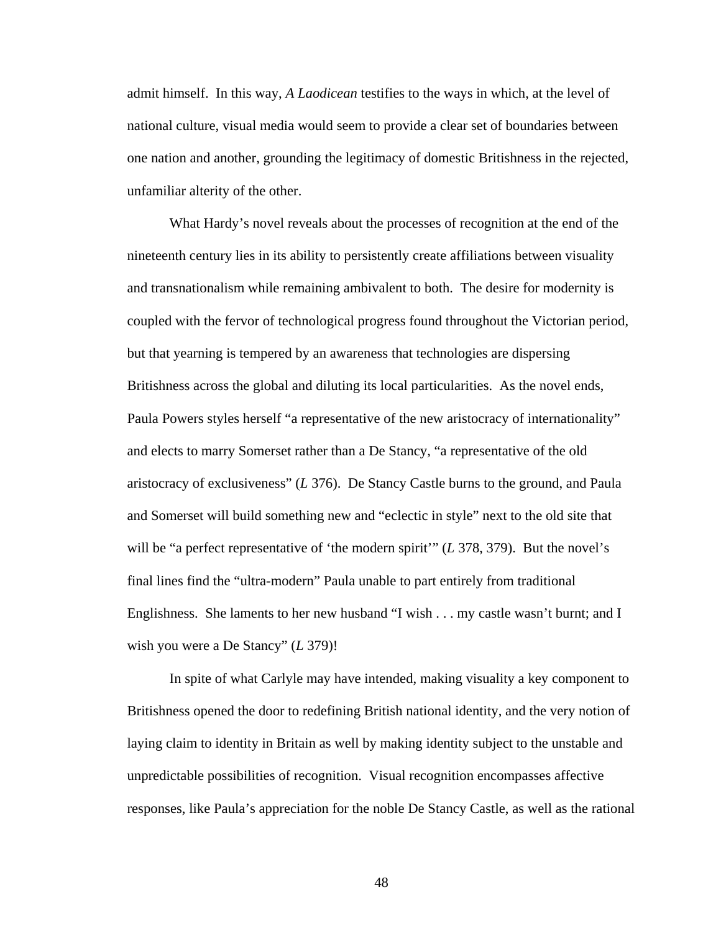admit himself. In this way, *A Laodicean* testifies to the ways in which, at the level of national culture, visual media would seem to provide a clear set of boundaries between one nation and another, grounding the legitimacy of domestic Britishness in the rejected, unfamiliar alterity of the other.

What Hardy's novel reveals about the processes of recognition at the end of the nineteenth century lies in its ability to persistently create affiliations between visuality and transnationalism while remaining ambivalent to both. The desire for modernity is coupled with the fervor of technological progress found throughout the Victorian period, but that yearning is tempered by an awareness that technologies are dispersing Britishness across the global and diluting its local particularities. As the novel ends, Paula Powers styles herself "a representative of the new aristocracy of internationality" and elects to marry Somerset rather than a De Stancy, "a representative of the old aristocracy of exclusiveness" (*L* 376). De Stancy Castle burns to the ground, and Paula and Somerset will build something new and "eclectic in style" next to the old site that will be "a perfect representative of 'the modern spirit'" (*L* 378, 379). But the novel's final lines find the "ultra-modern" Paula unable to part entirely from traditional Englishness. She laments to her new husband "I wish . . . my castle wasn't burnt; and I wish you were a De Stancy" (*L* 379)!

In spite of what Carlyle may have intended, making visuality a key component to Britishness opened the door to redefining British national identity, and the very notion of laying claim to identity in Britain as well by making identity subject to the unstable and unpredictable possibilities of recognition. Visual recognition encompasses affective responses, like Paula's appreciation for the noble De Stancy Castle, as well as the rational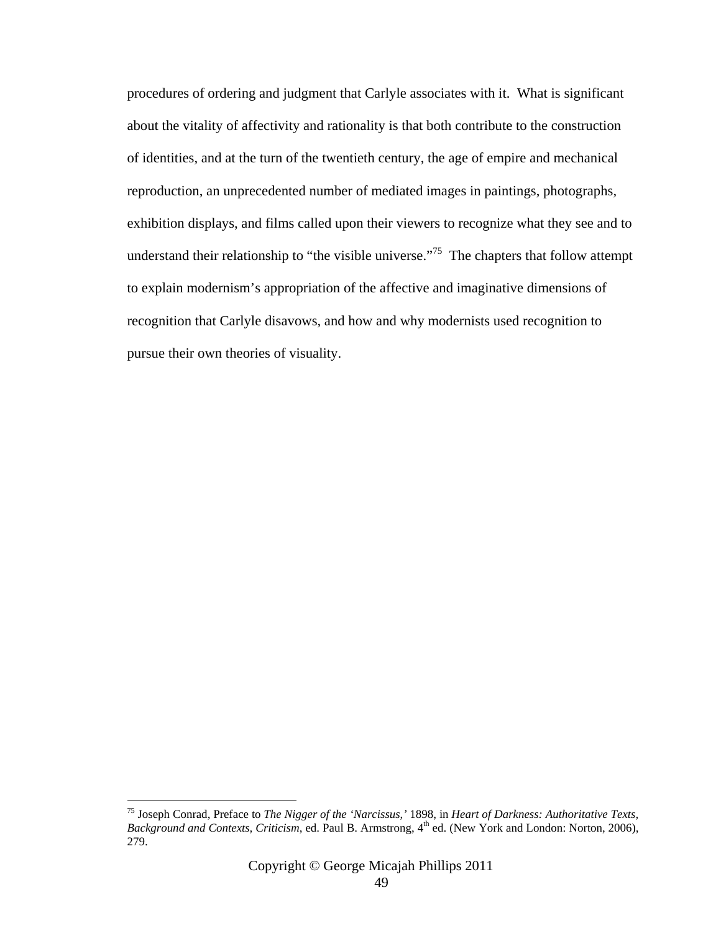procedures of ordering and judgment that Carlyle associates with it. What is significant about the vitality of affectivity and rationality is that both contribute to the construction of identities, and at the turn of the twentieth century, the age of empire and mechanical reproduction, an unprecedented number of mediated images in paintings, photographs, exhibition displays, and films called upon their viewers to recognize what they see and to understand their relationship to "the visible universe."<sup>75</sup> The chapters that follow attempt to explain modernism's appropriation of the affective and imaginative dimensions of recognition that Carlyle disavows, and how and why modernists used recognition to pursue their own theories of visuality.

<sup>75</sup> Joseph Conrad, Preface to *The Nigger of the 'Narcissus*,*'* 1898, in *Heart of Darkness: Authoritative Texts,*  Background and Contexts, Criticism, ed. Paul B. Armstrong, 4<sup>th</sup> ed. (New York and London: Norton, 2006), 279.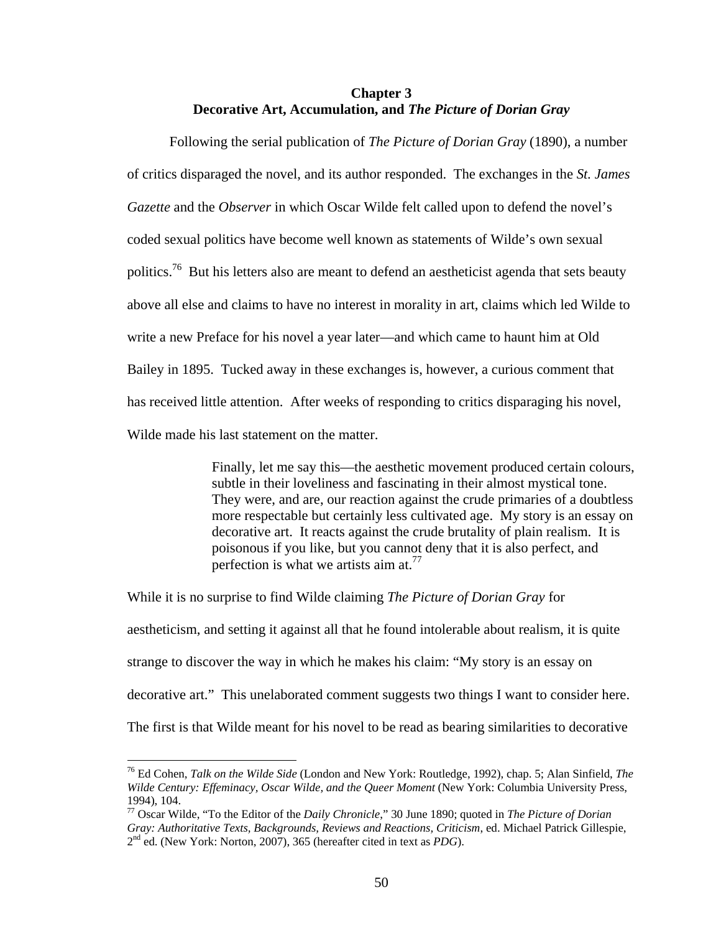# **Chapter 3 Decorative Art, Accumulation, and** *The Picture of Dorian Gray*

Following the serial publication of *The Picture of Dorian Gray* (1890), a number of critics disparaged the novel, and its author responded. The exchanges in the *St. James Gazette* and the *Observer* in which Oscar Wilde felt called upon to defend the novel's coded sexual politics have become well known as statements of Wilde's own sexual politics.<sup>76</sup> But his letters also are meant to defend an aestheticist agenda that sets beauty above all else and claims to have no interest in morality in art, claims which led Wilde to write a new Preface for his novel a year later—and which came to haunt him at Old Bailey in 1895. Tucked away in these exchanges is, however, a curious comment that has received little attention. After weeks of responding to critics disparaging his novel, Wilde made his last statement on the matter.

> Finally, let me say this—the aesthetic movement produced certain colours, subtle in their loveliness and fascinating in their almost mystical tone. They were, and are, our reaction against the crude primaries of a doubtless more respectable but certainly less cultivated age. My story is an essay on decorative art. It reacts against the crude brutality of plain realism. It is poisonous if you like, but you cannot deny that it is also perfect, and perfection is what we artists aim at.<sup>77</sup>

While it is no surprise to find Wilde claiming *The Picture of Dorian Gray* for aestheticism, and setting it against all that he found intolerable about realism, it is quite strange to discover the way in which he makes his claim: "My story is an essay on decorative art." This unelaborated comment suggests two things I want to consider here. The first is that Wilde meant for his novel to be read as bearing similarities to decorative

<sup>76</sup> Ed Cohen, *Talk on the Wilde Side* (London and New York: Routledge, 1992), chap. 5; Alan Sinfield, *The Wilde Century: Effeminacy, Oscar Wilde, and the Queer Moment* (New York: Columbia University Press, 1994), 104.

<sup>77</sup> Oscar Wilde, "To the Editor of the *Daily Chronicle*," 30 June 1890; quoted in *The Picture of Dorian Gray: Authoritative Texts, Backgrounds, Reviews and Reactions, Criticism*, ed. Michael Patrick Gillespie, 2nd ed. (New York: Norton, 2007), 365 (hereafter cited in text as *PDG*).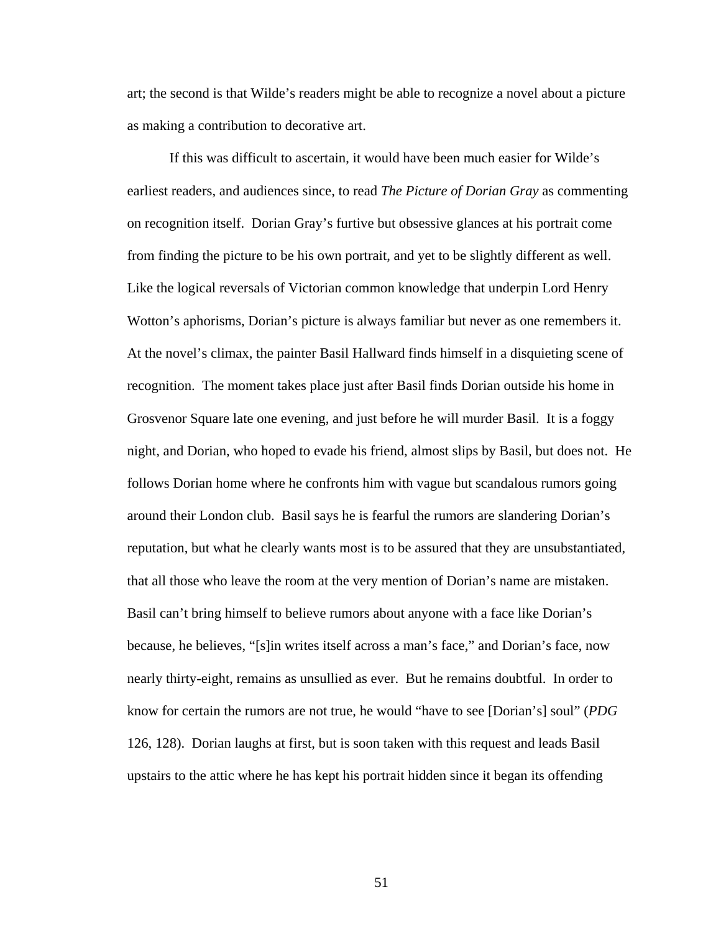art; the second is that Wilde's readers might be able to recognize a novel about a picture as making a contribution to decorative art.

 If this was difficult to ascertain, it would have been much easier for Wilde's earliest readers, and audiences since, to read *The Picture of Dorian Gray* as commenting on recognition itself. Dorian Gray's furtive but obsessive glances at his portrait come from finding the picture to be his own portrait, and yet to be slightly different as well. Like the logical reversals of Victorian common knowledge that underpin Lord Henry Wotton's aphorisms, Dorian's picture is always familiar but never as one remembers it. At the novel's climax, the painter Basil Hallward finds himself in a disquieting scene of recognition. The moment takes place just after Basil finds Dorian outside his home in Grosvenor Square late one evening, and just before he will murder Basil. It is a foggy night, and Dorian, who hoped to evade his friend, almost slips by Basil, but does not. He follows Dorian home where he confronts him with vague but scandalous rumors going around their London club. Basil says he is fearful the rumors are slandering Dorian's reputation, but what he clearly wants most is to be assured that they are unsubstantiated, that all those who leave the room at the very mention of Dorian's name are mistaken. Basil can't bring himself to believe rumors about anyone with a face like Dorian's because, he believes, "[s]in writes itself across a man's face," and Dorian's face, now nearly thirty-eight, remains as unsullied as ever. But he remains doubtful. In order to know for certain the rumors are not true, he would "have to see [Dorian's] soul" (*PDG*  126, 128). Dorian laughs at first, but is soon taken with this request and leads Basil upstairs to the attic where he has kept his portrait hidden since it began its offending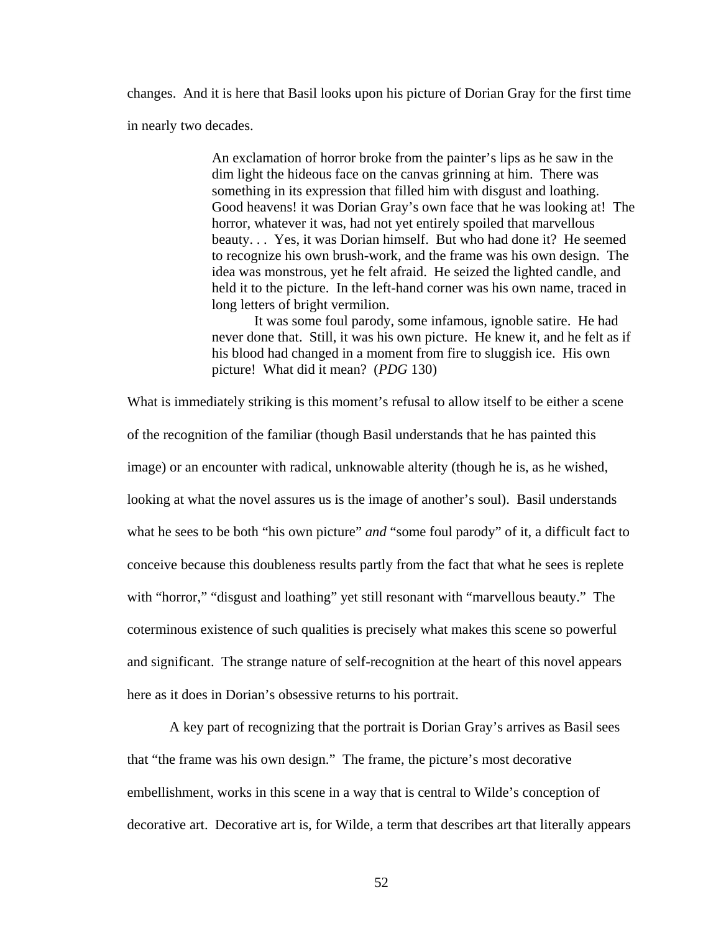changes. And it is here that Basil looks upon his picture of Dorian Gray for the first time in nearly two decades.

> An exclamation of horror broke from the painter's lips as he saw in the dim light the hideous face on the canvas grinning at him. There was something in its expression that filled him with disgust and loathing. Good heavens! it was Dorian Gray's own face that he was looking at! The horror, whatever it was, had not yet entirely spoiled that marvellous beauty. . . Yes, it was Dorian himself. But who had done it? He seemed to recognize his own brush-work, and the frame was his own design. The idea was monstrous, yet he felt afraid. He seized the lighted candle, and held it to the picture. In the left-hand corner was his own name, traced in long letters of bright vermilion.

> It was some foul parody, some infamous, ignoble satire. He had never done that. Still, it was his own picture. He knew it, and he felt as if his blood had changed in a moment from fire to sluggish ice. His own picture! What did it mean? (*PDG* 130)

What is immediately striking is this moment's refusal to allow itself to be either a scene of the recognition of the familiar (though Basil understands that he has painted this image) or an encounter with radical, unknowable alterity (though he is, as he wished, looking at what the novel assures us is the image of another's soul). Basil understands what he sees to be both "his own picture" *and* "some foul parody" of it, a difficult fact to conceive because this doubleness results partly from the fact that what he sees is replete with "horror," "disgust and loathing" yet still resonant with "marvellous beauty." The coterminous existence of such qualities is precisely what makes this scene so powerful and significant. The strange nature of self-recognition at the heart of this novel appears here as it does in Dorian's obsessive returns to his portrait.

 A key part of recognizing that the portrait is Dorian Gray's arrives as Basil sees that "the frame was his own design." The frame, the picture's most decorative embellishment, works in this scene in a way that is central to Wilde's conception of decorative art. Decorative art is, for Wilde, a term that describes art that literally appears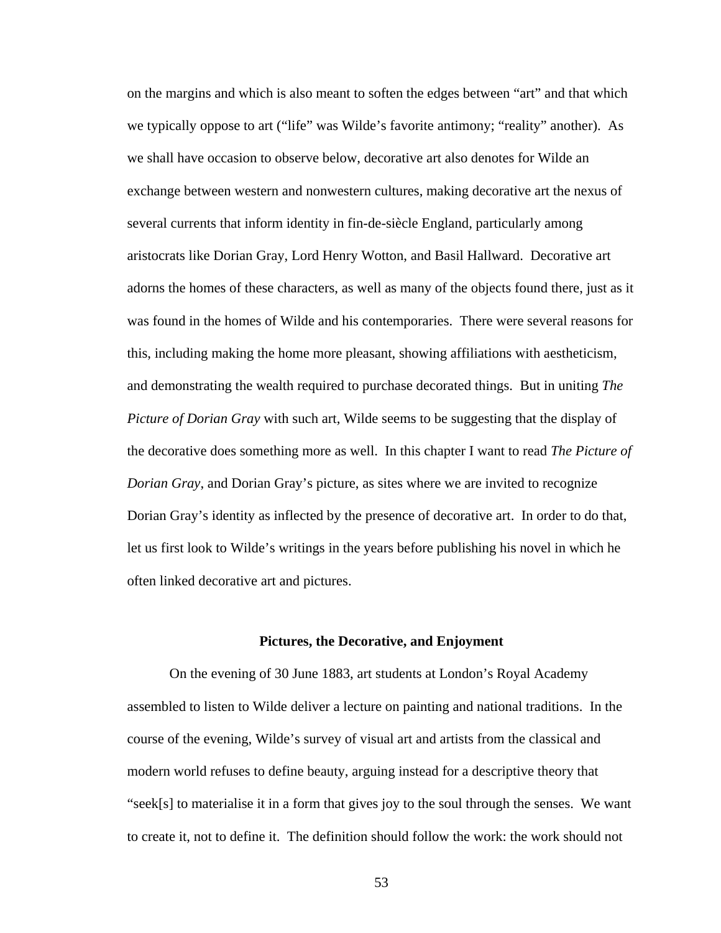on the margins and which is also meant to soften the edges between "art" and that which we typically oppose to art ("life" was Wilde's favorite antimony; "reality" another). As we shall have occasion to observe below, decorative art also denotes for Wilde an exchange between western and nonwestern cultures, making decorative art the nexus of several currents that inform identity in fin-de-siècle England, particularly among aristocrats like Dorian Gray, Lord Henry Wotton, and Basil Hallward. Decorative art adorns the homes of these characters, as well as many of the objects found there, just as it was found in the homes of Wilde and his contemporaries. There were several reasons for this, including making the home more pleasant, showing affiliations with aestheticism, and demonstrating the wealth required to purchase decorated things. But in uniting *The Picture of Dorian Gray* with such art, Wilde seems to be suggesting that the display of the decorative does something more as well. In this chapter I want to read *The Picture of Dorian Gray*, and Dorian Gray's picture, as sites where we are invited to recognize Dorian Gray's identity as inflected by the presence of decorative art. In order to do that, let us first look to Wilde's writings in the years before publishing his novel in which he often linked decorative art and pictures.

### **Pictures, the Decorative, and Enjoyment**

On the evening of 30 June 1883, art students at London's Royal Academy assembled to listen to Wilde deliver a lecture on painting and national traditions. In the course of the evening, Wilde's survey of visual art and artists from the classical and modern world refuses to define beauty, arguing instead for a descriptive theory that "seek[s] to materialise it in a form that gives joy to the soul through the senses. We want to create it, not to define it. The definition should follow the work: the work should not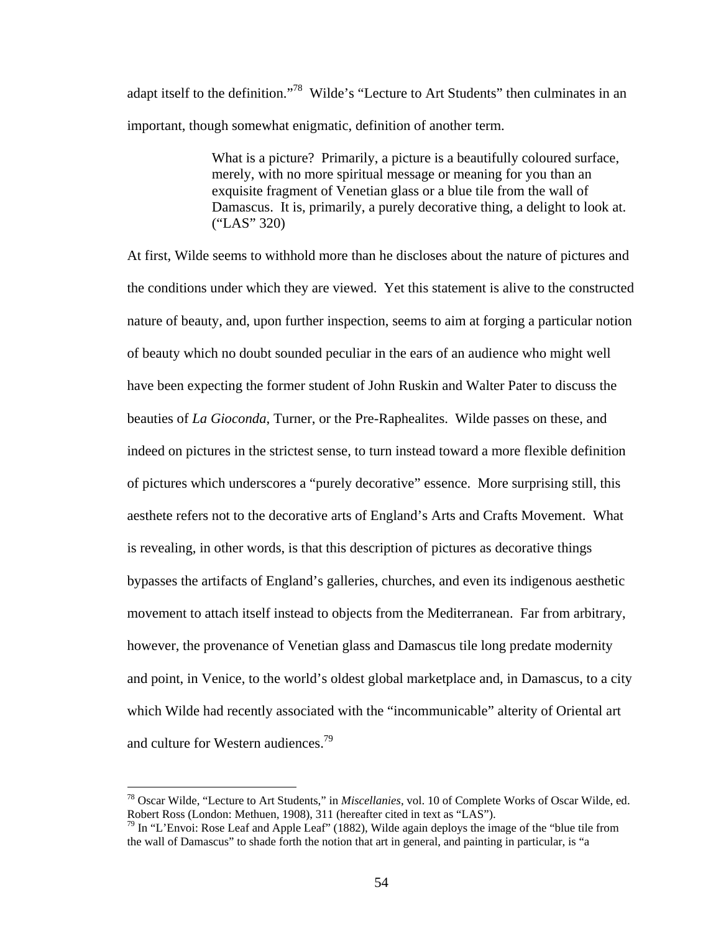adapt itself to the definition."<sup>78</sup> Wilde's "Lecture to Art Students" then culminates in an important, though somewhat enigmatic, definition of another term.

> What is a picture? Primarily, a picture is a beautifully coloured surface, merely, with no more spiritual message or meaning for you than an exquisite fragment of Venetian glass or a blue tile from the wall of Damascus. It is, primarily, a purely decorative thing, a delight to look at. ("LAS" 320)

At first, Wilde seems to withhold more than he discloses about the nature of pictures and the conditions under which they are viewed. Yet this statement is alive to the constructed nature of beauty, and, upon further inspection, seems to aim at forging a particular notion of beauty which no doubt sounded peculiar in the ears of an audience who might well have been expecting the former student of John Ruskin and Walter Pater to discuss the beauties of *La Gioconda*, Turner, or the Pre-Raphealites. Wilde passes on these, and indeed on pictures in the strictest sense, to turn instead toward a more flexible definition of pictures which underscores a "purely decorative" essence. More surprising still, this aesthete refers not to the decorative arts of England's Arts and Crafts Movement. What is revealing, in other words, is that this description of pictures as decorative things bypasses the artifacts of England's galleries, churches, and even its indigenous aesthetic movement to attach itself instead to objects from the Mediterranean. Far from arbitrary, however, the provenance of Venetian glass and Damascus tile long predate modernity and point, in Venice, to the world's oldest global marketplace and, in Damascus, to a city which Wilde had recently associated with the "incommunicable" alterity of Oriental art and culture for Western audiences.<sup>79</sup>

<u>.</u>

<sup>78</sup> Oscar Wilde, "Lecture to Art Students," in *Miscellanies*, vol. 10 of Complete Works of Oscar Wilde, ed. Robert Ross (London: Methuen, 1908), 311 (hereafter cited in text as "LAS").

 $79$  In "L'Envoi: Rose Leaf and Apple Leaf" (1882), Wilde again deploys the image of the "blue tile from the wall of Damascus" to shade forth the notion that art in general, and painting in particular, is "a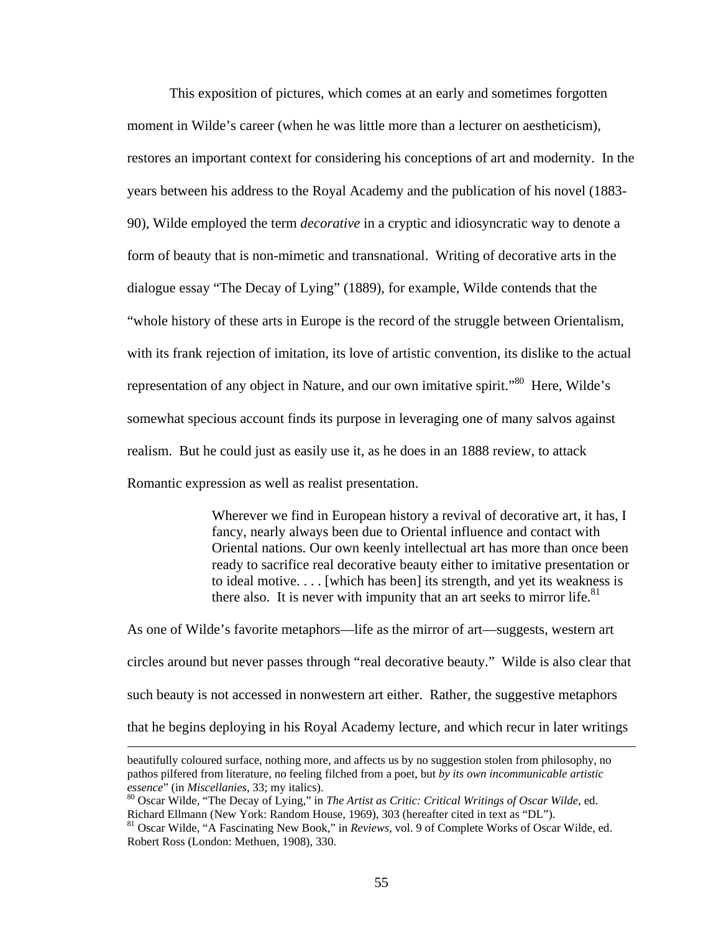This exposition of pictures, which comes at an early and sometimes forgotten moment in Wilde's career (when he was little more than a lecturer on aestheticism), restores an important context for considering his conceptions of art and modernity. In the years between his address to the Royal Academy and the publication of his novel (1883- 90), Wilde employed the term *decorative* in a cryptic and idiosyncratic way to denote a form of beauty that is non-mimetic and transnational. Writing of decorative arts in the dialogue essay "The Decay of Lying" (1889), for example, Wilde contends that the "whole history of these arts in Europe is the record of the struggle between Orientalism, with its frank rejection of imitation, its love of artistic convention, its dislike to the actual representation of any object in Nature, and our own imitative spirit."<sup>80</sup> Here, Wilde's somewhat specious account finds its purpose in leveraging one of many salvos against realism. But he could just as easily use it, as he does in an 1888 review, to attack Romantic expression as well as realist presentation.

> Wherever we find in European history a revival of decorative art, it has, I fancy, nearly always been due to Oriental influence and contact with Oriental nations. Our own keenly intellectual art has more than once been ready to sacrifice real decorative beauty either to imitative presentation or to ideal motive. . . . [which has been] its strength, and yet its weakness is there also. It is never with impunity that an art seeks to mirror life.<sup>81</sup>

As one of Wilde's favorite metaphors—life as the mirror of art—suggests, western art circles around but never passes through "real decorative beauty." Wilde is also clear that such beauty is not accessed in nonwestern art either. Rather, the suggestive metaphors that he begins deploying in his Royal Academy lecture, and which recur in later writings

beautifully coloured surface, nothing more, and affects us by no suggestion stolen from philosophy, no pathos pilfered from literature, no feeling filched from a poet, but *by its own incommunicable artistic essence*" (in *Miscellanies*, 33; my italics).<br><sup>80</sup> Oscar Wilde, "The Decay of Lying," in *The Artist as Critic: Critical Writings of Oscar Wilde*, ed.

Richard Ellmann (New York: Random House, 1969), 303 (hereafter cited in text as "DL").<br><sup>81</sup> Oscar Wilde, "A Fascinating New Book," in *Reviews*, vol. 9 of Complete Works of Oscar Wilde, ed.

Robert Ross (London: Methuen, 1908), 330.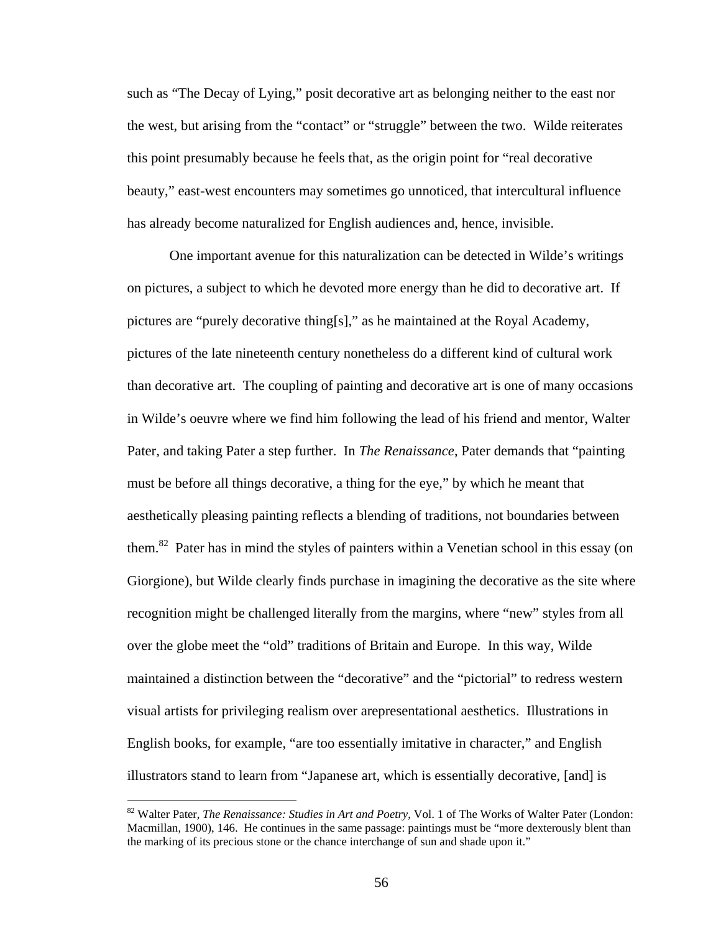such as "The Decay of Lying," posit decorative art as belonging neither to the east nor the west, but arising from the "contact" or "struggle" between the two. Wilde reiterates this point presumably because he feels that, as the origin point for "real decorative beauty," east-west encounters may sometimes go unnoticed, that intercultural influence has already become naturalized for English audiences and, hence, invisible.

One important avenue for this naturalization can be detected in Wilde's writings on pictures, a subject to which he devoted more energy than he did to decorative art. If pictures are "purely decorative thing[s]," as he maintained at the Royal Academy, pictures of the late nineteenth century nonetheless do a different kind of cultural work than decorative art. The coupling of painting and decorative art is one of many occasions in Wilde's oeuvre where we find him following the lead of his friend and mentor, Walter Pater, and taking Pater a step further. In *The Renaissance*, Pater demands that "painting must be before all things decorative, a thing for the eye," by which he meant that aesthetically pleasing painting reflects a blending of traditions, not boundaries between them.<sup>82</sup> Pater has in mind the styles of painters within a Venetian school in this essay (on Giorgione), but Wilde clearly finds purchase in imagining the decorative as the site where recognition might be challenged literally from the margins, where "new" styles from all over the globe meet the "old" traditions of Britain and Europe. In this way, Wilde maintained a distinction between the "decorative" and the "pictorial" to redress western visual artists for privileging realism over arepresentational aesthetics. Illustrations in English books, for example, "are too essentially imitative in character," and English illustrators stand to learn from "Japanese art, which is essentially decorative, [and] is

<sup>82</sup> Walter Pater, *The Renaissance: Studies in Art and Poetry*, Vol. 1 of The Works of Walter Pater (London: Macmillan, 1900), 146. He continues in the same passage: paintings must be "more dexterously blent than the marking of its precious stone or the chance interchange of sun and shade upon it."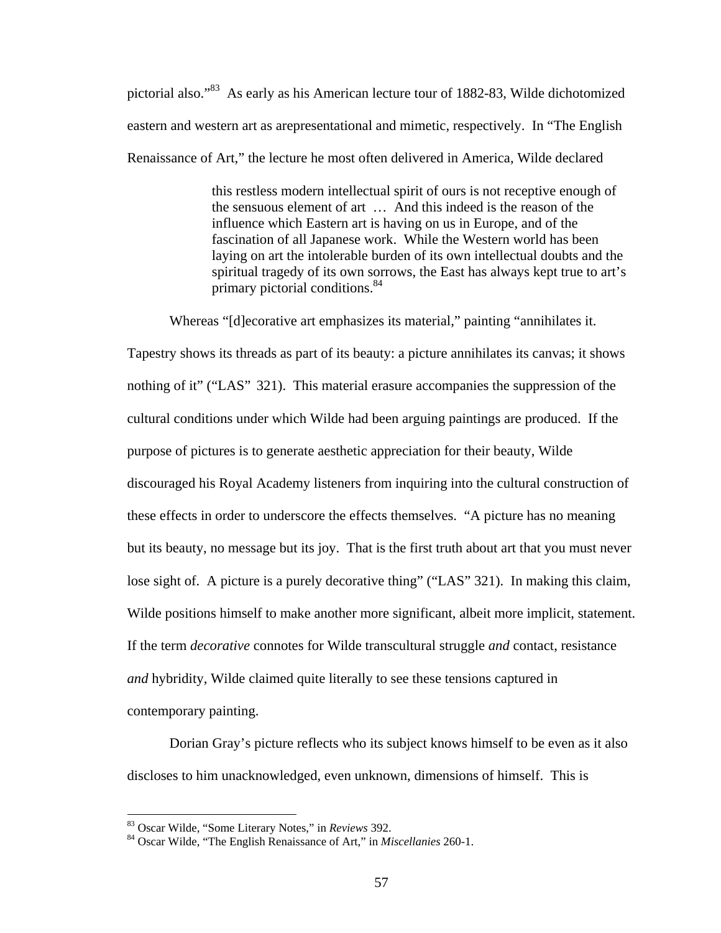pictorial also."83 As early as his American lecture tour of 1882-83, Wilde dichotomized eastern and western art as arepresentational and mimetic, respectively. In "The English Renaissance of Art," the lecture he most often delivered in America, Wilde declared

> this restless modern intellectual spirit of ours is not receptive enough of the sensuous element of art … And this indeed is the reason of the influence which Eastern art is having on us in Europe, and of the fascination of all Japanese work. While the Western world has been laying on art the intolerable burden of its own intellectual doubts and the spiritual tragedy of its own sorrows, the East has always kept true to art's primary pictorial conditions.<sup>84</sup>

Whereas "[d]ecorative art emphasizes its material," painting "annihilates it. Tapestry shows its threads as part of its beauty: a picture annihilates its canvas; it shows nothing of it" ("LAS" 321). This material erasure accompanies the suppression of the cultural conditions under which Wilde had been arguing paintings are produced. If the purpose of pictures is to generate aesthetic appreciation for their beauty, Wilde discouraged his Royal Academy listeners from inquiring into the cultural construction of these effects in order to underscore the effects themselves. "A picture has no meaning but its beauty, no message but its joy. That is the first truth about art that you must never lose sight of. A picture is a purely decorative thing" ("LAS" 321). In making this claim, Wilde positions himself to make another more significant, albeit more implicit, statement. If the term *decorative* connotes for Wilde transcultural struggle *and* contact, resistance *and* hybridity, Wilde claimed quite literally to see these tensions captured in contemporary painting.

Dorian Gray's picture reflects who its subject knows himself to be even as it also discloses to him unacknowledged, even unknown, dimensions of himself. This is

<sup>83</sup> Oscar Wilde, "Some Literary Notes," in *Reviews* 392. 84 Oscar Wilde, "The English Renaissance of Art," in *Miscellanies* 260-1.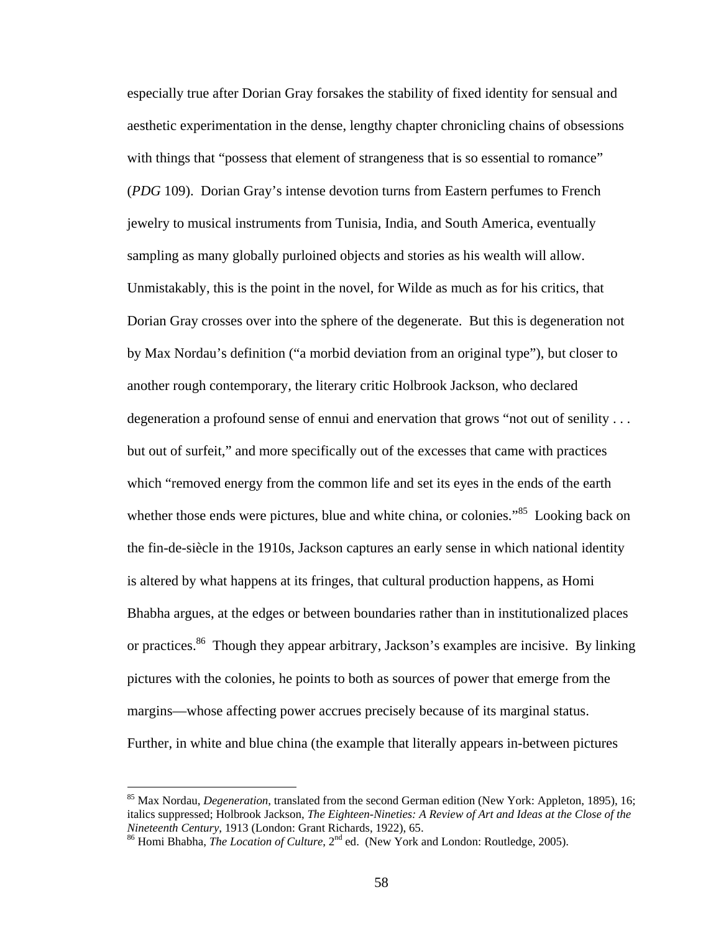especially true after Dorian Gray forsakes the stability of fixed identity for sensual and aesthetic experimentation in the dense, lengthy chapter chronicling chains of obsessions with things that "possess that element of strangeness that is so essential to romance" (*PDG* 109). Dorian Gray's intense devotion turns from Eastern perfumes to French jewelry to musical instruments from Tunisia, India, and South America, eventually sampling as many globally purloined objects and stories as his wealth will allow. Unmistakably, this is the point in the novel, for Wilde as much as for his critics, that Dorian Gray crosses over into the sphere of the degenerate. But this is degeneration not by Max Nordau's definition ("a morbid deviation from an original type"), but closer to another rough contemporary, the literary critic Holbrook Jackson, who declared degeneration a profound sense of ennui and enervation that grows "not out of senility . . . but out of surfeit," and more specifically out of the excesses that came with practices which "removed energy from the common life and set its eyes in the ends of the earth whether those ends were pictures, blue and white china, or colonies."<sup>85</sup> Looking back on the fin-de-siècle in the 1910s, Jackson captures an early sense in which national identity is altered by what happens at its fringes, that cultural production happens, as Homi Bhabha argues, at the edges or between boundaries rather than in institutionalized places or practices.<sup>86</sup> Though they appear arbitrary, Jackson's examples are incisive. By linking pictures with the colonies, he points to both as sources of power that emerge from the margins—whose affecting power accrues precisely because of its marginal status. Further, in white and blue china (the example that literally appears in-between pictures

<u>.</u>

<sup>85</sup> Max Nordau, *Degeneration*, translated from the second German edition (New York: Appleton, 1895), 16; italics suppressed; Holbrook Jackson, *The Eighteen-Nineties: A Review of Art and Ideas at the Close of the Nineteenth Century*, 1913 (London: Grant Richards, 1922), 65.<br><sup>86</sup> Homi Bhabha, *The Location of Culture*, 2<sup>nd</sup> ed. (New York and London: Routledge, 2005).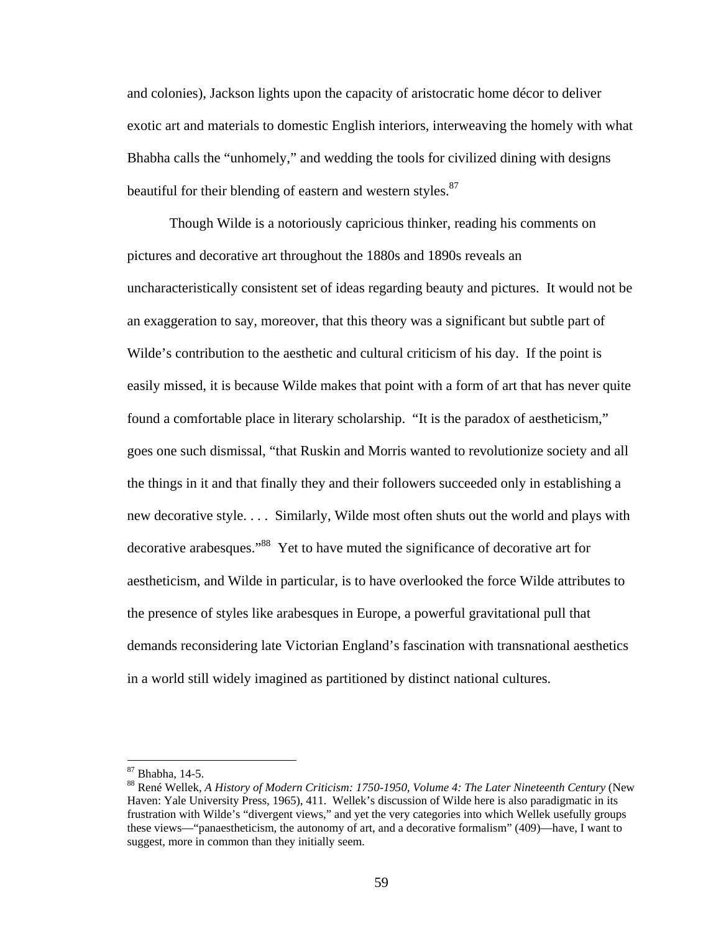and colonies), Jackson lights upon the capacity of aristocratic home décor to deliver exotic art and materials to domestic English interiors, interweaving the homely with what Bhabha calls the "unhomely," and wedding the tools for civilized dining with designs beautiful for their blending of eastern and western styles.<sup>87</sup>

Though Wilde is a notoriously capricious thinker, reading his comments on pictures and decorative art throughout the 1880s and 1890s reveals an uncharacteristically consistent set of ideas regarding beauty and pictures. It would not be an exaggeration to say, moreover, that this theory was a significant but subtle part of Wilde's contribution to the aesthetic and cultural criticism of his day. If the point is easily missed, it is because Wilde makes that point with a form of art that has never quite found a comfortable place in literary scholarship. "It is the paradox of aestheticism," goes one such dismissal, "that Ruskin and Morris wanted to revolutionize society and all the things in it and that finally they and their followers succeeded only in establishing a new decorative style. . . . Similarly, Wilde most often shuts out the world and plays with decorative arabesques."88 Yet to have muted the significance of decorative art for aestheticism, and Wilde in particular, is to have overlooked the force Wilde attributes to the presence of styles like arabesques in Europe, a powerful gravitational pull that demands reconsidering late Victorian England's fascination with transnational aesthetics in a world still widely imagined as partitioned by distinct national cultures.

<sup>87</sup> Bhabha, 14-5.

<sup>88</sup> René Wellek, *A History of Modern Criticism: 1750-1950, Volume 4: The Later Nineteenth Century* (New Haven: Yale University Press, 1965), 411. Wellek's discussion of Wilde here is also paradigmatic in its frustration with Wilde's "divergent views," and yet the very categories into which Wellek usefully groups these views—"panaestheticism, the autonomy of art, and a decorative formalism" (409)—have, I want to suggest, more in common than they initially seem.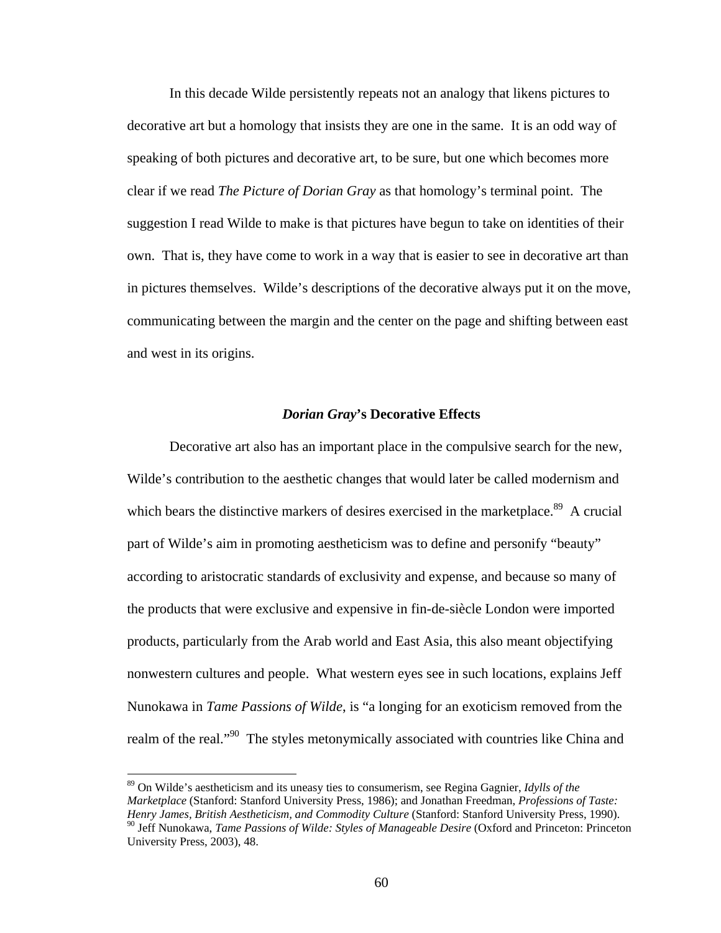In this decade Wilde persistently repeats not an analogy that likens pictures to decorative art but a homology that insists they are one in the same. It is an odd way of speaking of both pictures and decorative art, to be sure, but one which becomes more clear if we read *The Picture of Dorian Gray* as that homology's terminal point. The suggestion I read Wilde to make is that pictures have begun to take on identities of their own. That is, they have come to work in a way that is easier to see in decorative art than in pictures themselves. Wilde's descriptions of the decorative always put it on the move, communicating between the margin and the center on the page and shifting between east and west in its origins.

#### *Dorian Gray***'s Decorative Effects**

Decorative art also has an important place in the compulsive search for the new, Wilde's contribution to the aesthetic changes that would later be called modernism and which bears the distinctive markers of desires exercised in the marketplace.<sup>89</sup> A crucial part of Wilde's aim in promoting aestheticism was to define and personify "beauty" according to aristocratic standards of exclusivity and expense, and because so many of the products that were exclusive and expensive in fin-de-siècle London were imported products, particularly from the Arab world and East Asia, this also meant objectifying nonwestern cultures and people. What western eyes see in such locations, explains Jeff Nunokawa in *Tame Passions of Wilde*, is "a longing for an exoticism removed from the realm of the real."<sup>90</sup> The styles metonymically associated with countries like China and

<sup>89</sup> On Wilde's aestheticism and its uneasy ties to consumerism, see Regina Gagnier, *Idylls of the Marketplace* (Stanford: Stanford University Press, 1986); and Jonathan Freedman, *Professions of Taste: Henry James, British Aestheticism, and Commodity Culture* (Stanford: Stanford University Press, 1990). 90 Jeff Nunokawa, *Tame Passions of Wilde: Styles of Manageable Desire* (Oxford and Princeton: Princeton University Press, 2003), 48.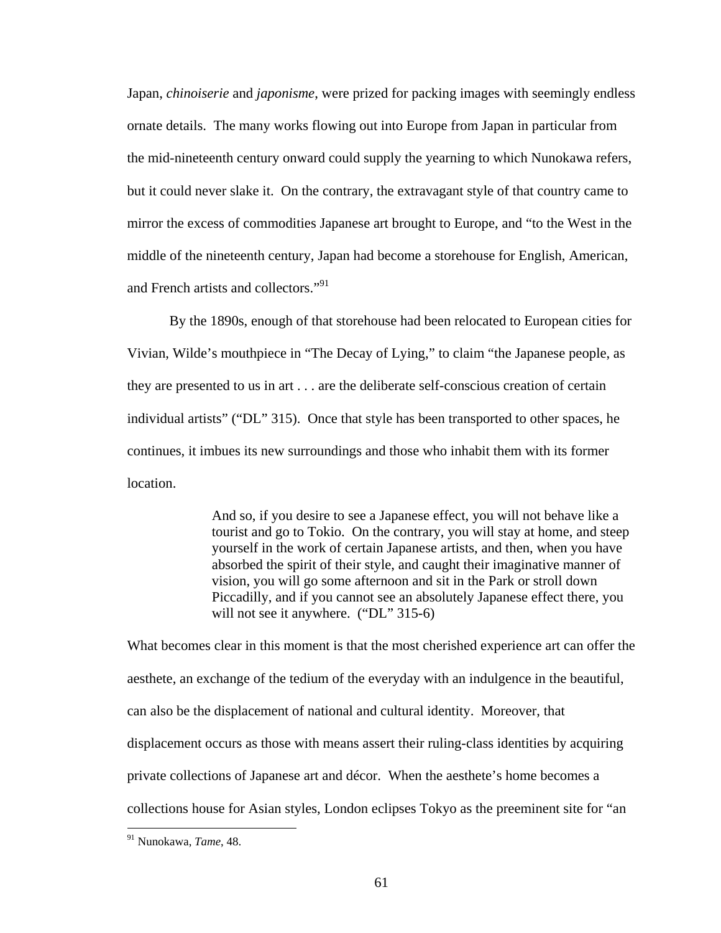Japan, *chinoiserie* and *japonisme*, were prized for packing images with seemingly endless ornate details. The many works flowing out into Europe from Japan in particular from the mid-nineteenth century onward could supply the yearning to which Nunokawa refers, but it could never slake it. On the contrary, the extravagant style of that country came to mirror the excess of commodities Japanese art brought to Europe, and "to the West in the middle of the nineteenth century, Japan had become a storehouse for English, American, and French artists and collectors."<sup>91</sup>

By the 1890s, enough of that storehouse had been relocated to European cities for Vivian, Wilde's mouthpiece in "The Decay of Lying," to claim "the Japanese people, as they are presented to us in art . . . are the deliberate self-conscious creation of certain individual artists" ("DL" 315). Once that style has been transported to other spaces, he continues, it imbues its new surroundings and those who inhabit them with its former location.

> And so, if you desire to see a Japanese effect, you will not behave like a tourist and go to Tokio. On the contrary, you will stay at home, and steep yourself in the work of certain Japanese artists, and then, when you have absorbed the spirit of their style, and caught their imaginative manner of vision, you will go some afternoon and sit in the Park or stroll down Piccadilly, and if you cannot see an absolutely Japanese effect there, you will not see it anywhere. ("DL" 315-6)

What becomes clear in this moment is that the most cherished experience art can offer the aesthete, an exchange of the tedium of the everyday with an indulgence in the beautiful, can also be the displacement of national and cultural identity. Moreover, that displacement occurs as those with means assert their ruling-class identities by acquiring private collections of Japanese art and décor. When the aesthete's home becomes a collections house for Asian styles, London eclipses Tokyo as the preeminent site for "an

<sup>91</sup> Nunokawa, *Tame*, 48.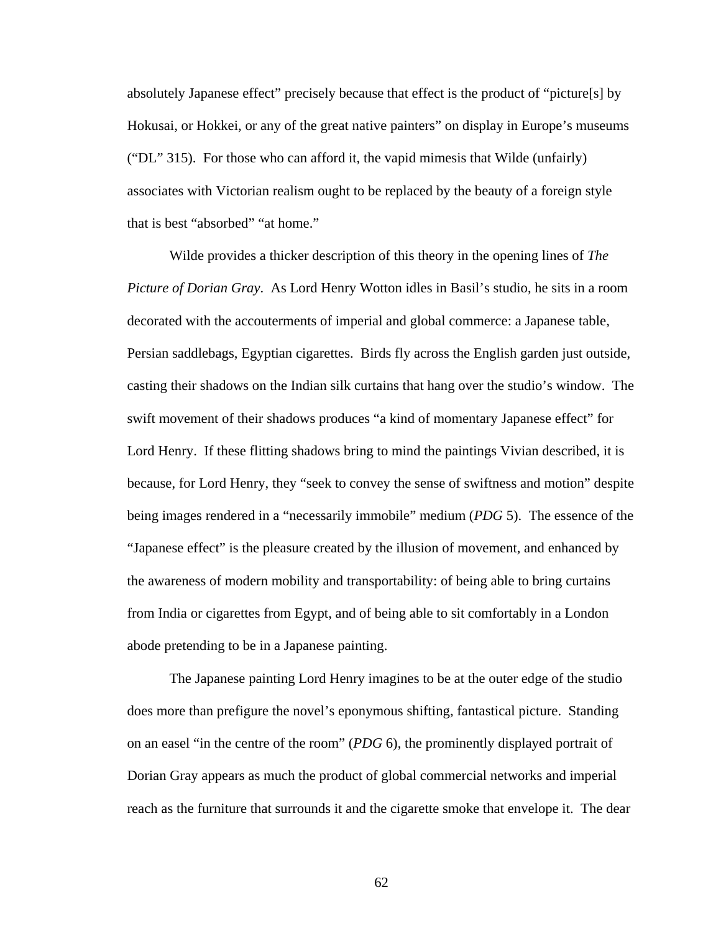absolutely Japanese effect" precisely because that effect is the product of "picture[s] by Hokusai, or Hokkei, or any of the great native painters" on display in Europe's museums ("DL" 315). For those who can afford it, the vapid mimesis that Wilde (unfairly) associates with Victorian realism ought to be replaced by the beauty of a foreign style that is best "absorbed" "at home."

Wilde provides a thicker description of this theory in the opening lines of *The Picture of Dorian Gray*. As Lord Henry Wotton idles in Basil's studio, he sits in a room decorated with the accouterments of imperial and global commerce: a Japanese table, Persian saddlebags, Egyptian cigarettes. Birds fly across the English garden just outside, casting their shadows on the Indian silk curtains that hang over the studio's window. The swift movement of their shadows produces "a kind of momentary Japanese effect" for Lord Henry. If these flitting shadows bring to mind the paintings Vivian described, it is because, for Lord Henry, they "seek to convey the sense of swiftness and motion" despite being images rendered in a "necessarily immobile" medium (*PDG* 5). The essence of the "Japanese effect" is the pleasure created by the illusion of movement, and enhanced by the awareness of modern mobility and transportability: of being able to bring curtains from India or cigarettes from Egypt, and of being able to sit comfortably in a London abode pretending to be in a Japanese painting.

The Japanese painting Lord Henry imagines to be at the outer edge of the studio does more than prefigure the novel's eponymous shifting, fantastical picture. Standing on an easel "in the centre of the room" (*PDG* 6), the prominently displayed portrait of Dorian Gray appears as much the product of global commercial networks and imperial reach as the furniture that surrounds it and the cigarette smoke that envelope it. The dear

62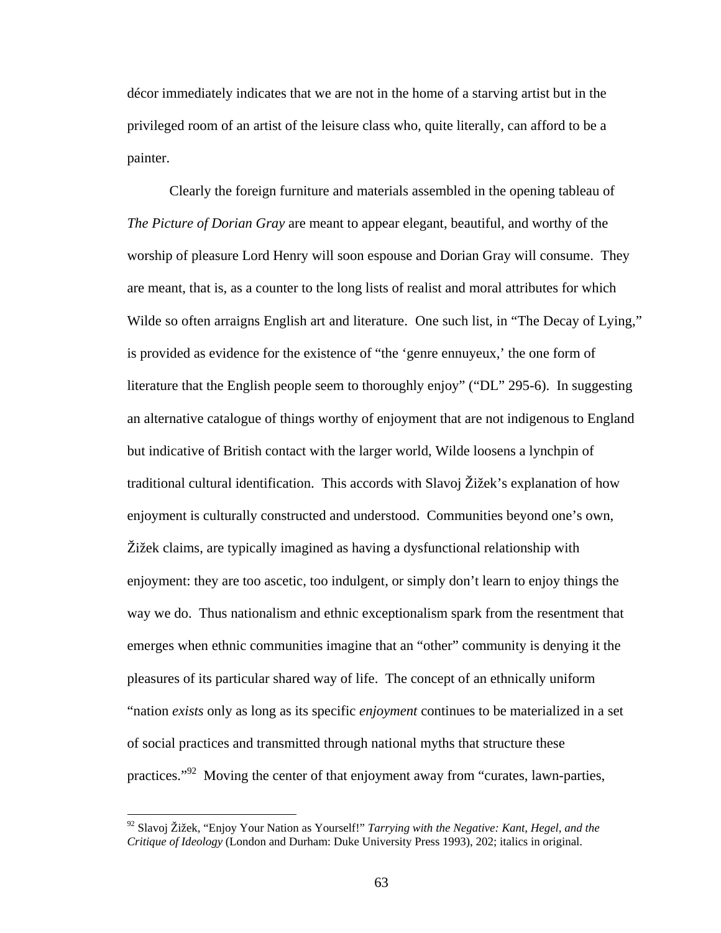décor immediately indicates that we are not in the home of a starving artist but in the privileged room of an artist of the leisure class who, quite literally, can afford to be a painter.

Clearly the foreign furniture and materials assembled in the opening tableau of *The Picture of Dorian Gray* are meant to appear elegant, beautiful, and worthy of the worship of pleasure Lord Henry will soon espouse and Dorian Gray will consume. They are meant, that is, as a counter to the long lists of realist and moral attributes for which Wilde so often arraigns English art and literature. One such list, in "The Decay of Lying," is provided as evidence for the existence of "the 'genre ennuyeux,' the one form of literature that the English people seem to thoroughly enjoy" ("DL" 295-6). In suggesting an alternative catalogue of things worthy of enjoyment that are not indigenous to England but indicative of British contact with the larger world, Wilde loosens a lynchpin of traditional cultural identification. This accords with Slavoj Žižek's explanation of how enjoyment is culturally constructed and understood. Communities beyond one's own, Žižek claims, are typically imagined as having a dysfunctional relationship with enjoyment: they are too ascetic, too indulgent, or simply don't learn to enjoy things the way we do. Thus nationalism and ethnic exceptionalism spark from the resentment that emerges when ethnic communities imagine that an "other" community is denying it the pleasures of its particular shared way of life. The concept of an ethnically uniform "nation *exists* only as long as its specific *enjoyment* continues to be materialized in a set of social practices and transmitted through national myths that structure these practices."92 Moving the center of that enjoyment away from "curates, lawn-parties,

<sup>92</sup> Slavoj Žižek, "Enjoy Your Nation as Yourself!" *Tarrying with the Negative: Kant, Hegel, and the Critique of Ideology* (London and Durham: Duke University Press 1993), 202; italics in original.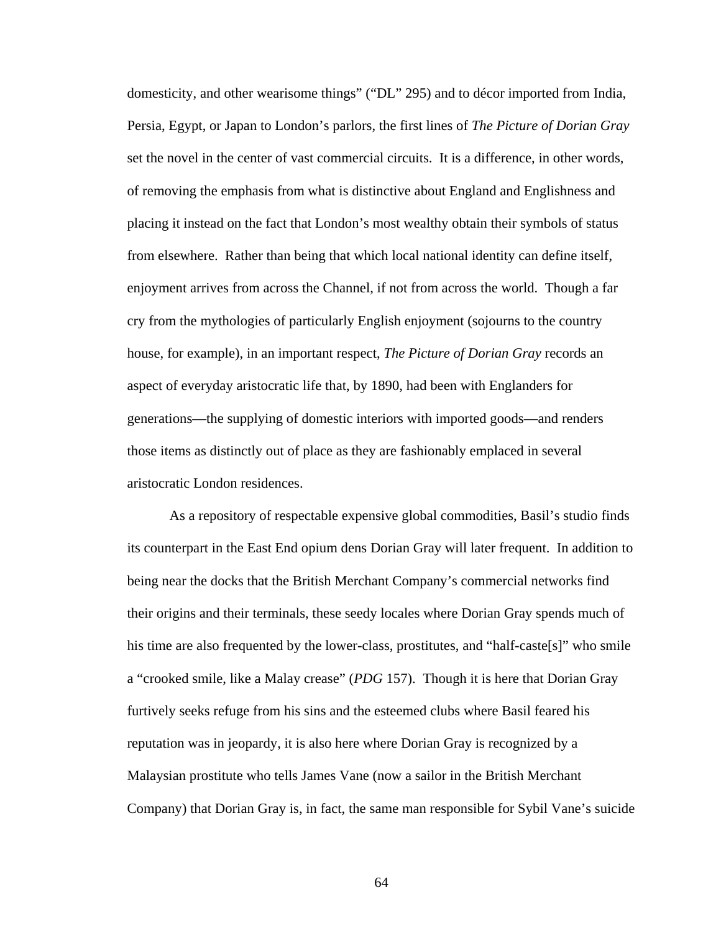domesticity, and other wearisome things" ("DL" 295) and to décor imported from India, Persia, Egypt, or Japan to London's parlors, the first lines of *The Picture of Dorian Gray* set the novel in the center of vast commercial circuits. It is a difference, in other words, of removing the emphasis from what is distinctive about England and Englishness and placing it instead on the fact that London's most wealthy obtain their symbols of status from elsewhere. Rather than being that which local national identity can define itself, enjoyment arrives from across the Channel, if not from across the world. Though a far cry from the mythologies of particularly English enjoyment (sojourns to the country house, for example), in an important respect, *The Picture of Dorian Gray* records an aspect of everyday aristocratic life that, by 1890, had been with Englanders for generations—the supplying of domestic interiors with imported goods—and renders those items as distinctly out of place as they are fashionably emplaced in several aristocratic London residences.

As a repository of respectable expensive global commodities, Basil's studio finds its counterpart in the East End opium dens Dorian Gray will later frequent. In addition to being near the docks that the British Merchant Company's commercial networks find their origins and their terminals, these seedy locales where Dorian Gray spends much of his time are also frequented by the lower-class, prostitutes, and "half-caste<sup>[s]"</sup> who smile a "crooked smile, like a Malay crease" (*PDG* 157). Though it is here that Dorian Gray furtively seeks refuge from his sins and the esteemed clubs where Basil feared his reputation was in jeopardy, it is also here where Dorian Gray is recognized by a Malaysian prostitute who tells James Vane (now a sailor in the British Merchant Company) that Dorian Gray is, in fact, the same man responsible for Sybil Vane's suicide

64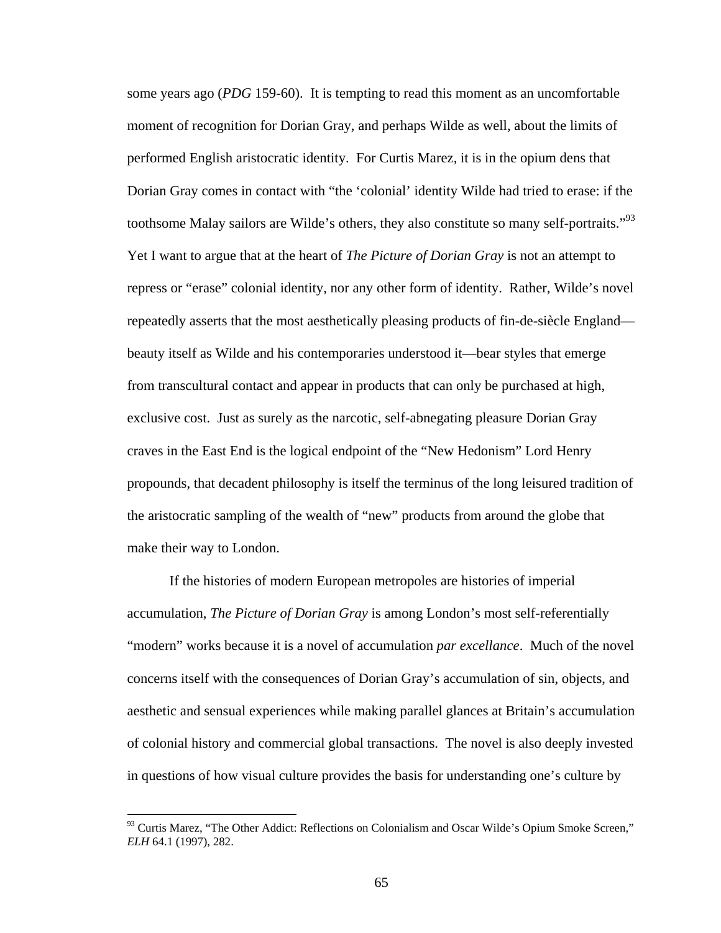some years ago (*PDG* 159-60). It is tempting to read this moment as an uncomfortable moment of recognition for Dorian Gray, and perhaps Wilde as well, about the limits of performed English aristocratic identity. For Curtis Marez, it is in the opium dens that Dorian Gray comes in contact with "the 'colonial' identity Wilde had tried to erase: if the toothsome Malay sailors are Wilde's others, they also constitute so many self-portraits."<sup>93</sup> Yet I want to argue that at the heart of *The Picture of Dorian Gray* is not an attempt to repress or "erase" colonial identity, nor any other form of identity. Rather, Wilde's novel repeatedly asserts that the most aesthetically pleasing products of fin-de-siècle England beauty itself as Wilde and his contemporaries understood it—bear styles that emerge from transcultural contact and appear in products that can only be purchased at high, exclusive cost. Just as surely as the narcotic, self-abnegating pleasure Dorian Gray craves in the East End is the logical endpoint of the "New Hedonism" Lord Henry propounds, that decadent philosophy is itself the terminus of the long leisured tradition of the aristocratic sampling of the wealth of "new" products from around the globe that make their way to London.

If the histories of modern European metropoles are histories of imperial accumulation, *The Picture of Dorian Gray* is among London's most self-referentially "modern" works because it is a novel of accumulation *par excellance*. Much of the novel concerns itself with the consequences of Dorian Gray's accumulation of sin, objects, and aesthetic and sensual experiences while making parallel glances at Britain's accumulation of colonial history and commercial global transactions. The novel is also deeply invested in questions of how visual culture provides the basis for understanding one's culture by

<sup>&</sup>lt;sup>93</sup> Curtis Marez, "The Other Addict: Reflections on Colonialism and Oscar Wilde's Opium Smoke Screen," *ELH* 64.1 (1997), 282.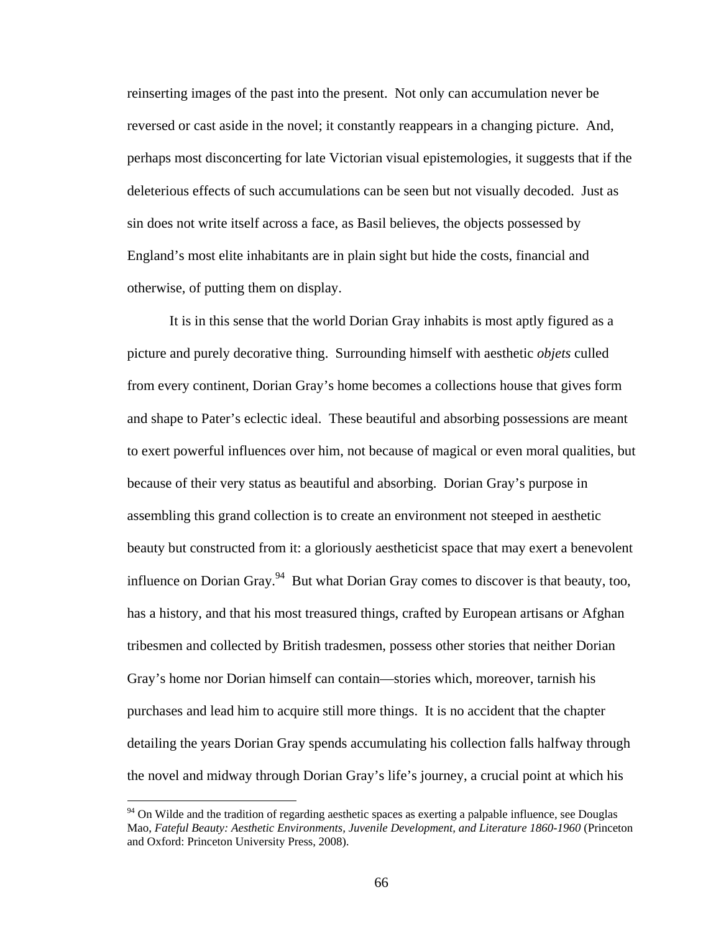reinserting images of the past into the present. Not only can accumulation never be reversed or cast aside in the novel; it constantly reappears in a changing picture. And, perhaps most disconcerting for late Victorian visual epistemologies, it suggests that if the deleterious effects of such accumulations can be seen but not visually decoded. Just as sin does not write itself across a face, as Basil believes, the objects possessed by England's most elite inhabitants are in plain sight but hide the costs, financial and otherwise, of putting them on display.

It is in this sense that the world Dorian Gray inhabits is most aptly figured as a picture and purely decorative thing. Surrounding himself with aesthetic *objets* culled from every continent, Dorian Gray's home becomes a collections house that gives form and shape to Pater's eclectic ideal. These beautiful and absorbing possessions are meant to exert powerful influences over him, not because of magical or even moral qualities, but because of their very status as beautiful and absorbing. Dorian Gray's purpose in assembling this grand collection is to create an environment not steeped in aesthetic beauty but constructed from it: a gloriously aestheticist space that may exert a benevolent influence on Dorian Gray. $94$  But what Dorian Gray comes to discover is that beauty, too, has a history, and that his most treasured things, crafted by European artisans or Afghan tribesmen and collected by British tradesmen, possess other stories that neither Dorian Gray's home nor Dorian himself can contain—stories which, moreover, tarnish his purchases and lead him to acquire still more things. It is no accident that the chapter detailing the years Dorian Gray spends accumulating his collection falls halfway through the novel and midway through Dorian Gray's life's journey, a crucial point at which his

 $94$  On Wilde and the tradition of regarding aesthetic spaces as exerting a palpable influence, see Douglas Mao, *Fateful Beauty: Aesthetic Environments, Juvenile Development, and Literature 1860-1960* (Princeton and Oxford: Princeton University Press, 2008).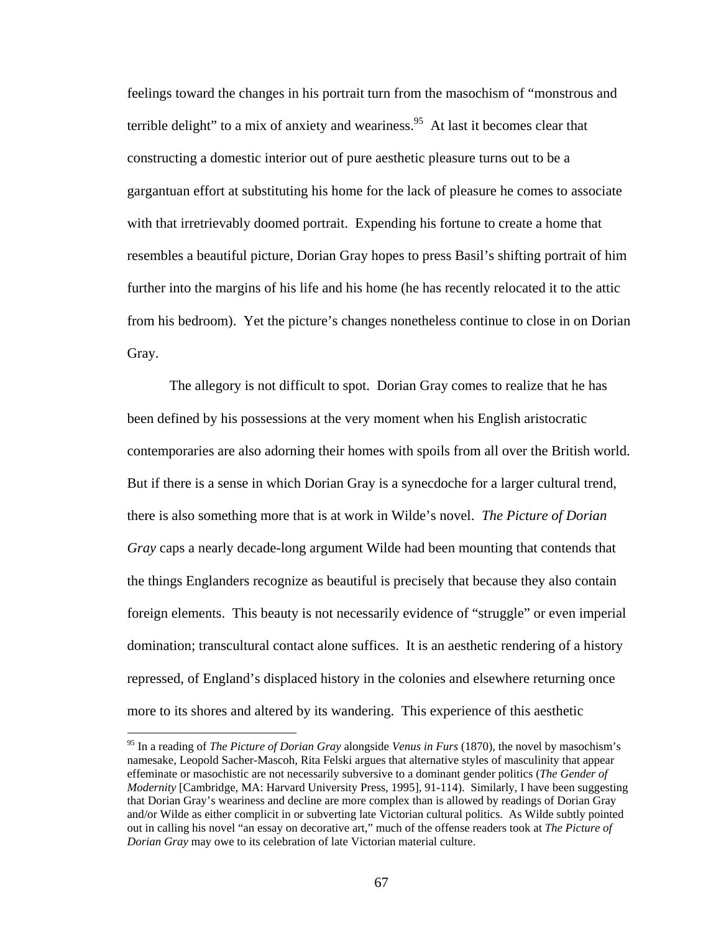feelings toward the changes in his portrait turn from the masochism of "monstrous and terrible delight" to a mix of anxiety and weariness.<sup>95</sup> At last it becomes clear that constructing a domestic interior out of pure aesthetic pleasure turns out to be a gargantuan effort at substituting his home for the lack of pleasure he comes to associate with that irretrievably doomed portrait. Expending his fortune to create a home that resembles a beautiful picture, Dorian Gray hopes to press Basil's shifting portrait of him further into the margins of his life and his home (he has recently relocated it to the attic from his bedroom). Yet the picture's changes nonetheless continue to close in on Dorian Gray.

The allegory is not difficult to spot. Dorian Gray comes to realize that he has been defined by his possessions at the very moment when his English aristocratic contemporaries are also adorning their homes with spoils from all over the British world. But if there is a sense in which Dorian Gray is a synecdoche for a larger cultural trend, there is also something more that is at work in Wilde's novel. *The Picture of Dorian Gray* caps a nearly decade-long argument Wilde had been mounting that contends that the things Englanders recognize as beautiful is precisely that because they also contain foreign elements. This beauty is not necessarily evidence of "struggle" or even imperial domination; transcultural contact alone suffices. It is an aesthetic rendering of a history repressed, of England's displaced history in the colonies and elsewhere returning once more to its shores and altered by its wandering. This experience of this aesthetic

<sup>95</sup> In a reading of *The Picture of Dorian Gray* alongside *Venus in Furs* (1870), the novel by masochism's namesake, Leopold Sacher-Mascoh, Rita Felski argues that alternative styles of masculinity that appear effeminate or masochistic are not necessarily subversive to a dominant gender politics (*The Gender of Modernity* [Cambridge, MA: Harvard University Press, 1995], 91-114). Similarly, I have been suggesting that Dorian Gray's weariness and decline are more complex than is allowed by readings of Dorian Gray and/or Wilde as either complicit in or subverting late Victorian cultural politics. As Wilde subtly pointed out in calling his novel "an essay on decorative art," much of the offense readers took at *The Picture of Dorian Gray* may owe to its celebration of late Victorian material culture.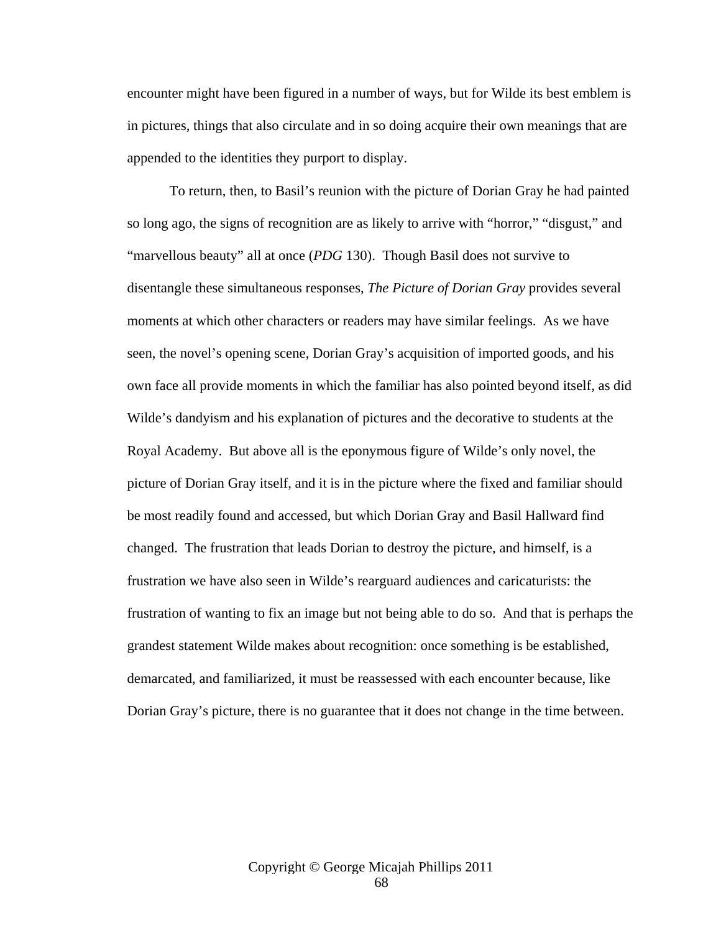encounter might have been figured in a number of ways, but for Wilde its best emblem is in pictures, things that also circulate and in so doing acquire their own meanings that are appended to the identities they purport to display.

To return, then, to Basil's reunion with the picture of Dorian Gray he had painted so long ago, the signs of recognition are as likely to arrive with "horror," "disgust," and "marvellous beauty" all at once (*PDG* 130). Though Basil does not survive to disentangle these simultaneous responses, *The Picture of Dorian Gray* provides several moments at which other characters or readers may have similar feelings. As we have seen, the novel's opening scene, Dorian Gray's acquisition of imported goods, and his own face all provide moments in which the familiar has also pointed beyond itself, as did Wilde's dandyism and his explanation of pictures and the decorative to students at the Royal Academy. But above all is the eponymous figure of Wilde's only novel, the picture of Dorian Gray itself, and it is in the picture where the fixed and familiar should be most readily found and accessed, but which Dorian Gray and Basil Hallward find changed. The frustration that leads Dorian to destroy the picture, and himself, is a frustration we have also seen in Wilde's rearguard audiences and caricaturists: the frustration of wanting to fix an image but not being able to do so. And that is perhaps the grandest statement Wilde makes about recognition: once something is be established, demarcated, and familiarized, it must be reassessed with each encounter because, like Dorian Gray's picture, there is no guarantee that it does not change in the time between.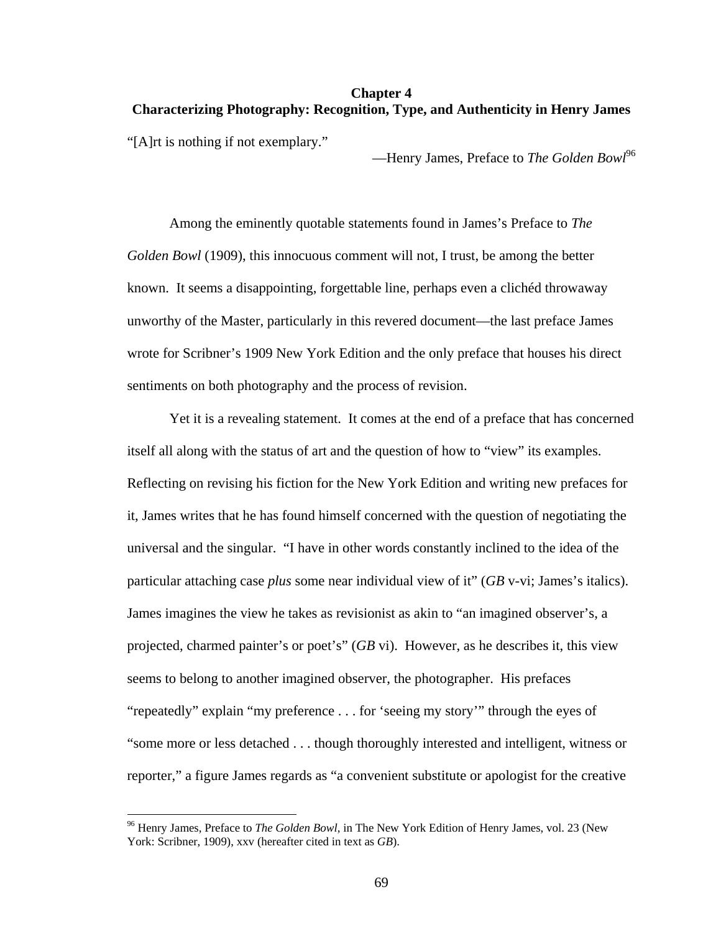# **Chapter 4 Characterizing Photography: Recognition, Type, and Authenticity in Henry James**

"[A]rt is nothing if not exemplary."

 $\overline{a}$ 

—Henry James, Preface to *The Golden Bowl*<sup>96</sup>

Among the eminently quotable statements found in James's Preface to *The Golden Bowl* (1909), this innocuous comment will not, I trust, be among the better known. It seems a disappointing, forgettable line, perhaps even a clichéd throwaway unworthy of the Master, particularly in this revered document—the last preface James wrote for Scribner's 1909 New York Edition and the only preface that houses his direct sentiments on both photography and the process of revision.

Yet it is a revealing statement. It comes at the end of a preface that has concerned itself all along with the status of art and the question of how to "view" its examples. Reflecting on revising his fiction for the New York Edition and writing new prefaces for it, James writes that he has found himself concerned with the question of negotiating the universal and the singular. "I have in other words constantly inclined to the idea of the particular attaching case *plus* some near individual view of it" (*GB* v-vi; James's italics). James imagines the view he takes as revisionist as akin to "an imagined observer's, a projected, charmed painter's or poet's" (*GB* vi). However, as he describes it, this view seems to belong to another imagined observer, the photographer. His prefaces "repeatedly" explain "my preference . . . for 'seeing my story'" through the eyes of "some more or less detached . . . though thoroughly interested and intelligent, witness or reporter," a figure James regards as "a convenient substitute or apologist for the creative

<sup>96</sup> Henry James, Preface to *The Golden Bowl*, in The New York Edition of Henry James, vol. 23 (New York: Scribner, 1909), xxv (hereafter cited in text as *GB*).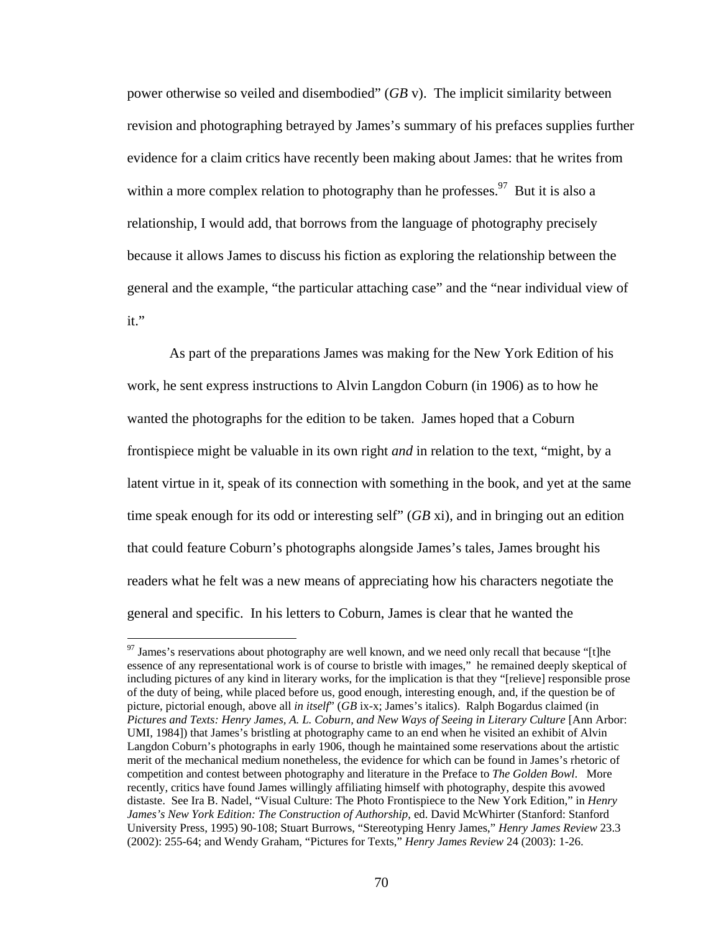power otherwise so veiled and disembodied" (*GB* v). The implicit similarity between revision and photographing betrayed by James's summary of his prefaces supplies further evidence for a claim critics have recently been making about James: that he writes from within a more complex relation to photography than he professes.<sup>97</sup> But it is also a relationship, I would add, that borrows from the language of photography precisely because it allows James to discuss his fiction as exploring the relationship between the general and the example, "the particular attaching case" and the "near individual view of it."

As part of the preparations James was making for the New York Edition of his work, he sent express instructions to Alvin Langdon Coburn (in 1906) as to how he wanted the photographs for the edition to be taken. James hoped that a Coburn frontispiece might be valuable in its own right *and* in relation to the text, "might, by a latent virtue in it, speak of its connection with something in the book, and yet at the same time speak enough for its odd or interesting self" (*GB* xi), and in bringing out an edition that could feature Coburn's photographs alongside James's tales, James brought his readers what he felt was a new means of appreciating how his characters negotiate the general and specific. In his letters to Coburn, James is clear that he wanted the

 $97$  James's reservations about photography are well known, and we need only recall that because "[t]he essence of any representational work is of course to bristle with images," he remained deeply skeptical of including pictures of any kind in literary works, for the implication is that they "[relieve] responsible prose of the duty of being, while placed before us, good enough, interesting enough, and, if the question be of picture, pictorial enough, above all *in itself*" (*GB* ix-x; James's italics). Ralph Bogardus claimed (in *Pictures and Texts: Henry James, A. L. Coburn, and New Ways of Seeing in Literary Culture* [Ann Arbor: UMI, 1984]) that James's bristling at photography came to an end when he visited an exhibit of Alvin Langdon Coburn's photographs in early 1906, though he maintained some reservations about the artistic merit of the mechanical medium nonetheless, the evidence for which can be found in James's rhetoric of competition and contest between photography and literature in the Preface to *The Golden Bowl*. More recently, critics have found James willingly affiliating himself with photography, despite this avowed distaste. See Ira B. Nadel, "Visual Culture: The Photo Frontispiece to the New York Edition," in *Henry James's New York Edition: The Construction of Authorship*, ed. David McWhirter (Stanford: Stanford University Press, 1995) 90-108; Stuart Burrows, "Stereotyping Henry James," *Henry James Review* 23.3 (2002): 255-64; and Wendy Graham, "Pictures for Texts," *Henry James Review* 24 (2003): 1-26.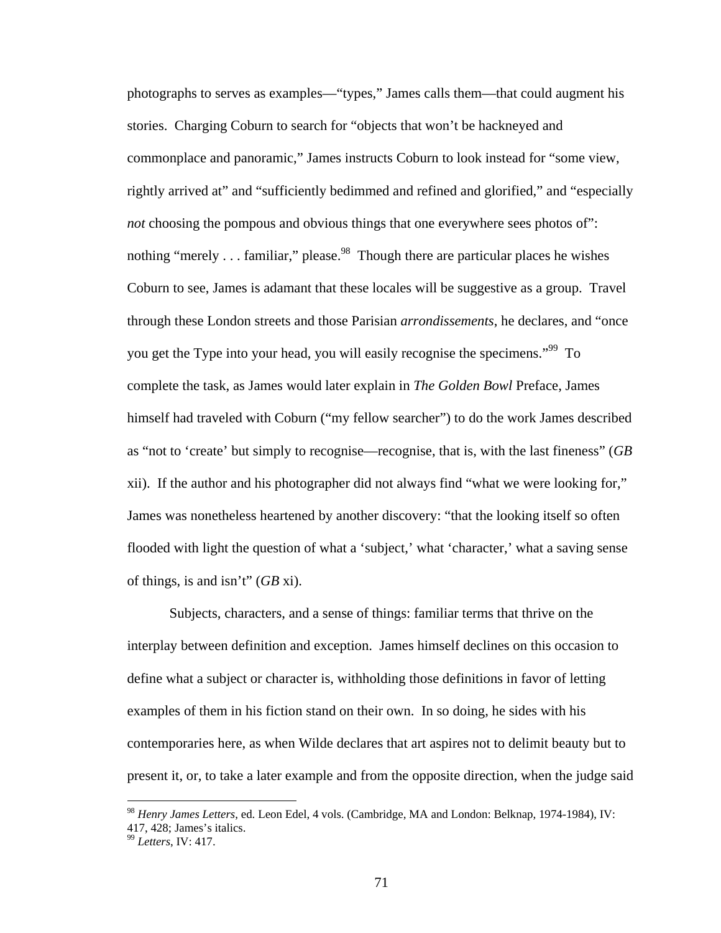photographs to serves as examples—"types," James calls them—that could augment his stories. Charging Coburn to search for "objects that won't be hackneyed and commonplace and panoramic," James instructs Coburn to look instead for "some view, rightly arrived at" and "sufficiently bedimmed and refined and glorified," and "especially *not* choosing the pompous and obvious things that one everywhere sees photos of": nothing "merely  $\dots$  familiar," please.<sup>98</sup> Though there are particular places he wishes Coburn to see, James is adamant that these locales will be suggestive as a group. Travel through these London streets and those Parisian *arrondissements*, he declares, and "once you get the Type into your head, you will easily recognise the specimens."<sup>99</sup> To complete the task, as James would later explain in *The Golden Bowl* Preface, James himself had traveled with Coburn ("my fellow searcher") to do the work James described as "not to 'create' but simply to recognise—recognise, that is, with the last fineness" (*GB* xii). If the author and his photographer did not always find "what we were looking for," James was nonetheless heartened by another discovery: "that the looking itself so often flooded with light the question of what a 'subject,' what 'character,' what a saving sense of things, is and isn't" (*GB* xi).

 Subjects, characters, and a sense of things: familiar terms that thrive on the interplay between definition and exception. James himself declines on this occasion to define what a subject or character is, withholding those definitions in favor of letting examples of them in his fiction stand on their own. In so doing, he sides with his contemporaries here, as when Wilde declares that art aspires not to delimit beauty but to present it, or, to take a later example and from the opposite direction, when the judge said

<sup>98</sup> *Henry James Letters*, ed. Leon Edel, 4 vols. (Cambridge, MA and London: Belknap, 1974-1984), IV: 417, 428; James's italics.

<sup>99</sup> *Letters*, IV: 417.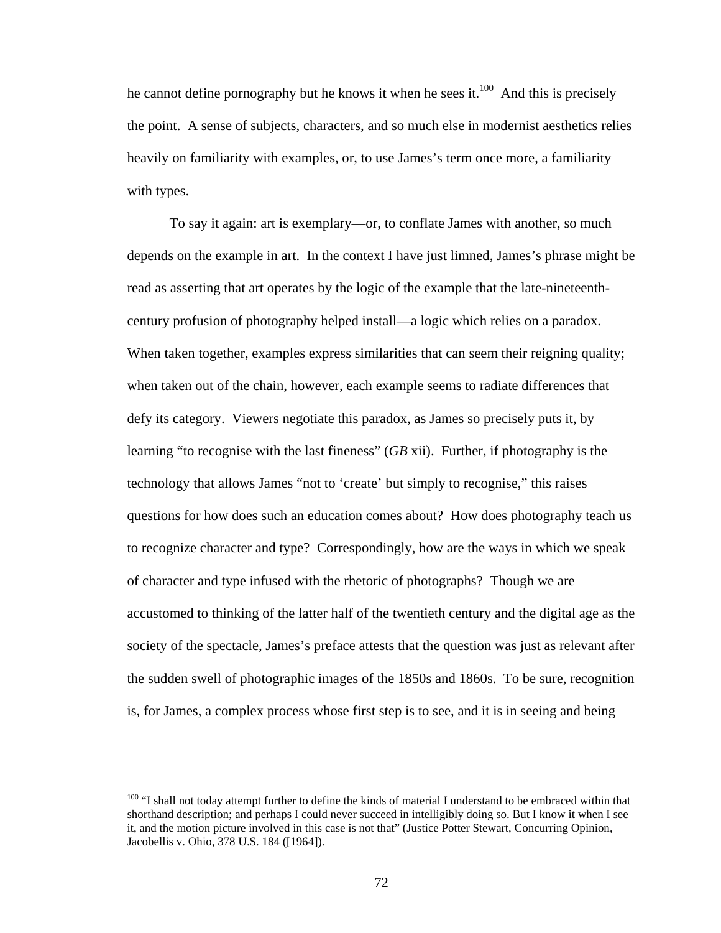he cannot define pornography but he knows it when he sees it.<sup>100</sup> And this is precisely the point. A sense of subjects, characters, and so much else in modernist aesthetics relies heavily on familiarity with examples, or, to use James's term once more, a familiarity with types.

To say it again: art is exemplary—or, to conflate James with another, so much depends on the example in art. In the context I have just limned, James's phrase might be read as asserting that art operates by the logic of the example that the late-nineteenthcentury profusion of photography helped install—a logic which relies on a paradox. When taken together, examples express similarities that can seem their reigning quality; when taken out of the chain, however, each example seems to radiate differences that defy its category. Viewers negotiate this paradox, as James so precisely puts it, by learning "to recognise with the last fineness" (*GB* xii). Further, if photography is the technology that allows James "not to 'create' but simply to recognise," this raises questions for how does such an education comes about? How does photography teach us to recognize character and type? Correspondingly, how are the ways in which we speak of character and type infused with the rhetoric of photographs? Though we are accustomed to thinking of the latter half of the twentieth century and the digital age as the society of the spectacle, James's preface attests that the question was just as relevant after the sudden swell of photographic images of the 1850s and 1860s. To be sure, recognition is, for James, a complex process whose first step is to see, and it is in seeing and being

<sup>&</sup>lt;sup>100</sup> "I shall not today attempt further to define the kinds of material I understand to be embraced within that shorthand description; and perhaps I could never succeed in intelligibly doing so. But I know it when I see it, and the motion picture involved in this case is not that" (Justice Potter Stewart, Concurring Opinion, Jacobellis v. Ohio, 378 U.S. 184 ([1964]).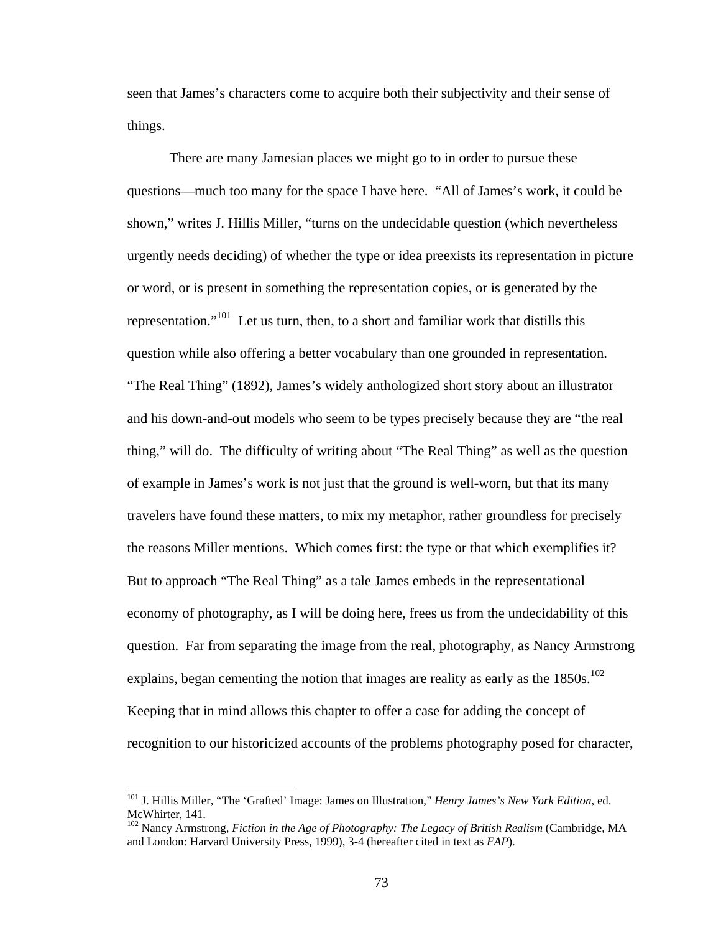seen that James's characters come to acquire both their subjectivity and their sense of things.

There are many Jamesian places we might go to in order to pursue these questions—much too many for the space I have here. "All of James's work, it could be shown," writes J. Hillis Miller, "turns on the undecidable question (which nevertheless urgently needs deciding) of whether the type or idea preexists its representation in picture or word, or is present in something the representation copies, or is generated by the representation."<sup>101</sup> Let us turn, then, to a short and familiar work that distills this question while also offering a better vocabulary than one grounded in representation. "The Real Thing" (1892), James's widely anthologized short story about an illustrator and his down-and-out models who seem to be types precisely because they are "the real thing," will do. The difficulty of writing about "The Real Thing" as well as the question of example in James's work is not just that the ground is well-worn, but that its many travelers have found these matters, to mix my metaphor, rather groundless for precisely the reasons Miller mentions. Which comes first: the type or that which exemplifies it? But to approach "The Real Thing" as a tale James embeds in the representational economy of photography, as I will be doing here, frees us from the undecidability of this question. Far from separating the image from the real, photography, as Nancy Armstrong explains, began cementing the notion that images are reality as early as the  $1850s$ .<sup>102</sup> Keeping that in mind allows this chapter to offer a case for adding the concept of recognition to our historicized accounts of the problems photography posed for character,

<sup>101</sup> J. Hillis Miller, "The 'Grafted' Image: James on Illustration," *Henry James's New York Edition*, ed. McWhirter, 141.

<sup>102</sup> Nancy Armstrong, *Fiction in the Age of Photography: The Legacy of British Realism* (Cambridge, MA and London: Harvard University Press, 1999), 3-4 (hereafter cited in text as *FAP*).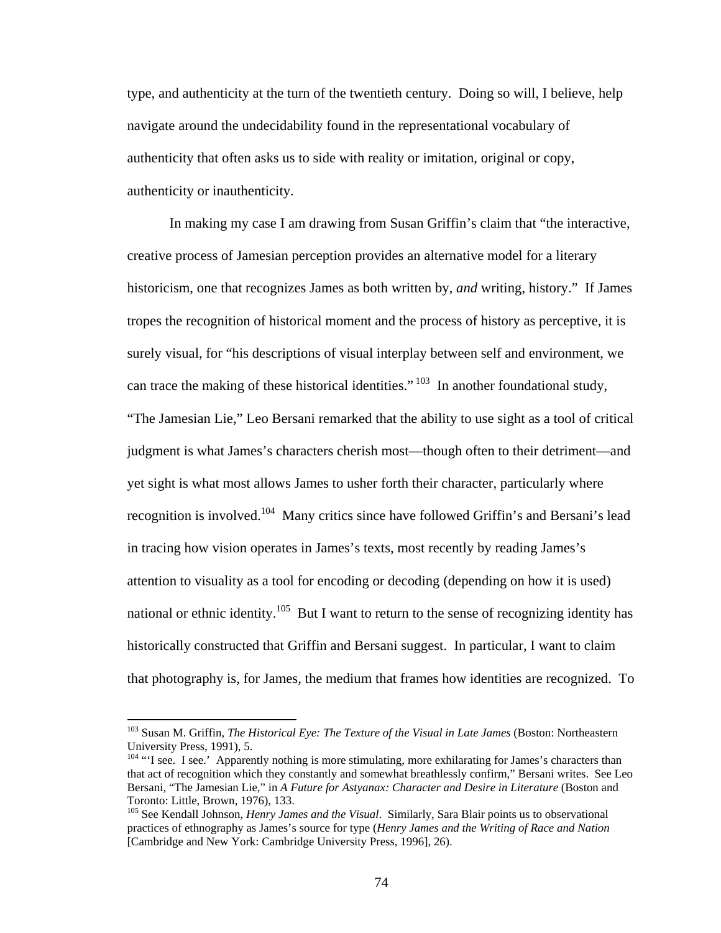type, and authenticity at the turn of the twentieth century. Doing so will, I believe, help navigate around the undecidability found in the representational vocabulary of authenticity that often asks us to side with reality or imitation, original or copy, authenticity or inauthenticity.

In making my case I am drawing from Susan Griffin's claim that "the interactive, creative process of Jamesian perception provides an alternative model for a literary historicism, one that recognizes James as both written by, *and* writing, history." If James tropes the recognition of historical moment and the process of history as perceptive, it is surely visual, for "his descriptions of visual interplay between self and environment, we can trace the making of these historical identities."<sup>103</sup> In another foundational study, "The Jamesian Lie," Leo Bersani remarked that the ability to use sight as a tool of critical judgment is what James's characters cherish most—though often to their detriment—and yet sight is what most allows James to usher forth their character, particularly where recognition is involved.<sup>104</sup> Many critics since have followed Griffin's and Bersani's lead in tracing how vision operates in James's texts, most recently by reading James's attention to visuality as a tool for encoding or decoding (depending on how it is used) national or ethnic identity.<sup>105</sup> But I want to return to the sense of recognizing identity has historically constructed that Griffin and Bersani suggest. In particular, I want to claim that photography is, for James, the medium that frames how identities are recognized. To

<sup>103</sup> Susan M. Griffin, *The Historical Eye: The Texture of the Visual in Late James* (Boston: Northeastern University Press, 1991), 5.

<sup>&</sup>lt;sup>104</sup> "'I see. I see.' Apparently nothing is more stimulating, more exhilarating for James's characters than that act of recognition which they constantly and somewhat breathlessly confirm," Bersani writes. See Leo Bersani, "The Jamesian Lie," in *A Future for Astyanax: Character and Desire in Literature* (Boston and Toronto: Little, Brown, 1976), 133.

<sup>105</sup> See Kendall Johnson, *Henry James and the Visual*. Similarly, Sara Blair points us to observational practices of ethnography as James's source for type (*Henry James and the Writing of Race and Nation* [Cambridge and New York: Cambridge University Press, 1996], 26).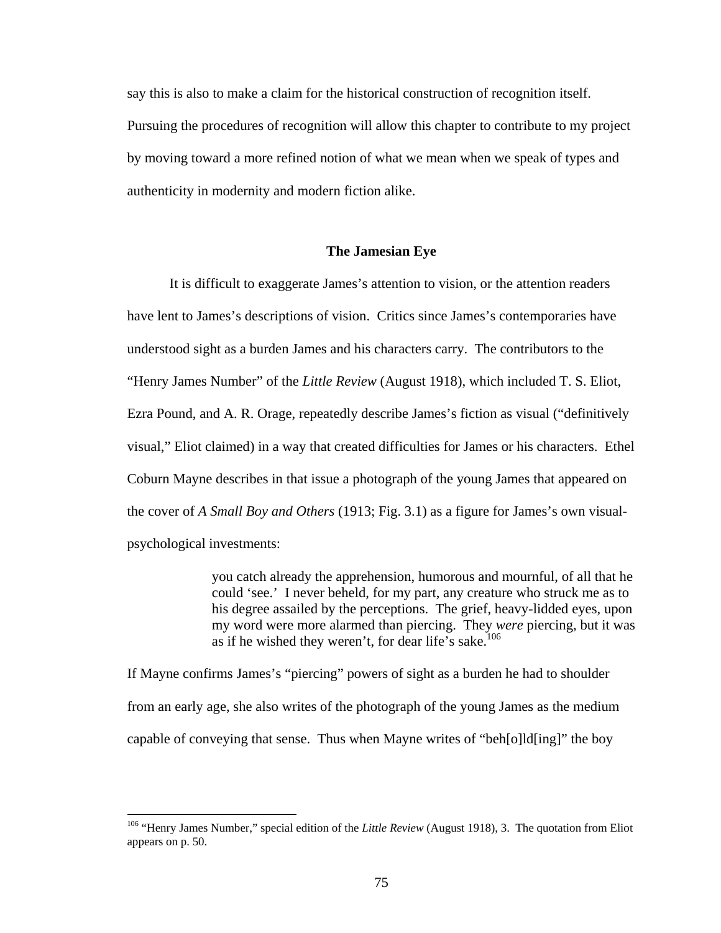say this is also to make a claim for the historical construction of recognition itself. Pursuing the procedures of recognition will allow this chapter to contribute to my project by moving toward a more refined notion of what we mean when we speak of types and authenticity in modernity and modern fiction alike.

### **The Jamesian Eye**

It is difficult to exaggerate James's attention to vision, or the attention readers have lent to James's descriptions of vision. Critics since James's contemporaries have understood sight as a burden James and his characters carry. The contributors to the "Henry James Number" of the *Little Review* (August 1918), which included T. S. Eliot, Ezra Pound, and A. R. Orage, repeatedly describe James's fiction as visual ("definitively visual," Eliot claimed) in a way that created difficulties for James or his characters. Ethel Coburn Mayne describes in that issue a photograph of the young James that appeared on the cover of *A Small Boy and Others* (1913; Fig. 3.1) as a figure for James's own visualpsychological investments:

> you catch already the apprehension, humorous and mournful, of all that he could 'see.' I never beheld, for my part, any creature who struck me as to his degree assailed by the perceptions. The grief, heavy-lidded eyes, upon my word were more alarmed than piercing. They *were* piercing, but it was as if he wished they weren't, for dear life's sake.<sup>106</sup>

If Mayne confirms James's "piercing" powers of sight as a burden he had to shoulder from an early age, she also writes of the photograph of the young James as the medium capable of conveying that sense. Thus when Mayne writes of "beh[o]ld[ing]" the boy

<sup>106 &</sup>quot;Henry James Number," special edition of the *Little Review* (August 1918), 3. The quotation from Eliot appears on p. 50.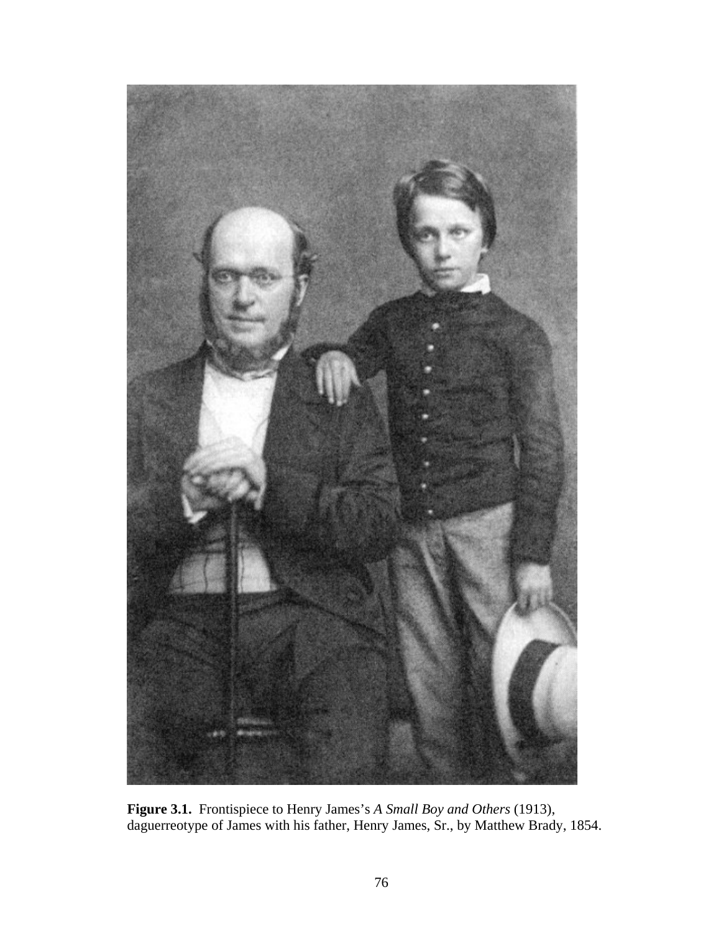

**Figure 3.1.** Frontispiece to Henry James's *A Small Boy and Others* (1913), daguerreotype of James with his father, Henry James, Sr., by Matthew Brady, 1854.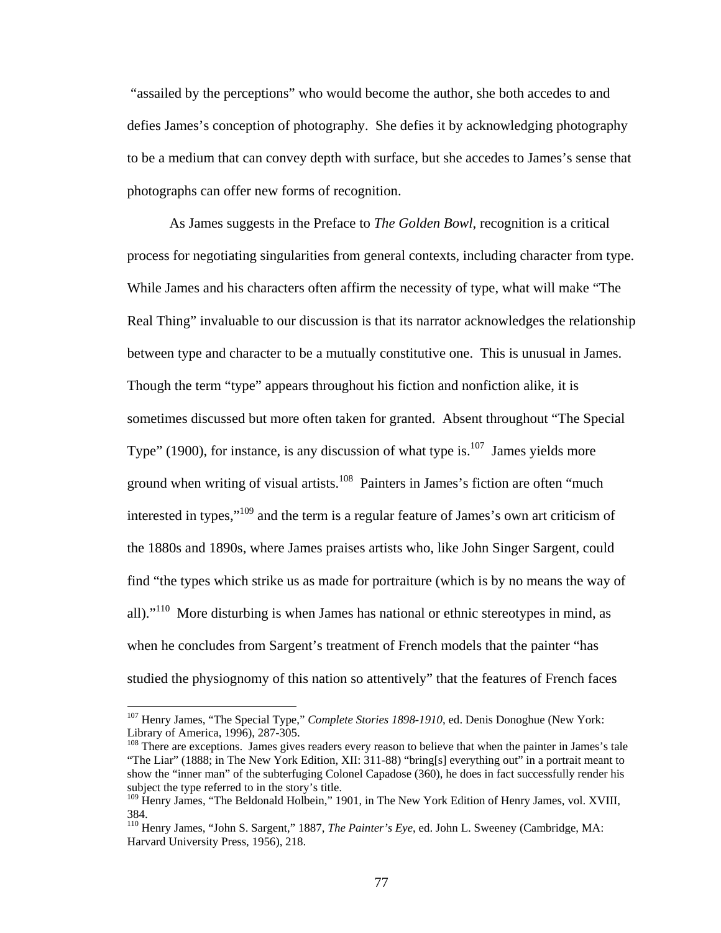"assailed by the perceptions" who would become the author, she both accedes to and defies James's conception of photography. She defies it by acknowledging photography to be a medium that can convey depth with surface, but she accedes to James's sense that photographs can offer new forms of recognition.

As James suggests in the Preface to *The Golden Bowl*, recognition is a critical process for negotiating singularities from general contexts, including character from type. While James and his characters often affirm the necessity of type, what will make "The Real Thing" invaluable to our discussion is that its narrator acknowledges the relationship between type and character to be a mutually constitutive one. This is unusual in James. Though the term "type" appears throughout his fiction and nonfiction alike, it is sometimes discussed but more often taken for granted. Absent throughout "The Special Type" (1900), for instance, is any discussion of what type is.<sup>107</sup> James yields more ground when writing of visual artists.<sup>108</sup> Painters in James's fiction are often "much" interested in types,"109 and the term is a regular feature of James's own art criticism of the 1880s and 1890s, where James praises artists who, like John Singer Sargent, could find "the types which strike us as made for portraiture (which is by no means the way of all). $11^{110}$  More disturbing is when James has national or ethnic stereotypes in mind, as when he concludes from Sargent's treatment of French models that the painter "has studied the physiognomy of this nation so attentively" that the features of French faces

<sup>107</sup> Henry James, "The Special Type," *Complete Stories 1898-1910*, ed. Denis Donoghue (New York: Library of America, 1996), 287-305.

<sup>&</sup>lt;sup>108</sup> There are exceptions. James gives readers every reason to believe that when the painter in James's tale "The Liar" (1888; in The New York Edition, XII: 311-88) "bring[s] everything out" in a portrait meant to show the "inner man" of the subterfuging Colonel Capadose (360), he does in fact successfully render his subject the type referred to in the story's title.

<sup>&</sup>lt;sup>109</sup> Henry James, "The Beldonald Holbein," 1901, in The New York Edition of Henry James, vol. XVIII, 384.

<sup>110</sup> Henry James, "John S. Sargent," 1887, *The Painter's Eye*, ed. John L. Sweeney (Cambridge, MA: Harvard University Press, 1956), 218.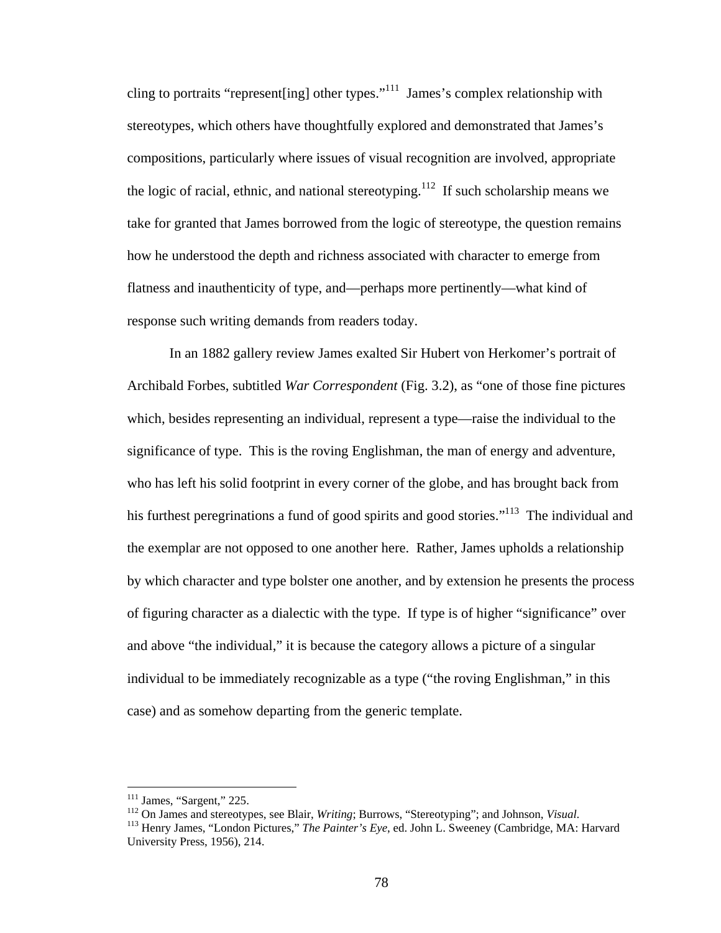cling to portraits "represent[ing] other types."111 James's complex relationship with stereotypes, which others have thoughtfully explored and demonstrated that James's compositions, particularly where issues of visual recognition are involved, appropriate the logic of racial, ethnic, and national stereotyping.<sup>112</sup> If such scholarship means we take for granted that James borrowed from the logic of stereotype, the question remains how he understood the depth and richness associated with character to emerge from flatness and inauthenticity of type, and—perhaps more pertinently—what kind of response such writing demands from readers today.

In an 1882 gallery review James exalted Sir Hubert von Herkomer's portrait of Archibald Forbes, subtitled *War Correspondent* (Fig. 3.2), as "one of those fine pictures which, besides representing an individual, represent a type—raise the individual to the significance of type. This is the roving Englishman, the man of energy and adventure, who has left his solid footprint in every corner of the globe, and has brought back from his furthest peregrinations a fund of good spirits and good stories."<sup>113</sup> The individual and the exemplar are not opposed to one another here. Rather, James upholds a relationship by which character and type bolster one another, and by extension he presents the process of figuring character as a dialectic with the type. If type is of higher "significance" over and above "the individual," it is because the category allows a picture of a singular individual to be immediately recognizable as a type ("the roving Englishman," in this case) and as somehow departing from the generic template.

 $111$  James, "Sargent," 225.

<sup>&</sup>lt;sup>112</sup> On James and stereotypes, see Blair, *Writing*; Burrows, "Stereotyping"; and Johnson, *Visual*.<br><sup>113</sup> Henry James, "London Pictures," *The Painter's Eye*, ed. John L. Sweeney (Cambridge, MA: Harvard

University Press, 1956), 214.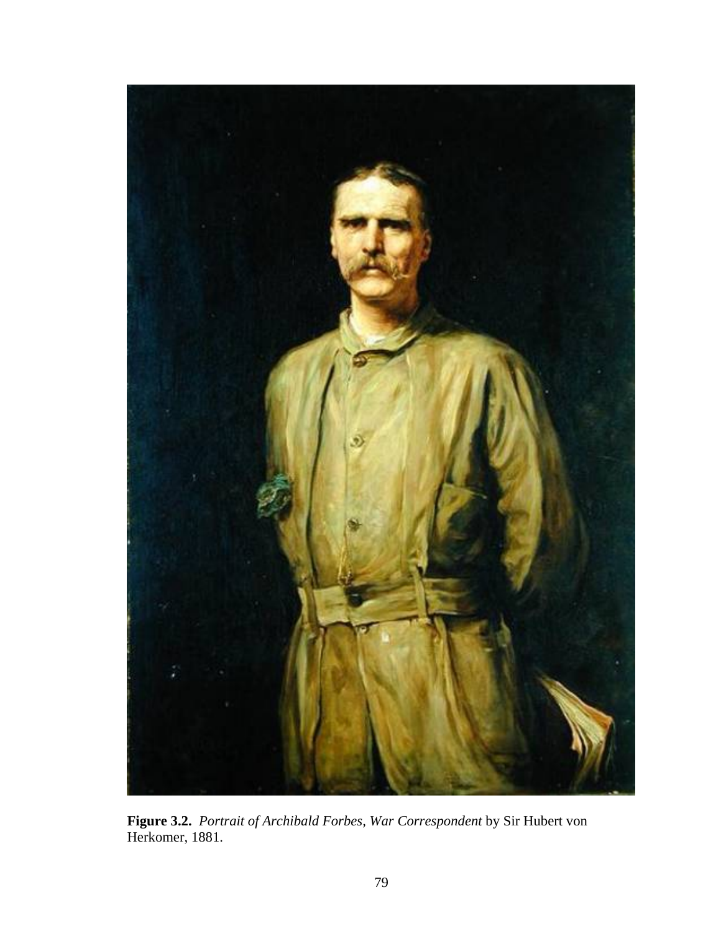

**Figure 3.2.** *Portrait of Archibald Forbes, War Correspondent* by Sir Hubert von Herkomer, 1881.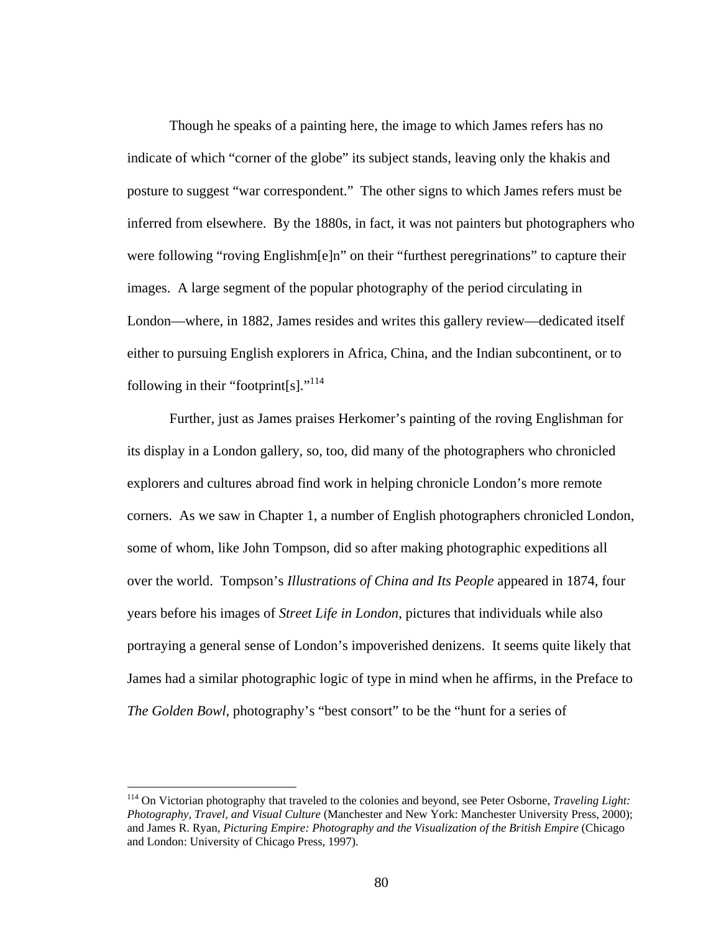Though he speaks of a painting here, the image to which James refers has no indicate of which "corner of the globe" its subject stands, leaving only the khakis and posture to suggest "war correspondent." The other signs to which James refers must be inferred from elsewhere. By the 1880s, in fact, it was not painters but photographers who were following "roving Englishm[e]n" on their "furthest peregrinations" to capture their images. A large segment of the popular photography of the period circulating in London—where, in 1882, James resides and writes this gallery review—dedicated itself either to pursuing English explorers in Africa, China, and the Indian subcontinent, or to following in their "footprint[s]."<sup>114</sup>

Further, just as James praises Herkomer's painting of the roving Englishman for its display in a London gallery, so, too, did many of the photographers who chronicled explorers and cultures abroad find work in helping chronicle London's more remote corners. As we saw in Chapter 1, a number of English photographers chronicled London, some of whom, like John Tompson, did so after making photographic expeditions all over the world. Tompson's *Illustrations of China and Its People* appeared in 1874, four years before his images of *Street Life in London*, pictures that individuals while also portraying a general sense of London's impoverished denizens. It seems quite likely that James had a similar photographic logic of type in mind when he affirms, in the Preface to *The Golden Bowl*, photography's "best consort" to be the "hunt for a series of

<sup>114</sup> On Victorian photography that traveled to the colonies and beyond, see Peter Osborne, *Traveling Light: Photography, Travel, and Visual Culture* (Manchester and New York: Manchester University Press, 2000); and James R. Ryan, *Picturing Empire: Photography and the Visualization of the British Empire* (Chicago and London: University of Chicago Press, 1997).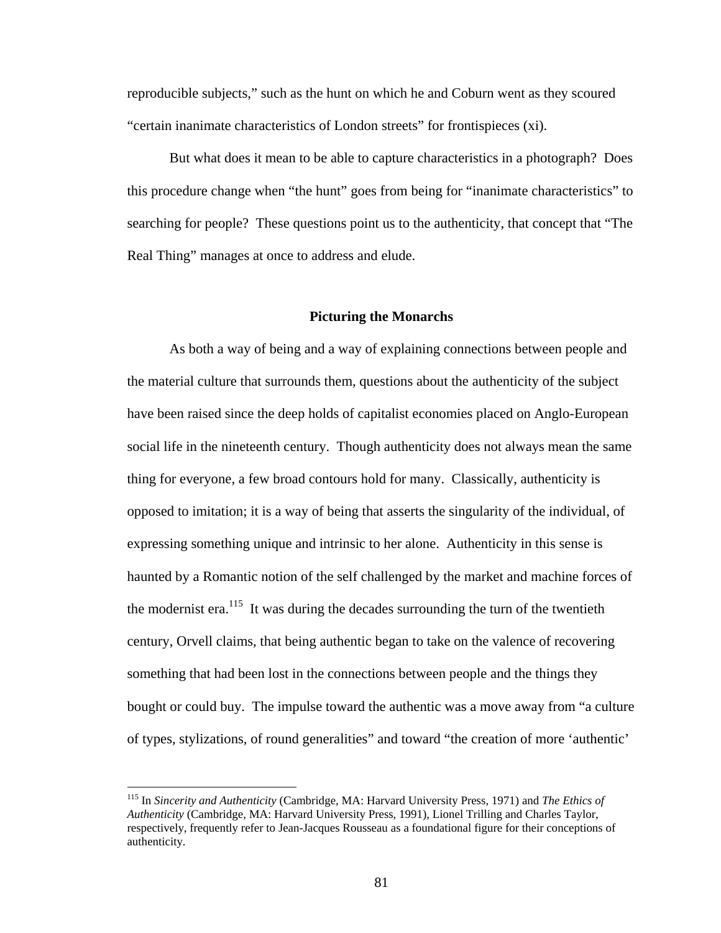reproducible subjects," such as the hunt on which he and Coburn went as they scoured "certain inanimate characteristics of London streets" for frontispieces (xi).

But what does it mean to be able to capture characteristics in a photograph? Does this procedure change when "the hunt" goes from being for "inanimate characteristics" to searching for people? These questions point us to the authenticity, that concept that "The Real Thing" manages at once to address and elude.

#### **Picturing the Monarchs**

As both a way of being and a way of explaining connections between people and the material culture that surrounds them, questions about the authenticity of the subject have been raised since the deep holds of capitalist economies placed on Anglo-European social life in the nineteenth century. Though authenticity does not always mean the same thing for everyone, a few broad contours hold for many. Classically, authenticity is opposed to imitation; it is a way of being that asserts the singularity of the individual, of expressing something unique and intrinsic to her alone. Authenticity in this sense is haunted by a Romantic notion of the self challenged by the market and machine forces of the modernist era.<sup>115</sup> It was during the decades surrounding the turn of the twentieth century, Orvell claims, that being authentic began to take on the valence of recovering something that had been lost in the connections between people and the things they bought or could buy. The impulse toward the authentic was a move away from "a culture of types, stylizations, of round generalities" and toward "the creation of more 'authentic'

<sup>115</sup> In *Sincerity and Authenticity* (Cambridge, MA: Harvard University Press, 1971) and *The Ethics of Authenticity* (Cambridge, MA: Harvard University Press, 1991), Lionel Trilling and Charles Taylor, respectively, frequently refer to Jean-Jacques Rousseau as a foundational figure for their conceptions of authenticity.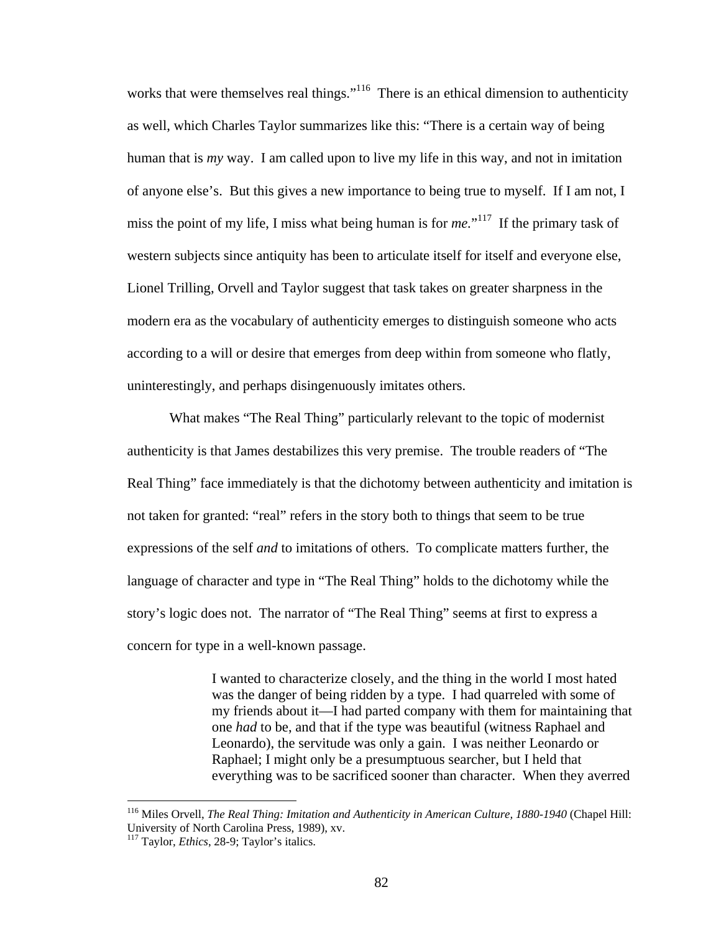works that were themselves real things."<sup>116</sup> There is an ethical dimension to authenticity as well, which Charles Taylor summarizes like this: "There is a certain way of being human that is *my* way. I am called upon to live my life in this way, and not in imitation of anyone else's. But this gives a new importance to being true to myself. If I am not, I miss the point of my life, I miss what being human is for *me*."<sup>117</sup> If the primary task of western subjects since antiquity has been to articulate itself for itself and everyone else, Lionel Trilling, Orvell and Taylor suggest that task takes on greater sharpness in the modern era as the vocabulary of authenticity emerges to distinguish someone who acts according to a will or desire that emerges from deep within from someone who flatly, uninterestingly, and perhaps disingenuously imitates others.

What makes "The Real Thing" particularly relevant to the topic of modernist authenticity is that James destabilizes this very premise. The trouble readers of "The Real Thing" face immediately is that the dichotomy between authenticity and imitation is not taken for granted: "real" refers in the story both to things that seem to be true expressions of the self *and* to imitations of others. To complicate matters further, the language of character and type in "The Real Thing" holds to the dichotomy while the story's logic does not. The narrator of "The Real Thing" seems at first to express a concern for type in a well-known passage.

> I wanted to characterize closely, and the thing in the world I most hated was the danger of being ridden by a type. I had quarreled with some of my friends about it—I had parted company with them for maintaining that one *had* to be, and that if the type was beautiful (witness Raphael and Leonardo), the servitude was only a gain. I was neither Leonardo or Raphael; I might only be a presumptuous searcher, but I held that everything was to be sacrificed sooner than character. When they averred

<sup>116</sup> Miles Orvell, *The Real Thing: Imitation and Authenticity in American Culture, 1880-1940* (Chapel Hill: University of North Carolina Press, 1989), xv.

<sup>117</sup> Taylor, *Ethics*, 28-9; Taylor's italics.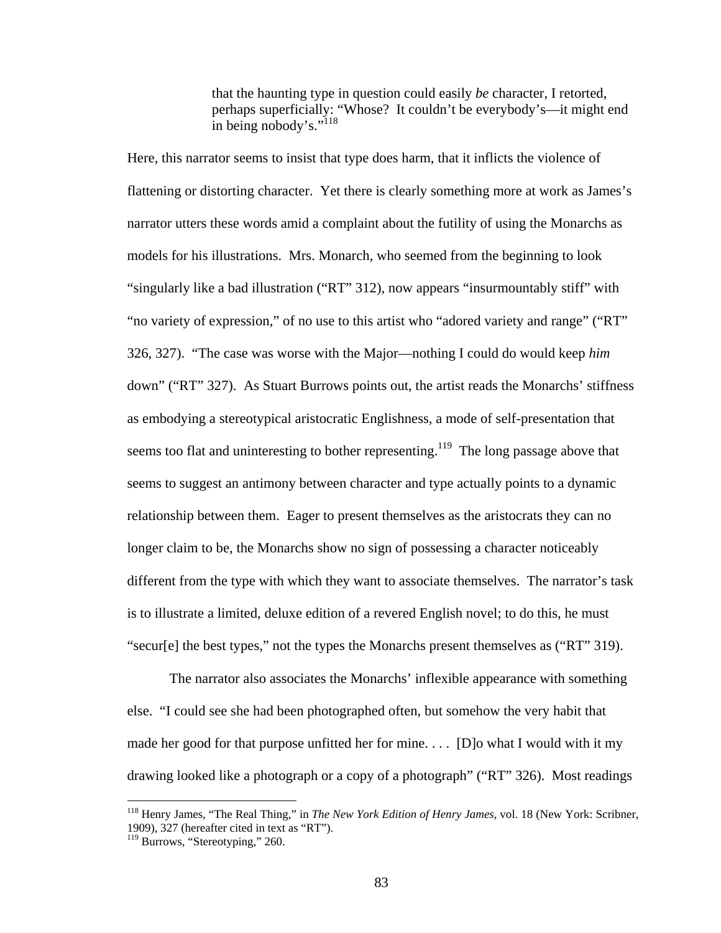that the haunting type in question could easily *be* character, I retorted, perhaps superficially: "Whose? It couldn't be everybody's—it might end in being nobody's."<sup>118</sup>

Here, this narrator seems to insist that type does harm, that it inflicts the violence of flattening or distorting character. Yet there is clearly something more at work as James's narrator utters these words amid a complaint about the futility of using the Monarchs as models for his illustrations. Mrs. Monarch, who seemed from the beginning to look "singularly like a bad illustration ("RT" 312), now appears "insurmountably stiff" with "no variety of expression," of no use to this artist who "adored variety and range" ("RT" 326, 327). "The case was worse with the Major—nothing I could do would keep *him* down" ("RT" 327). As Stuart Burrows points out, the artist reads the Monarchs' stiffness as embodying a stereotypical aristocratic Englishness, a mode of self-presentation that seems too flat and uninteresting to bother representing.<sup>119</sup> The long passage above that seems to suggest an antimony between character and type actually points to a dynamic relationship between them. Eager to present themselves as the aristocrats they can no longer claim to be, the Monarchs show no sign of possessing a character noticeably different from the type with which they want to associate themselves. The narrator's task is to illustrate a limited, deluxe edition of a revered English novel; to do this, he must "secur[e] the best types," not the types the Monarchs present themselves as ("RT" 319).

The narrator also associates the Monarchs' inflexible appearance with something else. "I could see she had been photographed often, but somehow the very habit that made her good for that purpose unfitted her for mine. . . . [D]o what I would with it my drawing looked like a photograph or a copy of a photograph" ("RT" 326). Most readings

<sup>118</sup> Henry James, "The Real Thing," in *The New York Edition of Henry James*, vol. 18 (New York: Scribner, 1909), 327 (hereafter cited in text as "RT").

<sup>&</sup>lt;sup>119</sup> Burrows, "Stereotyping," 260.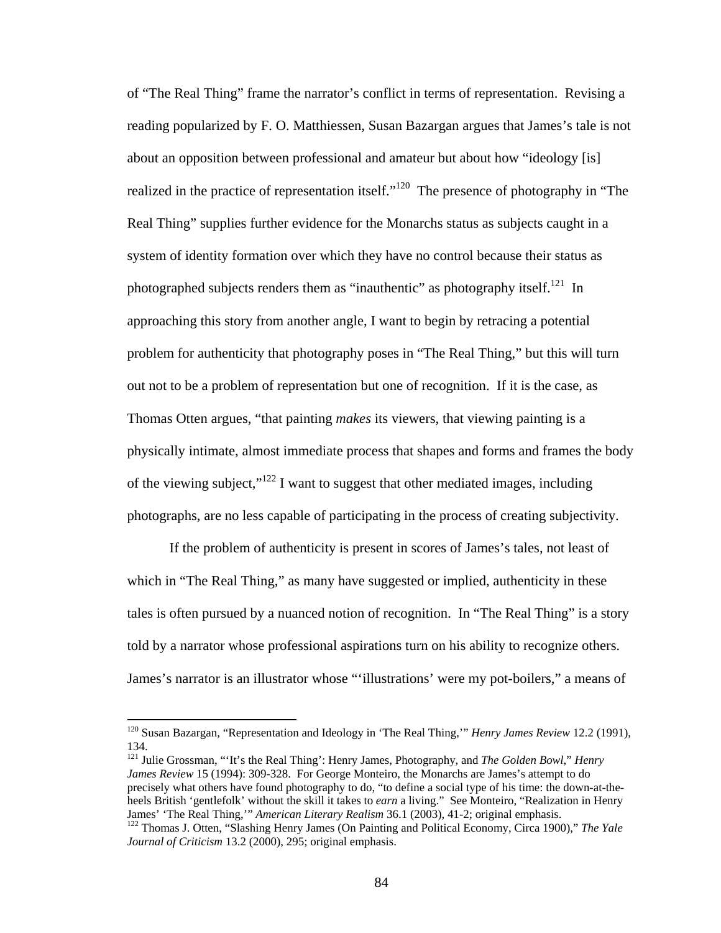of "The Real Thing" frame the narrator's conflict in terms of representation. Revising a reading popularized by F. O. Matthiessen, Susan Bazargan argues that James's tale is not about an opposition between professional and amateur but about how "ideology [is] realized in the practice of representation itself."<sup>120</sup> The presence of photography in "The Real Thing" supplies further evidence for the Monarchs status as subjects caught in a system of identity formation over which they have no control because their status as photographed subjects renders them as "inauthentic" as photography itself.<sup>121</sup> In approaching this story from another angle, I want to begin by retracing a potential problem for authenticity that photography poses in "The Real Thing," but this will turn out not to be a problem of representation but one of recognition. If it is the case, as Thomas Otten argues, "that painting *makes* its viewers, that viewing painting is a physically intimate, almost immediate process that shapes and forms and frames the body of the viewing subject," $122$  I want to suggest that other mediated images, including photographs, are no less capable of participating in the process of creating subjectivity.

If the problem of authenticity is present in scores of James's tales, not least of which in "The Real Thing," as many have suggested or implied, authenticity in these tales is often pursued by a nuanced notion of recognition. In "The Real Thing" is a story told by a narrator whose professional aspirations turn on his ability to recognize others. James's narrator is an illustrator whose "'illustrations' were my pot-boilers," a means of

 $\overline{a}$ 

<sup>121</sup> Julie Grossman, "'It's the Real Thing': Henry James, Photography, and *The Golden Bowl*," *Henry James Review* 15 (1994): 309-328. For George Monteiro, the Monarchs are James's attempt to do precisely what others have found photography to do, "to define a social type of his time: the down-at-theheels British 'gentlefolk' without the skill it takes to *earn* a living." See Monteiro, "Realization in Henry James' 'The Real Thing,'" *American Literary Realism* 36.1 (2003), 41-2; original emphasis.<br><sup>122</sup> Thomas J. Otten, "Slashing Henry James (On Painting and Political Economy, Circa 1900)," *The Yale* 

<sup>120</sup> Susan Bazargan, "Representation and Ideology in 'The Real Thing,'" *Henry James Review* 12.2 (1991), 134.

*Journal of Criticism* 13.2 (2000), 295; original emphasis.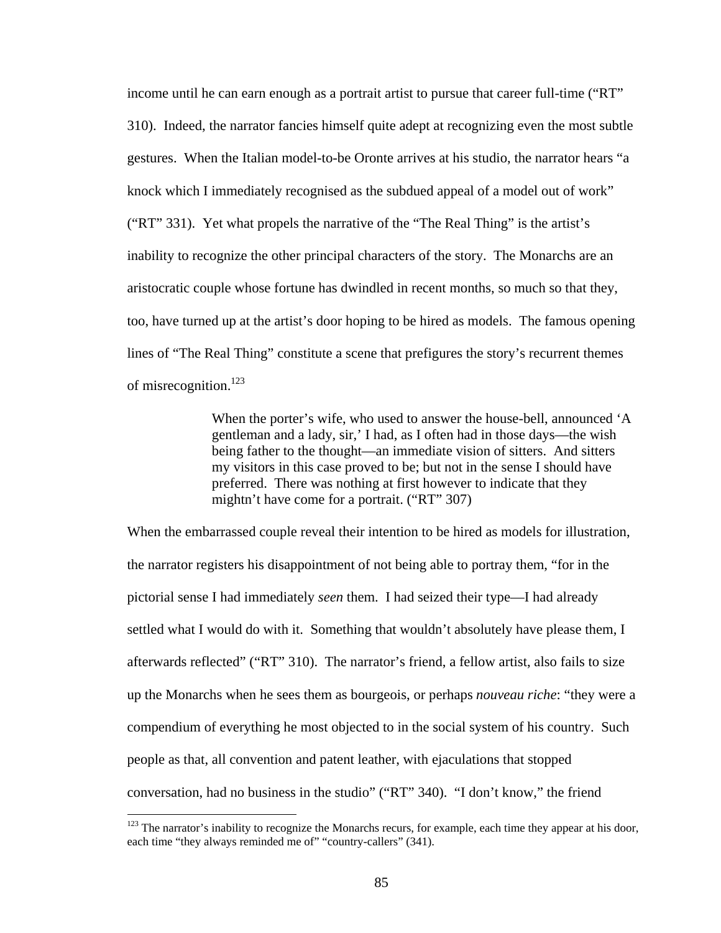income until he can earn enough as a portrait artist to pursue that career full-time ("RT" 310). Indeed, the narrator fancies himself quite adept at recognizing even the most subtle gestures. When the Italian model-to-be Oronte arrives at his studio, the narrator hears "a knock which I immediately recognised as the subdued appeal of a model out of work" ("RT" 331). Yet what propels the narrative of the "The Real Thing" is the artist's inability to recognize the other principal characters of the story. The Monarchs are an aristocratic couple whose fortune has dwindled in recent months, so much so that they, too, have turned up at the artist's door hoping to be hired as models. The famous opening lines of "The Real Thing" constitute a scene that prefigures the story's recurrent themes of misrecognition.<sup>123</sup>

> When the porter's wife, who used to answer the house-bell, announced 'A gentleman and a lady, sir,' I had, as I often had in those days—the wish being father to the thought—an immediate vision of sitters. And sitters my visitors in this case proved to be; but not in the sense I should have preferred. There was nothing at first however to indicate that they mightn't have come for a portrait. ("RT" 307)

When the embarrassed couple reveal their intention to be hired as models for illustration, the narrator registers his disappointment of not being able to portray them, "for in the pictorial sense I had immediately *seen* them. I had seized their type—I had already settled what I would do with it. Something that wouldn't absolutely have please them, I afterwards reflected" ("RT" 310). The narrator's friend, a fellow artist, also fails to size up the Monarchs when he sees them as bourgeois, or perhaps *nouveau riche*: "they were a compendium of everything he most objected to in the social system of his country. Such people as that, all convention and patent leather, with ejaculations that stopped conversation, had no business in the studio" ("RT" 340). "I don't know," the friend

 $123$  The narrator's inability to recognize the Monarchs recurs, for example, each time they appear at his door, each time "they always reminded me of" "country-callers" (341).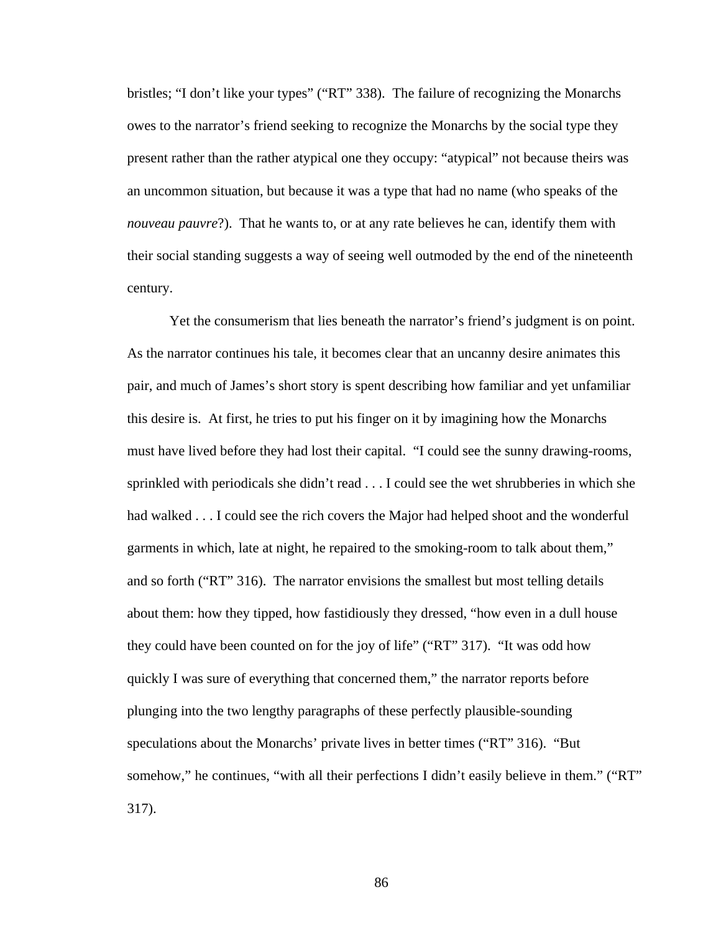bristles; "I don't like your types" ("RT" 338). The failure of recognizing the Monarchs owes to the narrator's friend seeking to recognize the Monarchs by the social type they present rather than the rather atypical one they occupy: "atypical" not because theirs was an uncommon situation, but because it was a type that had no name (who speaks of the *nouveau pauvre*?). That he wants to, or at any rate believes he can, identify them with their social standing suggests a way of seeing well outmoded by the end of the nineteenth century.

 Yet the consumerism that lies beneath the narrator's friend's judgment is on point. As the narrator continues his tale, it becomes clear that an uncanny desire animates this pair, and much of James's short story is spent describing how familiar and yet unfamiliar this desire is. At first, he tries to put his finger on it by imagining how the Monarchs must have lived before they had lost their capital. "I could see the sunny drawing-rooms, sprinkled with periodicals she didn't read . . . I could see the wet shrubberies in which she had walked . . . I could see the rich covers the Major had helped shoot and the wonderful garments in which, late at night, he repaired to the smoking-room to talk about them," and so forth ("RT" 316). The narrator envisions the smallest but most telling details about them: how they tipped, how fastidiously they dressed, "how even in a dull house they could have been counted on for the joy of life" ("RT" 317). "It was odd how quickly I was sure of everything that concerned them," the narrator reports before plunging into the two lengthy paragraphs of these perfectly plausible-sounding speculations about the Monarchs' private lives in better times ("RT" 316). "But somehow," he continues, "with all their perfections I didn't easily believe in them." ("RT" 317).

86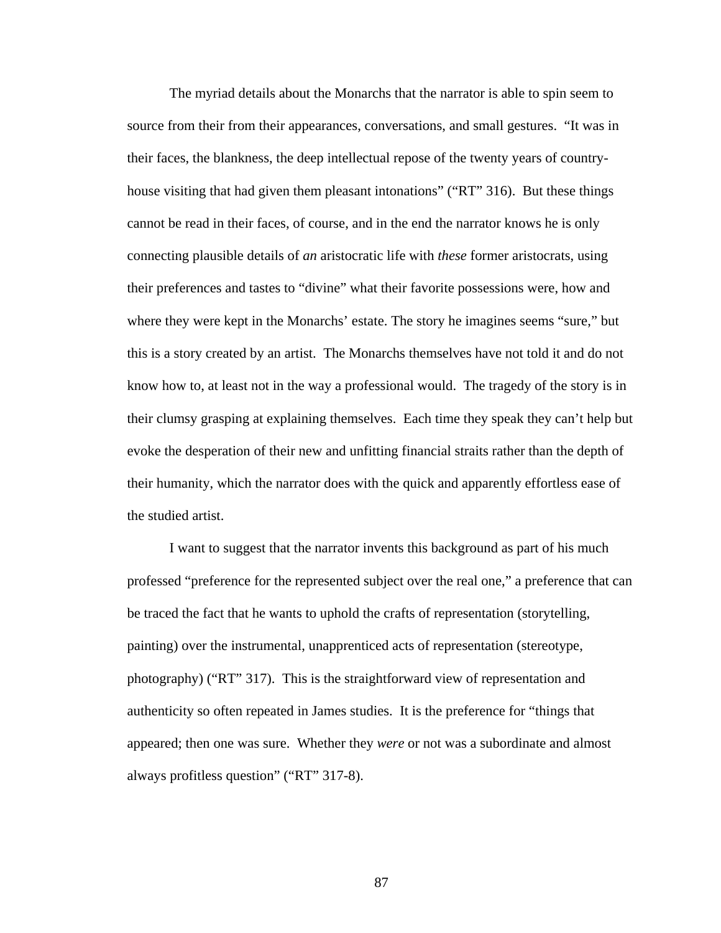The myriad details about the Monarchs that the narrator is able to spin seem to source from their from their appearances, conversations, and small gestures. "It was in their faces, the blankness, the deep intellectual repose of the twenty years of countryhouse visiting that had given them pleasant intonations" ("RT" 316). But these things cannot be read in their faces, of course, and in the end the narrator knows he is only connecting plausible details of *an* aristocratic life with *these* former aristocrats, using their preferences and tastes to "divine" what their favorite possessions were, how and where they were kept in the Monarchs' estate. The story he imagines seems "sure," but this is a story created by an artist. The Monarchs themselves have not told it and do not know how to, at least not in the way a professional would. The tragedy of the story is in their clumsy grasping at explaining themselves. Each time they speak they can't help but evoke the desperation of their new and unfitting financial straits rather than the depth of their humanity, which the narrator does with the quick and apparently effortless ease of the studied artist.

I want to suggest that the narrator invents this background as part of his much professed "preference for the represented subject over the real one," a preference that can be traced the fact that he wants to uphold the crafts of representation (storytelling, painting) over the instrumental, unapprenticed acts of representation (stereotype, photography) ("RT" 317). This is the straightforward view of representation and authenticity so often repeated in James studies. It is the preference for "things that appeared; then one was sure. Whether they *were* or not was a subordinate and almost always profitless question" ("RT" 317-8).

87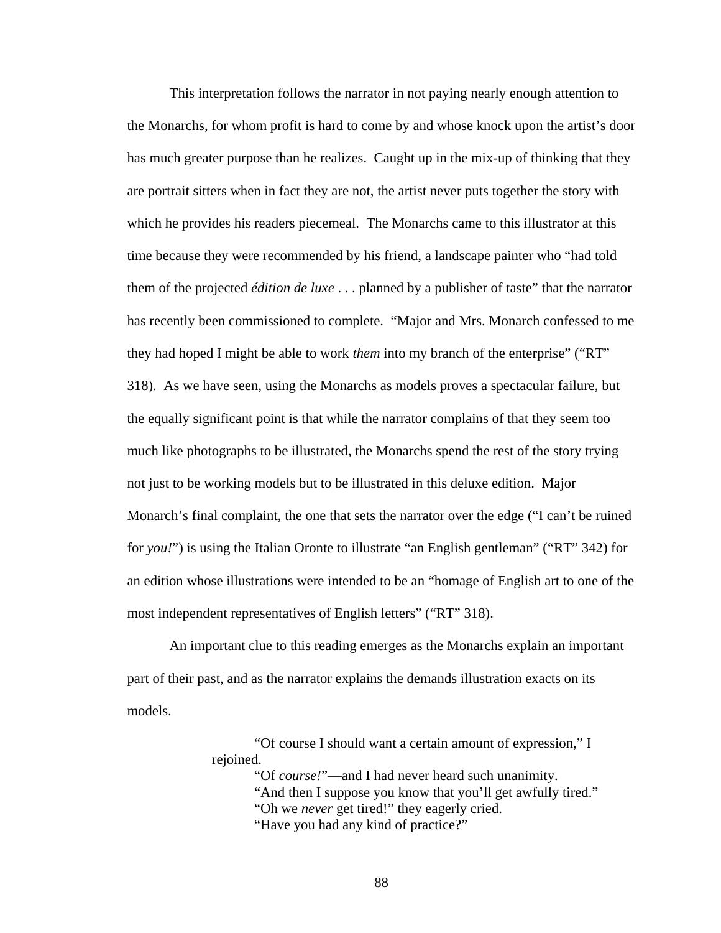This interpretation follows the narrator in not paying nearly enough attention to the Monarchs, for whom profit is hard to come by and whose knock upon the artist's door has much greater purpose than he realizes. Caught up in the mix-up of thinking that they are portrait sitters when in fact they are not, the artist never puts together the story with which he provides his readers piecemeal. The Monarchs came to this illustrator at this time because they were recommended by his friend, a landscape painter who "had told them of the projected *édition de luxe* . . . planned by a publisher of taste" that the narrator has recently been commissioned to complete. "Major and Mrs. Monarch confessed to me they had hoped I might be able to work *them* into my branch of the enterprise" ("RT" 318). As we have seen, using the Monarchs as models proves a spectacular failure, but the equally significant point is that while the narrator complains of that they seem too much like photographs to be illustrated, the Monarchs spend the rest of the story trying not just to be working models but to be illustrated in this deluxe edition. Major Monarch's final complaint, the one that sets the narrator over the edge ("I can't be ruined for *you!*") is using the Italian Oronte to illustrate "an English gentleman" ("RT" 342) for an edition whose illustrations were intended to be an "homage of English art to one of the most independent representatives of English letters" ("RT" 318).

An important clue to this reading emerges as the Monarchs explain an important part of their past, and as the narrator explains the demands illustration exacts on its models.

> "Of course I should want a certain amount of expression," I rejoined. "Of *course!*"—and I had never heard such unanimity. "And then I suppose you know that you'll get awfully tired." "Oh we *never* get tired!" they eagerly cried. "Have you had any kind of practice?"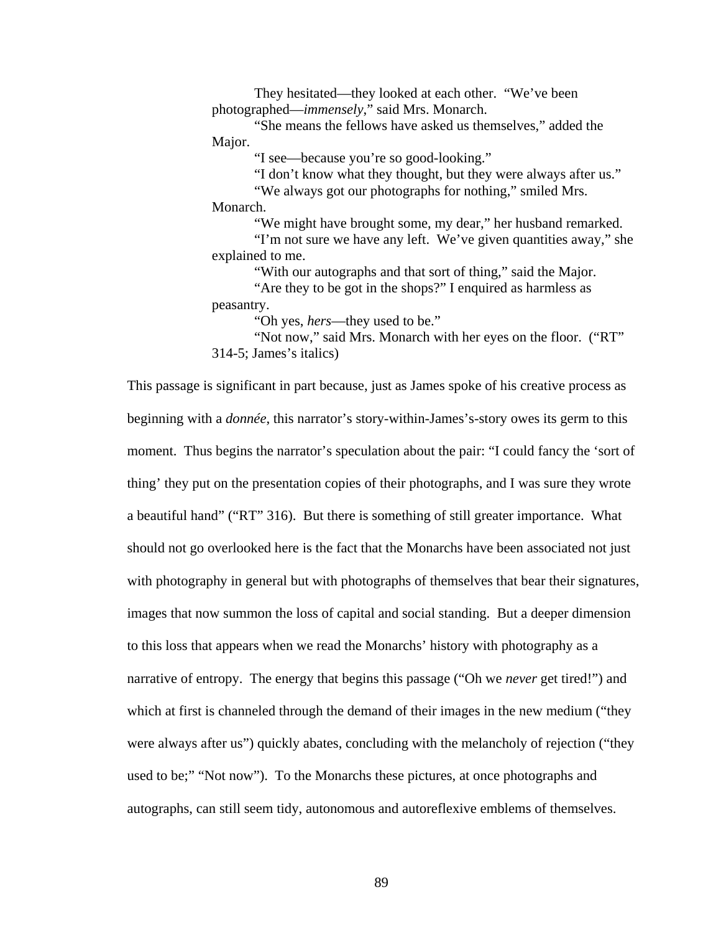They hesitated—they looked at each other. "We've been photographed—*immensely*," said Mrs. Monarch.

"She means the fellows have asked us themselves," added the Major.

"I see—because you're so good-looking."

"I don't know what they thought, but they were always after us."

"We always got our photographs for nothing," smiled Mrs.

Monarch.

"We might have brought some, my dear," her husband remarked.

"I'm not sure we have any left. We've given quantities away," she explained to me.

"With our autographs and that sort of thing," said the Major.

"Are they to be got in the shops?" I enquired as harmless as peasantry.

"Oh yes, *hers*—they used to be."

"Not now," said Mrs. Monarch with her eyes on the floor. ("RT" 314-5; James's italics)

This passage is significant in part because, just as James spoke of his creative process as beginning with a *donnée*, this narrator's story-within-James's-story owes its germ to this moment. Thus begins the narrator's speculation about the pair: "I could fancy the 'sort of thing' they put on the presentation copies of their photographs, and I was sure they wrote a beautiful hand" ("RT" 316). But there is something of still greater importance. What should not go overlooked here is the fact that the Monarchs have been associated not just with photography in general but with photographs of themselves that bear their signatures, images that now summon the loss of capital and social standing. But a deeper dimension to this loss that appears when we read the Monarchs' history with photography as a narrative of entropy. The energy that begins this passage ("Oh we *never* get tired!") and which at first is channeled through the demand of their images in the new medium ("they were always after us") quickly abates, concluding with the melancholy of rejection ("they used to be;" "Not now"). To the Monarchs these pictures, at once photographs and autographs, can still seem tidy, autonomous and autoreflexive emblems of themselves.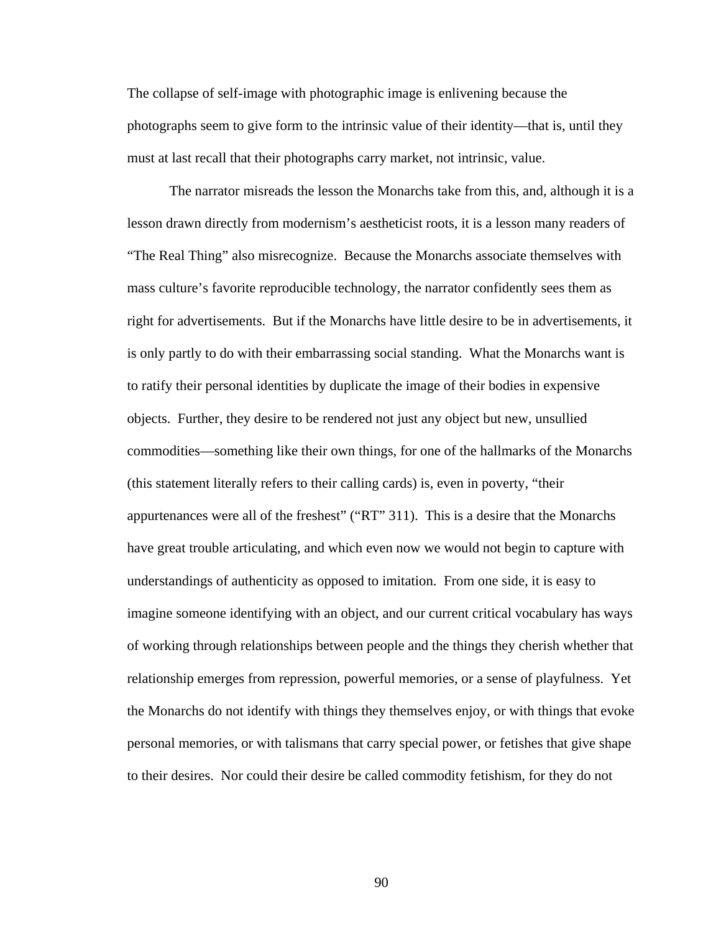The collapse of self-image with photographic image is enlivening because the photographs seem to give form to the intrinsic value of their identity—that is, until they must at last recall that their photographs carry market, not intrinsic, value.

The narrator misreads the lesson the Monarchs take from this, and, although it is a lesson drawn directly from modernism's aestheticist roots, it is a lesson many readers of "The Real Thing" also misrecognize. Because the Monarchs associate themselves with mass culture's favorite reproducible technology, the narrator confidently sees them as right for advertisements. But if the Monarchs have little desire to be in advertisements, it is only partly to do with their embarrassing social standing. What the Monarchs want is to ratify their personal identities by duplicate the image of their bodies in expensive objects. Further, they desire to be rendered not just any object but new, unsullied commodities—something like their own things, for one of the hallmarks of the Monarchs (this statement literally refers to their calling cards) is, even in poverty, "their appurtenances were all of the freshest" ("RT" 311). This is a desire that the Monarchs have great trouble articulating, and which even now we would not begin to capture with understandings of authenticity as opposed to imitation. From one side, it is easy to imagine someone identifying with an object, and our current critical vocabulary has ways of working through relationships between people and the things they cherish whether that relationship emerges from repression, powerful memories, or a sense of playfulness. Yet the Monarchs do not identify with things they themselves enjoy, or with things that evoke personal memories, or with talismans that carry special power, or fetishes that give shape to their desires. Nor could their desire be called commodity fetishism, for they do not

90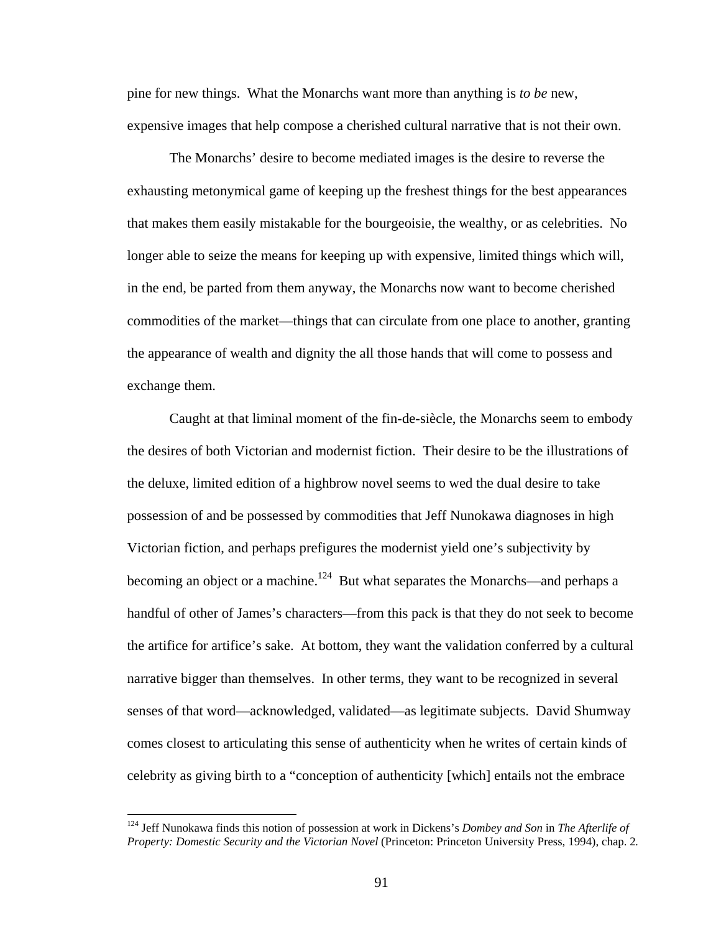pine for new things. What the Monarchs want more than anything is *to be* new, expensive images that help compose a cherished cultural narrative that is not their own.

The Monarchs' desire to become mediated images is the desire to reverse the exhausting metonymical game of keeping up the freshest things for the best appearances that makes them easily mistakable for the bourgeoisie, the wealthy, or as celebrities. No longer able to seize the means for keeping up with expensive, limited things which will, in the end, be parted from them anyway, the Monarchs now want to become cherished commodities of the market—things that can circulate from one place to another, granting the appearance of wealth and dignity the all those hands that will come to possess and exchange them.

Caught at that liminal moment of the fin-de-siècle, the Monarchs seem to embody the desires of both Victorian and modernist fiction. Their desire to be the illustrations of the deluxe, limited edition of a highbrow novel seems to wed the dual desire to take possession of and be possessed by commodities that Jeff Nunokawa diagnoses in high Victorian fiction, and perhaps prefigures the modernist yield one's subjectivity by becoming an object or a machine.<sup>124</sup> But what separates the Monarchs—and perhaps a handful of other of James's characters—from this pack is that they do not seek to become the artifice for artifice's sake. At bottom, they want the validation conferred by a cultural narrative bigger than themselves. In other terms, they want to be recognized in several senses of that word—acknowledged, validated—as legitimate subjects. David Shumway comes closest to articulating this sense of authenticity when he writes of certain kinds of celebrity as giving birth to a "conception of authenticity [which] entails not the embrace

<sup>124</sup> Jeff Nunokawa finds this notion of possession at work in Dickens's *Dombey and Son* in *The Afterlife of Property: Domestic Security and the Victorian Novel* (Princeton: Princeton University Press, 1994), chap. 2*.*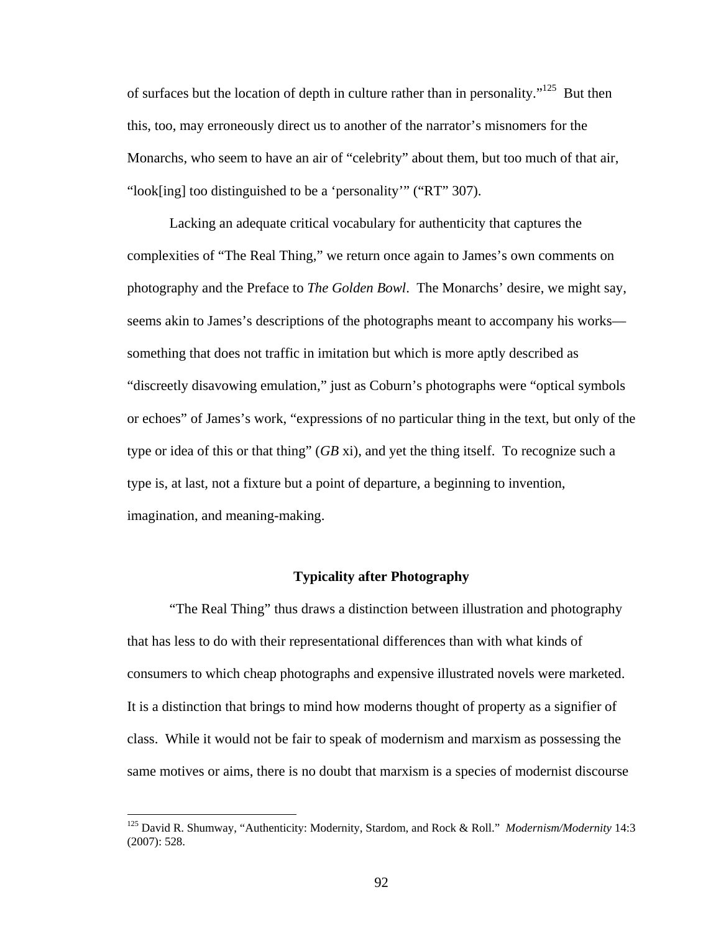of surfaces but the location of depth in culture rather than in personality."<sup>125</sup> But then this, too, may erroneously direct us to another of the narrator's misnomers for the Monarchs, who seem to have an air of "celebrity" about them, but too much of that air, "look[ing] too distinguished to be a 'personality'" ("RT" 307).

Lacking an adequate critical vocabulary for authenticity that captures the complexities of "The Real Thing," we return once again to James's own comments on photography and the Preface to *The Golden Bowl*. The Monarchs' desire, we might say, seems akin to James's descriptions of the photographs meant to accompany his works something that does not traffic in imitation but which is more aptly described as "discreetly disavowing emulation," just as Coburn's photographs were "optical symbols or echoes" of James's work, "expressions of no particular thing in the text, but only of the type or idea of this or that thing" (*GB* xi), and yet the thing itself. To recognize such a type is, at last, not a fixture but a point of departure, a beginning to invention, imagination, and meaning-making.

## **Typicality after Photography**

"The Real Thing" thus draws a distinction between illustration and photography that has less to do with their representational differences than with what kinds of consumers to which cheap photographs and expensive illustrated novels were marketed. It is a distinction that brings to mind how moderns thought of property as a signifier of class. While it would not be fair to speak of modernism and marxism as possessing the same motives or aims, there is no doubt that marxism is a species of modernist discourse

<sup>125</sup> David R. Shumway, "Authenticity: Modernity, Stardom, and Rock & Roll." *Modernism/Modernity* 14:3 (2007): 528.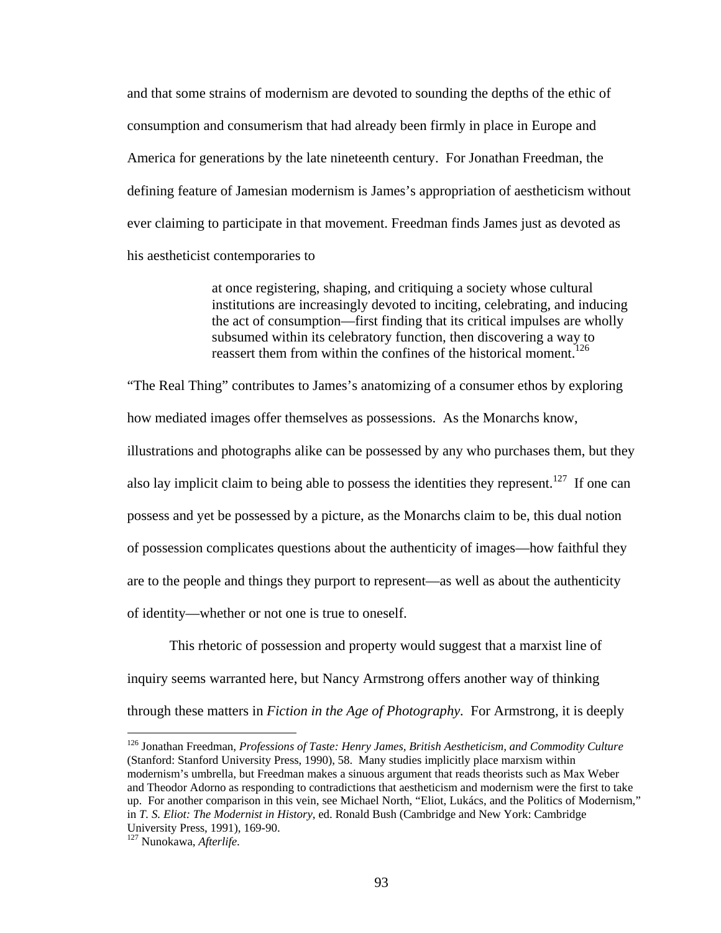and that some strains of modernism are devoted to sounding the depths of the ethic of consumption and consumerism that had already been firmly in place in Europe and America for generations by the late nineteenth century. For Jonathan Freedman, the defining feature of Jamesian modernism is James's appropriation of aestheticism without ever claiming to participate in that movement. Freedman finds James just as devoted as his aestheticist contemporaries to

> at once registering, shaping, and critiquing a society whose cultural institutions are increasingly devoted to inciting, celebrating, and inducing the act of consumption—first finding that its critical impulses are wholly subsumed within its celebratory function, then discovering a way to reassert them from within the confines of the historical moment.<sup>126</sup>

"The Real Thing" contributes to James's anatomizing of a consumer ethos by exploring how mediated images offer themselves as possessions. As the Monarchs know, illustrations and photographs alike can be possessed by any who purchases them, but they also lay implicit claim to being able to possess the identities they represent.<sup>127</sup> If one can possess and yet be possessed by a picture, as the Monarchs claim to be, this dual notion of possession complicates questions about the authenticity of images—how faithful they are to the people and things they purport to represent—as well as about the authenticity of identity—whether or not one is true to oneself.

 This rhetoric of possession and property would suggest that a marxist line of inquiry seems warranted here, but Nancy Armstrong offers another way of thinking through these matters in *Fiction in the Age of Photography.* For Armstrong, it is deeply

126 Jonathan Freedman, *Professions of Taste: Henry James, British Aestheticism, and Commodity Culture* (Stanford: Stanford University Press, 1990), 58. Many studies implicitly place marxism within modernism's umbrella, but Freedman makes a sinuous argument that reads theorists such as Max Weber and Theodor Adorno as responding to contradictions that aestheticism and modernism were the first to take up. For another comparison in this vein, see Michael North, "Eliot, Lukács, and the Politics of Modernism," in *T. S. Eliot: The Modernist in History*, ed. Ronald Bush (Cambridge and New York: Cambridge University Press, 1991), 169-90.

<sup>127</sup> Nunokawa, *Afterlife*.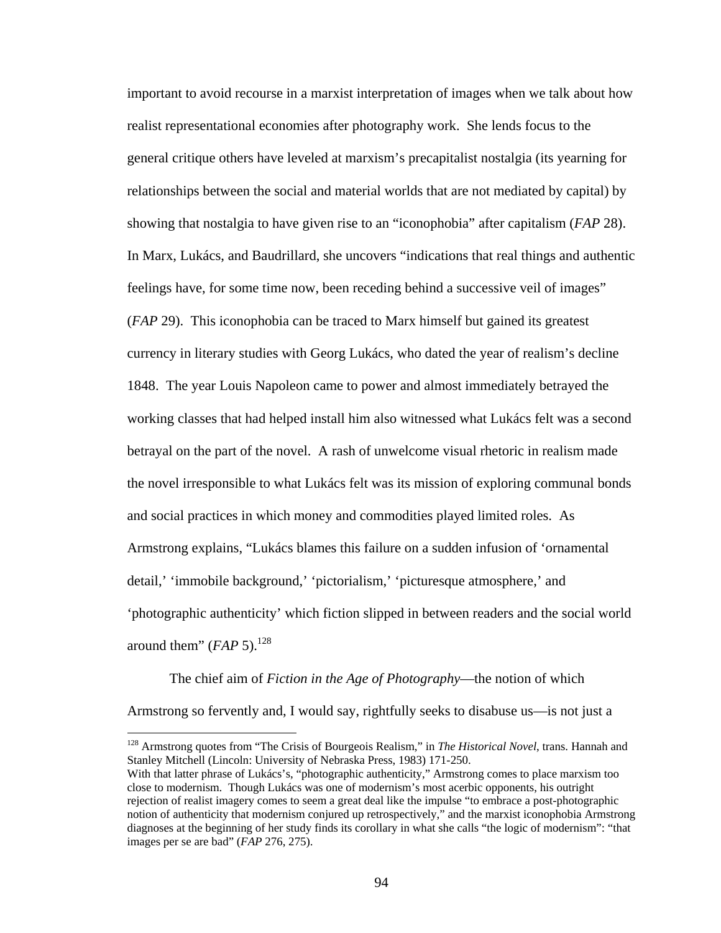important to avoid recourse in a marxist interpretation of images when we talk about how realist representational economies after photography work. She lends focus to the general critique others have leveled at marxism's precapitalist nostalgia (its yearning for relationships between the social and material worlds that are not mediated by capital) by showing that nostalgia to have given rise to an "iconophobia" after capitalism (*FAP* 28). In Marx, Lukács, and Baudrillard, she uncovers "indications that real things and authentic feelings have, for some time now, been receding behind a successive veil of images" (*FAP* 29). This iconophobia can be traced to Marx himself but gained its greatest currency in literary studies with Georg Lukács, who dated the year of realism's decline 1848. The year Louis Napoleon came to power and almost immediately betrayed the working classes that had helped install him also witnessed what Lukács felt was a second betrayal on the part of the novel. A rash of unwelcome visual rhetoric in realism made the novel irresponsible to what Lukács felt was its mission of exploring communal bonds and social practices in which money and commodities played limited roles. As Armstrong explains, "Lukács blames this failure on a sudden infusion of 'ornamental detail,' 'immobile background,' 'pictorialism,' 'picturesque atmosphere,' and 'photographic authenticity' which fiction slipped in between readers and the social world around them"  $(FAP 5)$ .<sup>128</sup>

The chief aim of *Fiction in the Age of Photography*—the notion of which Armstrong so fervently and, I would say, rightfully seeks to disabuse us—is not just a

1

128 Armstrong quotes from "The Crisis of Bourgeois Realism," in *The Historical Novel*, trans. Hannah and Stanley Mitchell (Lincoln: University of Nebraska Press, 1983) 171-250.

With that latter phrase of Lukács's, "photographic authenticity," Armstrong comes to place marxism too close to modernism. Though Lukács was one of modernism's most acerbic opponents, his outright rejection of realist imagery comes to seem a great deal like the impulse "to embrace a post-photographic notion of authenticity that modernism conjured up retrospectively," and the marxist iconophobia Armstrong diagnoses at the beginning of her study finds its corollary in what she calls "the logic of modernism": "that images per se are bad" (*FAP* 276, 275).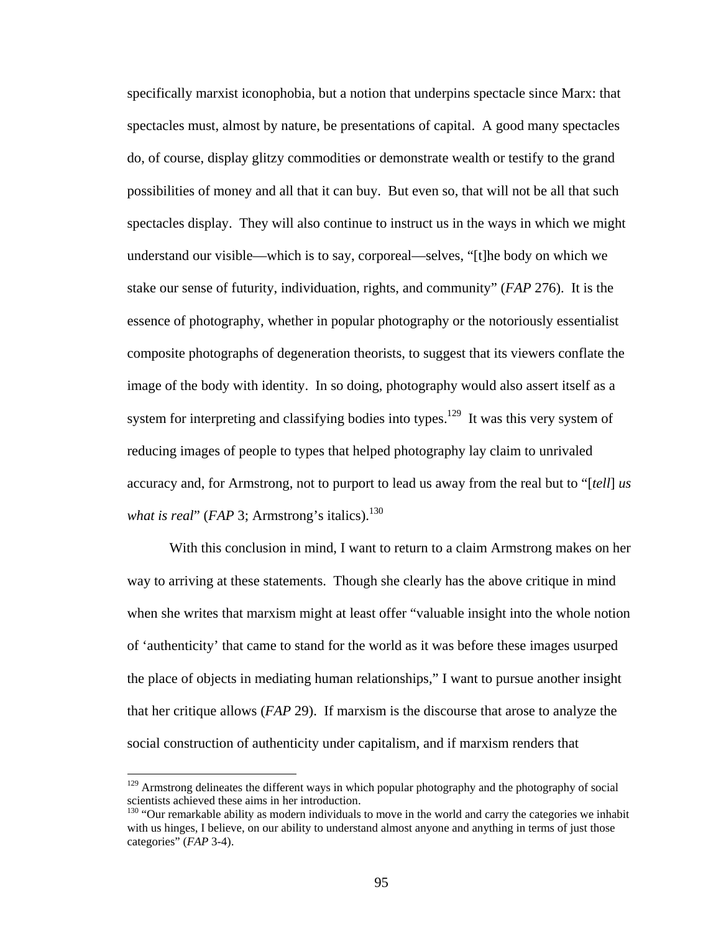specifically marxist iconophobia, but a notion that underpins spectacle since Marx: that spectacles must, almost by nature, be presentations of capital. A good many spectacles do, of course, display glitzy commodities or demonstrate wealth or testify to the grand possibilities of money and all that it can buy. But even so, that will not be all that such spectacles display. They will also continue to instruct us in the ways in which we might understand our visible—which is to say, corporeal—selves, "[t]he body on which we stake our sense of futurity, individuation, rights, and community" (*FAP* 276). It is the essence of photography, whether in popular photography or the notoriously essentialist composite photographs of degeneration theorists, to suggest that its viewers conflate the image of the body with identity. In so doing, photography would also assert itself as a system for interpreting and classifying bodies into types.<sup>129</sup> It was this very system of reducing images of people to types that helped photography lay claim to unrivaled accuracy and, for Armstrong, not to purport to lead us away from the real but to "[*tell*] *us what is real*" (*FAP* 3; Armstrong's italics).<sup>130</sup>

With this conclusion in mind, I want to return to a claim Armstrong makes on her way to arriving at these statements. Though she clearly has the above critique in mind when she writes that marxism might at least offer "valuable insight into the whole notion of 'authenticity' that came to stand for the world as it was before these images usurped the place of objects in mediating human relationships," I want to pursue another insight that her critique allows (*FAP* 29). If marxism is the discourse that arose to analyze the social construction of authenticity under capitalism, and if marxism renders that

 $129$  Armstrong delineates the different ways in which popular photography and the photography of social scientists achieved these aims in her introduction.

<sup>&</sup>lt;sup>130</sup> "Our remarkable ability as modern individuals to move in the world and carry the categories we inhabit with us hinges, I believe, on our ability to understand almost anyone and anything in terms of just those categories" (*FAP* 3-4).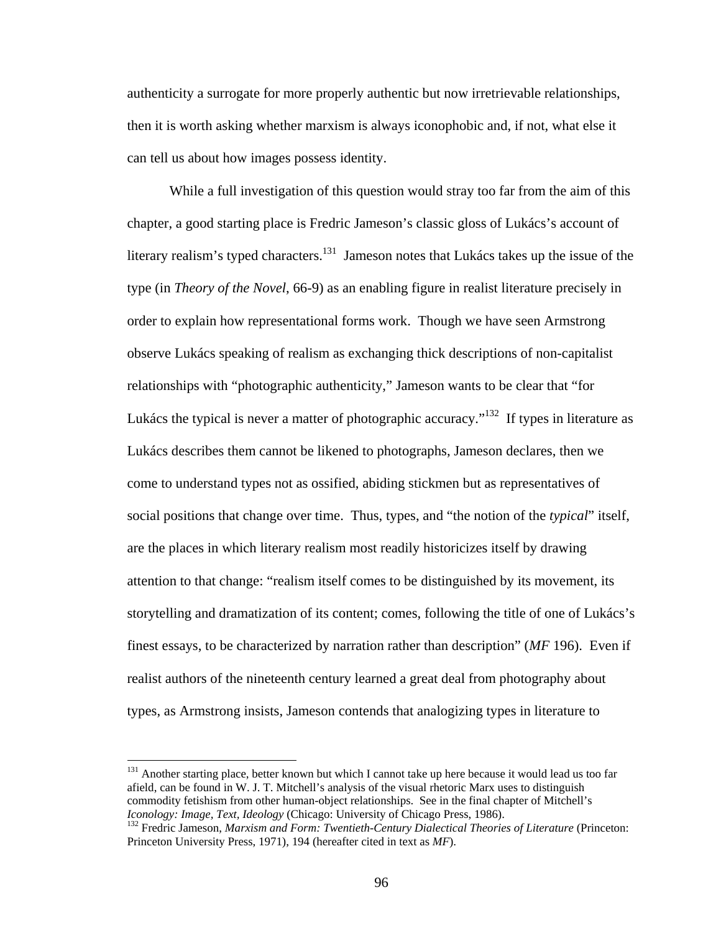authenticity a surrogate for more properly authentic but now irretrievable relationships, then it is worth asking whether marxism is always iconophobic and, if not, what else it can tell us about how images possess identity.

 While a full investigation of this question would stray too far from the aim of this chapter, a good starting place is Fredric Jameson's classic gloss of Lukács's account of literary realism's typed characters.<sup>131</sup> Jameson notes that Lukács takes up the issue of the type (in *Theory of the Novel*, 66-9) as an enabling figure in realist literature precisely in order to explain how representational forms work. Though we have seen Armstrong observe Lukács speaking of realism as exchanging thick descriptions of non-capitalist relationships with "photographic authenticity," Jameson wants to be clear that "for Lukács the typical is never a matter of photographic accuracy."<sup>132</sup> If types in literature as Lukács describes them cannot be likened to photographs, Jameson declares, then we come to understand types not as ossified, abiding stickmen but as representatives of social positions that change over time. Thus, types, and "the notion of the *typical*" itself, are the places in which literary realism most readily historicizes itself by drawing attention to that change: "realism itself comes to be distinguished by its movement, its storytelling and dramatization of its content; comes, following the title of one of Lukács's finest essays, to be characterized by narration rather than description" (*MF* 196). Even if realist authors of the nineteenth century learned a great deal from photography about types, as Armstrong insists, Jameson contends that analogizing types in literature to

<sup>131</sup> Another starting place, better known but which I cannot take up here because it would lead us too far afield, can be found in W. J. T. Mitchell's analysis of the visual rhetoric Marx uses to distinguish commodity fetishism from other human-object relationships. See in the final chapter of Mitchell's *Iconology: Image, Text, Ideology* (Chicago: University of Chicago Press, 1986).<br><sup>132</sup> Fredric Jameson, *Marxism and Form: Twentieth-Century Dialectical Theories of Literature* (Princeton:

Princeton University Press, 1971), 194 (hereafter cited in text as *MF*).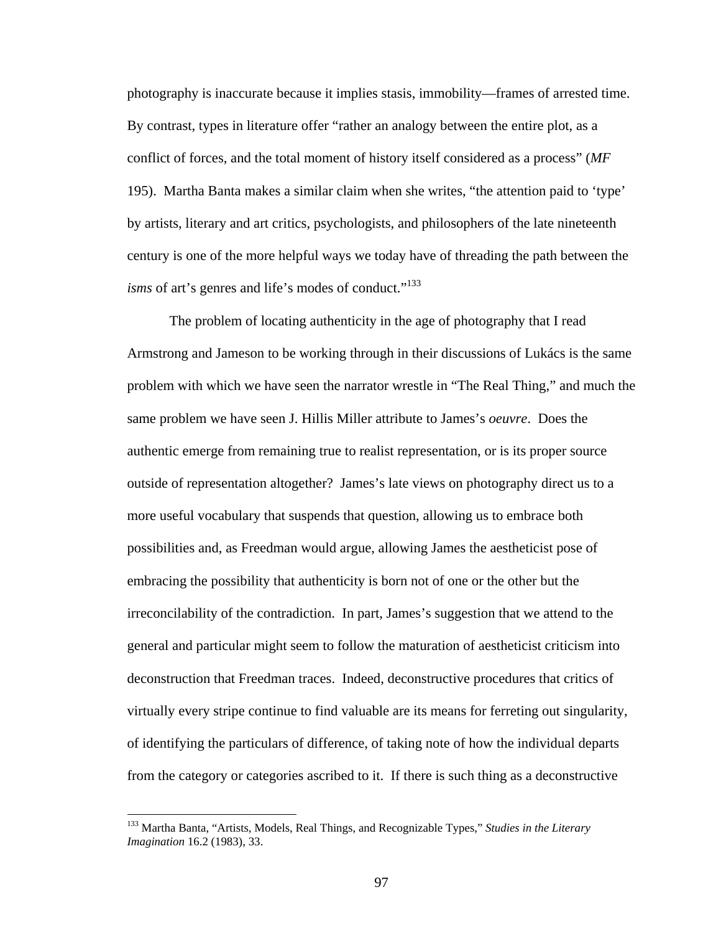photography is inaccurate because it implies stasis, immobility—frames of arrested time. By contrast, types in literature offer "rather an analogy between the entire plot, as a conflict of forces, and the total moment of history itself considered as a process" (*MF*  195). Martha Banta makes a similar claim when she writes, "the attention paid to 'type' by artists, literary and art critics, psychologists, and philosophers of the late nineteenth century is one of the more helpful ways we today have of threading the path between the *isms* of art's genres and life's modes of conduct."<sup>133</sup>

 The problem of locating authenticity in the age of photography that I read Armstrong and Jameson to be working through in their discussions of Lukács is the same problem with which we have seen the narrator wrestle in "The Real Thing," and much the same problem we have seen J. Hillis Miller attribute to James's *oeuvre*. Does the authentic emerge from remaining true to realist representation, or is its proper source outside of representation altogether? James's late views on photography direct us to a more useful vocabulary that suspends that question, allowing us to embrace both possibilities and, as Freedman would argue, allowing James the aestheticist pose of embracing the possibility that authenticity is born not of one or the other but the irreconcilability of the contradiction. In part, James's suggestion that we attend to the general and particular might seem to follow the maturation of aestheticist criticism into deconstruction that Freedman traces. Indeed, deconstructive procedures that critics of virtually every stripe continue to find valuable are its means for ferreting out singularity, of identifying the particulars of difference, of taking note of how the individual departs from the category or categories ascribed to it. If there is such thing as a deconstructive

<sup>133</sup> Martha Banta, "Artists, Models, Real Things, and Recognizable Types," *Studies in the Literary Imagination* 16.2 (1983), 33.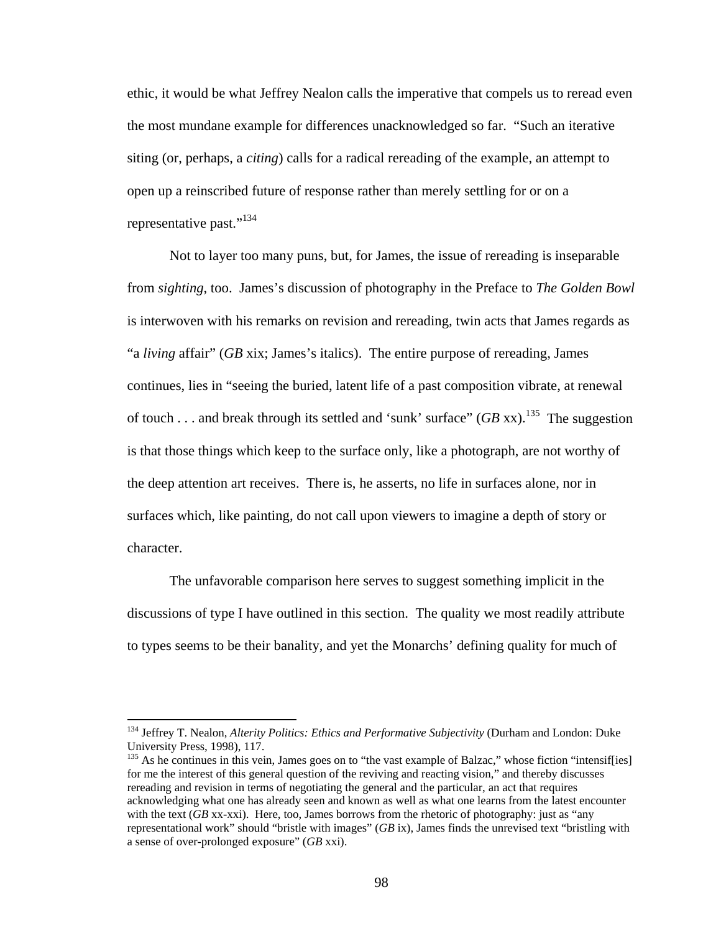ethic, it would be what Jeffrey Nealon calls the imperative that compels us to reread even the most mundane example for differences unacknowledged so far. "Such an iterative siting (or, perhaps, a *citing*) calls for a radical rereading of the example, an attempt to open up a reinscribed future of response rather than merely settling for or on a representative past."<sup>134</sup>

Not to layer too many puns, but, for James, the issue of rereading is inseparable from *sighting*, too. James's discussion of photography in the Preface to *The Golden Bowl* is interwoven with his remarks on revision and rereading, twin acts that James regards as "a *living* affair" (*GB* xix; James's italics). The entire purpose of rereading, James continues, lies in "seeing the buried, latent life of a past composition vibrate, at renewal of touch . . . and break through its settled and 'sunk' surface" (*GB* xx).<sup>135</sup> The suggestion is that those things which keep to the surface only, like a photograph, are not worthy of the deep attention art receives. There is, he asserts, no life in surfaces alone, nor in surfaces which, like painting, do not call upon viewers to imagine a depth of story or character.

 The unfavorable comparison here serves to suggest something implicit in the discussions of type I have outlined in this section. The quality we most readily attribute to types seems to be their banality, and yet the Monarchs' defining quality for much of

<sup>&</sup>lt;sup>134</sup> Jeffrey T. Nealon, *Alterity Politics: Ethics and Performative Subjectivity* (Durham and London: Duke University Press, 1998), 117.

 $135$  As he continues in this vein, James goes on to "the vast example of Balzac," whose fiction "intensiffies] for me the interest of this general question of the reviving and reacting vision," and thereby discusses rereading and revision in terms of negotiating the general and the particular, an act that requires acknowledging what one has already seen and known as well as what one learns from the latest encounter with the text (*GB* xx-xxi). Here, too, James borrows from the rhetoric of photography: just as "any representational work" should "bristle with images" (*GB* ix), James finds the unrevised text "bristling with a sense of over-prolonged exposure" (*GB* xxi).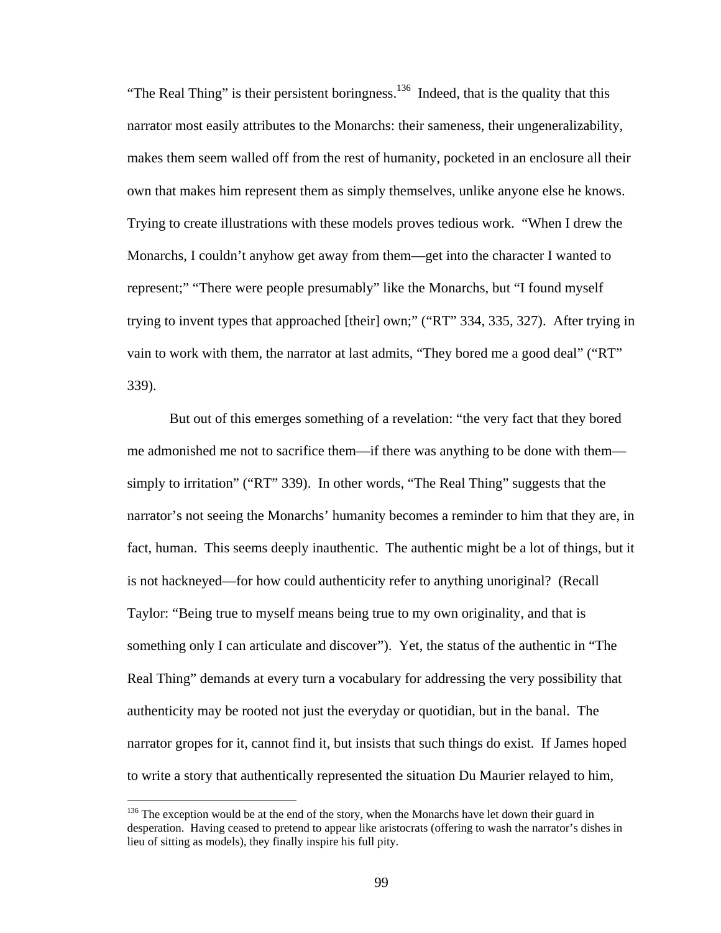"The Real Thing" is their persistent boringness.<sup>136</sup> Indeed, that is the quality that this narrator most easily attributes to the Monarchs: their sameness, their ungeneralizability, makes them seem walled off from the rest of humanity, pocketed in an enclosure all their own that makes him represent them as simply themselves, unlike anyone else he knows. Trying to create illustrations with these models proves tedious work. "When I drew the Monarchs, I couldn't anyhow get away from them—get into the character I wanted to represent;" "There were people presumably" like the Monarchs, but "I found myself trying to invent types that approached [their] own;" ("RT" 334, 335, 327). After trying in vain to work with them, the narrator at last admits, "They bored me a good deal" ("RT" 339).

But out of this emerges something of a revelation: "the very fact that they bored me admonished me not to sacrifice them—if there was anything to be done with them simply to irritation" ("RT" 339). In other words, "The Real Thing" suggests that the narrator's not seeing the Monarchs' humanity becomes a reminder to him that they are, in fact, human. This seems deeply inauthentic. The authentic might be a lot of things, but it is not hackneyed—for how could authenticity refer to anything unoriginal? (Recall Taylor: "Being true to myself means being true to my own originality, and that is something only I can articulate and discover"). Yet, the status of the authentic in "The Real Thing" demands at every turn a vocabulary for addressing the very possibility that authenticity may be rooted not just the everyday or quotidian, but in the banal. The narrator gropes for it, cannot find it, but insists that such things do exist. If James hoped to write a story that authentically represented the situation Du Maurier relayed to him,

<sup>&</sup>lt;sup>136</sup> The exception would be at the end of the story, when the Monarchs have let down their guard in desperation. Having ceased to pretend to appear like aristocrats (offering to wash the narrator's dishes in lieu of sitting as models), they finally inspire his full pity.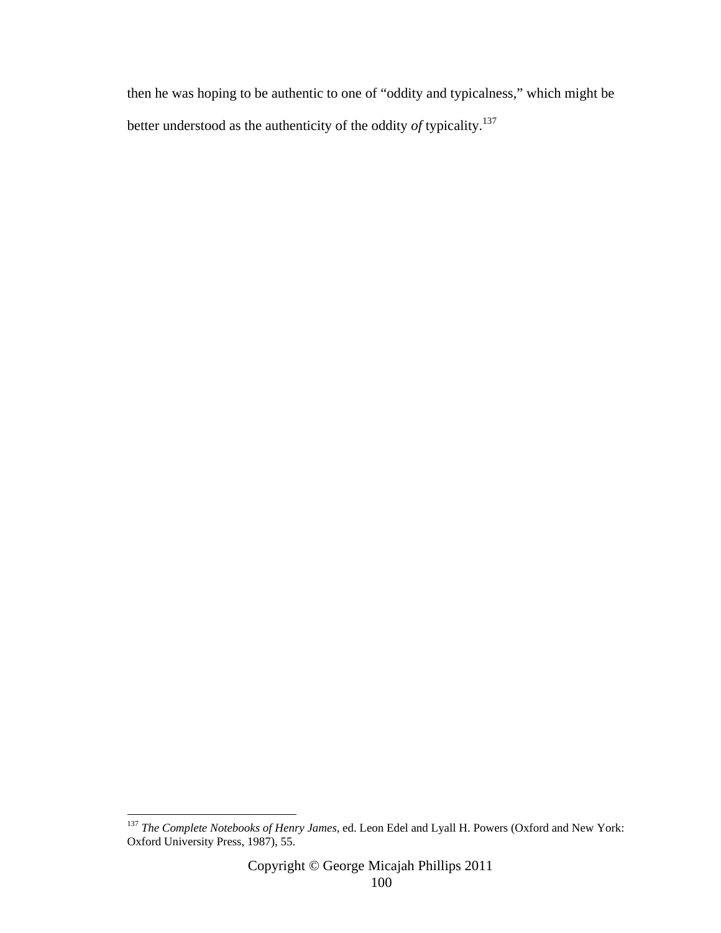then he was hoping to be authentic to one of "oddity and typicalness," which might be better understood as the authenticity of the oddity *of* typicality.137

 $\overline{a}$ <sup>137</sup> *The Complete Notebooks of Henry James*, ed. Leon Edel and Lyall H. Powers (Oxford and New York: Oxford University Press, 1987), 55.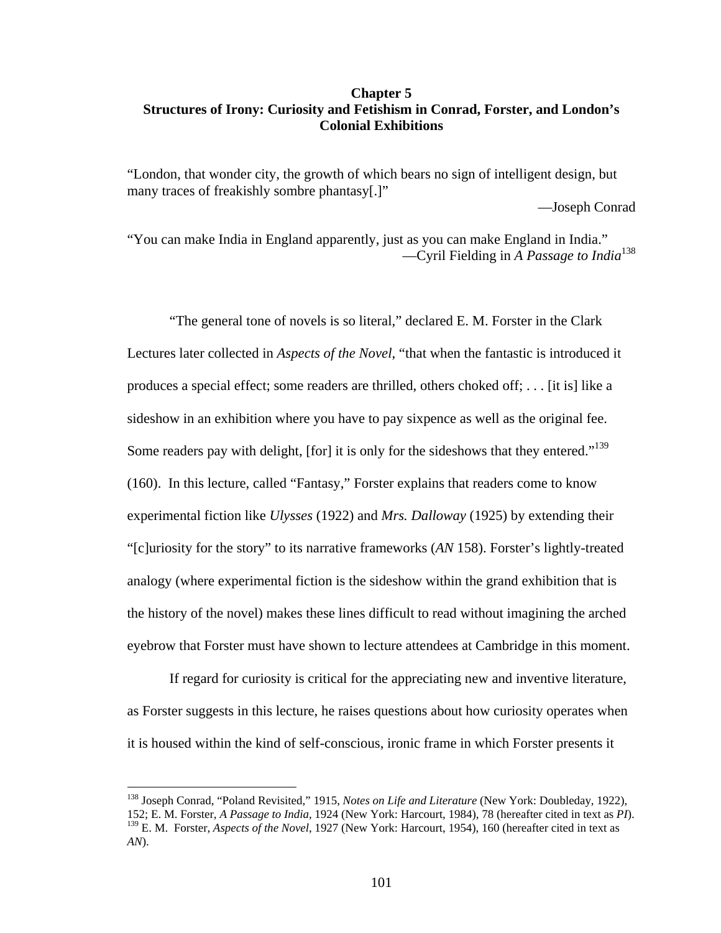## **Chapter 5 Structures of Irony: Curiosity and Fetishism in Conrad, Forster, and London's Colonial Exhibitions**

"London, that wonder city, the growth of which bears no sign of intelligent design, but many traces of freakishly sombre phantasy[.]"

—Joseph Conrad

"You can make India in England apparently, just as you can make England in India." —Cyril Fielding in *A Passage to India*<sup>138</sup>

"The general tone of novels is so literal," declared E. M. Forster in the Clark Lectures later collected in *Aspects of the Novel*, "that when the fantastic is introduced it produces a special effect; some readers are thrilled, others choked off; . . . [it is] like a sideshow in an exhibition where you have to pay sixpence as well as the original fee. Some readers pay with delight, [for] it is only for the sideshows that they entered."<sup>139</sup> (160). In this lecture, called "Fantasy," Forster explains that readers come to know experimental fiction like *Ulysses* (1922) and *Mrs. Dalloway* (1925) by extending their "[c]uriosity for the story" to its narrative frameworks (*AN* 158). Forster's lightly-treated analogy (where experimental fiction is the sideshow within the grand exhibition that is the history of the novel) makes these lines difficult to read without imagining the arched eyebrow that Forster must have shown to lecture attendees at Cambridge in this moment.

If regard for curiosity is critical for the appreciating new and inventive literature, as Forster suggests in this lecture, he raises questions about how curiosity operates when it is housed within the kind of self-conscious, ironic frame in which Forster presents it

<sup>138</sup> Joseph Conrad, "Poland Revisited," 1915, *Notes on Life and Literature* (New York: Doubleday, 1922), 152; E. M. Forster, *A Passage to India*, 1924 (New York: Harcourt, 1984), 78 (hereafter cited in text as *PI*). 139 E. M. Forster, *Aspects of the Novel*, 1927 (New York: Harcourt, 1954), 160 (hereafter cited in text as *AN*).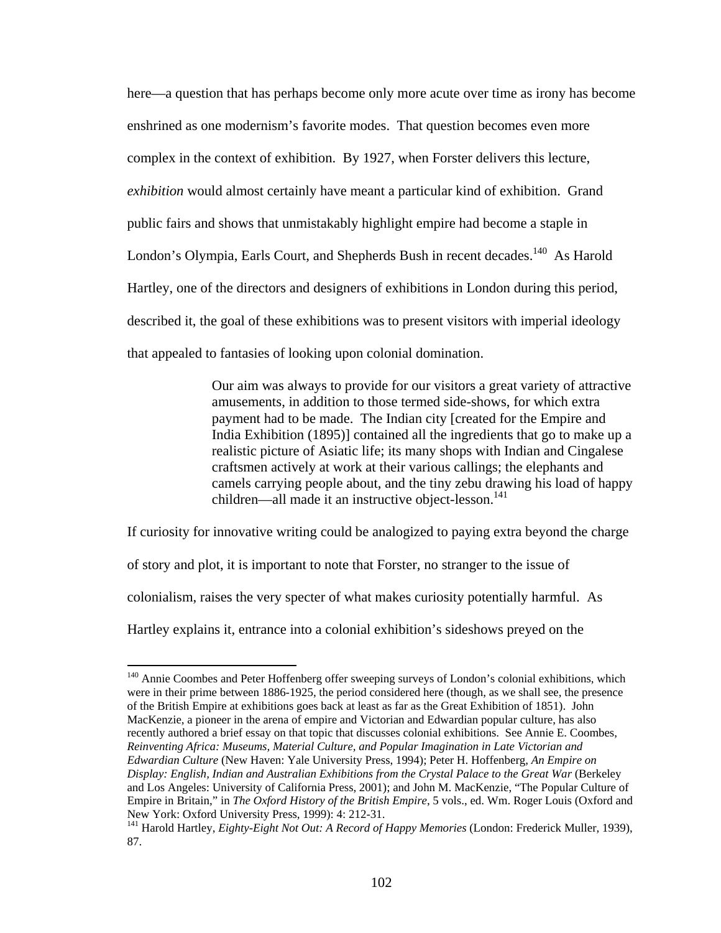here—a question that has perhaps become only more acute over time as irony has become enshrined as one modernism's favorite modes. That question becomes even more complex in the context of exhibition. By 1927, when Forster delivers this lecture, *exhibition* would almost certainly have meant a particular kind of exhibition. Grand public fairs and shows that unmistakably highlight empire had become a staple in London's Olympia, Earls Court, and Shepherds Bush in recent decades.<sup>140</sup> As Harold Hartley, one of the directors and designers of exhibitions in London during this period, described it, the goal of these exhibitions was to present visitors with imperial ideology that appealed to fantasies of looking upon colonial domination.

> Our aim was always to provide for our visitors a great variety of attractive amusements, in addition to those termed side-shows, for which extra payment had to be made. The Indian city [created for the Empire and India Exhibition (1895)] contained all the ingredients that go to make up a realistic picture of Asiatic life; its many shops with Indian and Cingalese craftsmen actively at work at their various callings; the elephants and camels carrying people about, and the tiny zebu drawing his load of happy children—all made it an instructive object-lesson.<sup>141</sup>

If curiosity for innovative writing could be analogized to paying extra beyond the charge of story and plot, it is important to note that Forster, no stranger to the issue of colonialism, raises the very specter of what makes curiosity potentially harmful. As Hartley explains it, entrance into a colonial exhibition's sideshows preyed on the

<sup>&</sup>lt;sup>140</sup> Annie Coombes and Peter Hoffenberg offer sweeping surveys of London's colonial exhibitions, which were in their prime between 1886-1925, the period considered here (though, as we shall see, the presence of the British Empire at exhibitions goes back at least as far as the Great Exhibition of 1851). John MacKenzie, a pioneer in the arena of empire and Victorian and Edwardian popular culture, has also recently authored a brief essay on that topic that discusses colonial exhibitions. See Annie E. Coombes, *Reinventing Africa: Museums, Material Culture, and Popular Imagination in Late Victorian and Edwardian Culture* (New Haven: Yale University Press, 1994); Peter H. Hoffenberg, *An Empire on Display: English, Indian and Australian Exhibitions from the Crystal Palace to the Great War* (Berkeley and Los Angeles: University of California Press, 2001); and John M. MacKenzie, "The Popular Culture of Empire in Britain," in *The Oxford History of the British Empire*, 5 vols., ed. Wm. Roger Louis (Oxford and New York: Oxford University Press, 1999): 4: 212-31.

<sup>&</sup>lt;sup>141</sup> Harold Hartley, *Eighty-Eight Not Out: A Record of Happy Memories* (London: Frederick Muller, 1939), 87.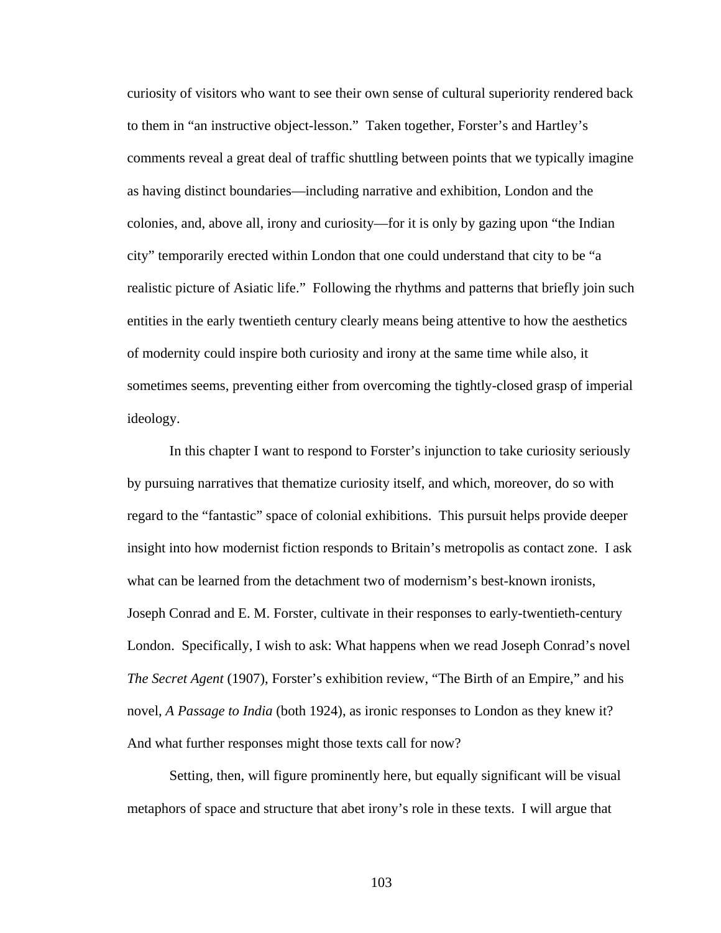curiosity of visitors who want to see their own sense of cultural superiority rendered back to them in "an instructive object-lesson." Taken together, Forster's and Hartley's comments reveal a great deal of traffic shuttling between points that we typically imagine as having distinct boundaries—including narrative and exhibition, London and the colonies, and, above all, irony and curiosity—for it is only by gazing upon "the Indian city" temporarily erected within London that one could understand that city to be "a realistic picture of Asiatic life." Following the rhythms and patterns that briefly join such entities in the early twentieth century clearly means being attentive to how the aesthetics of modernity could inspire both curiosity and irony at the same time while also, it sometimes seems, preventing either from overcoming the tightly-closed grasp of imperial ideology.

In this chapter I want to respond to Forster's injunction to take curiosity seriously by pursuing narratives that thematize curiosity itself, and which, moreover, do so with regard to the "fantastic" space of colonial exhibitions. This pursuit helps provide deeper insight into how modernist fiction responds to Britain's metropolis as contact zone. I ask what can be learned from the detachment two of modernism's best-known ironists, Joseph Conrad and E. M. Forster, cultivate in their responses to early-twentieth-century London. Specifically, I wish to ask: What happens when we read Joseph Conrad's novel *The Secret Agent* (1907), Forster's exhibition review, "The Birth of an Empire," and his novel, *A Passage to India* (both 1924), as ironic responses to London as they knew it? And what further responses might those texts call for now?

Setting, then, will figure prominently here, but equally significant will be visual metaphors of space and structure that abet irony's role in these texts. I will argue that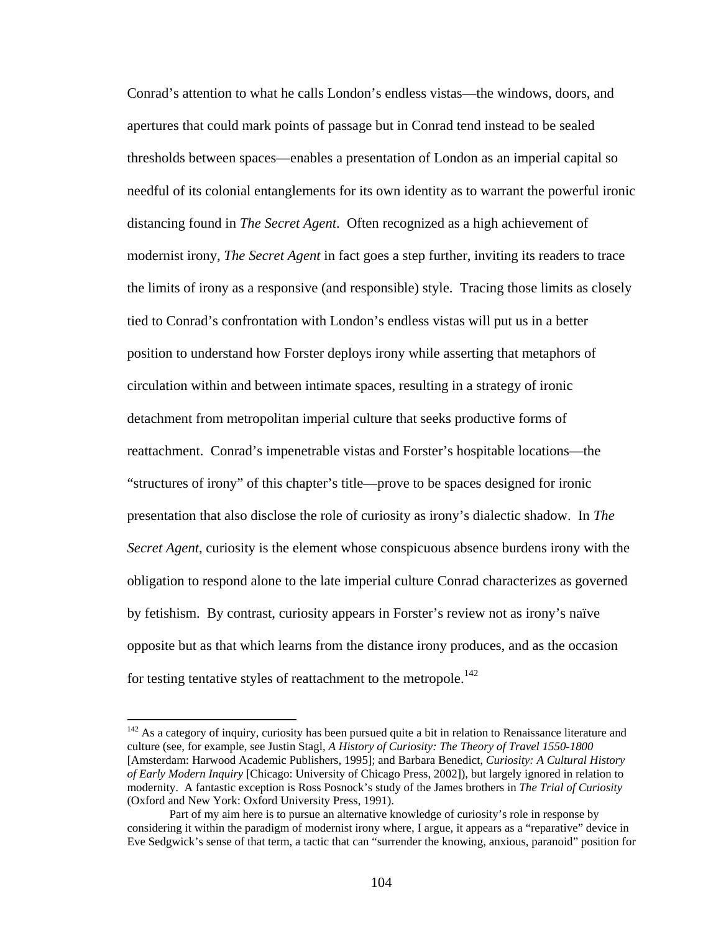Conrad's attention to what he calls London's endless vistas—the windows, doors, and apertures that could mark points of passage but in Conrad tend instead to be sealed thresholds between spaces—enables a presentation of London as an imperial capital so needful of its colonial entanglements for its own identity as to warrant the powerful ironic distancing found in *The Secret Agent*. Often recognized as a high achievement of modernist irony, *The Secret Agent* in fact goes a step further, inviting its readers to trace the limits of irony as a responsive (and responsible) style. Tracing those limits as closely tied to Conrad's confrontation with London's endless vistas will put us in a better position to understand how Forster deploys irony while asserting that metaphors of circulation within and between intimate spaces, resulting in a strategy of ironic detachment from metropolitan imperial culture that seeks productive forms of reattachment. Conrad's impenetrable vistas and Forster's hospitable locations—the "structures of irony" of this chapter's title—prove to be spaces designed for ironic presentation that also disclose the role of curiosity as irony's dialectic shadow. In *The Secret Agent*, curiosity is the element whose conspicuous absence burdens irony with the obligation to respond alone to the late imperial culture Conrad characterizes as governed by fetishism. By contrast, curiosity appears in Forster's review not as irony's naïve opposite but as that which learns from the distance irony produces, and as the occasion for testing tentative styles of reattachment to the metropole.<sup>142</sup>

 $142$  As a category of inquiry, curiosity has been pursued quite a bit in relation to Renaissance literature and culture (see, for example, see Justin Stagl, *A History of Curiosity: The Theory of Travel 1550-1800* [Amsterdam: Harwood Academic Publishers, 1995]; and Barbara Benedict, *Curiosity: A Cultural History of Early Modern Inquiry* [Chicago: University of Chicago Press, 2002]), but largely ignored in relation to modernity. A fantastic exception is Ross Posnock's study of the James brothers in *The Trial of Curiosity* (Oxford and New York: Oxford University Press, 1991).

Part of my aim here is to pursue an alternative knowledge of curiosity's role in response by considering it within the paradigm of modernist irony where, I argue, it appears as a "reparative" device in Eve Sedgwick's sense of that term, a tactic that can "surrender the knowing, anxious, paranoid" position for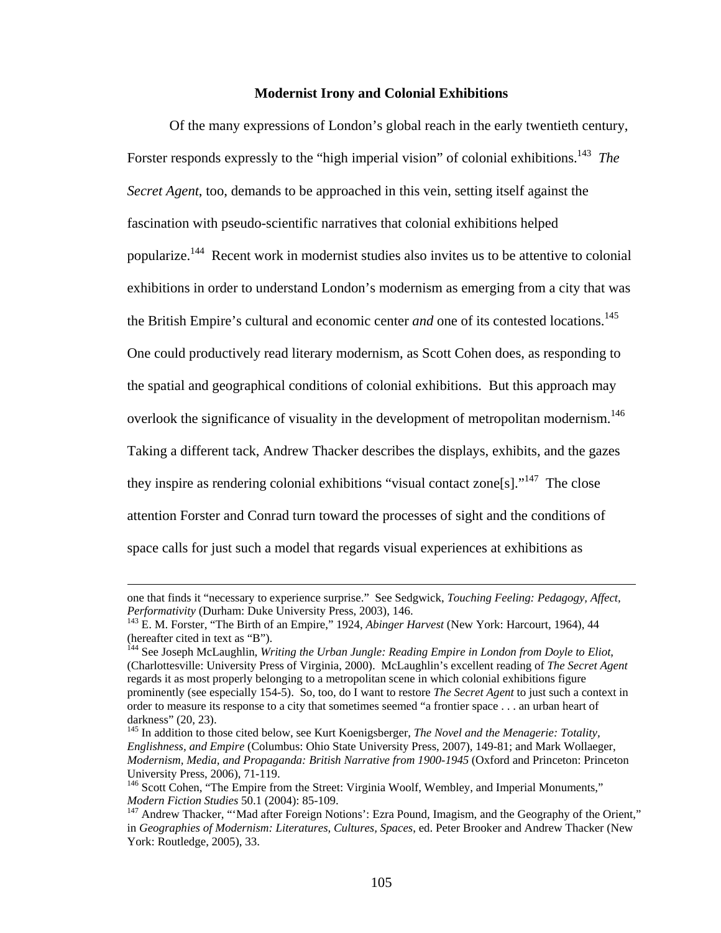## **Modernist Irony and Colonial Exhibitions**

Of the many expressions of London's global reach in the early twentieth century, Forster responds expressly to the "high imperial vision" of colonial exhibitions.<sup>143</sup> *The Secret Agent*, too, demands to be approached in this vein, setting itself against the fascination with pseudo-scientific narratives that colonial exhibitions helped popularize.144 Recent work in modernist studies also invites us to be attentive to colonial exhibitions in order to understand London's modernism as emerging from a city that was the British Empire's cultural and economic center *and* one of its contested locations.<sup>145</sup> One could productively read literary modernism, as Scott Cohen does, as responding to the spatial and geographical conditions of colonial exhibitions. But this approach may overlook the significance of visuality in the development of metropolitan modernism.<sup>146</sup> Taking a different tack, Andrew Thacker describes the displays, exhibits, and the gazes they inspire as rendering colonial exhibitions "visual contact zone[s]."<sup>147</sup> The close attention Forster and Conrad turn toward the processes of sight and the conditions of space calls for just such a model that regards visual experiences at exhibitions as

one that finds it "necessary to experience surprise." See Sedgwick, *Touching Feeling: Pedagogy, Affect, Performativity* (Durham: Duke University Press, 2003), 146.<br><sup>143</sup> E. M. Forster, "The Birth of an Empire," 1924, *Abinger Harvest* (New York: Harcourt, 1964), 44

<sup>(</sup>hereafter cited in text as "B").

<sup>&</sup>lt;sup>144</sup> See Joseph McLaughlin, *Writing the Urban Jungle: Reading Empire in London from Doyle to Eliot*, (Charlottesville: University Press of Virginia, 2000). McLaughlin's excellent reading of *The Secret Agent* regards it as most properly belonging to a metropolitan scene in which colonial exhibitions figure prominently (see especially 154-5). So, too, do I want to restore *The Secret Agent* to just such a context in order to measure its response to a city that sometimes seemed "a frontier space . . . an urban heart of darkness" (20, 23).

<sup>145</sup> In addition to those cited below, see Kurt Koenigsberger, *The Novel and the Menagerie: Totality, Englishness, and Empire* (Columbus: Ohio State University Press, 2007), 149-81; and Mark Wollaeger, *Modernism, Media, and Propaganda: British Narrative from 1900-1945* (Oxford and Princeton: Princeton University Press, 2006), 71-119.

<sup>&</sup>lt;sup>146</sup> Scott Cohen, "The Empire from the Street: Virginia Woolf, Wembley, and Imperial Monuments," *Modern Fiction Studies* 50.1 (2004): 85-109.<br><sup>147</sup> Andrew Thacker, "'Mad after Foreign Notions': Ezra Pound, Imagism, and the Geography of the Orient,"

in *Geographies of Modernism: Literatures, Cultures, Spaces*, ed. Peter Brooker and Andrew Thacker (New York: Routledge, 2005), 33.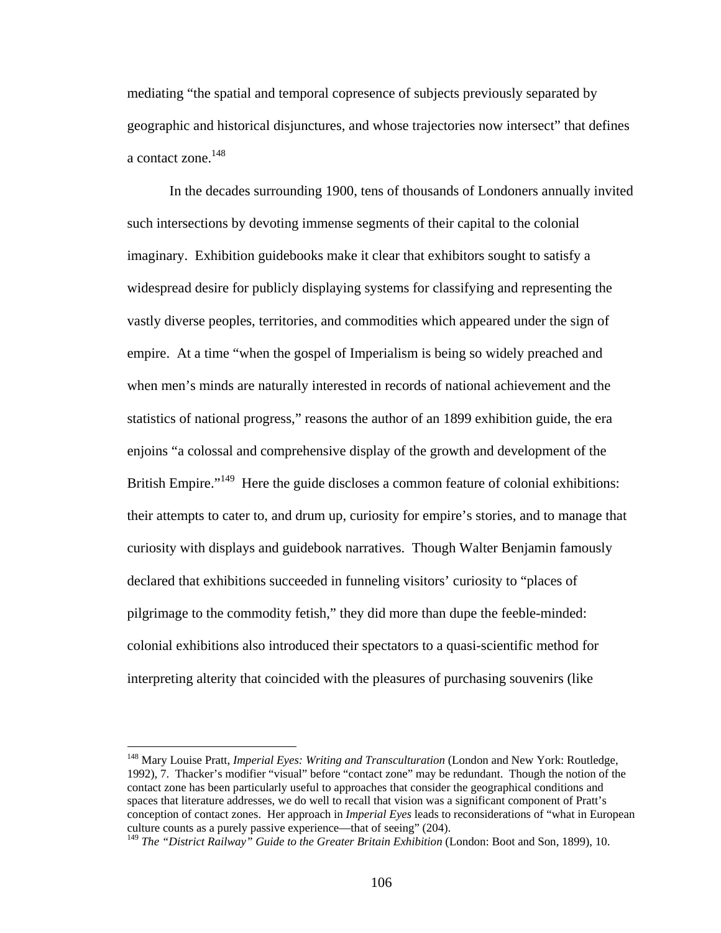mediating "the spatial and temporal copresence of subjects previously separated by geographic and historical disjunctures, and whose trajectories now intersect" that defines a contact zone.<sup>148</sup>

In the decades surrounding 1900, tens of thousands of Londoners annually invited such intersections by devoting immense segments of their capital to the colonial imaginary. Exhibition guidebooks make it clear that exhibitors sought to satisfy a widespread desire for publicly displaying systems for classifying and representing the vastly diverse peoples, territories, and commodities which appeared under the sign of empire. At a time "when the gospel of Imperialism is being so widely preached and when men's minds are naturally interested in records of national achievement and the statistics of national progress," reasons the author of an 1899 exhibition guide, the era enjoins "a colossal and comprehensive display of the growth and development of the British Empire."<sup>149</sup> Here the guide discloses a common feature of colonial exhibitions: their attempts to cater to, and drum up, curiosity for empire's stories, and to manage that curiosity with displays and guidebook narratives. Though Walter Benjamin famously declared that exhibitions succeeded in funneling visitors' curiosity to "places of pilgrimage to the commodity fetish," they did more than dupe the feeble-minded: colonial exhibitions also introduced their spectators to a quasi-scientific method for interpreting alterity that coincided with the pleasures of purchasing souvenirs (like

<sup>148</sup> Mary Louise Pratt, *Imperial Eyes: Writing and Transculturation* (London and New York: Routledge, 1992), 7. Thacker's modifier "visual" before "contact zone" may be redundant. Though the notion of the contact zone has been particularly useful to approaches that consider the geographical conditions and spaces that literature addresses, we do well to recall that vision was a significant component of Pratt's conception of contact zones. Her approach in *Imperial Eyes* leads to reconsiderations of "what in European culture counts as a purely passive experience—that of seeing" (204).

<sup>149</sup> *The "District Railway" Guide to the Greater Britain Exhibition* (London: Boot and Son, 1899), 10.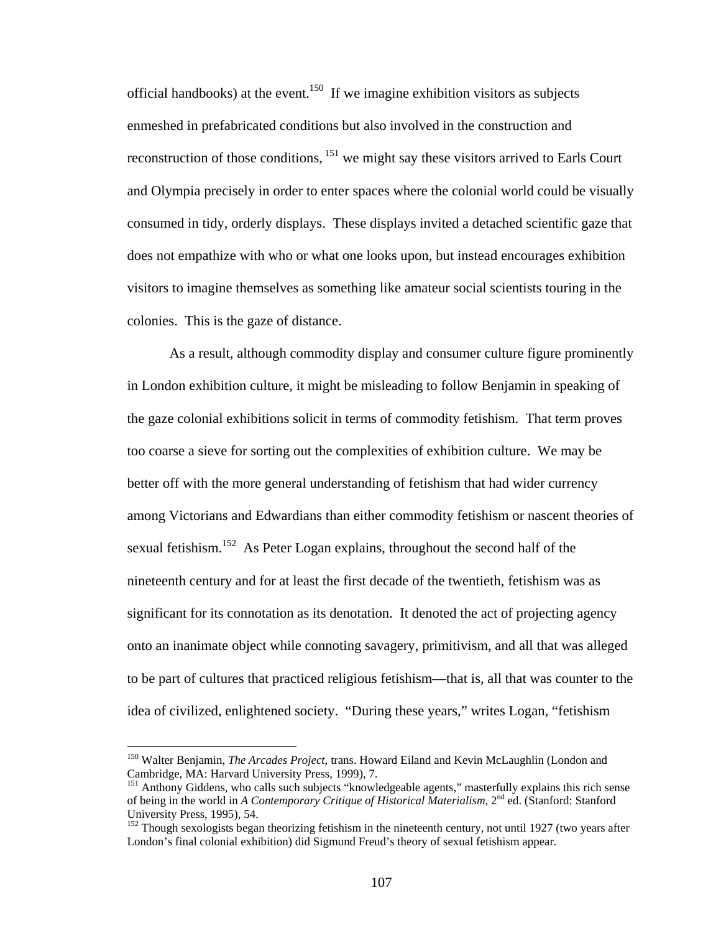official handbooks) at the event.<sup>150</sup> If we imagine exhibition visitors as subjects enmeshed in prefabricated conditions but also involved in the construction and reconstruction of those conditions, 151 we might say these visitors arrived to Earls Court and Olympia precisely in order to enter spaces where the colonial world could be visually consumed in tidy, orderly displays. These displays invited a detached scientific gaze that does not empathize with who or what one looks upon, but instead encourages exhibition visitors to imagine themselves as something like amateur social scientists touring in the colonies. This is the gaze of distance.

As a result, although commodity display and consumer culture figure prominently in London exhibition culture, it might be misleading to follow Benjamin in speaking of the gaze colonial exhibitions solicit in terms of commodity fetishism. That term proves too coarse a sieve for sorting out the complexities of exhibition culture. We may be better off with the more general understanding of fetishism that had wider currency among Victorians and Edwardians than either commodity fetishism or nascent theories of sexual fetishism.<sup>152</sup> As Peter Logan explains, throughout the second half of the nineteenth century and for at least the first decade of the twentieth, fetishism was as significant for its connotation as its denotation. It denoted the act of projecting agency onto an inanimate object while connoting savagery, primitivism, and all that was alleged to be part of cultures that practiced religious fetishism—that is, all that was counter to the idea of civilized, enlightened society. "During these years," writes Logan, "fetishism

<sup>150</sup> Walter Benjamin, *The Arcades Project*, trans. Howard Eiland and Kevin McLaughlin (London and Cambridge, MA: Harvard University Press, 1999), 7.

<sup>&</sup>lt;sup>151</sup> Anthony Giddens, who calls such subjects "knowledgeable agents," masterfully explains this rich sense of being in the world in *A Contemporary Critique of Historical Materialism*, 2<sup>nd</sup> ed. (Stanford: Stanford University Press, 1995), 54.

<sup>&</sup>lt;sup>152</sup> Though sexologists began theorizing fetishism in the nineteenth century, not until 1927 (two years after London's final colonial exhibition) did Sigmund Freud's theory of sexual fetishism appear.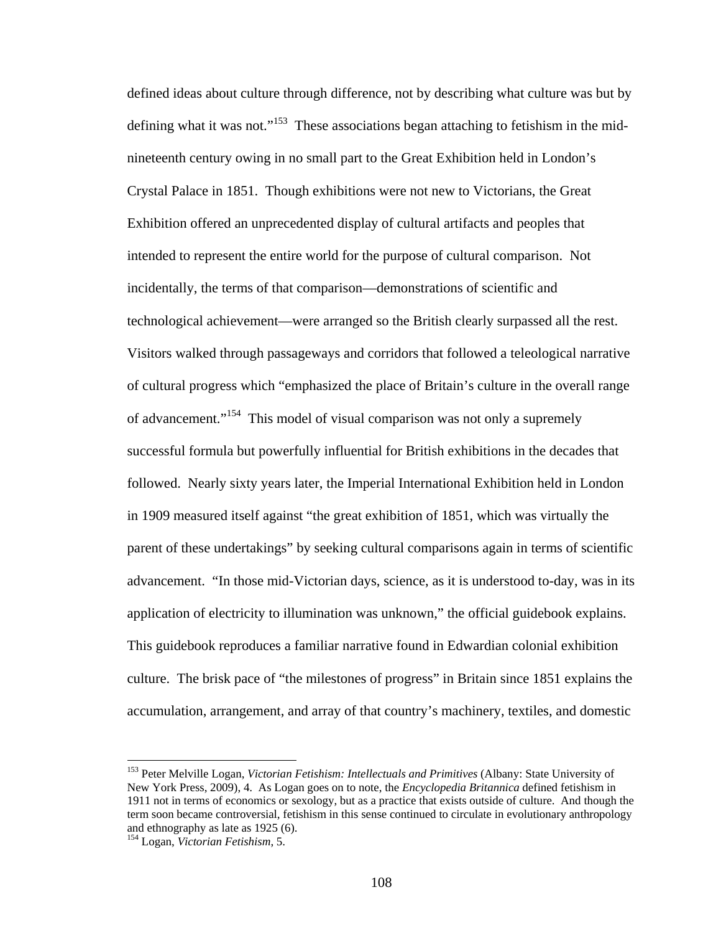defined ideas about culture through difference, not by describing what culture was but by defining what it was not."<sup>153</sup> These associations began attaching to fetishism in the midnineteenth century owing in no small part to the Great Exhibition held in London's Crystal Palace in 1851. Though exhibitions were not new to Victorians, the Great Exhibition offered an unprecedented display of cultural artifacts and peoples that intended to represent the entire world for the purpose of cultural comparison. Not incidentally, the terms of that comparison—demonstrations of scientific and technological achievement—were arranged so the British clearly surpassed all the rest. Visitors walked through passageways and corridors that followed a teleological narrative of cultural progress which "emphasized the place of Britain's culture in the overall range of advancement."154 This model of visual comparison was not only a supremely successful formula but powerfully influential for British exhibitions in the decades that followed. Nearly sixty years later, the Imperial International Exhibition held in London in 1909 measured itself against "the great exhibition of 1851, which was virtually the parent of these undertakings" by seeking cultural comparisons again in terms of scientific advancement. "In those mid-Victorian days, science, as it is understood to-day, was in its application of electricity to illumination was unknown," the official guidebook explains. This guidebook reproduces a familiar narrative found in Edwardian colonial exhibition culture. The brisk pace of "the milestones of progress" in Britain since 1851 explains the accumulation, arrangement, and array of that country's machinery, textiles, and domestic

<sup>153</sup> Peter Melville Logan, *Victorian Fetishism: Intellectuals and Primitives* (Albany: State University of New York Press, 2009), 4. As Logan goes on to note, the *Encyclopedia Britannica* defined fetishism in 1911 not in terms of economics or sexology, but as a practice that exists outside of culture. And though the term soon became controversial, fetishism in this sense continued to circulate in evolutionary anthropology and ethnography as late as 1925 (6).

<sup>154</sup> Logan, *Victorian Fetishism*, 5.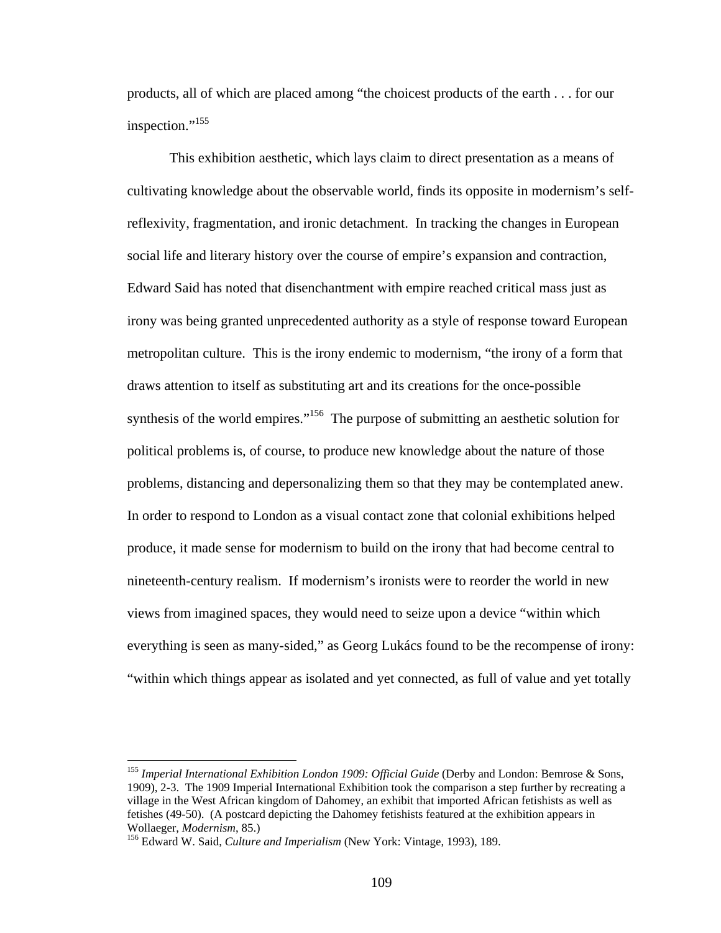products, all of which are placed among "the choicest products of the earth . . . for our inspection."<sup>155</sup>

This exhibition aesthetic, which lays claim to direct presentation as a means of cultivating knowledge about the observable world, finds its opposite in modernism's selfreflexivity, fragmentation, and ironic detachment. In tracking the changes in European social life and literary history over the course of empire's expansion and contraction, Edward Said has noted that disenchantment with empire reached critical mass just as irony was being granted unprecedented authority as a style of response toward European metropolitan culture. This is the irony endemic to modernism, "the irony of a form that draws attention to itself as substituting art and its creations for the once-possible synthesis of the world empires."<sup>156</sup> The purpose of submitting an aesthetic solution for political problems is, of course, to produce new knowledge about the nature of those problems, distancing and depersonalizing them so that they may be contemplated anew. In order to respond to London as a visual contact zone that colonial exhibitions helped produce, it made sense for modernism to build on the irony that had become central to nineteenth-century realism. If modernism's ironists were to reorder the world in new views from imagined spaces, they would need to seize upon a device "within which everything is seen as many-sided," as Georg Lukács found to be the recompense of irony: "within which things appear as isolated and yet connected, as full of value and yet totally

<sup>155</sup> *Imperial International Exhibition London 1909: Official Guide* (Derby and London: Bemrose & Sons, 1909), 2-3. The 1909 Imperial International Exhibition took the comparison a step further by recreating a village in the West African kingdom of Dahomey, an exhibit that imported African fetishists as well as fetishes (49-50). (A postcard depicting the Dahomey fetishists featured at the exhibition appears in Wollaeger, *Modernism*, 85.)<br><sup>156</sup> Edward W. Said, *Culture and Imperialism* (New York: Vintage, 1993), 189.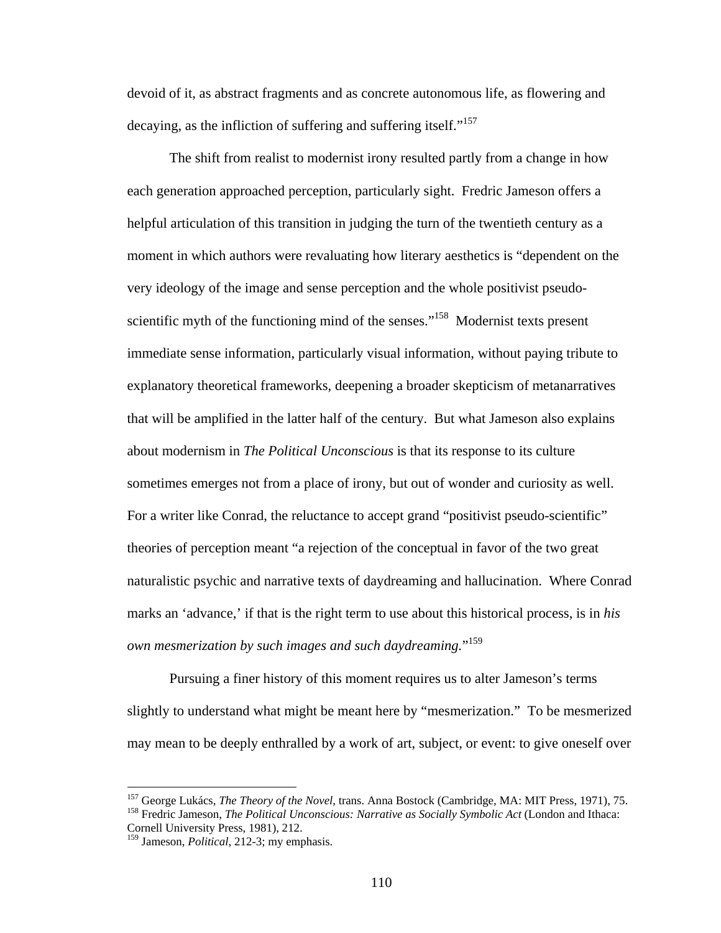devoid of it, as abstract fragments and as concrete autonomous life, as flowering and decaying, as the infliction of suffering and suffering itself."<sup>157</sup>

The shift from realist to modernist irony resulted partly from a change in how each generation approached perception, particularly sight. Fredric Jameson offers a helpful articulation of this transition in judging the turn of the twentieth century as a moment in which authors were revaluating how literary aesthetics is "dependent on the very ideology of the image and sense perception and the whole positivist pseudoscientific myth of the functioning mind of the senses."<sup>158</sup> Modernist texts present immediate sense information, particularly visual information, without paying tribute to explanatory theoretical frameworks, deepening a broader skepticism of metanarratives that will be amplified in the latter half of the century. But what Jameson also explains about modernism in *The Political Unconscious* is that its response to its culture sometimes emerges not from a place of irony, but out of wonder and curiosity as well. For a writer like Conrad, the reluctance to accept grand "positivist pseudo-scientific" theories of perception meant "a rejection of the conceptual in favor of the two great naturalistic psychic and narrative texts of daydreaming and hallucination. Where Conrad marks an 'advance,' if that is the right term to use about this historical process, is in *his own mesmerization by such images and such daydreaming.*" 159

Pursuing a finer history of this moment requires us to alter Jameson's terms slightly to understand what might be meant here by "mesmerization." To be mesmerized may mean to be deeply enthralled by a work of art, subject, or event: to give oneself over

<sup>&</sup>lt;sup>157</sup> George Lukács, *The Theory of the Novel*, trans. Anna Bostock (Cambridge, MA: MIT Press, 1971), 75.

<sup>&</sup>lt;sup>158</sup> Fredric Jameson, *The Political Unconscious: Narrative as Socially Symbolic Act* (London and Ithaca: Cornell University Press, 1981), 212.

<sup>159</sup> Jameson, *Political*, 212-3; my emphasis.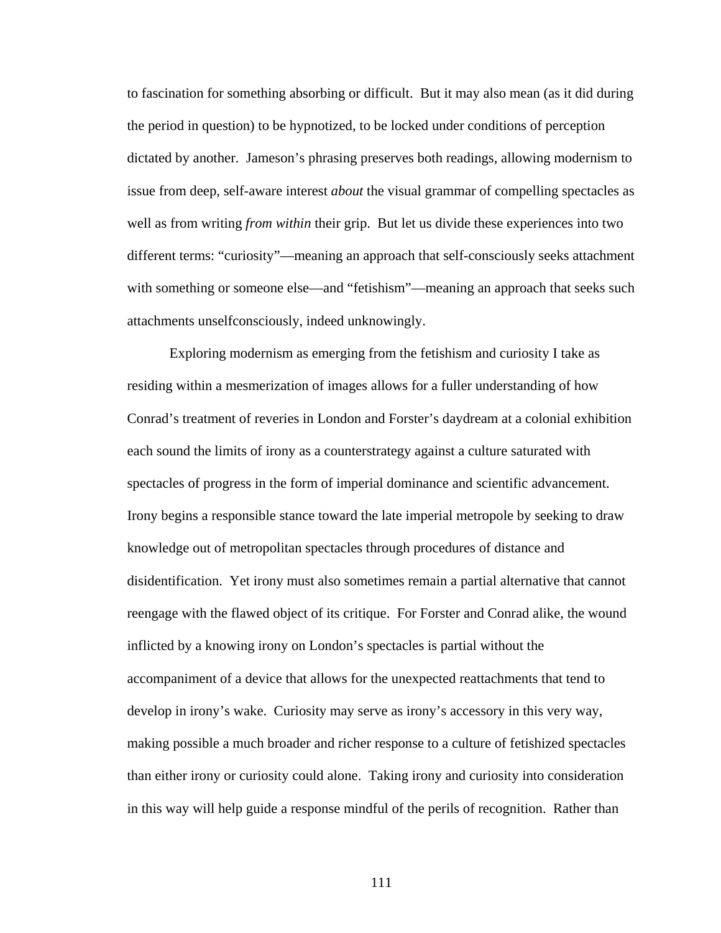to fascination for something absorbing or difficult. But it may also mean (as it did during the period in question) to be hypnotized, to be locked under conditions of perception dictated by another. Jameson's phrasing preserves both readings, allowing modernism to issue from deep, self-aware interest *about* the visual grammar of compelling spectacles as well as from writing *from within* their grip. But let us divide these experiences into two different terms: "curiosity"—meaning an approach that self-consciously seeks attachment with something or someone else—and "fetishism"—meaning an approach that seeks such attachments unselfconsciously, indeed unknowingly.

Exploring modernism as emerging from the fetishism and curiosity I take as residing within a mesmerization of images allows for a fuller understanding of how Conrad's treatment of reveries in London and Forster's daydream at a colonial exhibition each sound the limits of irony as a counterstrategy against a culture saturated with spectacles of progress in the form of imperial dominance and scientific advancement. Irony begins a responsible stance toward the late imperial metropole by seeking to draw knowledge out of metropolitan spectacles through procedures of distance and disidentification. Yet irony must also sometimes remain a partial alternative that cannot reengage with the flawed object of its critique. For Forster and Conrad alike, the wound inflicted by a knowing irony on London's spectacles is partial without the accompaniment of a device that allows for the unexpected reattachments that tend to develop in irony's wake. Curiosity may serve as irony's accessory in this very way, making possible a much broader and richer response to a culture of fetishized spectacles than either irony or curiosity could alone. Taking irony and curiosity into consideration in this way will help guide a response mindful of the perils of recognition. Rather than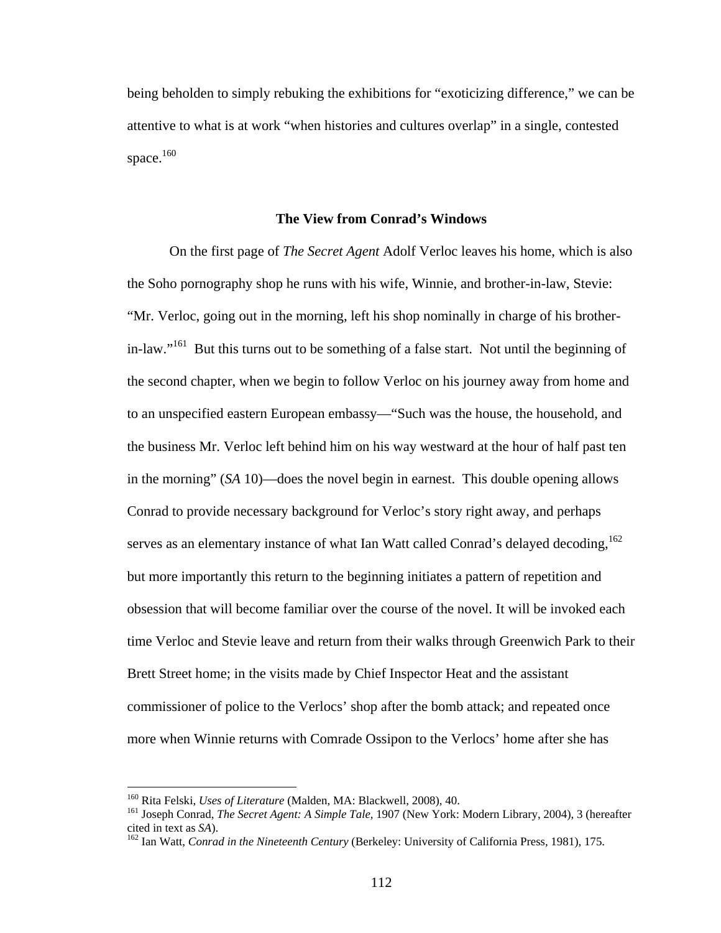being beholden to simply rebuking the exhibitions for "exoticizing difference," we can be attentive to what is at work "when histories and cultures overlap" in a single, contested space. $160$ 

## **The View from Conrad's Windows**

On the first page of *The Secret Agent* Adolf Verloc leaves his home, which is also the Soho pornography shop he runs with his wife, Winnie, and brother-in-law, Stevie: "Mr. Verloc, going out in the morning, left his shop nominally in charge of his brotherin-law."<sup>161</sup> But this turns out to be something of a false start. Not until the beginning of the second chapter, when we begin to follow Verloc on his journey away from home and to an unspecified eastern European embassy—"Such was the house, the household, and the business Mr. Verloc left behind him on his way westward at the hour of half past ten in the morning" (*SA* 10)—does the novel begin in earnest. This double opening allows Conrad to provide necessary background for Verloc's story right away, and perhaps serves as an elementary instance of what Ian Watt called Conrad's delayed decoding,<sup>162</sup> but more importantly this return to the beginning initiates a pattern of repetition and obsession that will become familiar over the course of the novel. It will be invoked each time Verloc and Stevie leave and return from their walks through Greenwich Park to their Brett Street home; in the visits made by Chief Inspector Heat and the assistant commissioner of police to the Verlocs' shop after the bomb attack; and repeated once more when Winnie returns with Comrade Ossipon to the Verlocs' home after she has

<u>.</u>

<sup>&</sup>lt;sup>160</sup> Rita Felski, *Uses of Literature* (Malden, MA: Blackwell, 2008), 40.<br><sup>161</sup> Joseph Conrad, *The Secret Agent: A Simple Tale*, 1907 (New York: Modern Library, 2004), 3 (hereafter cited in text as *SA*). 162 Ian Watt, *Conrad in the Nineteenth Century* (Berkeley: University of California Press, 1981), 175.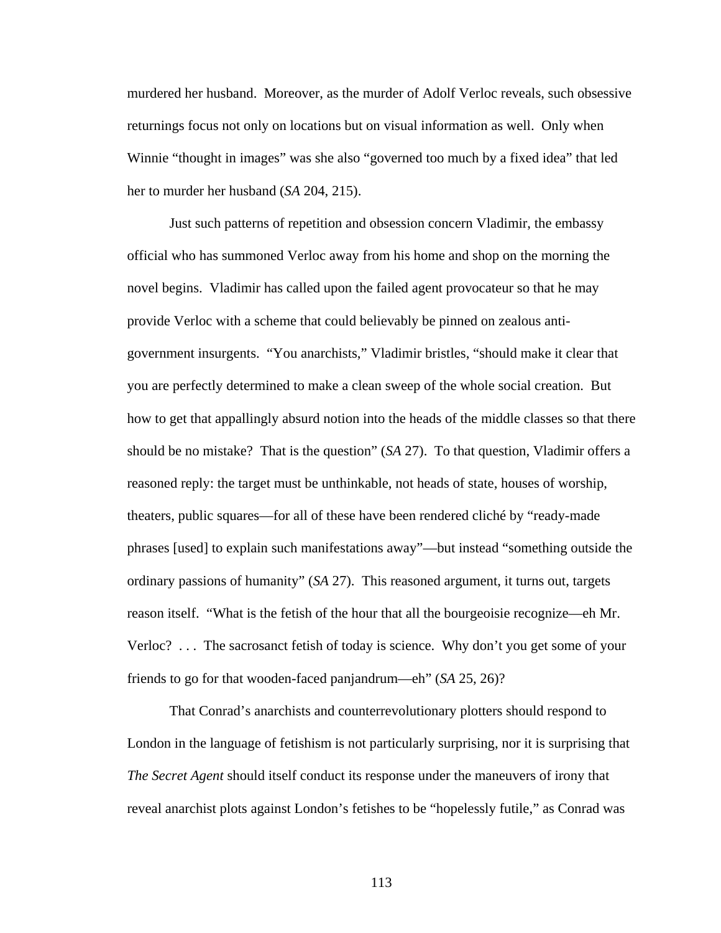murdered her husband. Moreover, as the murder of Adolf Verloc reveals, such obsessive returnings focus not only on locations but on visual information as well. Only when Winnie "thought in images" was she also "governed too much by a fixed idea" that led her to murder her husband (*SA* 204, 215).

Just such patterns of repetition and obsession concern Vladimir, the embassy official who has summoned Verloc away from his home and shop on the morning the novel begins. Vladimir has called upon the failed agent provocateur so that he may provide Verloc with a scheme that could believably be pinned on zealous antigovernment insurgents. "You anarchists," Vladimir bristles, "should make it clear that you are perfectly determined to make a clean sweep of the whole social creation. But how to get that appallingly absurd notion into the heads of the middle classes so that there should be no mistake? That is the question" (*SA* 27). To that question, Vladimir offers a reasoned reply: the target must be unthinkable, not heads of state, houses of worship, theaters, public squares—for all of these have been rendered cliché by "ready-made phrases [used] to explain such manifestations away"—but instead "something outside the ordinary passions of humanity" (*SA* 27). This reasoned argument, it turns out, targets reason itself. "What is the fetish of the hour that all the bourgeoisie recognize—eh Mr. Verloc? . . . The sacrosanct fetish of today is science. Why don't you get some of your friends to go for that wooden-faced panjandrum—eh" (*SA* 25, 26)?

That Conrad's anarchists and counterrevolutionary plotters should respond to London in the language of fetishism is not particularly surprising, nor it is surprising that *The Secret Agent* should itself conduct its response under the maneuvers of irony that reveal anarchist plots against London's fetishes to be "hopelessly futile," as Conrad was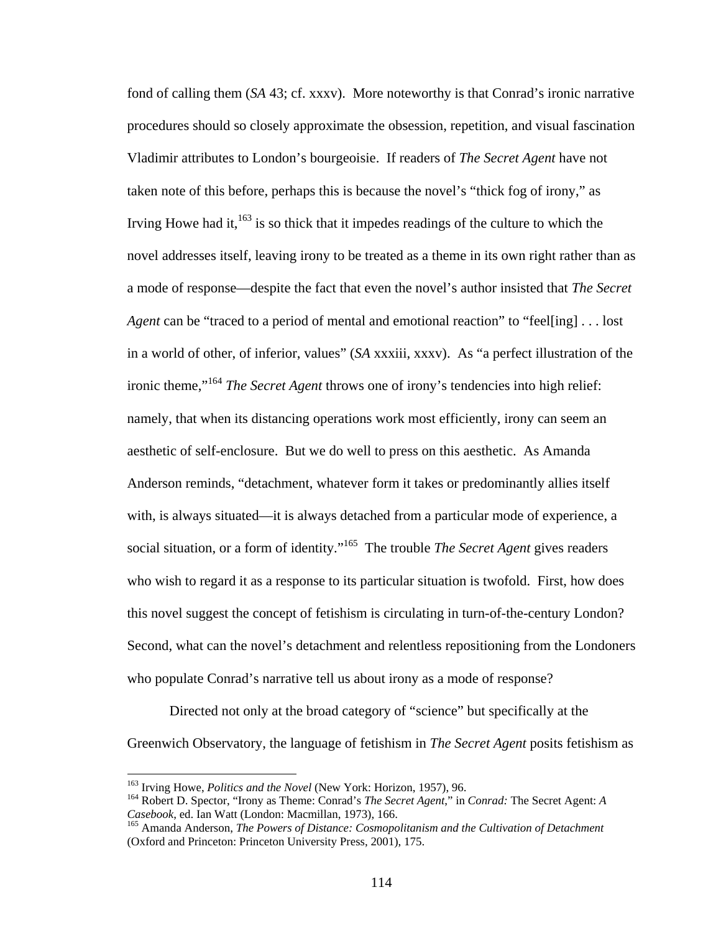fond of calling them (*SA* 43; cf. xxxv). More noteworthy is that Conrad's ironic narrative procedures should so closely approximate the obsession, repetition, and visual fascination Vladimir attributes to London's bourgeoisie. If readers of *The Secret Agent* have not taken note of this before, perhaps this is because the novel's "thick fog of irony," as Irving Howe had it,  $163$  is so thick that it impedes readings of the culture to which the novel addresses itself, leaving irony to be treated as a theme in its own right rather than as a mode of response—despite the fact that even the novel's author insisted that *The Secret Agent* can be "traced to a period of mental and emotional reaction" to "feel[ing] . . . lost in a world of other, of inferior, values" (*SA* xxxiii, xxxv). As "a perfect illustration of the ironic theme,"164 *The Secret Agent* throws one of irony's tendencies into high relief: namely, that when its distancing operations work most efficiently, irony can seem an aesthetic of self-enclosure. But we do well to press on this aesthetic. As Amanda Anderson reminds, "detachment, whatever form it takes or predominantly allies itself with, is always situated—it is always detached from a particular mode of experience, a social situation, or a form of identity."165 The trouble *The Secret Agent* gives readers who wish to regard it as a response to its particular situation is twofold. First, how does this novel suggest the concept of fetishism is circulating in turn-of-the-century London? Second, what can the novel's detachment and relentless repositioning from the Londoners who populate Conrad's narrative tell us about irony as a mode of response?

Directed not only at the broad category of "science" but specifically at the Greenwich Observatory, the language of fetishism in *The Secret Agent* posits fetishism as

<sup>&</sup>lt;sup>163</sup> Irving Howe, *Politics and the Novel* (New York: Horizon, 1957), 96.

<sup>&</sup>lt;sup>164</sup> Robert D. Spector, "Irony as Theme: Conrad's *The Secret Agent*," in *Conrad*: The Secret Agent: *A Casebook*, ed. Ian Watt (London: Macmillan, 1973), 166.

<sup>&</sup>lt;sup>165</sup> Amanda Anderson, *The Powers of Distance: Cosmopolitanism and the Cultivation of Detachment* (Oxford and Princeton: Princeton University Press, 2001), 175.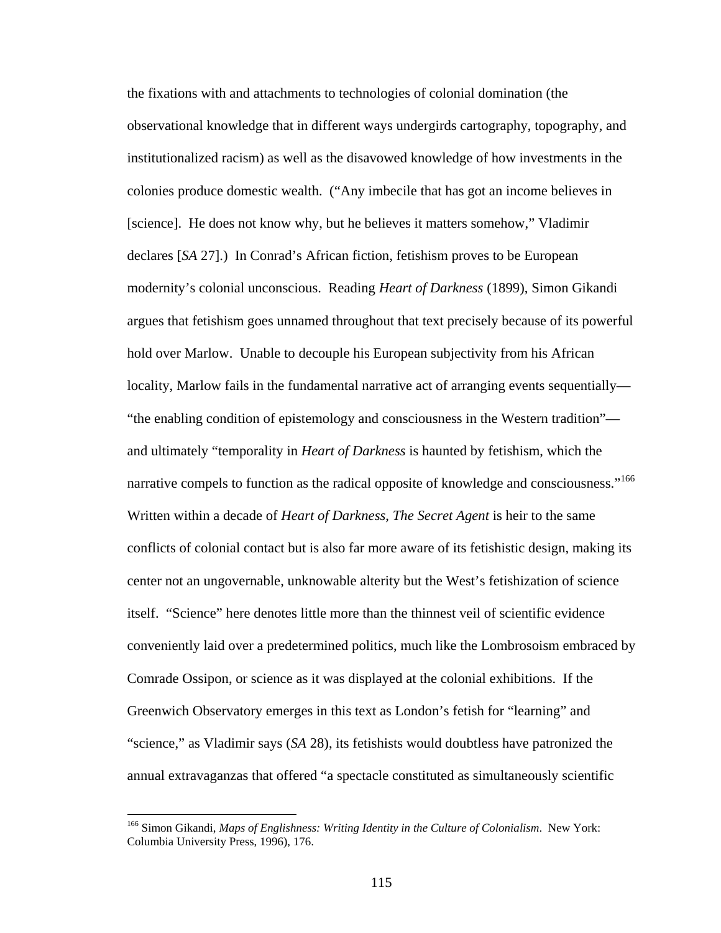the fixations with and attachments to technologies of colonial domination (the observational knowledge that in different ways undergirds cartography, topography, and institutionalized racism) as well as the disavowed knowledge of how investments in the colonies produce domestic wealth. ("Any imbecile that has got an income believes in [science]. He does not know why, but he believes it matters somehow," Vladimir declares [*SA* 27].) In Conrad's African fiction, fetishism proves to be European modernity's colonial unconscious. Reading *Heart of Darkness* (1899), Simon Gikandi argues that fetishism goes unnamed throughout that text precisely because of its powerful hold over Marlow. Unable to decouple his European subjectivity from his African locality, Marlow fails in the fundamental narrative act of arranging events sequentially— "the enabling condition of epistemology and consciousness in the Western tradition" and ultimately "temporality in *Heart of Darkness* is haunted by fetishism, which the narrative compels to function as the radical opposite of knowledge and consciousness."<sup>166</sup> Written within a decade of *Heart of Darkness*, *The Secret Agent* is heir to the same conflicts of colonial contact but is also far more aware of its fetishistic design, making its center not an ungovernable, unknowable alterity but the West's fetishization of science itself. "Science" here denotes little more than the thinnest veil of scientific evidence conveniently laid over a predetermined politics, much like the Lombrosoism embraced by Comrade Ossipon, or science as it was displayed at the colonial exhibitions. If the Greenwich Observatory emerges in this text as London's fetish for "learning" and "science," as Vladimir says (*SA* 28), its fetishists would doubtless have patronized the annual extravaganzas that offered "a spectacle constituted as simultaneously scientific

<sup>166</sup> Simon Gikandi, *Maps of Englishness: Writing Identity in the Culture of Colonialism*. New York: Columbia University Press, 1996), 176.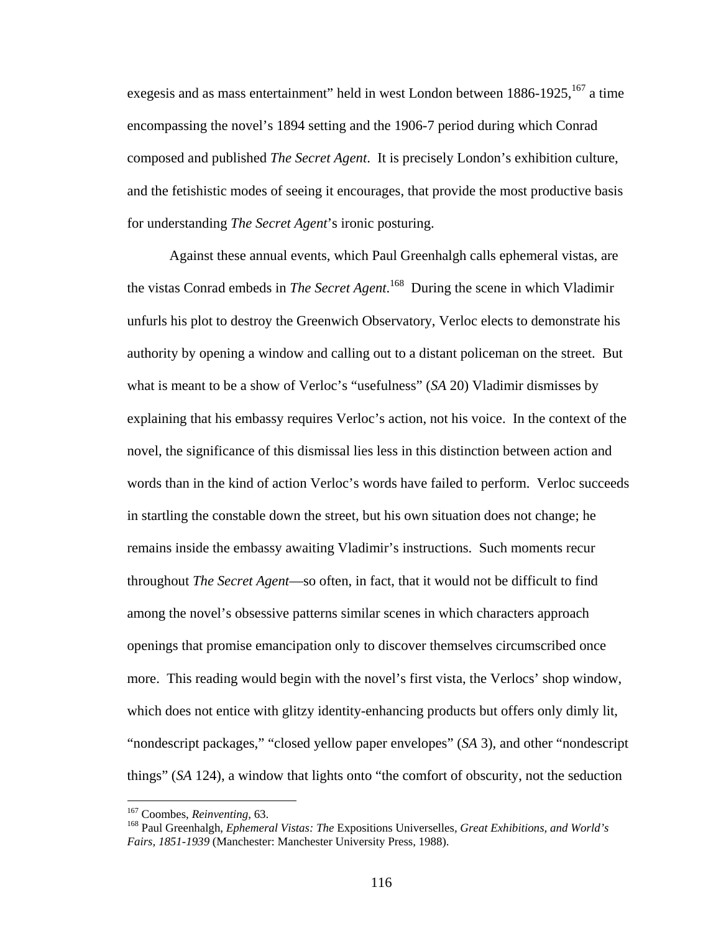exegesis and as mass entertainment" held in west London between 1886-1925, <sup>167</sup> a time encompassing the novel's 1894 setting and the 1906-7 period during which Conrad composed and published *The Secret Agent*. It is precisely London's exhibition culture, and the fetishistic modes of seeing it encourages, that provide the most productive basis for understanding *The Secret Agent*'s ironic posturing.

Against these annual events, which Paul Greenhalgh calls ephemeral vistas, are the vistas Conrad embeds in *The Secret Agent*. 168 During the scene in which Vladimir unfurls his plot to destroy the Greenwich Observatory, Verloc elects to demonstrate his authority by opening a window and calling out to a distant policeman on the street. But what is meant to be a show of Verloc's "usefulness" (*SA* 20) Vladimir dismisses by explaining that his embassy requires Verloc's action, not his voice. In the context of the novel, the significance of this dismissal lies less in this distinction between action and words than in the kind of action Verloc's words have failed to perform. Verloc succeeds in startling the constable down the street, but his own situation does not change; he remains inside the embassy awaiting Vladimir's instructions. Such moments recur throughout *The Secret Agent*—so often, in fact, that it would not be difficult to find among the novel's obsessive patterns similar scenes in which characters approach openings that promise emancipation only to discover themselves circumscribed once more. This reading would begin with the novel's first vista, the Verlocs' shop window, which does not entice with glitzy identity-enhancing products but offers only dimly lit, "nondescript packages," "closed yellow paper envelopes" (*SA* 3), and other "nondescript things" (*SA* 124), a window that lights onto "the comfort of obscurity, not the seduction

<sup>&</sup>lt;sup>167</sup> Coombes, *Reinventing*, 63.<br><sup>168</sup> Paul Greenhalgh, *Ephemeral Vistas: The* Expositions Universelles, *Great Exhibitions, and World's Fairs, 1851-1939* (Manchester: Manchester University Press, 1988).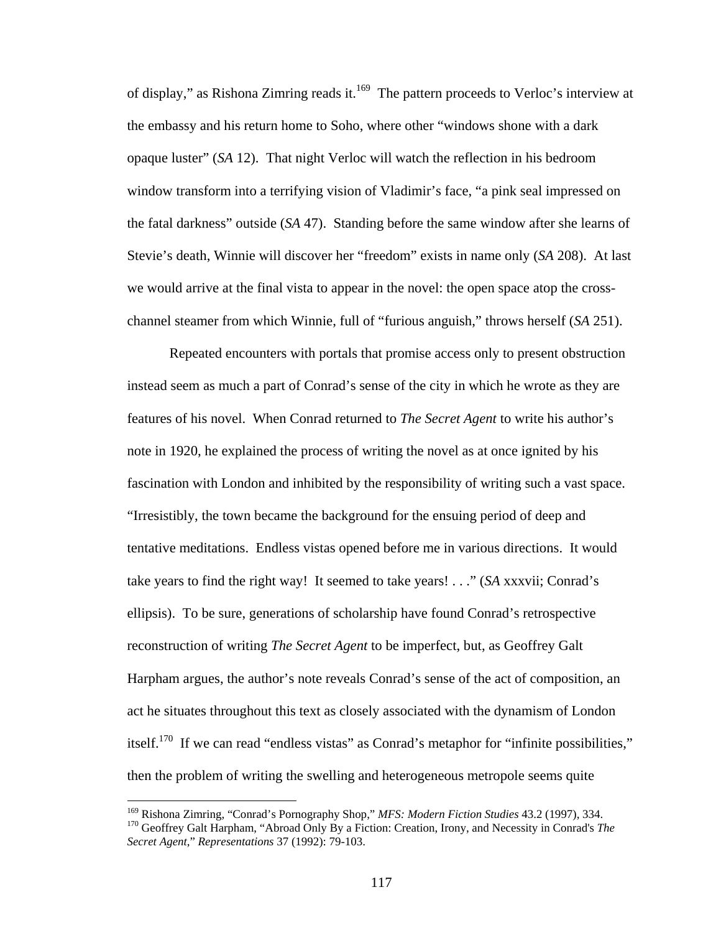of display," as Rishona Zimring reads it.<sup>169</sup> The pattern proceeds to Verloc's interview at the embassy and his return home to Soho, where other "windows shone with a dark opaque luster" (*SA* 12). That night Verloc will watch the reflection in his bedroom window transform into a terrifying vision of Vladimir's face, "a pink seal impressed on the fatal darkness" outside (*SA* 47). Standing before the same window after she learns of Stevie's death, Winnie will discover her "freedom" exists in name only (*SA* 208). At last we would arrive at the final vista to appear in the novel: the open space atop the crosschannel steamer from which Winnie, full of "furious anguish," throws herself (*SA* 251).

Repeated encounters with portals that promise access only to present obstruction instead seem as much a part of Conrad's sense of the city in which he wrote as they are features of his novel. When Conrad returned to *The Secret Agent* to write his author's note in 1920, he explained the process of writing the novel as at once ignited by his fascination with London and inhibited by the responsibility of writing such a vast space. "Irresistibly, the town became the background for the ensuing period of deep and tentative meditations. Endless vistas opened before me in various directions. It would take years to find the right way! It seemed to take years! . . ." (*SA* xxxvii; Conrad's ellipsis). To be sure, generations of scholarship have found Conrad's retrospective reconstruction of writing *The Secret Agent* to be imperfect, but, as Geoffrey Galt Harpham argues, the author's note reveals Conrad's sense of the act of composition, an act he situates throughout this text as closely associated with the dynamism of London itself.<sup>170</sup> If we can read "endless vistas" as Conrad's metaphor for "infinite possibilities," then the problem of writing the swelling and heterogeneous metropole seems quite

<sup>&</sup>lt;sup>169</sup> Rishona Zimring, "Conrad's Pornography Shop," *MFS: Modern Fiction Studies* 43.2 (1997), 334. <sup>170</sup> Geoffrey Galt Harpham, "Abroad Only By a Fiction: Creation, Irony, and Necessity in Conrad's *The Secret Agent*," *Representations* 37 (1992): 79-103.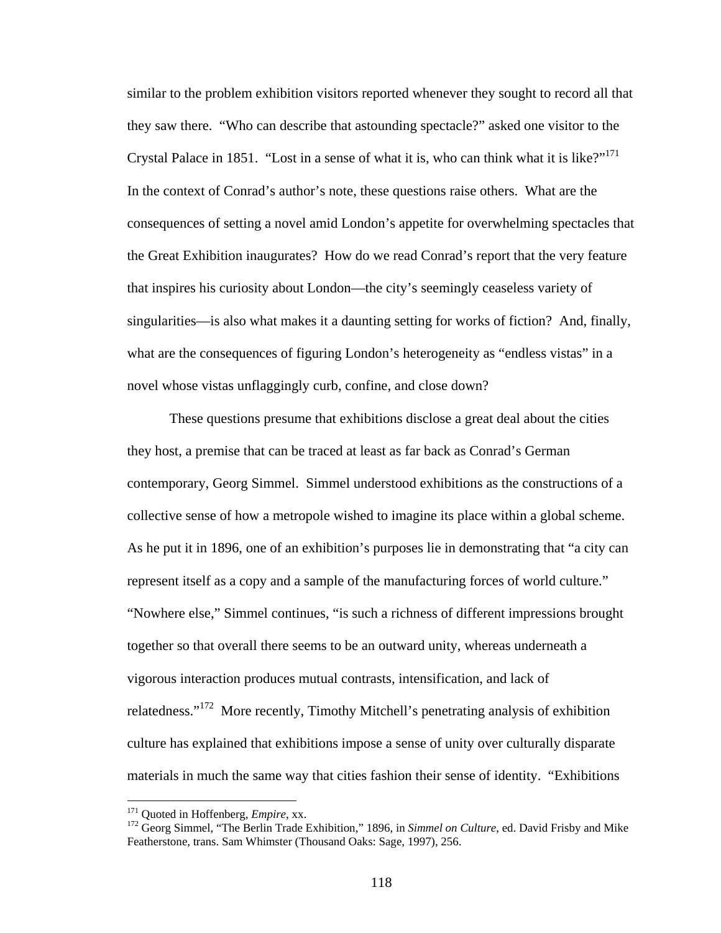similar to the problem exhibition visitors reported whenever they sought to record all that they saw there. "Who can describe that astounding spectacle?" asked one visitor to the Crystal Palace in 1851. "Lost in a sense of what it is, who can think what it is like?"<sup>171</sup> In the context of Conrad's author's note, these questions raise others. What are the consequences of setting a novel amid London's appetite for overwhelming spectacles that the Great Exhibition inaugurates? How do we read Conrad's report that the very feature that inspires his curiosity about London—the city's seemingly ceaseless variety of singularities—is also what makes it a daunting setting for works of fiction? And, finally, what are the consequences of figuring London's heterogeneity as "endless vistas" in a novel whose vistas unflaggingly curb, confine, and close down?

These questions presume that exhibitions disclose a great deal about the cities they host, a premise that can be traced at least as far back as Conrad's German contemporary, Georg Simmel. Simmel understood exhibitions as the constructions of a collective sense of how a metropole wished to imagine its place within a global scheme. As he put it in 1896, one of an exhibition's purposes lie in demonstrating that "a city can represent itself as a copy and a sample of the manufacturing forces of world culture." "Nowhere else," Simmel continues, "is such a richness of different impressions brought together so that overall there seems to be an outward unity, whereas underneath a vigorous interaction produces mutual contrasts, intensification, and lack of relatedness."172 More recently, Timothy Mitchell's penetrating analysis of exhibition culture has explained that exhibitions impose a sense of unity over culturally disparate materials in much the same way that cities fashion their sense of identity. "Exhibitions

<sup>&</sup>lt;sup>171</sup> Quoted in Hoffenberg, *Empire*, xx.<br><sup>172</sup> Georg Simmel, "The Berlin Trade Exhibition," 1896, in *Simmel on Culture*, ed. David Frisby and Mike Featherstone, trans. Sam Whimster (Thousand Oaks: Sage, 1997), 256.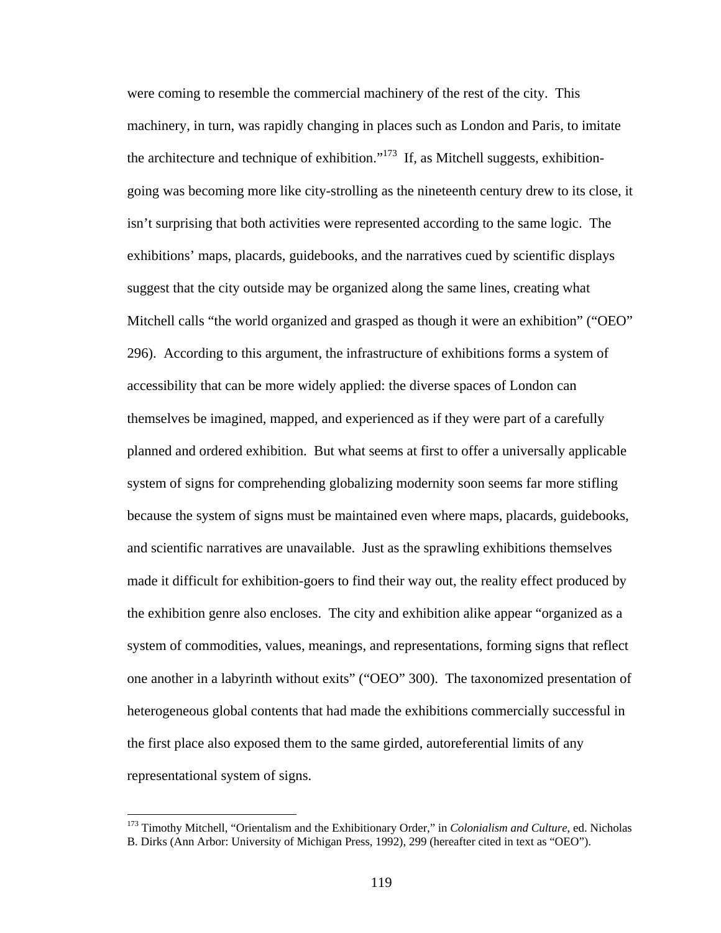were coming to resemble the commercial machinery of the rest of the city. This machinery, in turn, was rapidly changing in places such as London and Paris, to imitate the architecture and technique of exhibition."<sup>173</sup> If, as Mitchell suggests, exhibitiongoing was becoming more like city-strolling as the nineteenth century drew to its close, it isn't surprising that both activities were represented according to the same logic. The exhibitions' maps, placards, guidebooks, and the narratives cued by scientific displays suggest that the city outside may be organized along the same lines, creating what Mitchell calls "the world organized and grasped as though it were an exhibition" ("OEO" 296). According to this argument, the infrastructure of exhibitions forms a system of accessibility that can be more widely applied: the diverse spaces of London can themselves be imagined, mapped, and experienced as if they were part of a carefully planned and ordered exhibition. But what seems at first to offer a universally applicable system of signs for comprehending globalizing modernity soon seems far more stifling because the system of signs must be maintained even where maps, placards, guidebooks, and scientific narratives are unavailable. Just as the sprawling exhibitions themselves made it difficult for exhibition-goers to find their way out, the reality effect produced by the exhibition genre also encloses. The city and exhibition alike appear "organized as a system of commodities, values, meanings, and representations, forming signs that reflect one another in a labyrinth without exits" ("OEO" 300). The taxonomized presentation of heterogeneous global contents that had made the exhibitions commercially successful in the first place also exposed them to the same girded, autoreferential limits of any representational system of signs.

<sup>173</sup> Timothy Mitchell, "Orientalism and the Exhibitionary Order," in *Colonialism and Culture*, ed. Nicholas B. Dirks (Ann Arbor: University of Michigan Press, 1992), 299 (hereafter cited in text as "OEO").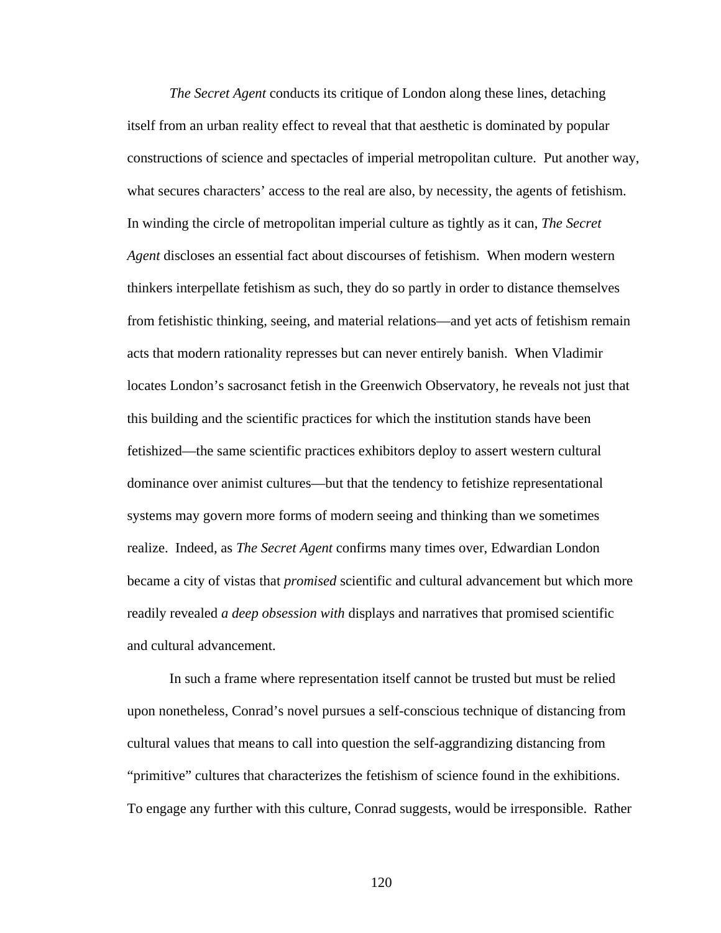*The Secret Agent* conducts its critique of London along these lines, detaching itself from an urban reality effect to reveal that that aesthetic is dominated by popular constructions of science and spectacles of imperial metropolitan culture. Put another way, what secures characters' access to the real are also, by necessity, the agents of fetishism. In winding the circle of metropolitan imperial culture as tightly as it can, *The Secret Agent* discloses an essential fact about discourses of fetishism. When modern western thinkers interpellate fetishism as such, they do so partly in order to distance themselves from fetishistic thinking, seeing, and material relations—and yet acts of fetishism remain acts that modern rationality represses but can never entirely banish. When Vladimir locates London's sacrosanct fetish in the Greenwich Observatory, he reveals not just that this building and the scientific practices for which the institution stands have been fetishized—the same scientific practices exhibitors deploy to assert western cultural dominance over animist cultures—but that the tendency to fetishize representational systems may govern more forms of modern seeing and thinking than we sometimes realize. Indeed, as *The Secret Agent* confirms many times over, Edwardian London became a city of vistas that *promised* scientific and cultural advancement but which more readily revealed *a deep obsession with* displays and narratives that promised scientific and cultural advancement.

In such a frame where representation itself cannot be trusted but must be relied upon nonetheless, Conrad's novel pursues a self-conscious technique of distancing from cultural values that means to call into question the self-aggrandizing distancing from "primitive" cultures that characterizes the fetishism of science found in the exhibitions. To engage any further with this culture, Conrad suggests, would be irresponsible. Rather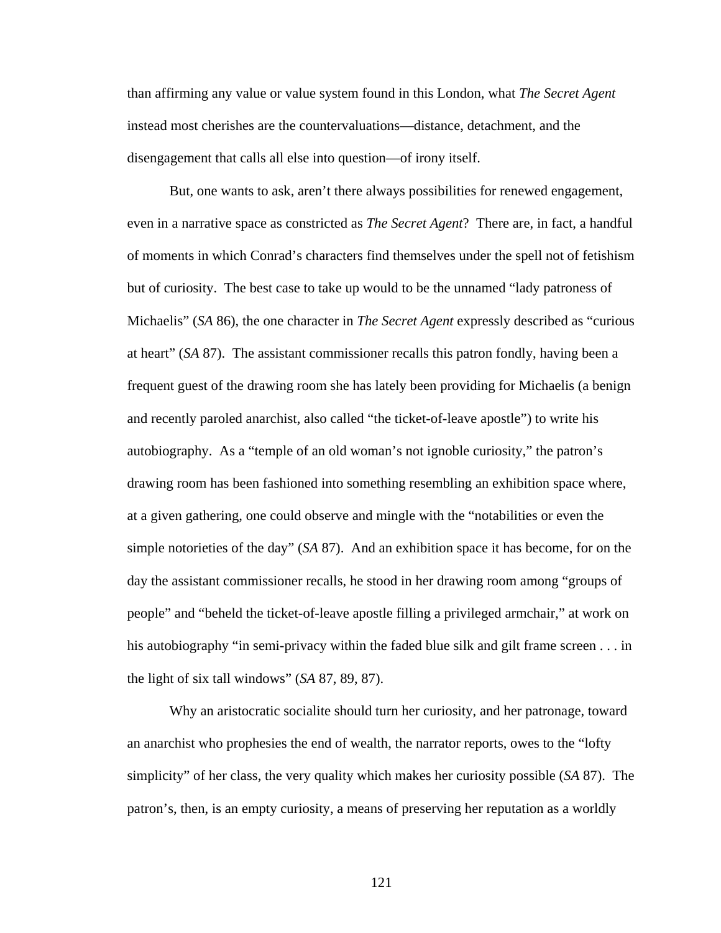than affirming any value or value system found in this London, what *The Secret Agent* instead most cherishes are the countervaluations—distance, detachment, and the disengagement that calls all else into question—of irony itself.

But, one wants to ask, aren't there always possibilities for renewed engagement, even in a narrative space as constricted as *The Secret Agent*? There are, in fact, a handful of moments in which Conrad's characters find themselves under the spell not of fetishism but of curiosity. The best case to take up would to be the unnamed "lady patroness of Michaelis" (*SA* 86), the one character in *The Secret Agent* expressly described as "curious at heart" (*SA* 87). The assistant commissioner recalls this patron fondly, having been a frequent guest of the drawing room she has lately been providing for Michaelis (a benign and recently paroled anarchist, also called "the ticket-of-leave apostle") to write his autobiography. As a "temple of an old woman's not ignoble curiosity," the patron's drawing room has been fashioned into something resembling an exhibition space where, at a given gathering, one could observe and mingle with the "notabilities or even the simple notorieties of the day" (*SA* 87). And an exhibition space it has become, for on the day the assistant commissioner recalls, he stood in her drawing room among "groups of people" and "beheld the ticket-of-leave apostle filling a privileged armchair," at work on his autobiography "in semi-privacy within the faded blue silk and gilt frame screen . . . in the light of six tall windows" (*SA* 87, 89, 87).

Why an aristocratic socialite should turn her curiosity, and her patronage, toward an anarchist who prophesies the end of wealth, the narrator reports, owes to the "lofty simplicity" of her class, the very quality which makes her curiosity possible (*SA* 87). The patron's, then, is an empty curiosity, a means of preserving her reputation as a worldly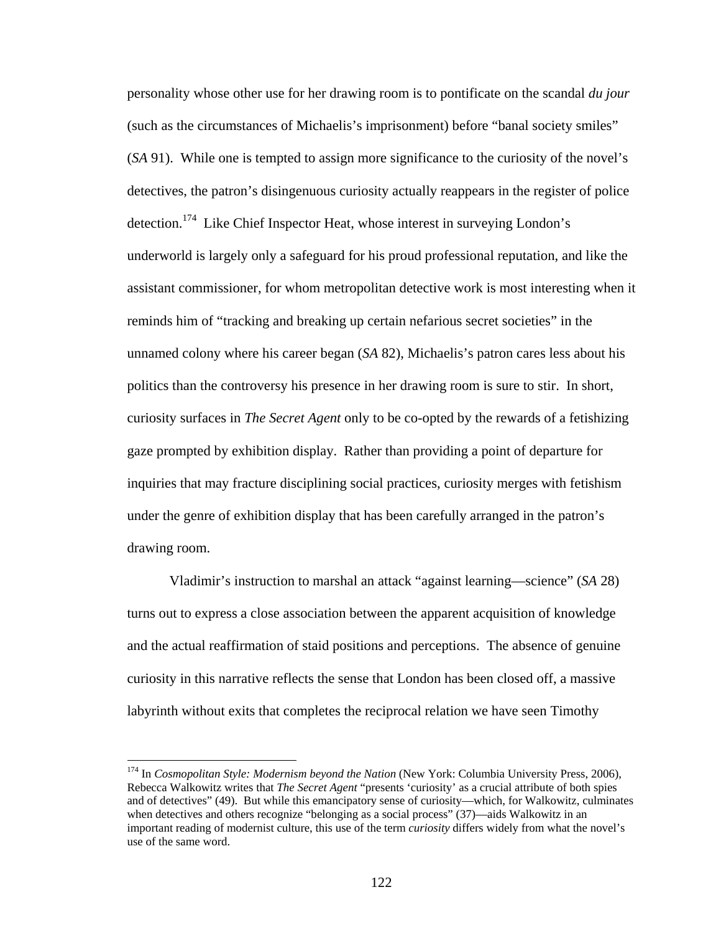personality whose other use for her drawing room is to pontificate on the scandal *du jour* (such as the circumstances of Michaelis's imprisonment) before "banal society smiles" (*SA* 91). While one is tempted to assign more significance to the curiosity of the novel's detectives, the patron's disingenuous curiosity actually reappears in the register of police detection.<sup>174</sup> Like Chief Inspector Heat, whose interest in surveying London's underworld is largely only a safeguard for his proud professional reputation, and like the assistant commissioner, for whom metropolitan detective work is most interesting when it reminds him of "tracking and breaking up certain nefarious secret societies" in the unnamed colony where his career began (*SA* 82), Michaelis's patron cares less about his politics than the controversy his presence in her drawing room is sure to stir. In short, curiosity surfaces in *The Secret Agent* only to be co-opted by the rewards of a fetishizing gaze prompted by exhibition display. Rather than providing a point of departure for inquiries that may fracture disciplining social practices, curiosity merges with fetishism under the genre of exhibition display that has been carefully arranged in the patron's drawing room.

Vladimir's instruction to marshal an attack "against learning—science" (*SA* 28) turns out to express a close association between the apparent acquisition of knowledge and the actual reaffirmation of staid positions and perceptions. The absence of genuine curiosity in this narrative reflects the sense that London has been closed off, a massive labyrinth without exits that completes the reciprocal relation we have seen Timothy

<sup>174</sup> In *Cosmopolitan Style: Modernism beyond the Nation* (New York: Columbia University Press, 2006), Rebecca Walkowitz writes that *The Secret Agent* "presents 'curiosity' as a crucial attribute of both spies and of detectives" (49). But while this emancipatory sense of curiosity—which, for Walkowitz, culminates when detectives and others recognize "belonging as a social process" (37)—aids Walkowitz in an important reading of modernist culture, this use of the term *curiosity* differs widely from what the novel's use of the same word.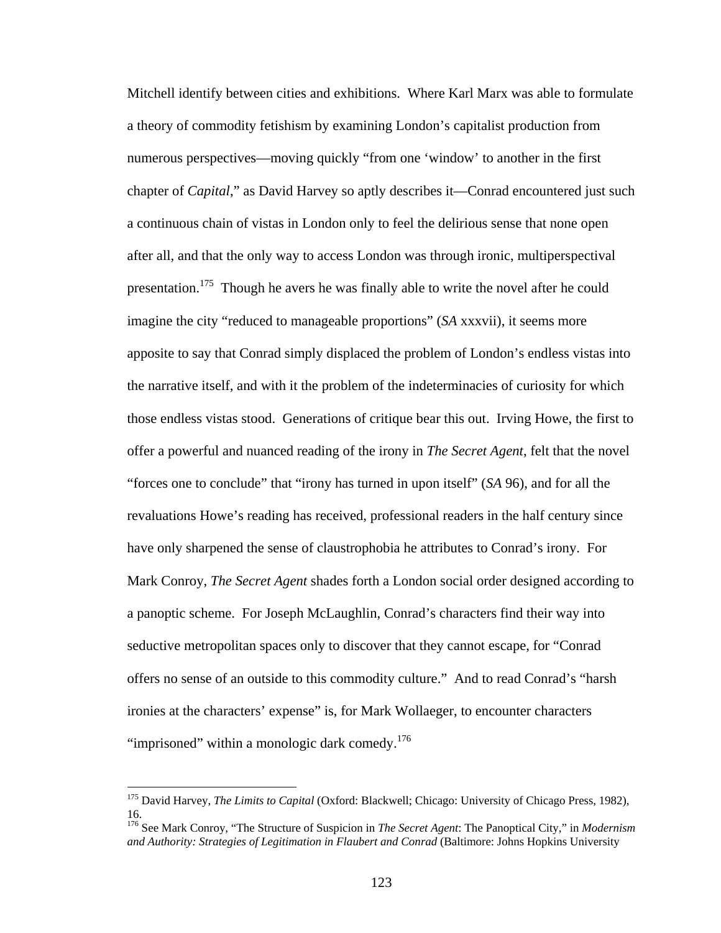Mitchell identify between cities and exhibitions. Where Karl Marx was able to formulate a theory of commodity fetishism by examining London's capitalist production from numerous perspectives—moving quickly "from one 'window' to another in the first chapter of *Capital*," as David Harvey so aptly describes it—Conrad encountered just such a continuous chain of vistas in London only to feel the delirious sense that none open after all, and that the only way to access London was through ironic, multiperspectival presentation.<sup>175</sup> Though he avers he was finally able to write the novel after he could imagine the city "reduced to manageable proportions" (*SA* xxxvii), it seems more apposite to say that Conrad simply displaced the problem of London's endless vistas into the narrative itself, and with it the problem of the indeterminacies of curiosity for which those endless vistas stood. Generations of critique bear this out. Irving Howe, the first to offer a powerful and nuanced reading of the irony in *The Secret Agent*, felt that the novel "forces one to conclude" that "irony has turned in upon itself" (*SA* 96), and for all the revaluations Howe's reading has received, professional readers in the half century since have only sharpened the sense of claustrophobia he attributes to Conrad's irony. For Mark Conroy, *The Secret Agent* shades forth a London social order designed according to a panoptic scheme. For Joseph McLaughlin, Conrad's characters find their way into seductive metropolitan spaces only to discover that they cannot escape, for "Conrad offers no sense of an outside to this commodity culture." And to read Conrad's "harsh ironies at the characters' expense" is, for Mark Wollaeger, to encounter characters "imprisoned" within a monologic dark comedy.<sup>176</sup>

<u>.</u>

<sup>&</sup>lt;sup>175</sup> David Harvey, *The Limits to Capital* (Oxford: Blackwell; Chicago: University of Chicago Press, 1982), 16.

<sup>176</sup> See Mark Conroy, "The Structure of Suspicion in *The Secret Agent*: The Panoptical City," in *Modernism and Authority: Strategies of Legitimation in Flaubert and Conrad* (Baltimore: Johns Hopkins University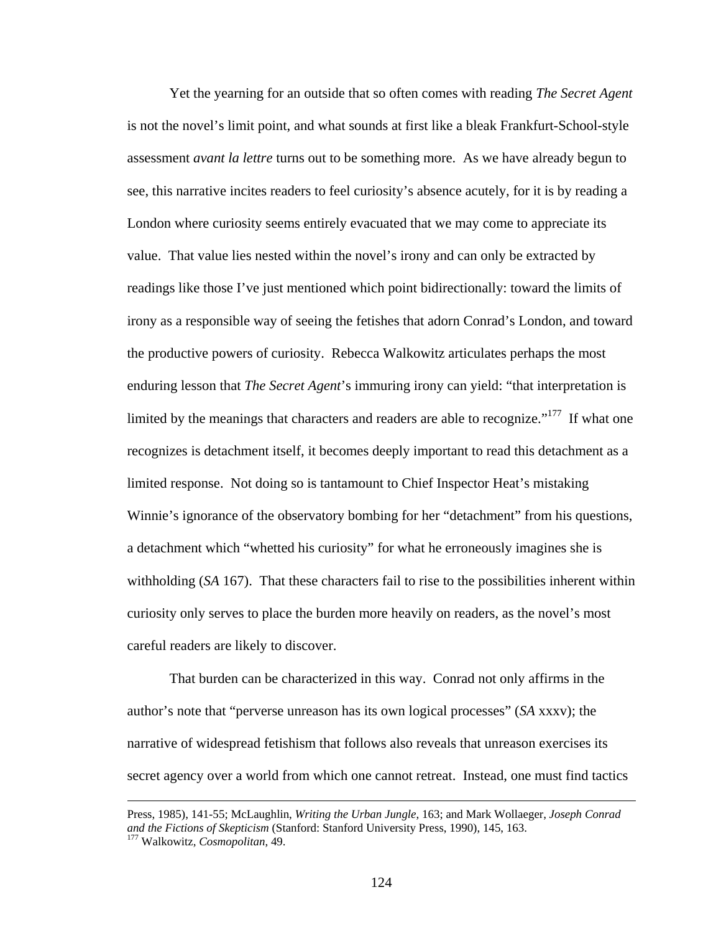Yet the yearning for an outside that so often comes with reading *The Secret Agent* is not the novel's limit point, and what sounds at first like a bleak Frankfurt-School-style assessment *avant la lettre* turns out to be something more. As we have already begun to see, this narrative incites readers to feel curiosity's absence acutely, for it is by reading a London where curiosity seems entirely evacuated that we may come to appreciate its value. That value lies nested within the novel's irony and can only be extracted by readings like those I've just mentioned which point bidirectionally: toward the limits of irony as a responsible way of seeing the fetishes that adorn Conrad's London, and toward the productive powers of curiosity. Rebecca Walkowitz articulates perhaps the most enduring lesson that *The Secret Agent*'s immuring irony can yield: "that interpretation is limited by the meanings that characters and readers are able to recognize."177 If what one recognizes is detachment itself, it becomes deeply important to read this detachment as a limited response. Not doing so is tantamount to Chief Inspector Heat's mistaking Winnie's ignorance of the observatory bombing for her "detachment" from his questions, a detachment which "whetted his curiosity" for what he erroneously imagines she is withholding (*SA* 167). That these characters fail to rise to the possibilities inherent within curiosity only serves to place the burden more heavily on readers, as the novel's most careful readers are likely to discover.

That burden can be characterized in this way. Conrad not only affirms in the author's note that "perverse unreason has its own logical processes" (*SA* xxxv); the narrative of widespread fetishism that follows also reveals that unreason exercises its secret agency over a world from which one cannot retreat. Instead, one must find tactics

Press, 1985), 141-55; McLaughlin, *Writing the Urban Jungle*, 163; and Mark Wollaeger, *Joseph Conrad and the Fictions of Skepticism* (Stanford: Stanford University Press, 1990), 145, 163. 177 Walkowitz, *Cosmopolitan*, 49.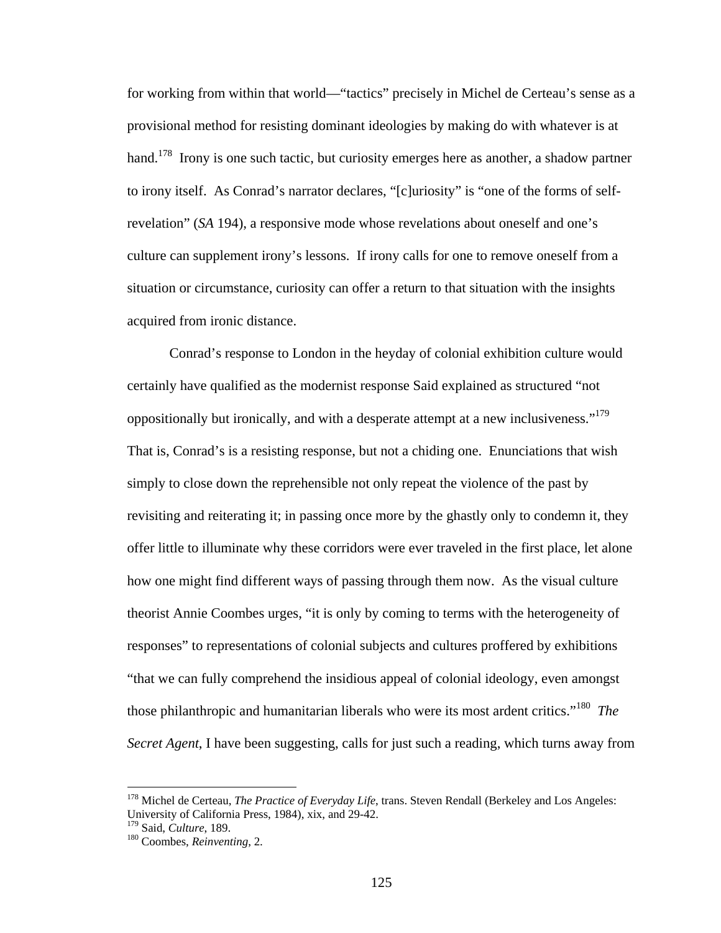for working from within that world—"tactics" precisely in Michel de Certeau's sense as a provisional method for resisting dominant ideologies by making do with whatever is at hand.<sup>178</sup> Irony is one such tactic, but curiosity emerges here as another, a shadow partner to irony itself. As Conrad's narrator declares, "[c]uriosity" is "one of the forms of selfrevelation" (*SA* 194), a responsive mode whose revelations about oneself and one's culture can supplement irony's lessons. If irony calls for one to remove oneself from a situation or circumstance, curiosity can offer a return to that situation with the insights acquired from ironic distance.

Conrad's response to London in the heyday of colonial exhibition culture would certainly have qualified as the modernist response Said explained as structured "not oppositionally but ironically, and with a desperate attempt at a new inclusiveness."179 That is, Conrad's is a resisting response, but not a chiding one. Enunciations that wish simply to close down the reprehensible not only repeat the violence of the past by revisiting and reiterating it; in passing once more by the ghastly only to condemn it, they offer little to illuminate why these corridors were ever traveled in the first place, let alone how one might find different ways of passing through them now. As the visual culture theorist Annie Coombes urges, "it is only by coming to terms with the heterogeneity of responses" to representations of colonial subjects and cultures proffered by exhibitions "that we can fully comprehend the insidious appeal of colonial ideology, even amongst those philanthropic and humanitarian liberals who were its most ardent critics."180 *The Secret Agent*, I have been suggesting, calls for just such a reading, which turns away from

<u>.</u>

<sup>178</sup> Michel de Certeau, *The Practice of Everyday Life*, trans. Steven Rendall (Berkeley and Los Angeles: University of California Press, 1984), xix, and 29-42.<br><sup>179</sup> Said, *Culture*, 189.

<sup>&</sup>lt;sup>180</sup> Coombes, *Reinventing*, 2.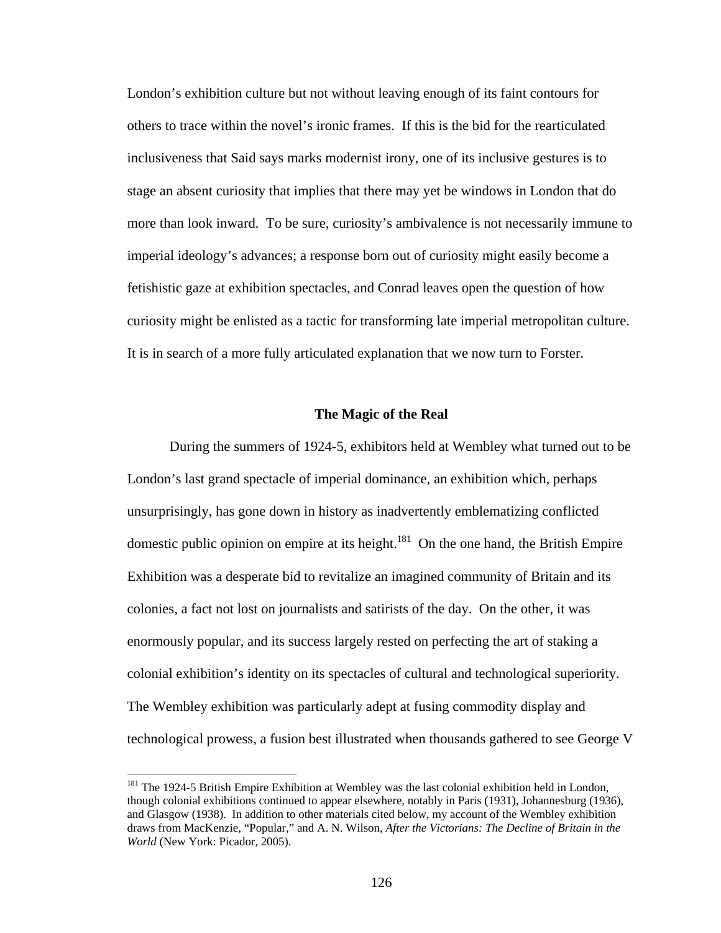London's exhibition culture but not without leaving enough of its faint contours for others to trace within the novel's ironic frames. If this is the bid for the rearticulated inclusiveness that Said says marks modernist irony, one of its inclusive gestures is to stage an absent curiosity that implies that there may yet be windows in London that do more than look inward. To be sure, curiosity's ambivalence is not necessarily immune to imperial ideology's advances; a response born out of curiosity might easily become a fetishistic gaze at exhibition spectacles, and Conrad leaves open the question of how curiosity might be enlisted as a tactic for transforming late imperial metropolitan culture. It is in search of a more fully articulated explanation that we now turn to Forster.

## **The Magic of the Real**

During the summers of 1924-5, exhibitors held at Wembley what turned out to be London's last grand spectacle of imperial dominance, an exhibition which, perhaps unsurprisingly, has gone down in history as inadvertently emblematizing conflicted domestic public opinion on empire at its height.<sup>181</sup> On the one hand, the British Empire Exhibition was a desperate bid to revitalize an imagined community of Britain and its colonies, a fact not lost on journalists and satirists of the day. On the other, it was enormously popular, and its success largely rested on perfecting the art of staking a colonial exhibition's identity on its spectacles of cultural and technological superiority. The Wembley exhibition was particularly adept at fusing commodity display and technological prowess, a fusion best illustrated when thousands gathered to see George V

<sup>&</sup>lt;sup>181</sup> The 1924-5 British Empire Exhibition at Wembley was the last colonial exhibition held in London, though colonial exhibitions continued to appear elsewhere, notably in Paris (1931), Johannesburg (1936), and Glasgow (1938). In addition to other materials cited below, my account of the Wembley exhibition draws from MacKenzie, "Popular," and A. N. Wilson, *After the Victorians: The Decline of Britain in the World* (New York: Picador, 2005).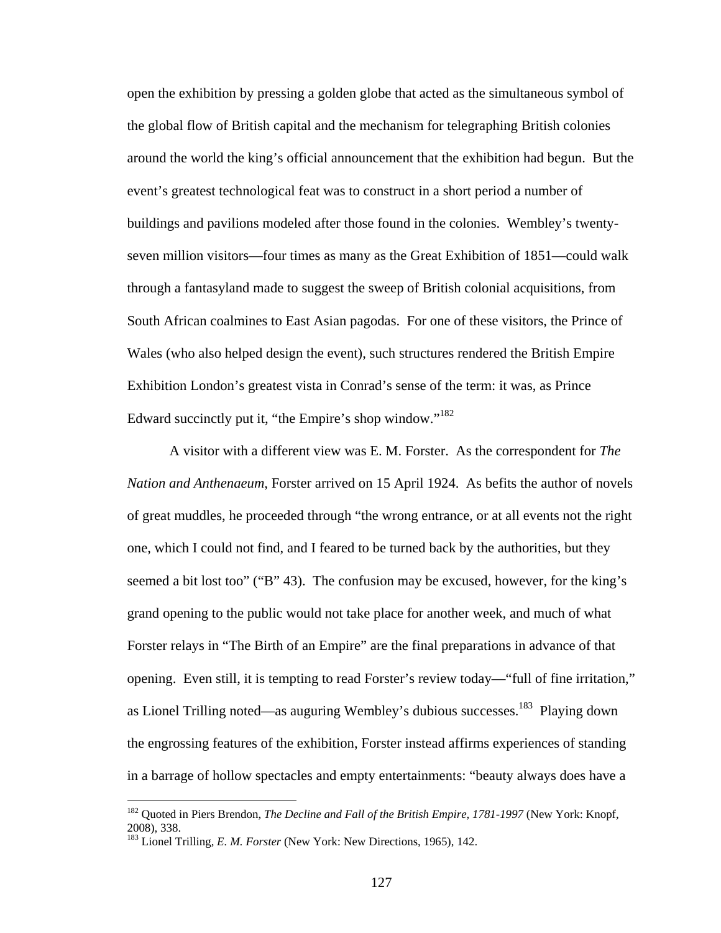open the exhibition by pressing a golden globe that acted as the simultaneous symbol of the global flow of British capital and the mechanism for telegraphing British colonies around the world the king's official announcement that the exhibition had begun. But the event's greatest technological feat was to construct in a short period a number of buildings and pavilions modeled after those found in the colonies. Wembley's twentyseven million visitors—four times as many as the Great Exhibition of 1851—could walk through a fantasyland made to suggest the sweep of British colonial acquisitions, from South African coalmines to East Asian pagodas. For one of these visitors, the Prince of Wales (who also helped design the event), such structures rendered the British Empire Exhibition London's greatest vista in Conrad's sense of the term: it was, as Prince Edward succinctly put it, "the Empire's shop window."<sup>182</sup>

A visitor with a different view was E. M. Forster. As the correspondent for *The Nation and Anthenaeum*, Forster arrived on 15 April 1924. As befits the author of novels of great muddles, he proceeded through "the wrong entrance, or at all events not the right one, which I could not find, and I feared to be turned back by the authorities, but they seemed a bit lost too" ("B" 43). The confusion may be excused, however, for the king's grand opening to the public would not take place for another week, and much of what Forster relays in "The Birth of an Empire" are the final preparations in advance of that opening. Even still, it is tempting to read Forster's review today—"full of fine irritation," as Lionel Trilling noted—as auguring Wembley's dubious successes.183 Playing down the engrossing features of the exhibition, Forster instead affirms experiences of standing in a barrage of hollow spectacles and empty entertainments: "beauty always does have a

<sup>182</sup> Quoted in Piers Brendon, *The Decline and Fall of the British Empire, 1781-1997* (New York: Knopf, 2008), 338.

<sup>183</sup> Lionel Trilling, *E. M. Forster* (New York: New Directions, 1965), 142.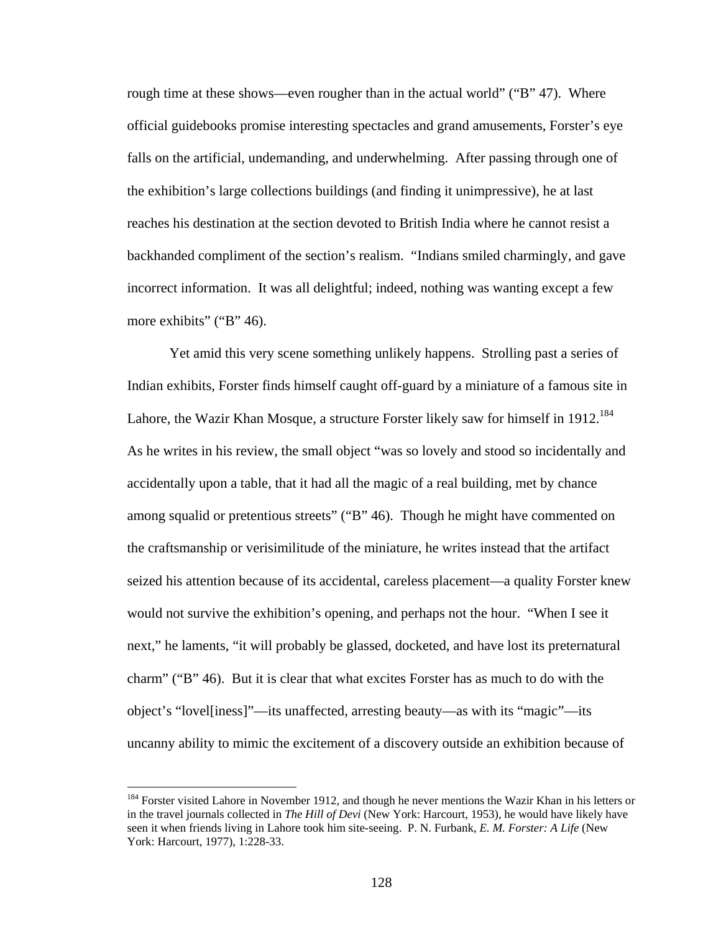rough time at these shows—even rougher than in the actual world" ("B" 47). Where official guidebooks promise interesting spectacles and grand amusements, Forster's eye falls on the artificial, undemanding, and underwhelming. After passing through one of the exhibition's large collections buildings (and finding it unimpressive), he at last reaches his destination at the section devoted to British India where he cannot resist a backhanded compliment of the section's realism. "Indians smiled charmingly, and gave incorrect information. It was all delightful; indeed, nothing was wanting except a few more exhibits" ("B" 46).

Yet amid this very scene something unlikely happens. Strolling past a series of Indian exhibits, Forster finds himself caught off-guard by a miniature of a famous site in Lahore, the Wazir Khan Mosque, a structure Forster likely saw for himself in  $1912$ <sup>184</sup> As he writes in his review, the small object "was so lovely and stood so incidentally and accidentally upon a table, that it had all the magic of a real building, met by chance among squalid or pretentious streets" ("B" 46). Though he might have commented on the craftsmanship or verisimilitude of the miniature, he writes instead that the artifact seized his attention because of its accidental, careless placement—a quality Forster knew would not survive the exhibition's opening, and perhaps not the hour. "When I see it next," he laments, "it will probably be glassed, docketed, and have lost its preternatural charm" ("B" 46). But it is clear that what excites Forster has as much to do with the object's "lovel[iness]"—its unaffected, arresting beauty—as with its "magic"—its uncanny ability to mimic the excitement of a discovery outside an exhibition because of

<u>.</u>

<sup>&</sup>lt;sup>184</sup> Forster visited Lahore in November 1912, and though he never mentions the Wazir Khan in his letters or in the travel journals collected in *The Hill of Devi* (New York: Harcourt, 1953), he would have likely have seen it when friends living in Lahore took him site-seeing. P. N. Furbank, *E. M. Forster: A Life* (New York: Harcourt, 1977), 1:228-33.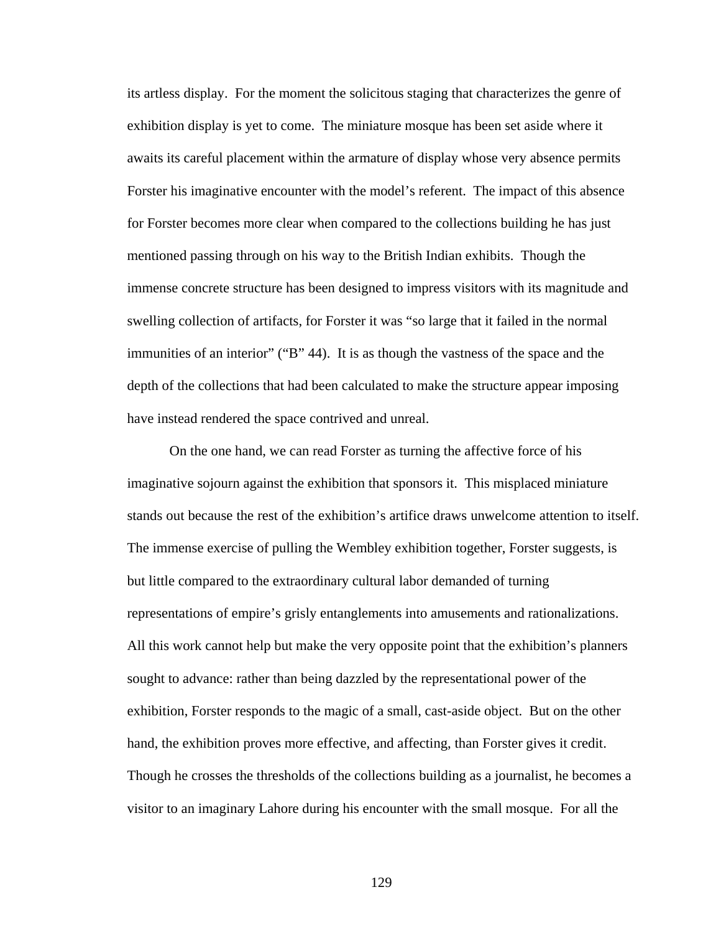its artless display. For the moment the solicitous staging that characterizes the genre of exhibition display is yet to come. The miniature mosque has been set aside where it awaits its careful placement within the armature of display whose very absence permits Forster his imaginative encounter with the model's referent. The impact of this absence for Forster becomes more clear when compared to the collections building he has just mentioned passing through on his way to the British Indian exhibits. Though the immense concrete structure has been designed to impress visitors with its magnitude and swelling collection of artifacts, for Forster it was "so large that it failed in the normal immunities of an interior" ("B" 44). It is as though the vastness of the space and the depth of the collections that had been calculated to make the structure appear imposing have instead rendered the space contrived and unreal.

On the one hand, we can read Forster as turning the affective force of his imaginative sojourn against the exhibition that sponsors it. This misplaced miniature stands out because the rest of the exhibition's artifice draws unwelcome attention to itself. The immense exercise of pulling the Wembley exhibition together, Forster suggests, is but little compared to the extraordinary cultural labor demanded of turning representations of empire's grisly entanglements into amusements and rationalizations. All this work cannot help but make the very opposite point that the exhibition's planners sought to advance: rather than being dazzled by the representational power of the exhibition, Forster responds to the magic of a small, cast-aside object. But on the other hand, the exhibition proves more effective, and affecting, than Forster gives it credit. Though he crosses the thresholds of the collections building as a journalist, he becomes a visitor to an imaginary Lahore during his encounter with the small mosque. For all the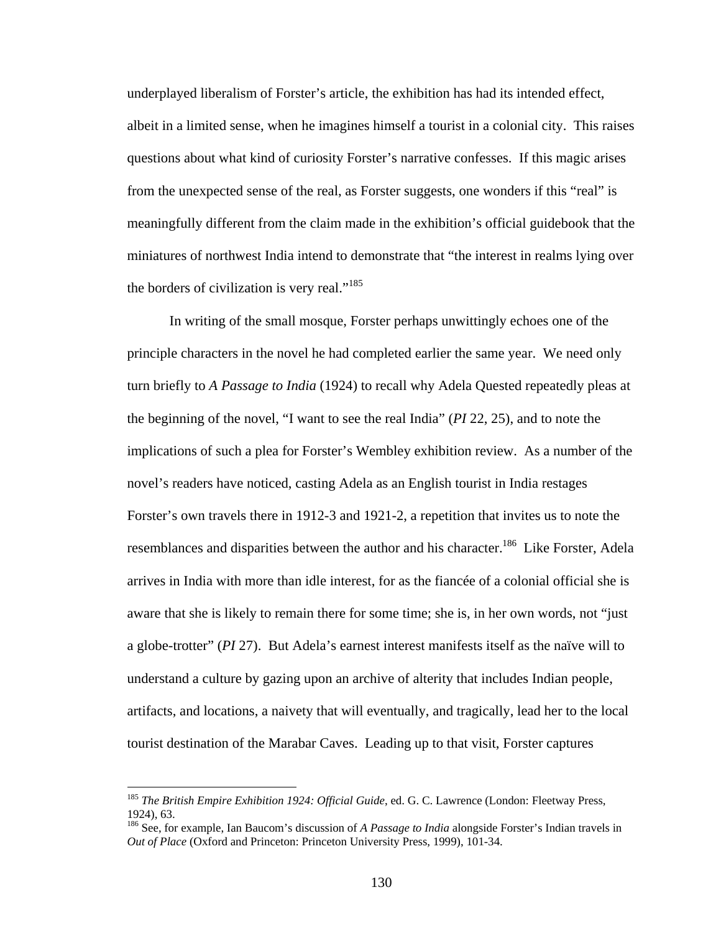underplayed liberalism of Forster's article, the exhibition has had its intended effect, albeit in a limited sense, when he imagines himself a tourist in a colonial city. This raises questions about what kind of curiosity Forster's narrative confesses. If this magic arises from the unexpected sense of the real, as Forster suggests, one wonders if this "real" is meaningfully different from the claim made in the exhibition's official guidebook that the miniatures of northwest India intend to demonstrate that "the interest in realms lying over the borders of civilization is very real."<sup>185</sup>

In writing of the small mosque, Forster perhaps unwittingly echoes one of the principle characters in the novel he had completed earlier the same year. We need only turn briefly to *A Passage to India* (1924) to recall why Adela Quested repeatedly pleas at the beginning of the novel, "I want to see the real India" (*PI* 22, 25), and to note the implications of such a plea for Forster's Wembley exhibition review. As a number of the novel's readers have noticed, casting Adela as an English tourist in India restages Forster's own travels there in 1912-3 and 1921-2, a repetition that invites us to note the resemblances and disparities between the author and his character.<sup>186</sup> Like Forster. Adela arrives in India with more than idle interest, for as the fiancée of a colonial official she is aware that she is likely to remain there for some time; she is, in her own words, not "just a globe-trotter" (*PI* 27). But Adela's earnest interest manifests itself as the naïve will to understand a culture by gazing upon an archive of alterity that includes Indian people, artifacts, and locations, a naivety that will eventually, and tragically, lead her to the local tourist destination of the Marabar Caves. Leading up to that visit, Forster captures

<sup>185</sup> *The British Empire Exhibition 1924: Official Guide*, ed. G. C. Lawrence (London: Fleetway Press, 1924), 63.

<sup>186</sup> See, for example, Ian Baucom's discussion of *A Passage to India* alongside Forster's Indian travels in *Out of Place* (Oxford and Princeton: Princeton University Press, 1999), 101-34.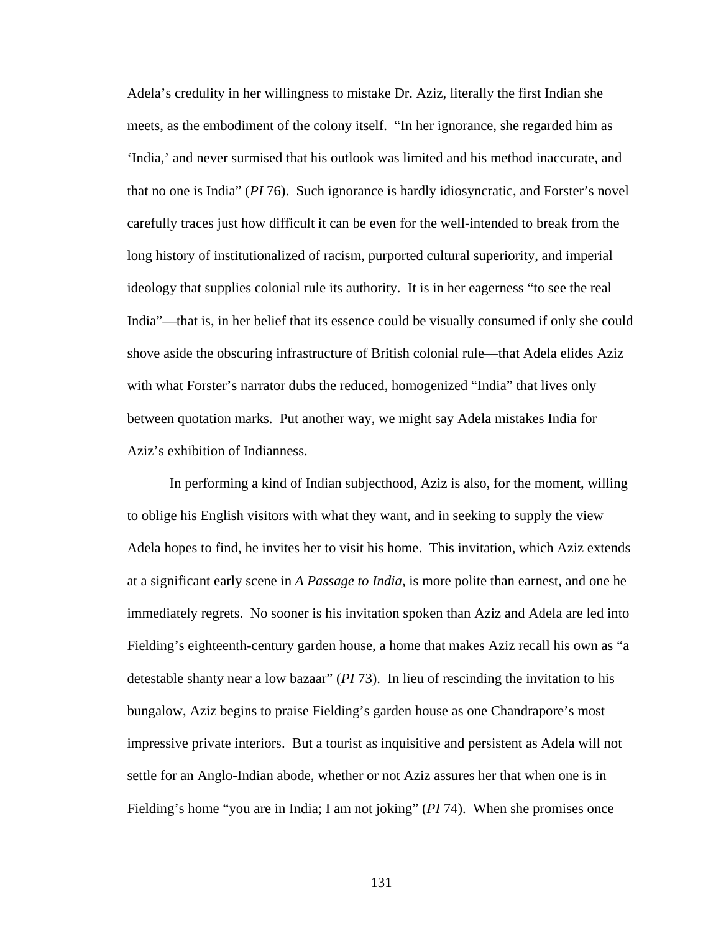Adela's credulity in her willingness to mistake Dr. Aziz, literally the first Indian she meets, as the embodiment of the colony itself. "In her ignorance, she regarded him as 'India,' and never surmised that his outlook was limited and his method inaccurate, and that no one is India" (*PI* 76). Such ignorance is hardly idiosyncratic, and Forster's novel carefully traces just how difficult it can be even for the well-intended to break from the long history of institutionalized of racism, purported cultural superiority, and imperial ideology that supplies colonial rule its authority. It is in her eagerness "to see the real India"—that is, in her belief that its essence could be visually consumed if only she could shove aside the obscuring infrastructure of British colonial rule—that Adela elides Aziz with what Forster's narrator dubs the reduced, homogenized "India" that lives only between quotation marks. Put another way, we might say Adela mistakes India for Aziz's exhibition of Indianness.

In performing a kind of Indian subjecthood, Aziz is also, for the moment, willing to oblige his English visitors with what they want, and in seeking to supply the view Adela hopes to find, he invites her to visit his home. This invitation, which Aziz extends at a significant early scene in *A Passage to India*, is more polite than earnest, and one he immediately regrets. No sooner is his invitation spoken than Aziz and Adela are led into Fielding's eighteenth-century garden house, a home that makes Aziz recall his own as "a detestable shanty near a low bazaar" (*PI* 73). In lieu of rescinding the invitation to his bungalow, Aziz begins to praise Fielding's garden house as one Chandrapore's most impressive private interiors. But a tourist as inquisitive and persistent as Adela will not settle for an Anglo-Indian abode, whether or not Aziz assures her that when one is in Fielding's home "you are in India; I am not joking" (*PI* 74). When she promises once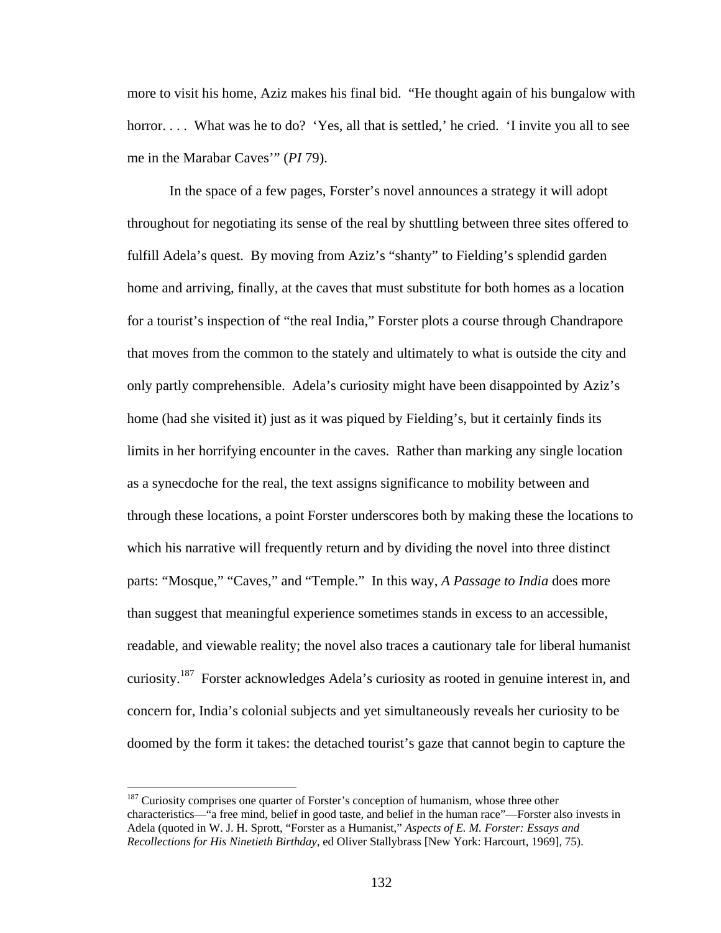more to visit his home, Aziz makes his final bid. "He thought again of his bungalow with horror. . . . What was he to do? 'Yes, all that is settled,' he cried. 'I invite you all to see me in the Marabar Caves'" (*PI* 79).

In the space of a few pages, Forster's novel announces a strategy it will adopt throughout for negotiating its sense of the real by shuttling between three sites offered to fulfill Adela's quest. By moving from Aziz's "shanty" to Fielding's splendid garden home and arriving, finally, at the caves that must substitute for both homes as a location for a tourist's inspection of "the real India," Forster plots a course through Chandrapore that moves from the common to the stately and ultimately to what is outside the city and only partly comprehensible. Adela's curiosity might have been disappointed by Aziz's home (had she visited it) just as it was piqued by Fielding's, but it certainly finds its limits in her horrifying encounter in the caves. Rather than marking any single location as a synecdoche for the real, the text assigns significance to mobility between and through these locations, a point Forster underscores both by making these the locations to which his narrative will frequently return and by dividing the novel into three distinct parts: "Mosque," "Caves," and "Temple." In this way, *A Passage to India* does more than suggest that meaningful experience sometimes stands in excess to an accessible, readable, and viewable reality; the novel also traces a cautionary tale for liberal humanist curiosity.<sup>187</sup> Forster acknowledges Adela's curiosity as rooted in genuine interest in, and concern for, India's colonial subjects and yet simultaneously reveals her curiosity to be doomed by the form it takes: the detached tourist's gaze that cannot begin to capture the

<u>.</u>

 $187$  Curiosity comprises one quarter of Forster's conception of humanism, whose three other characteristics—"a free mind, belief in good taste, and belief in the human race"—Forster also invests in Adela (quoted in W. J. H. Sprott, "Forster as a Humanist," *Aspects of E. M. Forster: Essays and Recollections for His Ninetieth Birthday*, ed Oliver Stallybrass [New York: Harcourt, 1969], 75).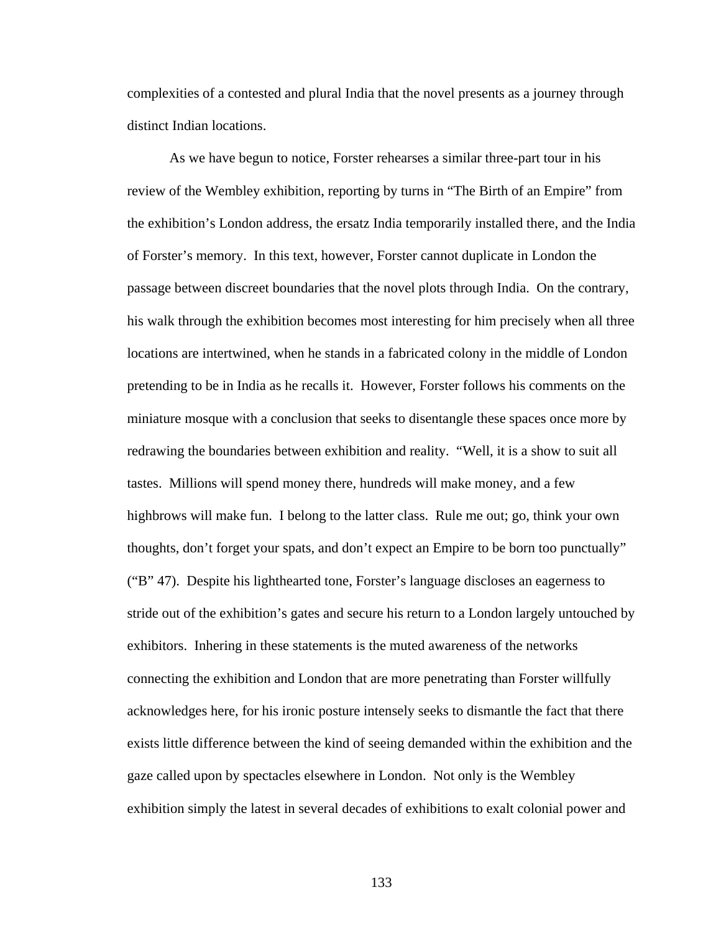complexities of a contested and plural India that the novel presents as a journey through distinct Indian locations.

As we have begun to notice, Forster rehearses a similar three-part tour in his review of the Wembley exhibition, reporting by turns in "The Birth of an Empire" from the exhibition's London address, the ersatz India temporarily installed there, and the India of Forster's memory. In this text, however, Forster cannot duplicate in London the passage between discreet boundaries that the novel plots through India. On the contrary, his walk through the exhibition becomes most interesting for him precisely when all three locations are intertwined, when he stands in a fabricated colony in the middle of London pretending to be in India as he recalls it. However, Forster follows his comments on the miniature mosque with a conclusion that seeks to disentangle these spaces once more by redrawing the boundaries between exhibition and reality. "Well, it is a show to suit all tastes. Millions will spend money there, hundreds will make money, and a few highbrows will make fun. I belong to the latter class. Rule me out; go, think your own thoughts, don't forget your spats, and don't expect an Empire to be born too punctually" ("B" 47). Despite his lighthearted tone, Forster's language discloses an eagerness to stride out of the exhibition's gates and secure his return to a London largely untouched by exhibitors. Inhering in these statements is the muted awareness of the networks connecting the exhibition and London that are more penetrating than Forster willfully acknowledges here, for his ironic posture intensely seeks to dismantle the fact that there exists little difference between the kind of seeing demanded within the exhibition and the gaze called upon by spectacles elsewhere in London. Not only is the Wembley exhibition simply the latest in several decades of exhibitions to exalt colonial power and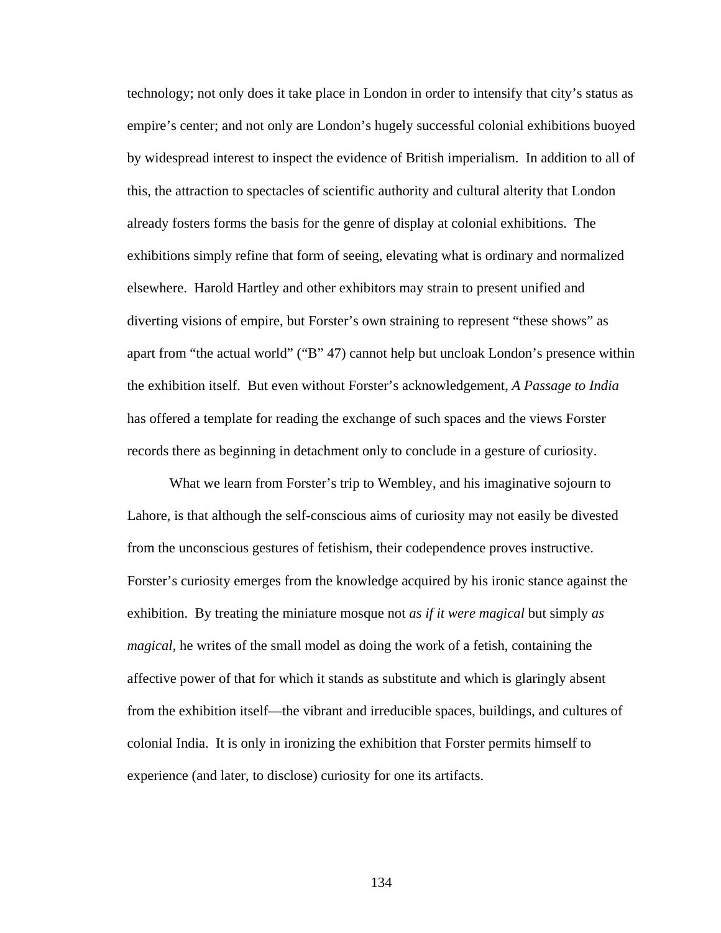technology; not only does it take place in London in order to intensify that city's status as empire's center; and not only are London's hugely successful colonial exhibitions buoyed by widespread interest to inspect the evidence of British imperialism. In addition to all of this, the attraction to spectacles of scientific authority and cultural alterity that London already fosters forms the basis for the genre of display at colonial exhibitions. The exhibitions simply refine that form of seeing, elevating what is ordinary and normalized elsewhere. Harold Hartley and other exhibitors may strain to present unified and diverting visions of empire, but Forster's own straining to represent "these shows" as apart from "the actual world" ("B" 47) cannot help but uncloak London's presence within the exhibition itself. But even without Forster's acknowledgement, *A Passage to India* has offered a template for reading the exchange of such spaces and the views Forster records there as beginning in detachment only to conclude in a gesture of curiosity.

What we learn from Forster's trip to Wembley, and his imaginative sojourn to Lahore, is that although the self-conscious aims of curiosity may not easily be divested from the unconscious gestures of fetishism, their codependence proves instructive. Forster's curiosity emerges from the knowledge acquired by his ironic stance against the exhibition. By treating the miniature mosque not *as if it were magical* but simply *as magical*, he writes of the small model as doing the work of a fetish, containing the affective power of that for which it stands as substitute and which is glaringly absent from the exhibition itself—the vibrant and irreducible spaces, buildings, and cultures of colonial India. It is only in ironizing the exhibition that Forster permits himself to experience (and later, to disclose) curiosity for one its artifacts.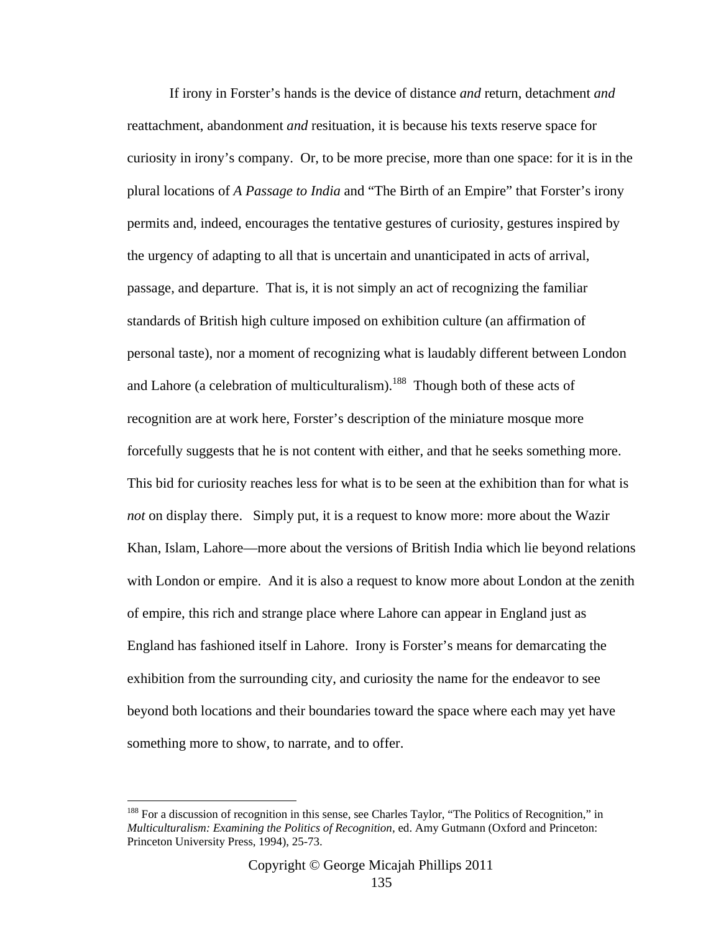If irony in Forster's hands is the device of distance *and* return, detachment *and* reattachment, abandonment *and* resituation, it is because his texts reserve space for curiosity in irony's company. Or, to be more precise, more than one space: for it is in the plural locations of *A Passage to India* and "The Birth of an Empire" that Forster's irony permits and, indeed, encourages the tentative gestures of curiosity, gestures inspired by the urgency of adapting to all that is uncertain and unanticipated in acts of arrival, passage, and departure. That is, it is not simply an act of recognizing the familiar standards of British high culture imposed on exhibition culture (an affirmation of personal taste), nor a moment of recognizing what is laudably different between London and Lahore (a celebration of multiculturalism).<sup>188</sup> Though both of these acts of recognition are at work here, Forster's description of the miniature mosque more forcefully suggests that he is not content with either, and that he seeks something more. This bid for curiosity reaches less for what is to be seen at the exhibition than for what is *not* on display there. Simply put, it is a request to know more: more about the Wazir Khan, Islam, Lahore—more about the versions of British India which lie beyond relations with London or empire. And it is also a request to know more about London at the zenith of empire, this rich and strange place where Lahore can appear in England just as England has fashioned itself in Lahore. Irony is Forster's means for demarcating the exhibition from the surrounding city, and curiosity the name for the endeavor to see beyond both locations and their boundaries toward the space where each may yet have something more to show, to narrate, and to offer.

<sup>&</sup>lt;sup>188</sup> For a discussion of recognition in this sense, see Charles Taylor, "The Politics of Recognition," in *Multiculturalism: Examining the Politics of Recognition*, ed. Amy Gutmann (Oxford and Princeton: Princeton University Press, 1994), 25-73.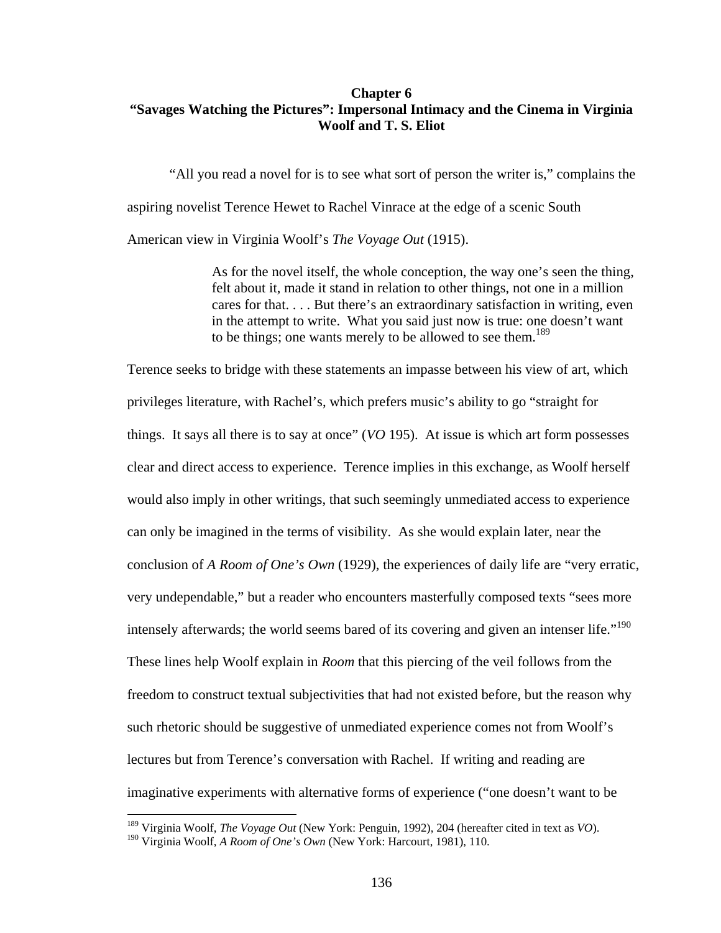## **Chapter 6 "Savages Watching the Pictures": Impersonal Intimacy and the Cinema in Virginia Woolf and T. S. Eliot**

"All you read a novel for is to see what sort of person the writer is," complains the aspiring novelist Terence Hewet to Rachel Vinrace at the edge of a scenic South American view in Virginia Woolf's *The Voyage Out* (1915).

> As for the novel itself, the whole conception, the way one's seen the thing, felt about it, made it stand in relation to other things, not one in a million cares for that. . . . But there's an extraordinary satisfaction in writing, even in the attempt to write. What you said just now is true: one doesn't want to be things; one wants merely to be allowed to see them.<sup>189</sup>

Terence seeks to bridge with these statements an impasse between his view of art, which privileges literature, with Rachel's, which prefers music's ability to go "straight for things. It says all there is to say at once" (*VO* 195). At issue is which art form possesses clear and direct access to experience. Terence implies in this exchange, as Woolf herself would also imply in other writings, that such seemingly unmediated access to experience can only be imagined in the terms of visibility. As she would explain later, near the conclusion of *A Room of One's Own* (1929), the experiences of daily life are "very erratic, very undependable," but a reader who encounters masterfully composed texts "sees more intensely afterwards; the world seems bared of its covering and given an intenser life."<sup>190</sup> These lines help Woolf explain in *Room* that this piercing of the veil follows from the freedom to construct textual subjectivities that had not existed before, but the reason why such rhetoric should be suggestive of unmediated experience comes not from Woolf's lectures but from Terence's conversation with Rachel. If writing and reading are imaginative experiments with alternative forms of experience ("one doesn't want to be

<sup>189</sup> Virginia Woolf, *The Voyage Out* (New York: Penguin, 1992), 204 (hereafter cited in text as *VO*).

<sup>190</sup> Virginia Woolf, *A Room of One's Own* (New York: Harcourt, 1981), 110.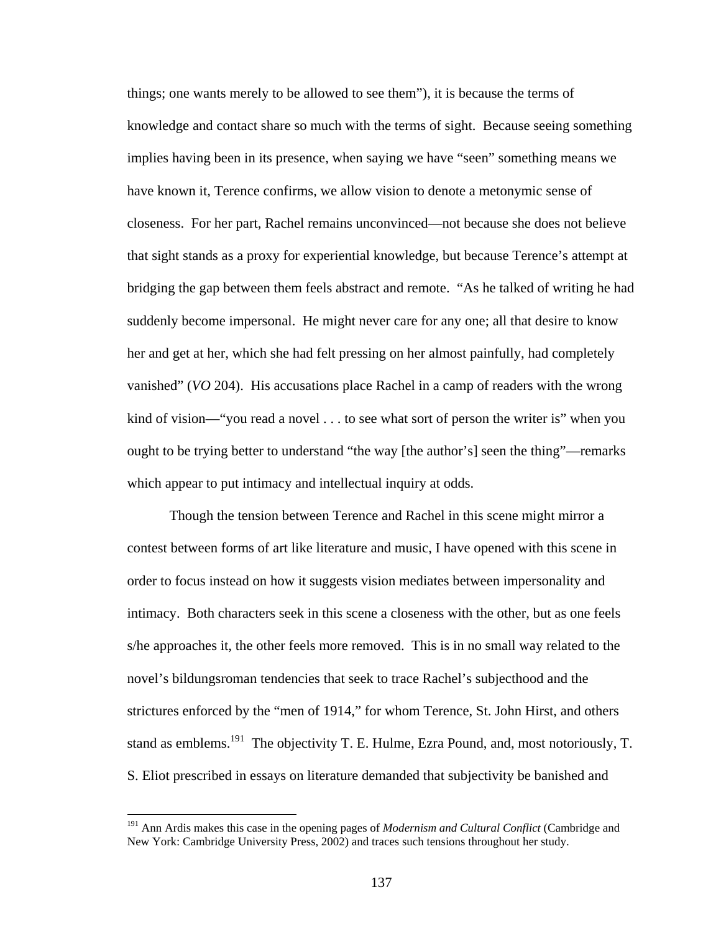things; one wants merely to be allowed to see them"), it is because the terms of knowledge and contact share so much with the terms of sight. Because seeing something implies having been in its presence, when saying we have "seen" something means we have known it, Terence confirms, we allow vision to denote a metonymic sense of closeness. For her part, Rachel remains unconvinced—not because she does not believe that sight stands as a proxy for experiential knowledge, but because Terence's attempt at bridging the gap between them feels abstract and remote. "As he talked of writing he had suddenly become impersonal. He might never care for any one; all that desire to know her and get at her, which she had felt pressing on her almost painfully, had completely vanished" (*VO* 204). His accusations place Rachel in a camp of readers with the wrong kind of vision—"you read a novel . . . to see what sort of person the writer is" when you ought to be trying better to understand "the way [the author's] seen the thing"—remarks which appear to put intimacy and intellectual inquiry at odds.

Though the tension between Terence and Rachel in this scene might mirror a contest between forms of art like literature and music, I have opened with this scene in order to focus instead on how it suggests vision mediates between impersonality and intimacy. Both characters seek in this scene a closeness with the other, but as one feels s/he approaches it, the other feels more removed. This is in no small way related to the novel's bildungsroman tendencies that seek to trace Rachel's subjecthood and the strictures enforced by the "men of 1914," for whom Terence, St. John Hirst, and others stand as emblems.<sup>191</sup> The objectivity T. E. Hulme, Ezra Pound, and, most notoriously, T. S. Eliot prescribed in essays on literature demanded that subjectivity be banished and

<sup>191</sup> Ann Ardis makes this case in the opening pages of *Modernism and Cultural Conflict* (Cambridge and New York: Cambridge University Press, 2002) and traces such tensions throughout her study.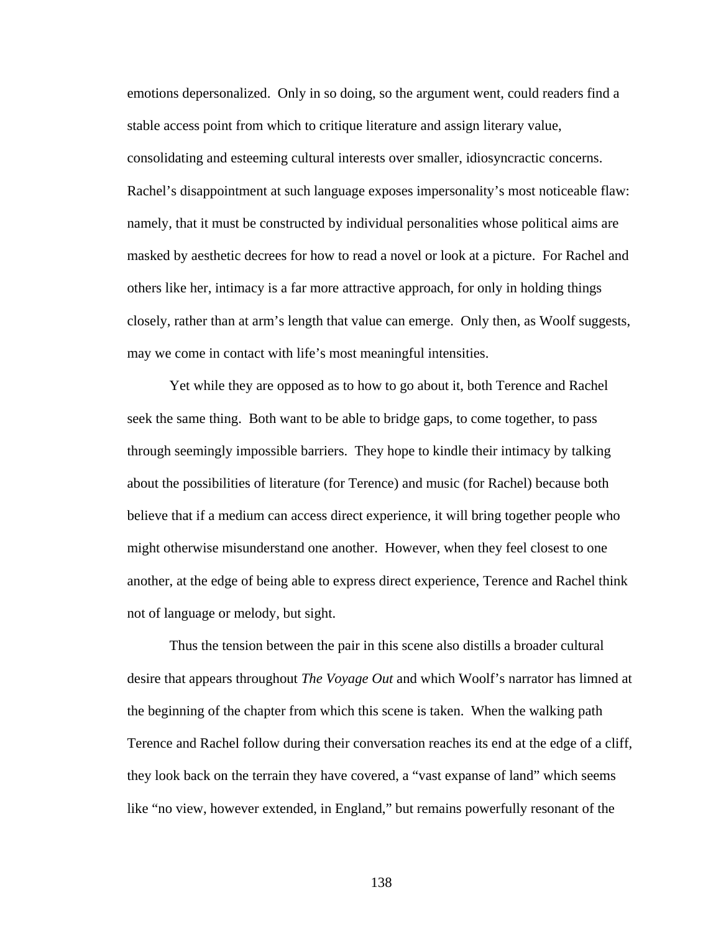emotions depersonalized. Only in so doing, so the argument went, could readers find a stable access point from which to critique literature and assign literary value, consolidating and esteeming cultural interests over smaller, idiosyncractic concerns. Rachel's disappointment at such language exposes impersonality's most noticeable flaw: namely, that it must be constructed by individual personalities whose political aims are masked by aesthetic decrees for how to read a novel or look at a picture. For Rachel and others like her, intimacy is a far more attractive approach, for only in holding things closely, rather than at arm's length that value can emerge. Only then, as Woolf suggests, may we come in contact with life's most meaningful intensities.

Yet while they are opposed as to how to go about it, both Terence and Rachel seek the same thing. Both want to be able to bridge gaps, to come together, to pass through seemingly impossible barriers. They hope to kindle their intimacy by talking about the possibilities of literature (for Terence) and music (for Rachel) because both believe that if a medium can access direct experience, it will bring together people who might otherwise misunderstand one another. However, when they feel closest to one another, at the edge of being able to express direct experience, Terence and Rachel think not of language or melody, but sight.

Thus the tension between the pair in this scene also distills a broader cultural desire that appears throughout *The Voyage Out* and which Woolf's narrator has limned at the beginning of the chapter from which this scene is taken. When the walking path Terence and Rachel follow during their conversation reaches its end at the edge of a cliff, they look back on the terrain they have covered, a "vast expanse of land" which seems like "no view, however extended, in England," but remains powerfully resonant of the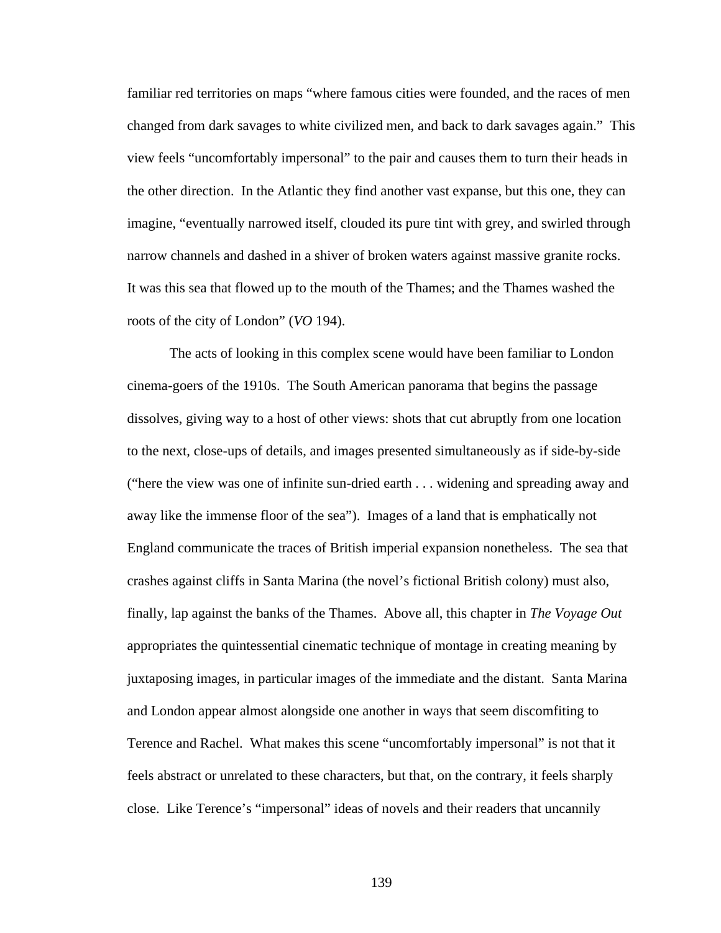familiar red territories on maps "where famous cities were founded, and the races of men changed from dark savages to white civilized men, and back to dark savages again." This view feels "uncomfortably impersonal" to the pair and causes them to turn their heads in the other direction. In the Atlantic they find another vast expanse, but this one, they can imagine, "eventually narrowed itself, clouded its pure tint with grey, and swirled through narrow channels and dashed in a shiver of broken waters against massive granite rocks. It was this sea that flowed up to the mouth of the Thames; and the Thames washed the roots of the city of London" (*VO* 194).

The acts of looking in this complex scene would have been familiar to London cinema-goers of the 1910s. The South American panorama that begins the passage dissolves, giving way to a host of other views: shots that cut abruptly from one location to the next, close-ups of details, and images presented simultaneously as if side-by-side ("here the view was one of infinite sun-dried earth . . . widening and spreading away and away like the immense floor of the sea"). Images of a land that is emphatically not England communicate the traces of British imperial expansion nonetheless. The sea that crashes against cliffs in Santa Marina (the novel's fictional British colony) must also, finally, lap against the banks of the Thames. Above all, this chapter in *The Voyage Out* appropriates the quintessential cinematic technique of montage in creating meaning by juxtaposing images, in particular images of the immediate and the distant. Santa Marina and London appear almost alongside one another in ways that seem discomfiting to Terence and Rachel. What makes this scene "uncomfortably impersonal" is not that it feels abstract or unrelated to these characters, but that, on the contrary, it feels sharply close. Like Terence's "impersonal" ideas of novels and their readers that uncannily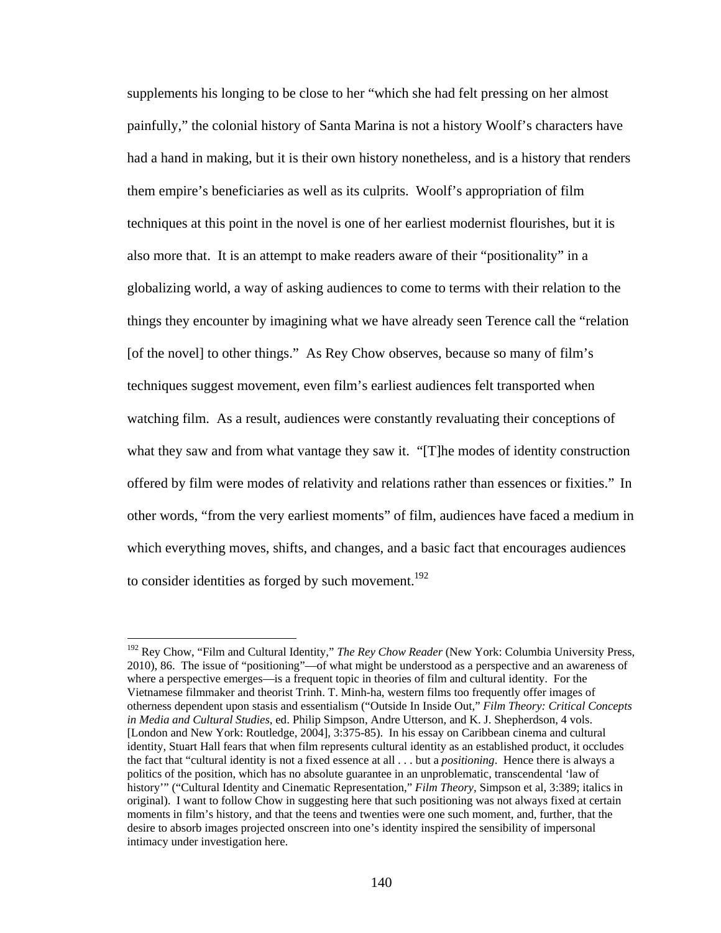supplements his longing to be close to her "which she had felt pressing on her almost painfully," the colonial history of Santa Marina is not a history Woolf's characters have had a hand in making, but it is their own history nonetheless, and is a history that renders them empire's beneficiaries as well as its culprits. Woolf's appropriation of film techniques at this point in the novel is one of her earliest modernist flourishes, but it is also more that. It is an attempt to make readers aware of their "positionality" in a globalizing world, a way of asking audiences to come to terms with their relation to the things they encounter by imagining what we have already seen Terence call the "relation [of the novel] to other things." As Rey Chow observes, because so many of film's techniques suggest movement, even film's earliest audiences felt transported when watching film. As a result, audiences were constantly revaluating their conceptions of what they saw and from what vantage they saw it. "[T]he modes of identity construction offered by film were modes of relativity and relations rather than essences or fixities." In other words, "from the very earliest moments" of film, audiences have faced a medium in which everything moves, shifts, and changes, and a basic fact that encourages audiences to consider identities as forged by such movement.<sup>192</sup>

<sup>192</sup> Rey Chow, "Film and Cultural Identity," *The Rey Chow Reader* (New York: Columbia University Press, 2010), 86. The issue of "positioning"—of what might be understood as a perspective and an awareness of where a perspective emerges—is a frequent topic in theories of film and cultural identity. For the Vietnamese filmmaker and theorist Trinh. T. Minh-ha, western films too frequently offer images of otherness dependent upon stasis and essentialism ("Outside In Inside Out," *Film Theory: Critical Concepts in Media and Cultural Studies*, ed. Philip Simpson, Andre Utterson, and K. J. Shepherdson, 4 vols. [London and New York: Routledge, 2004], 3:375-85). In his essay on Caribbean cinema and cultural identity, Stuart Hall fears that when film represents cultural identity as an established product, it occludes the fact that "cultural identity is not a fixed essence at all . . . but a *positioning*. Hence there is always a politics of the position, which has no absolute guarantee in an unproblematic, transcendental 'law of history'" ("Cultural Identity and Cinematic Representation," *Film Theory*, Simpson et al, 3:389; italics in original). I want to follow Chow in suggesting here that such positioning was not always fixed at certain moments in film's history, and that the teens and twenties were one such moment, and, further, that the desire to absorb images projected onscreen into one's identity inspired the sensibility of impersonal intimacy under investigation here.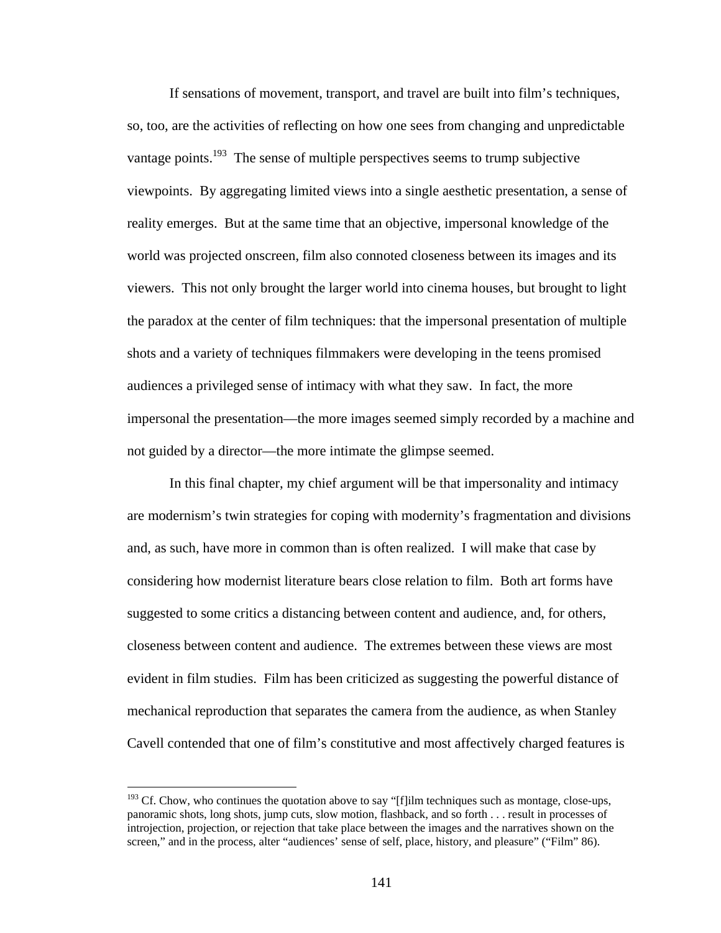If sensations of movement, transport, and travel are built into film's techniques, so, too, are the activities of reflecting on how one sees from changing and unpredictable vantage points.<sup>193</sup> The sense of multiple perspectives seems to trump subjective viewpoints. By aggregating limited views into a single aesthetic presentation, a sense of reality emerges. But at the same time that an objective, impersonal knowledge of the world was projected onscreen, film also connoted closeness between its images and its viewers. This not only brought the larger world into cinema houses, but brought to light the paradox at the center of film techniques: that the impersonal presentation of multiple shots and a variety of techniques filmmakers were developing in the teens promised audiences a privileged sense of intimacy with what they saw. In fact, the more impersonal the presentation—the more images seemed simply recorded by a machine and not guided by a director—the more intimate the glimpse seemed.

In this final chapter, my chief argument will be that impersonality and intimacy are modernism's twin strategies for coping with modernity's fragmentation and divisions and, as such, have more in common than is often realized. I will make that case by considering how modernist literature bears close relation to film. Both art forms have suggested to some critics a distancing between content and audience, and, for others, closeness between content and audience. The extremes between these views are most evident in film studies. Film has been criticized as suggesting the powerful distance of mechanical reproduction that separates the camera from the audience, as when Stanley Cavell contended that one of film's constitutive and most affectively charged features is

 $193$  Cf. Chow, who continues the quotation above to say "[f]ilm techniques such as montage, close-ups, panoramic shots, long shots, jump cuts, slow motion, flashback, and so forth . . . result in processes of introjection, projection, or rejection that take place between the images and the narratives shown on the screen," and in the process, alter "audiences' sense of self, place, history, and pleasure" ("Film" 86).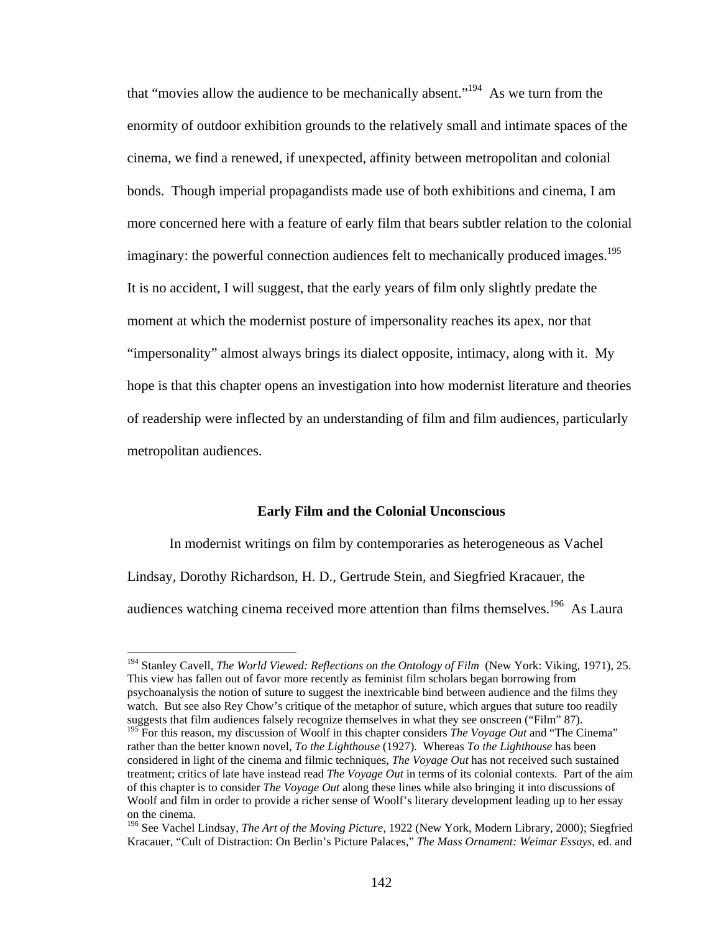that "movies allow the audience to be mechanically absent."194 As we turn from the enormity of outdoor exhibition grounds to the relatively small and intimate spaces of the cinema, we find a renewed, if unexpected, affinity between metropolitan and colonial bonds. Though imperial propagandists made use of both exhibitions and cinema, I am more concerned here with a feature of early film that bears subtler relation to the colonial imaginary: the powerful connection audiences felt to mechanically produced images.<sup>195</sup> It is no accident, I will suggest, that the early years of film only slightly predate the moment at which the modernist posture of impersonality reaches its apex, nor that "impersonality" almost always brings its dialect opposite, intimacy, along with it. My hope is that this chapter opens an investigation into how modernist literature and theories of readership were inflected by an understanding of film and film audiences, particularly metropolitan audiences.

## **Early Film and the Colonial Unconscious**

In modernist writings on film by contemporaries as heterogeneous as Vachel Lindsay, Dorothy Richardson, H. D., Gertrude Stein, and Siegfried Kracauer, the audiences watching cinema received more attention than films themselves.<sup>196</sup> As Laura

<sup>194</sup> Stanley Cavell, *The World Viewed: Reflections on the Ontology of Film* (New York: Viking, 1971), 25. This view has fallen out of favor more recently as feminist film scholars began borrowing from psychoanalysis the notion of suture to suggest the inextricable bind between audience and the films they watch. But see also Rey Chow's critique of the metaphor of suture, which argues that suture too readily suggests that film audiences falsely recognize themselves in what they see onscreen ("Film" 87).

<sup>&</sup>lt;sup>195</sup> For this reason, my discussion of Woolf in this chapter considers *The Voyage Out* and "The Cinema" rather than the better known novel, *To the Lighthouse* (1927). Whereas *To the Lighthouse* has been considered in light of the cinema and filmic techniques, *The Voyage Out* has not received such sustained treatment; critics of late have instead read *The Voyage Out* in terms of its colonial contexts. Part of the aim of this chapter is to consider *The Voyage Out* along these lines while also bringing it into discussions of Woolf and film in order to provide a richer sense of Woolf's literary development leading up to her essay on the cinema.

<sup>196</sup> See Vachel Lindsay, *The Art of the Moving Picture*, 1922 (New York, Modern Library, 2000); Siegfried Kracauer, "Cult of Distraction: On Berlin's Picture Palaces," *The Mass Ornament: Weimar Essays*, ed. and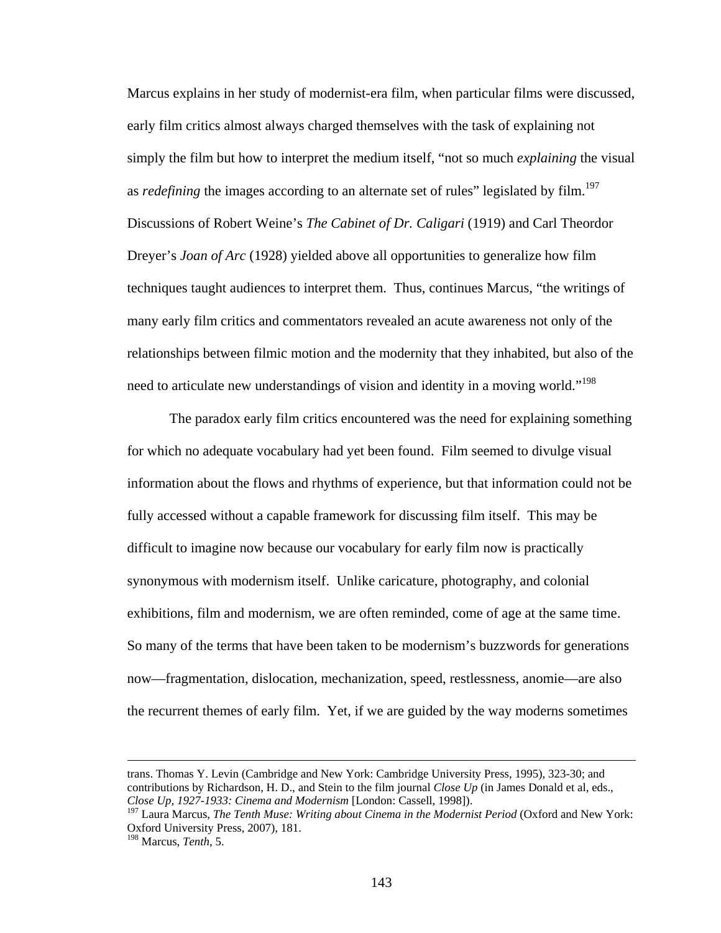Marcus explains in her study of modernist-era film, when particular films were discussed, early film critics almost always charged themselves with the task of explaining not simply the film but how to interpret the medium itself, "not so much *explaining* the visual as *redefining* the images according to an alternate set of rules" legislated by film.<sup>197</sup> Discussions of Robert Weine's *The Cabinet of Dr. Caligari* (1919) and Carl Theordor Dreyer's *Joan of Arc* (1928) yielded above all opportunities to generalize how film techniques taught audiences to interpret them. Thus, continues Marcus, "the writings of many early film critics and commentators revealed an acute awareness not only of the relationships between filmic motion and the modernity that they inhabited, but also of the need to articulate new understandings of vision and identity in a moving world."<sup>198</sup>

The paradox early film critics encountered was the need for explaining something for which no adequate vocabulary had yet been found. Film seemed to divulge visual information about the flows and rhythms of experience, but that information could not be fully accessed without a capable framework for discussing film itself. This may be difficult to imagine now because our vocabulary for early film now is practically synonymous with modernism itself. Unlike caricature, photography, and colonial exhibitions, film and modernism, we are often reminded, come of age at the same time. So many of the terms that have been taken to be modernism's buzzwords for generations now—fragmentation, dislocation, mechanization, speed, restlessness, anomie—are also the recurrent themes of early film. Yet, if we are guided by the way moderns sometimes

trans. Thomas Y. Levin (Cambridge and New York: Cambridge University Press, 1995), 323-30; and contributions by Richardson, H. D., and Stein to the film journal *Close Up* (in James Donald et al, eds., *Close Up, 1927-1933: Cinema and Modernism* [London: Cassell, 1998]).

<sup>&</sup>lt;sup>197</sup> Laura Marcus, *The Tenth Muse: Writing about Cinema in the Modernist Period* (Oxford and New York: Oxford University Press, 2007), 181.

<sup>198</sup> Marcus, *Tenth*, 5.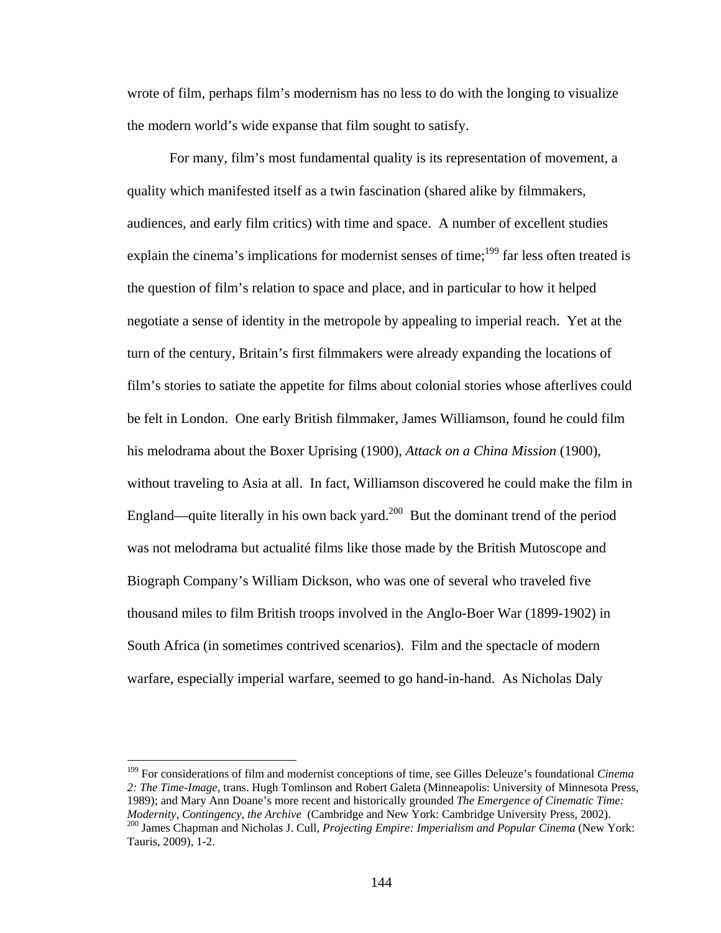wrote of film, perhaps film's modernism has no less to do with the longing to visualize the modern world's wide expanse that film sought to satisfy.

For many, film's most fundamental quality is its representation of movement, a quality which manifested itself as a twin fascination (shared alike by filmmakers, audiences, and early film critics) with time and space. A number of excellent studies explain the cinema's implications for modernist senses of time;<sup>199</sup> far less often treated is the question of film's relation to space and place, and in particular to how it helped negotiate a sense of identity in the metropole by appealing to imperial reach. Yet at the turn of the century, Britain's first filmmakers were already expanding the locations of film's stories to satiate the appetite for films about colonial stories whose afterlives could be felt in London. One early British filmmaker, James Williamson, found he could film his melodrama about the Boxer Uprising (1900), *Attack on a China Mission* (1900), without traveling to Asia at all. In fact, Williamson discovered he could make the film in England—quite literally in his own back yard.<sup>200</sup> But the dominant trend of the period was not melodrama but actualité films like those made by the British Mutoscope and Biograph Company's William Dickson, who was one of several who traveled five thousand miles to film British troops involved in the Anglo-Boer War (1899-1902) in South Africa (in sometimes contrived scenarios). Film and the spectacle of modern warfare, especially imperial warfare, seemed to go hand-in-hand. As Nicholas Daly

<sup>199</sup> For considerations of film and modernist conceptions of time, see Gilles Deleuze's foundational *Cinema 2: The Time-Image*, trans. Hugh Tomlinson and Robert Galeta (Minneapolis: University of Minnesota Press, 1989); and Mary Ann Doane's more recent and historically grounded *The Emergence of Cinematic Time: Modernity, Contingency, the Archive* (Cambridge and New York: Cambridge University Press, 2002).<br><sup>200</sup> James Chapman and Nicholas J. Cull, *Projecting Empire: Imperialism and Popular Cinema* (New York: Tauris, 2009), 1-2.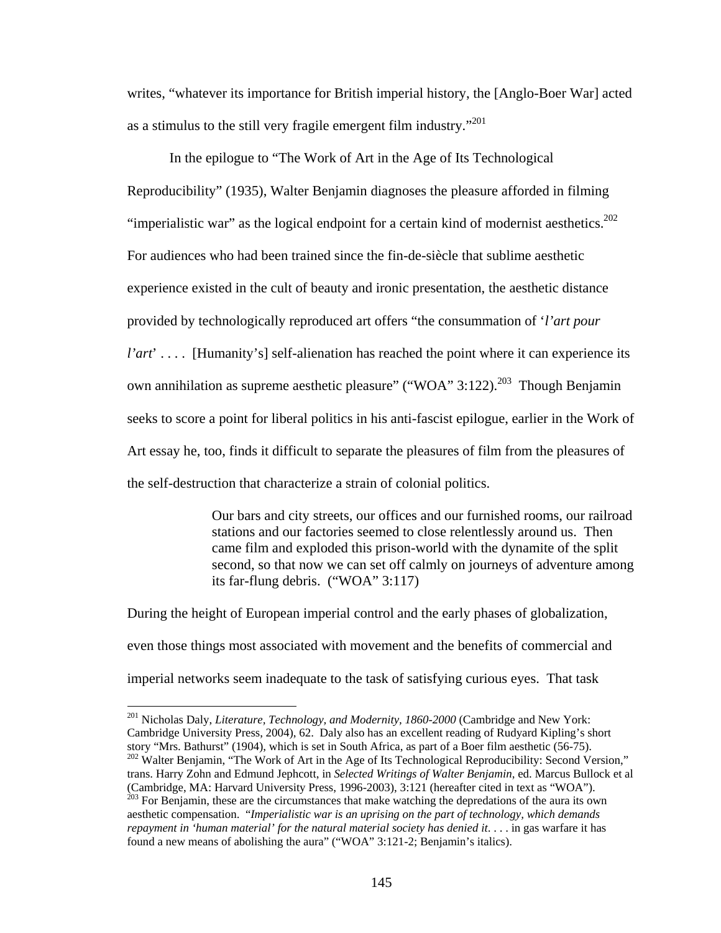writes, "whatever its importance for British imperial history, the [Anglo-Boer War] acted as a stimulus to the still very fragile emergent film industry."201

 In the epilogue to "The Work of Art in the Age of Its Technological Reproducibility" (1935), Walter Benjamin diagnoses the pleasure afforded in filming "imperialistic war" as the logical endpoint for a certain kind of modernist aesthetics. $202$ For audiences who had been trained since the fin-de-siècle that sublime aesthetic experience existed in the cult of beauty and ironic presentation, the aesthetic distance provided by technologically reproduced art offers "the consummation of '*l'art pour l'art'* .... [Humanity's] self-alienation has reached the point where it can experience its own annihilation as supreme aesthetic pleasure" ("WOA" 3:122).<sup>203</sup> Though Benjamin seeks to score a point for liberal politics in his anti-fascist epilogue, earlier in the Work of Art essay he, too, finds it difficult to separate the pleasures of film from the pleasures of the self-destruction that characterize a strain of colonial politics.

> Our bars and city streets, our offices and our furnished rooms, our railroad stations and our factories seemed to close relentlessly around us. Then came film and exploded this prison-world with the dynamite of the split second, so that now we can set off calmly on journeys of adventure among its far-flung debris. ("WOA" 3:117)

During the height of European imperial control and the early phases of globalization, even those things most associated with movement and the benefits of commercial and imperial networks seem inadequate to the task of satisfying curious eyes. That task

<sup>201</sup> Nicholas Daly, *Literature, Technology, and Modernity, 1860-2000* (Cambridge and New York: Cambridge University Press, 2004), 62. Daly also has an excellent reading of Rudyard Kipling's short story "Mrs. Bathurst" (1904), which is set in South Africa, as part of a Boer film aesthetic (56-75). <sup>202</sup> Walter Benjamin, "The Work of Art in the Age of Its Technological Reproducibility: Second Version," trans. Harry Zohn and Edmund Jephcott, in *Selected Writings of Walter Benjamin*, ed. Marcus Bullock et al (Cambridge, MA: Harvard University Press, 1996-2003), 3:121 (hereafter cited in text as "WOA"). <sup>203</sup> For Benjamin, these are the circumstances that make watching the depredations of the aura its own aesthetic compensation. "*Imperialistic war is an uprising on the part of technology, which demands repayment in 'human material' for the natural material society has denied it*. . . . in gas warfare it has found a new means of abolishing the aura" ("WOA" 3:121-2; Benjamin's italics).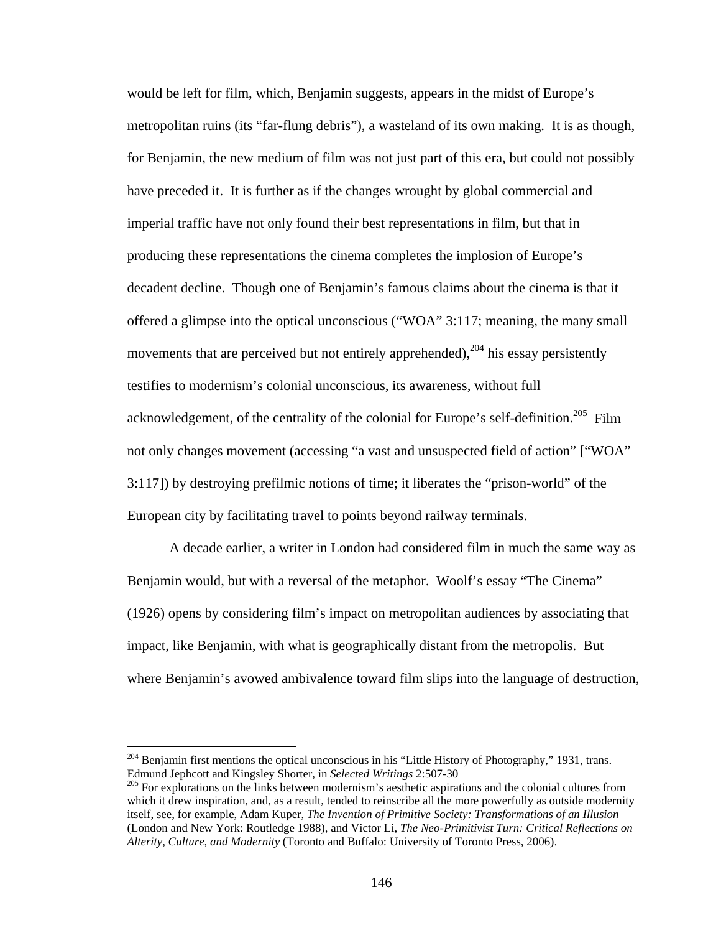would be left for film, which, Benjamin suggests, appears in the midst of Europe's metropolitan ruins (its "far-flung debris"), a wasteland of its own making. It is as though, for Benjamin, the new medium of film was not just part of this era, but could not possibly have preceded it. It is further as if the changes wrought by global commercial and imperial traffic have not only found their best representations in film, but that in producing these representations the cinema completes the implosion of Europe's decadent decline. Though one of Benjamin's famous claims about the cinema is that it offered a glimpse into the optical unconscious ("WOA" 3:117; meaning, the many small movements that are perceived but not entirely apprehended),  $204$  his essay persistently testifies to modernism's colonial unconscious, its awareness, without full acknowledgement, of the centrality of the colonial for Europe's self-definition.<sup>205</sup> Film not only changes movement (accessing "a vast and unsuspected field of action" ["WOA" 3:117]) by destroying prefilmic notions of time; it liberates the "prison-world" of the European city by facilitating travel to points beyond railway terminals.

 A decade earlier, a writer in London had considered film in much the same way as Benjamin would, but with a reversal of the metaphor. Woolf's essay "The Cinema" (1926) opens by considering film's impact on metropolitan audiences by associating that impact, like Benjamin, with what is geographically distant from the metropolis. But where Benjamin's avowed ambivalence toward film slips into the language of destruction,

<u>.</u>

<sup>&</sup>lt;sup>204</sup> Benjamin first mentions the optical unconscious in his "Little History of Photography," 1931, trans.<br>Edmund Jephcott and Kingsley Shorter, in *Selected Writings* 2:507-30

<sup>&</sup>lt;sup>205</sup> For explorations on the links between modernism's aesthetic aspirations and the colonial cultures from which it drew inspiration, and, as a result, tended to reinscribe all the more powerfully as outside modernity itself, see, for example, Adam Kuper, *The Invention of Primitive Society: Transformations of an Illusion* (London and New York: Routledge 1988), and Victor Li, *The Neo-Primitivist Turn: Critical Reflections on Alterity, Culture, and Modernity* (Toronto and Buffalo: University of Toronto Press, 2006).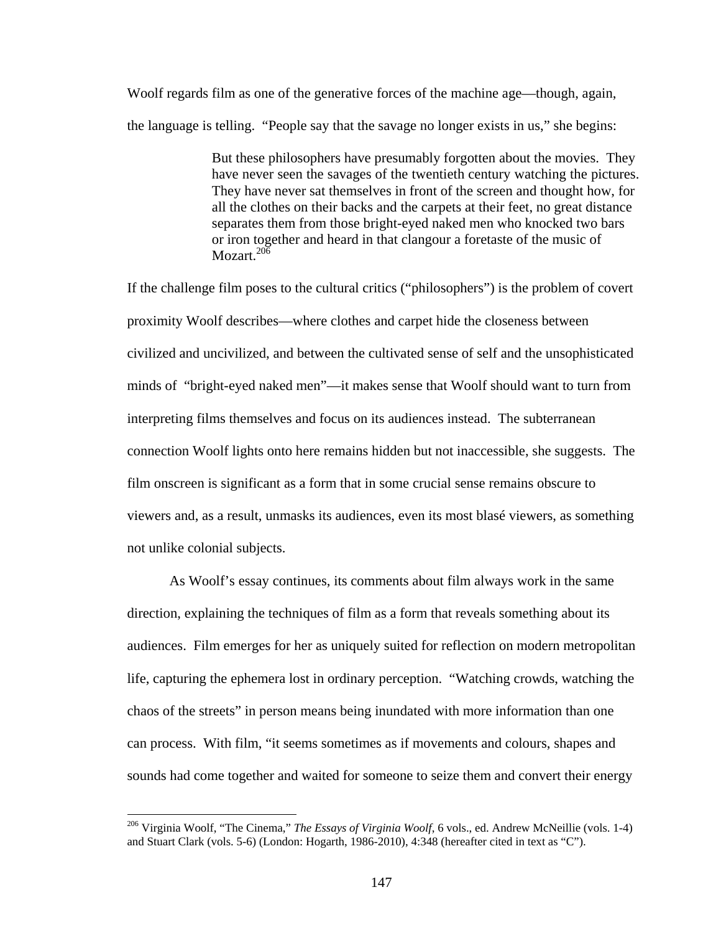Woolf regards film as one of the generative forces of the machine age—though, again, the language is telling. "People say that the savage no longer exists in us," she begins:

> But these philosophers have presumably forgotten about the movies. They have never seen the savages of the twentieth century watching the pictures. They have never sat themselves in front of the screen and thought how, for all the clothes on their backs and the carpets at their feet, no great distance separates them from those bright-eyed naked men who knocked two bars or iron together and heard in that clangour a foretaste of the music of Mozart.<sup>206</sup>

If the challenge film poses to the cultural critics ("philosophers") is the problem of covert proximity Woolf describes—where clothes and carpet hide the closeness between civilized and uncivilized, and between the cultivated sense of self and the unsophisticated minds of "bright-eyed naked men"—it makes sense that Woolf should want to turn from interpreting films themselves and focus on its audiences instead. The subterranean connection Woolf lights onto here remains hidden but not inaccessible, she suggests. The film onscreen is significant as a form that in some crucial sense remains obscure to viewers and, as a result, unmasks its audiences, even its most blasé viewers, as something not unlike colonial subjects.

As Woolf's essay continues, its comments about film always work in the same direction, explaining the techniques of film as a form that reveals something about its audiences. Film emerges for her as uniquely suited for reflection on modern metropolitan life, capturing the ephemera lost in ordinary perception. "Watching crowds, watching the chaos of the streets" in person means being inundated with more information than one can process. With film, "it seems sometimes as if movements and colours, shapes and sounds had come together and waited for someone to seize them and convert their energy

<sup>206</sup> Virginia Woolf, "The Cinema," *The Essays of Virginia Woolf*, 6 vols., ed. Andrew McNeillie (vols. 1-4) and Stuart Clark (vols. 5-6) (London: Hogarth, 1986-2010), 4:348 (hereafter cited in text as "C").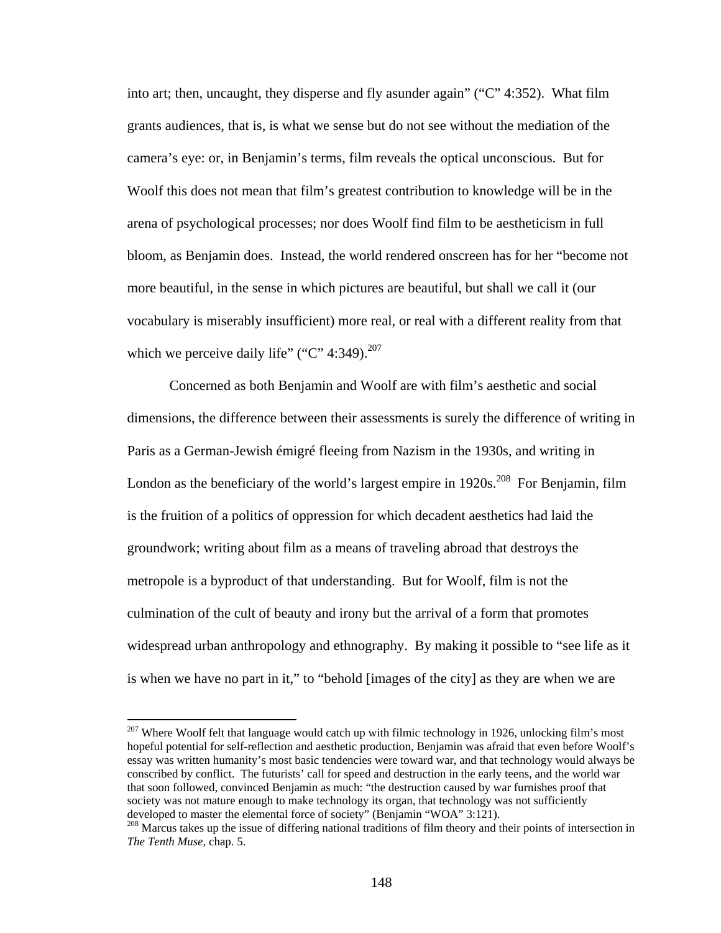into art; then, uncaught, they disperse and fly asunder again" ("C" 4:352). What film grants audiences, that is, is what we sense but do not see without the mediation of the camera's eye: or, in Benjamin's terms, film reveals the optical unconscious. But for Woolf this does not mean that film's greatest contribution to knowledge will be in the arena of psychological processes; nor does Woolf find film to be aestheticism in full bloom, as Benjamin does. Instead, the world rendered onscreen has for her "become not more beautiful, in the sense in which pictures are beautiful, but shall we call it (our vocabulary is miserably insufficient) more real, or real with a different reality from that which we perceive daily life" ("C" 4:349).<sup>207</sup>

Concerned as both Benjamin and Woolf are with film's aesthetic and social dimensions, the difference between their assessments is surely the difference of writing in Paris as a German-Jewish émigré fleeing from Nazism in the 1930s, and writing in London as the beneficiary of the world's largest empire in  $1920s$ <sup>208</sup> For Benjamin, film is the fruition of a politics of oppression for which decadent aesthetics had laid the groundwork; writing about film as a means of traveling abroad that destroys the metropole is a byproduct of that understanding. But for Woolf, film is not the culmination of the cult of beauty and irony but the arrival of a form that promotes widespread urban anthropology and ethnography. By making it possible to "see life as it is when we have no part in it," to "behold [images of the city] as they are when we are

 $207$  Where Woolf felt that language would catch up with filmic technology in 1926, unlocking film's most hopeful potential for self-reflection and aesthetic production, Benjamin was afraid that even before Woolf's essay was written humanity's most basic tendencies were toward war, and that technology would always be conscribed by conflict. The futurists' call for speed and destruction in the early teens, and the world war that soon followed, convinced Benjamin as much: "the destruction caused by war furnishes proof that society was not mature enough to make technology its organ, that technology was not sufficiently developed to master the elemental force of society" (Benjamin "WOA" 3:121).

<sup>&</sup>lt;sup>208</sup> Marcus takes up the issue of differing national traditions of film theory and their points of intersection in *The Tenth Muse*, chap. 5.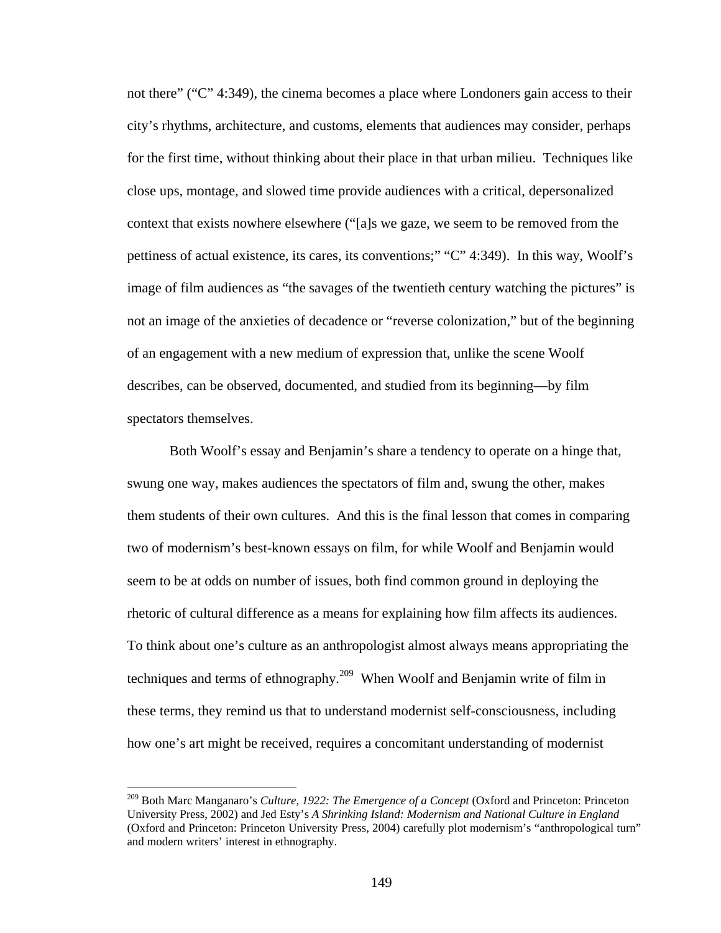not there" ("C" 4:349), the cinema becomes a place where Londoners gain access to their city's rhythms, architecture, and customs, elements that audiences may consider, perhaps for the first time, without thinking about their place in that urban milieu. Techniques like close ups, montage, and slowed time provide audiences with a critical, depersonalized context that exists nowhere elsewhere ("[a]s we gaze, we seem to be removed from the pettiness of actual existence, its cares, its conventions;" "C" 4:349). In this way, Woolf's image of film audiences as "the savages of the twentieth century watching the pictures" is not an image of the anxieties of decadence or "reverse colonization," but of the beginning of an engagement with a new medium of expression that, unlike the scene Woolf describes, can be observed, documented, and studied from its beginning—by film spectators themselves.

Both Woolf's essay and Benjamin's share a tendency to operate on a hinge that, swung one way, makes audiences the spectators of film and, swung the other, makes them students of their own cultures. And this is the final lesson that comes in comparing two of modernism's best-known essays on film, for while Woolf and Benjamin would seem to be at odds on number of issues, both find common ground in deploying the rhetoric of cultural difference as a means for explaining how film affects its audiences. To think about one's culture as an anthropologist almost always means appropriating the techniques and terms of ethnography.<sup>209</sup> When Woolf and Benjamin write of film in these terms, they remind us that to understand modernist self-consciousness, including how one's art might be received, requires a concomitant understanding of modernist

<sup>209</sup> Both Marc Manganaro's *Culture, 1922: The Emergence of a Concept* (Oxford and Princeton: Princeton University Press, 2002) and Jed Esty's *A Shrinking Island: Modernism and National Culture in England* (Oxford and Princeton: Princeton University Press, 2004) carefully plot modernism's "anthropological turn" and modern writers' interest in ethnography.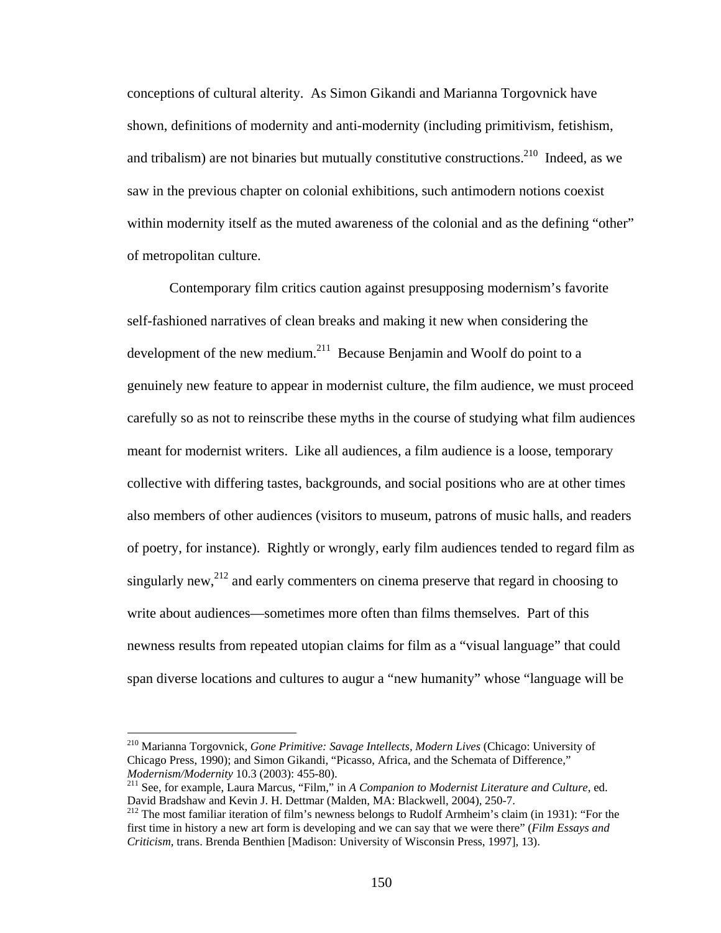conceptions of cultural alterity. As Simon Gikandi and Marianna Torgovnick have shown, definitions of modernity and anti-modernity (including primitivism, fetishism, and tribalism) are not binaries but mutually constitutive constructions.<sup>210</sup> Indeed, as we saw in the previous chapter on colonial exhibitions, such antimodern notions coexist within modernity itself as the muted awareness of the colonial and as the defining "other" of metropolitan culture.

Contemporary film critics caution against presupposing modernism's favorite self-fashioned narratives of clean breaks and making it new when considering the development of the new medium.<sup>211</sup> Because Benjamin and Woolf do point to a genuinely new feature to appear in modernist culture, the film audience, we must proceed carefully so as not to reinscribe these myths in the course of studying what film audiences meant for modernist writers. Like all audiences, a film audience is a loose, temporary collective with differing tastes, backgrounds, and social positions who are at other times also members of other audiences (visitors to museum, patrons of music halls, and readers of poetry, for instance). Rightly or wrongly, early film audiences tended to regard film as singularly new, $^{212}$  and early commenters on cinema preserve that regard in choosing to write about audiences—sometimes more often than films themselves. Part of this newness results from repeated utopian claims for film as a "visual language" that could span diverse locations and cultures to augur a "new humanity" whose "language will be

<sup>210</sup> Marianna Torgovnick, *Gone Primitive: Savage Intellects, Modern Lives* (Chicago: University of Chicago Press, 1990); and Simon Gikandi, "Picasso, Africa, and the Schemata of Difference,"

<sup>&</sup>lt;sup>211</sup> See, for example, Laura Marcus, "Film," in *A Companion to Modernist Literature and Culture*, ed. David Bradshaw and Kevin J. H. Dettmar (Malden, MA: Blackwell, 2004), 250-7.

<sup>&</sup>lt;sup>212</sup> The most familiar iteration of film's newness belongs to Rudolf Armheim's claim (in 1931): "For the first time in history a new art form is developing and we can say that we were there" (*Film Essays and Criticism*, trans. Brenda Benthien [Madison: University of Wisconsin Press, 1997], 13).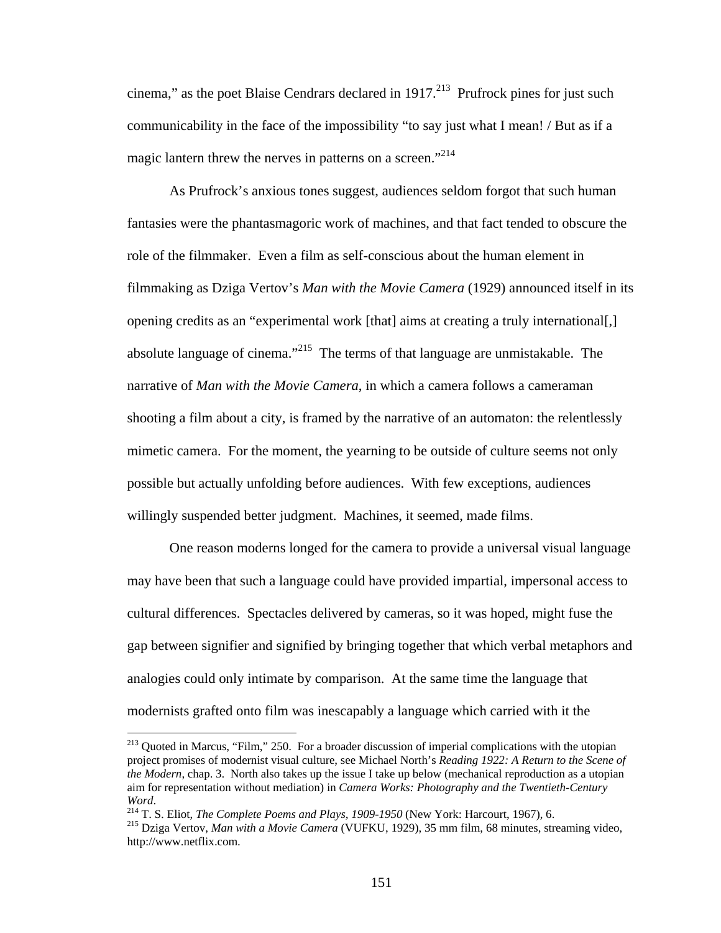cinema," as the poet Blaise Cendrars declared in  $1917$ .<sup>213</sup> Prufrock pines for just such communicability in the face of the impossibility "to say just what I mean! / But as if a magic lantern threw the nerves in patterns on a screen."<sup>214</sup>

As Prufrock's anxious tones suggest, audiences seldom forgot that such human fantasies were the phantasmagoric work of machines, and that fact tended to obscure the role of the filmmaker. Even a film as self-conscious about the human element in filmmaking as Dziga Vertov's *Man with the Movie Camera* (1929) announced itself in its opening credits as an "experimental work [that] aims at creating a truly international[,] absolute language of cinema."<sup>215</sup> The terms of that language are unmistakable. The narrative of *Man with the Movie Camera*, in which a camera follows a cameraman shooting a film about a city, is framed by the narrative of an automaton: the relentlessly mimetic camera. For the moment, the yearning to be outside of culture seems not only possible but actually unfolding before audiences. With few exceptions, audiences willingly suspended better judgment. Machines, it seemed, made films.

One reason moderns longed for the camera to provide a universal visual language may have been that such a language could have provided impartial, impersonal access to cultural differences. Spectacles delivered by cameras, so it was hoped, might fuse the gap between signifier and signified by bringing together that which verbal metaphors and analogies could only intimate by comparison. At the same time the language that modernists grafted onto film was inescapably a language which carried with it the

<sup>&</sup>lt;sup>213</sup> Quoted in Marcus, "Film," 250. For a broader discussion of imperial complications with the utopian project promises of modernist visual culture, see Michael North's *Reading 1922: A Return to the Scene of the Modern*, chap. 3. North also takes up the issue I take up below (mechanical reproduction as a utopian aim for representation without mediation) in *Camera Works: Photography and the Twentieth-Century* 

*Word*. 214 T. S. Eliot, *The Complete Poems and Plays, 1909-1950* (New York: Harcourt, 1967), 6. 215 Dziga Vertov, *Man with a Movie Camera* (VUFKU, 1929), 35 mm film, 68 minutes, streaming video, http://www.netflix.com.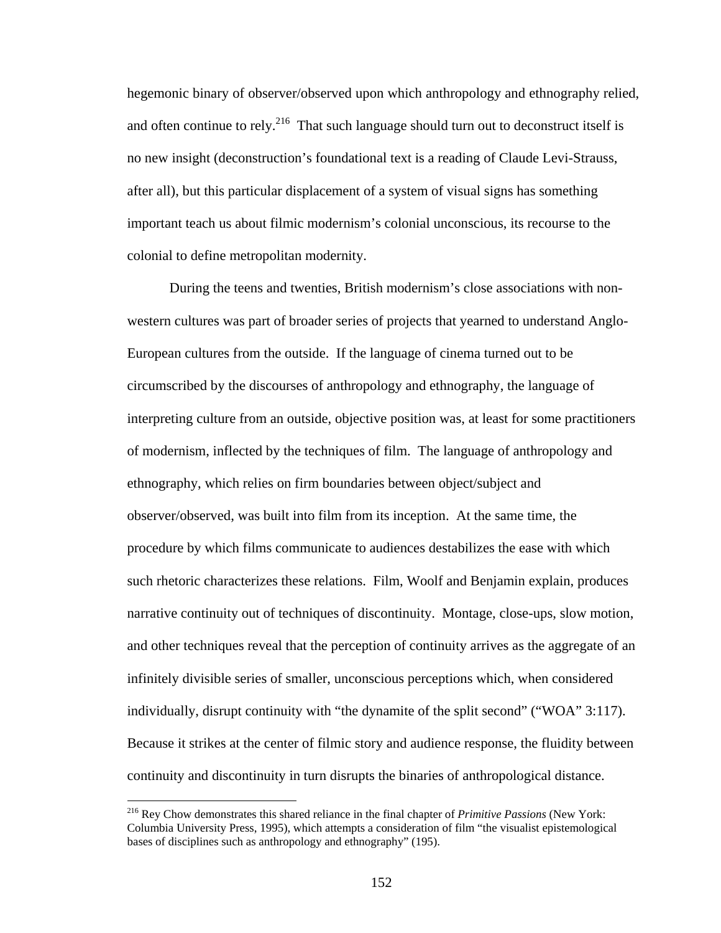hegemonic binary of observer/observed upon which anthropology and ethnography relied, and often continue to rely.<sup>216</sup> That such language should turn out to deconstruct itself is no new insight (deconstruction's foundational text is a reading of Claude Levi-Strauss, after all), but this particular displacement of a system of visual signs has something important teach us about filmic modernism's colonial unconscious, its recourse to the colonial to define metropolitan modernity.

During the teens and twenties, British modernism's close associations with nonwestern cultures was part of broader series of projects that yearned to understand Anglo-European cultures from the outside. If the language of cinema turned out to be circumscribed by the discourses of anthropology and ethnography, the language of interpreting culture from an outside, objective position was, at least for some practitioners of modernism, inflected by the techniques of film. The language of anthropology and ethnography, which relies on firm boundaries between object/subject and observer/observed, was built into film from its inception. At the same time, the procedure by which films communicate to audiences destabilizes the ease with which such rhetoric characterizes these relations. Film, Woolf and Benjamin explain, produces narrative continuity out of techniques of discontinuity. Montage, close-ups, slow motion, and other techniques reveal that the perception of continuity arrives as the aggregate of an infinitely divisible series of smaller, unconscious perceptions which, when considered individually, disrupt continuity with "the dynamite of the split second" ("WOA" 3:117). Because it strikes at the center of filmic story and audience response, the fluidity between continuity and discontinuity in turn disrupts the binaries of anthropological distance.

<sup>216</sup> Rey Chow demonstrates this shared reliance in the final chapter of *Primitive Passions* (New York: Columbia University Press, 1995), which attempts a consideration of film "the visualist epistemological bases of disciplines such as anthropology and ethnography" (195).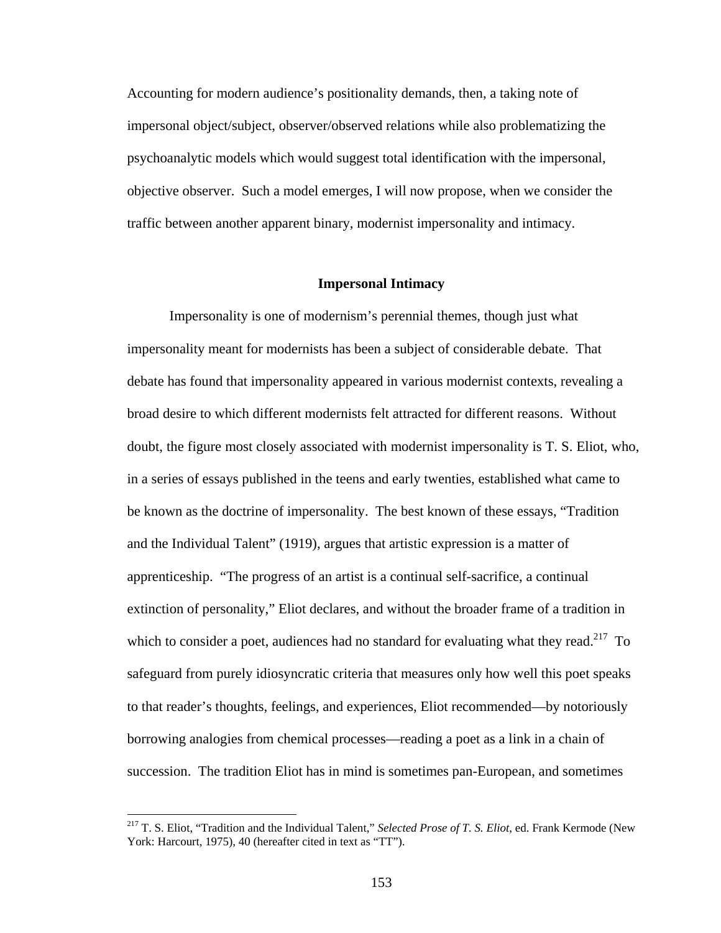Accounting for modern audience's positionality demands, then, a taking note of impersonal object/subject, observer/observed relations while also problematizing the psychoanalytic models which would suggest total identification with the impersonal, objective observer. Such a model emerges, I will now propose, when we consider the traffic between another apparent binary, modernist impersonality and intimacy.

## **Impersonal Intimacy**

 Impersonality is one of modernism's perennial themes, though just what impersonality meant for modernists has been a subject of considerable debate. That debate has found that impersonality appeared in various modernist contexts, revealing a broad desire to which different modernists felt attracted for different reasons. Without doubt, the figure most closely associated with modernist impersonality is T. S. Eliot, who, in a series of essays published in the teens and early twenties, established what came to be known as the doctrine of impersonality. The best known of these essays, "Tradition and the Individual Talent" (1919), argues that artistic expression is a matter of apprenticeship. "The progress of an artist is a continual self-sacrifice, a continual extinction of personality," Eliot declares, and without the broader frame of a tradition in which to consider a poet, audiences had no standard for evaluating what they read.<sup>217</sup> To safeguard from purely idiosyncratic criteria that measures only how well this poet speaks to that reader's thoughts, feelings, and experiences, Eliot recommended—by notoriously borrowing analogies from chemical processes—reading a poet as a link in a chain of succession. The tradition Eliot has in mind is sometimes pan-European, and sometimes

<sup>217</sup> T. S. Eliot, "Tradition and the Individual Talent," *Selected Prose of T. S. Eliot*, ed. Frank Kermode (New York: Harcourt, 1975), 40 (hereafter cited in text as "TT").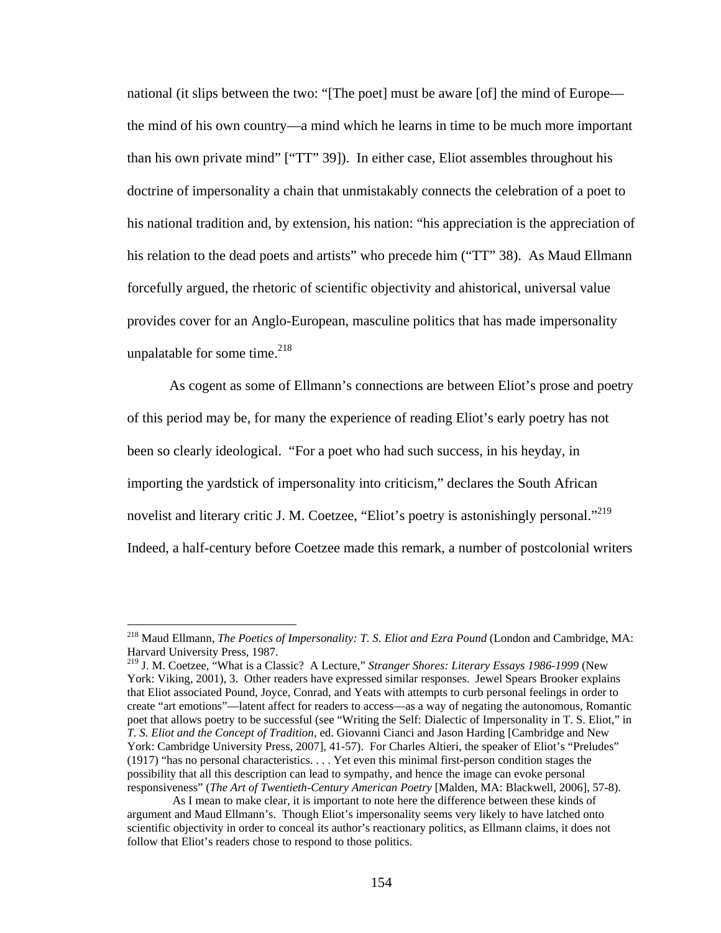national (it slips between the two: "[The poet] must be aware [of] the mind of Europe the mind of his own country—a mind which he learns in time to be much more important than his own private mind" ["TT" 39]). In either case, Eliot assembles throughout his doctrine of impersonality a chain that unmistakably connects the celebration of a poet to his national tradition and, by extension, his nation: "his appreciation is the appreciation of his relation to the dead poets and artists" who precede him ("TT" 38). As Maud Ellmann forcefully argued, the rhetoric of scientific objectivity and ahistorical, universal value provides cover for an Anglo-European, masculine politics that has made impersonality unpalatable for some time. $^{218}$ 

As cogent as some of Ellmann's connections are between Eliot's prose and poetry of this period may be, for many the experience of reading Eliot's early poetry has not been so clearly ideological. "For a poet who had such success, in his heyday, in importing the yardstick of impersonality into criticism," declares the South African novelist and literary critic J. M. Coetzee, "Eliot's poetry is astonishingly personal."<sup>219</sup> Indeed, a half-century before Coetzee made this remark, a number of postcolonial writers

<sup>218</sup> Maud Ellmann, *The Poetics of Impersonality: T. S. Eliot and Ezra Pound* (London and Cambridge, MA: Harvard University Press, 1987.

<sup>219</sup> J. M. Coetzee, "What is a Classic? A Lecture," *Stranger Shores: Literary Essays 1986-1999* (New York: Viking, 2001), 3. Other readers have expressed similar responses. Jewel Spears Brooker explains that Eliot associated Pound, Joyce, Conrad, and Yeats with attempts to curb personal feelings in order to create "art emotions"—latent affect for readers to access—as a way of negating the autonomous, Romantic poet that allows poetry to be successful (see "Writing the Self: Dialectic of Impersonality in T. S. Eliot," in *T. S. Eliot and the Concept of Tradition*, ed. Giovanni Cianci and Jason Harding [Cambridge and New York: Cambridge University Press, 2007], 41-57). For Charles Altieri, the speaker of Eliot's "Preludes" (1917) "has no personal characteristics. . . . Yet even this minimal first-person condition stages the possibility that all this description can lead to sympathy, and hence the image can evoke personal responsiveness" (*The Art of Twentieth-Century American Poetry* [Malden, MA: Blackwell, 2006], 57-8).

As I mean to make clear, it is important to note here the difference between these kinds of argument and Maud Ellmann's. Though Eliot's impersonality seems very likely to have latched onto scientific objectivity in order to conceal its author's reactionary politics, as Ellmann claims, it does not follow that Eliot's readers chose to respond to those politics.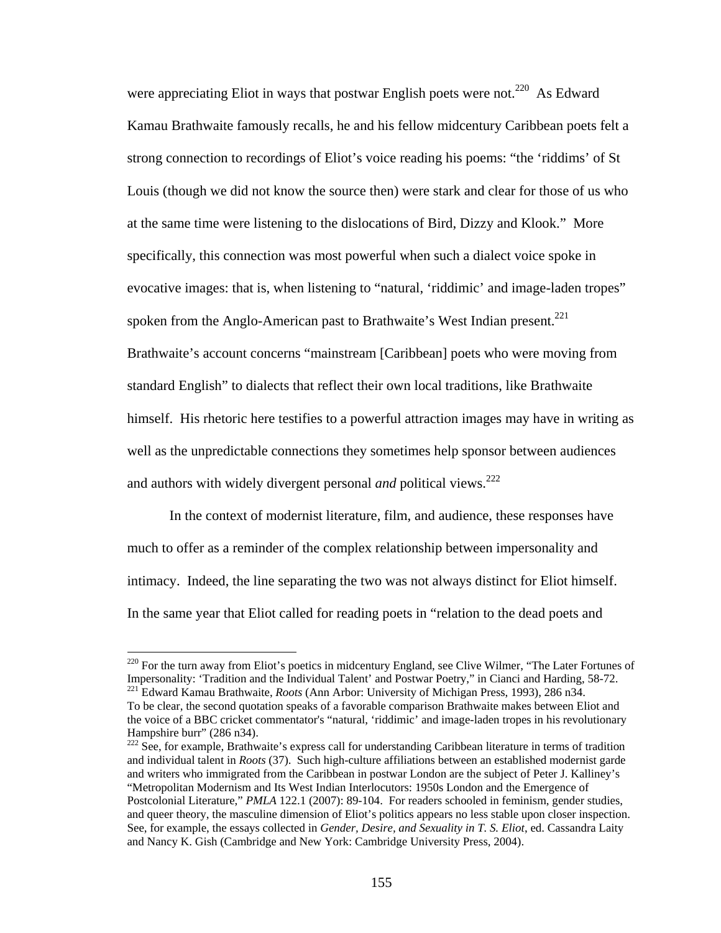were appreciating Eliot in ways that postwar English poets were not.<sup>220</sup> As Edward Kamau Brathwaite famously recalls, he and his fellow midcentury Caribbean poets felt a strong connection to recordings of Eliot's voice reading his poems: "the 'riddims' of St Louis (though we did not know the source then) were stark and clear for those of us who at the same time were listening to the dislocations of Bird, Dizzy and Klook." More specifically, this connection was most powerful when such a dialect voice spoke in evocative images: that is, when listening to "natural, 'riddimic' and image-laden tropes" spoken from the Anglo-American past to Brathwaite's West Indian present.<sup>221</sup> Brathwaite's account concerns "mainstream [Caribbean] poets who were moving from standard English" to dialects that reflect their own local traditions, like Brathwaite himself. His rhetoric here testifies to a powerful attraction images may have in writing as well as the unpredictable connections they sometimes help sponsor between audiences and authors with widely divergent personal *and* political views.<sup>222</sup>

In the context of modernist literature, film, and audience, these responses have much to offer as a reminder of the complex relationship between impersonality and intimacy. Indeed, the line separating the two was not always distinct for Eliot himself. In the same year that Eliot called for reading poets in "relation to the dead poets and

<sup>&</sup>lt;sup>220</sup> For the turn away from Eliot's poetics in midcentury England, see Clive Wilmer, "The Later Fortunes of Impersonality: 'Tradition and the Individual Talent' and Postwar Poetry," in Cianci and Harding, 58-72. 221 Edward Kamau Brathwaite, *Roots* (Ann Arbor: University of Michigan Press, 1993), 286 n34.

To be clear, the second quotation speaks of a favorable comparison Brathwaite makes between Eliot and the voice of a BBC cricket commentator's "natural, 'riddimic' and image-laden tropes in his revolutionary Hampshire burr" (286 n34).

<sup>&</sup>lt;sup>222</sup> See, for example, Brathwaite's express call for understanding Caribbean literature in terms of tradition and individual talent in *Roots* (37). Such high-culture affiliations between an established modernist garde and writers who immigrated from the Caribbean in postwar London are the subject of Peter J. Kalliney's "Metropolitan Modernism and Its West Indian Interlocutors: 1950s London and the Emergence of Postcolonial Literature," *PMLA* 122.1 (2007): 89-104. For readers schooled in feminism, gender studies, and queer theory, the masculine dimension of Eliot's politics appears no less stable upon closer inspection. See, for example, the essays collected in *Gender, Desire, and Sexuality in T. S. Eliot*, ed. Cassandra Laity and Nancy K. Gish (Cambridge and New York: Cambridge University Press, 2004).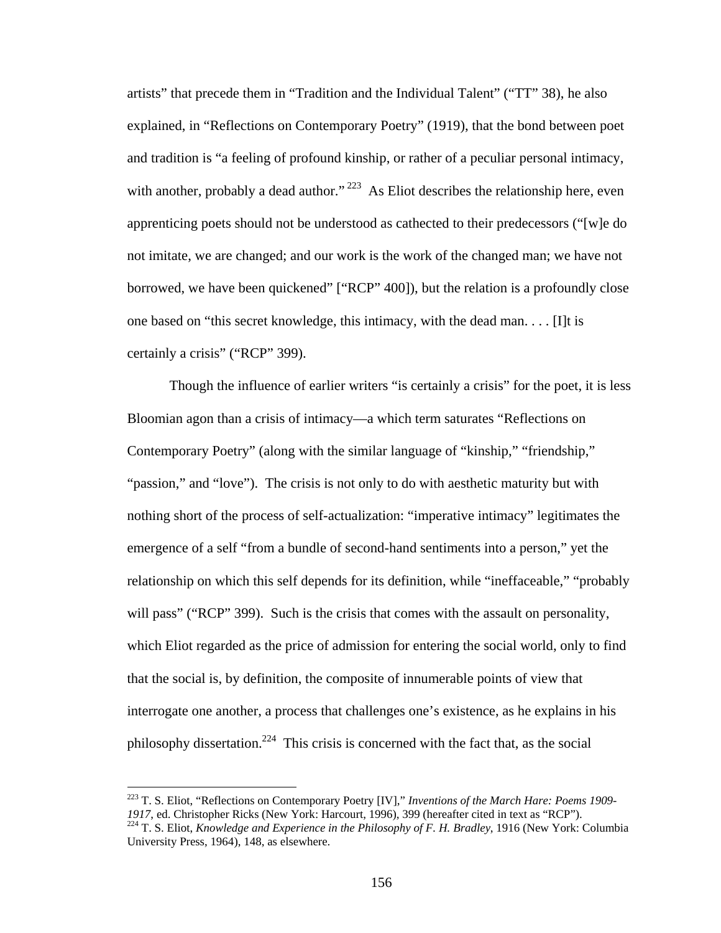artists" that precede them in "Tradition and the Individual Talent" ("TT" 38), he also explained, in "Reflections on Contemporary Poetry" (1919), that the bond between poet and tradition is "a feeling of profound kinship, or rather of a peculiar personal intimacy, with another, probably a dead author."  $^{223}$  As Eliot describes the relationship here, even apprenticing poets should not be understood as cathected to their predecessors ("[w]e do not imitate, we are changed; and our work is the work of the changed man; we have not borrowed, we have been quickened" ["RCP" 400]), but the relation is a profoundly close one based on "this secret knowledge, this intimacy, with the dead man. . . . [I]t is certainly a crisis" ("RCP" 399).

Though the influence of earlier writers "is certainly a crisis" for the poet, it is less Bloomian agon than a crisis of intimacy—a which term saturates "Reflections on Contemporary Poetry" (along with the similar language of "kinship," "friendship," "passion," and "love"). The crisis is not only to do with aesthetic maturity but with nothing short of the process of self-actualization: "imperative intimacy" legitimates the emergence of a self "from a bundle of second-hand sentiments into a person," yet the relationship on which this self depends for its definition, while "ineffaceable," "probably will pass" ("RCP" 399). Such is the crisis that comes with the assault on personality, which Eliot regarded as the price of admission for entering the social world, only to find that the social is, by definition, the composite of innumerable points of view that interrogate one another, a process that challenges one's existence, as he explains in his philosophy dissertation.<sup>224</sup> This crisis is concerned with the fact that, as the social

<sup>&</sup>lt;sup>223</sup> T. S. Eliot, "Reflections on Contemporary Poetry [IV]," *Inventions of the March Hare: Poems 1909-1917*, ed. Christopher Ricks (New York: Harcourt, 1996), 399 (hereafter cited in text as "RCP"). <sup>224</sup> T. S. Eliot, *Knowledge and Experience in the Philosophy of F. H. Bradley*, 1916 (New York: Columbia University Press, 1964), 148, as elsewhere.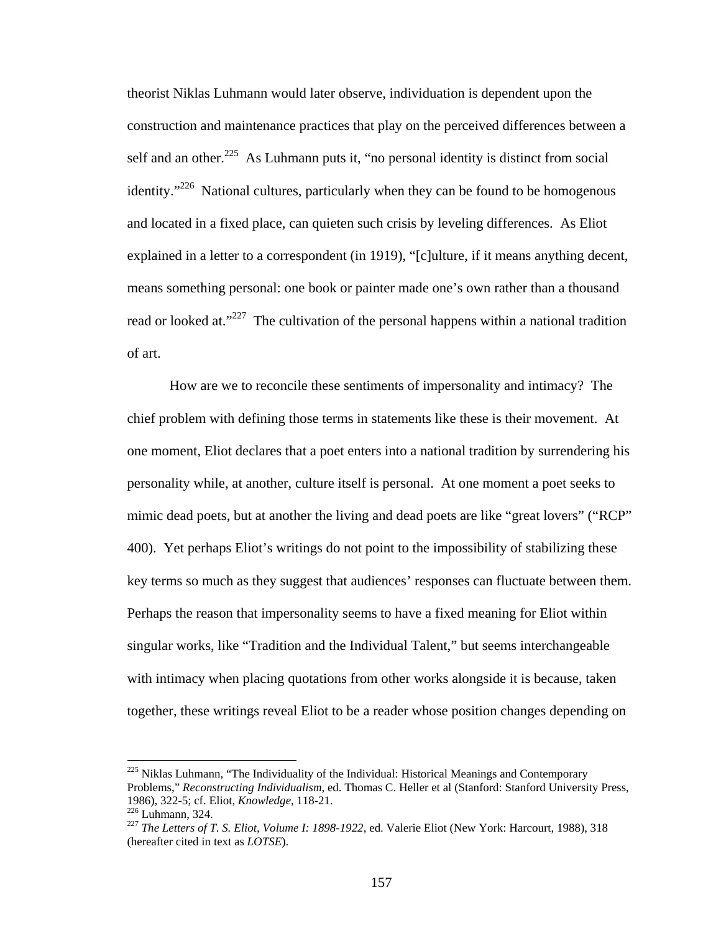theorist Niklas Luhmann would later observe, individuation is dependent upon the construction and maintenance practices that play on the perceived differences between a self and an other.<sup>225</sup> As Luhmann puts it, "no personal identity is distinct from social identity. $1226$  National cultures, particularly when they can be found to be homogenous and located in a fixed place, can quieten such crisis by leveling differences. As Eliot explained in a letter to a correspondent (in 1919), "[c]ulture, if it means anything decent, means something personal: one book or painter made one's own rather than a thousand read or looked at."<sup>227</sup> The cultivation of the personal happens within a national tradition of art.

 How are we to reconcile these sentiments of impersonality and intimacy? The chief problem with defining those terms in statements like these is their movement. At one moment, Eliot declares that a poet enters into a national tradition by surrendering his personality while, at another, culture itself is personal. At one moment a poet seeks to mimic dead poets, but at another the living and dead poets are like "great lovers" ("RCP" 400). Yet perhaps Eliot's writings do not point to the impossibility of stabilizing these key terms so much as they suggest that audiences' responses can fluctuate between them. Perhaps the reason that impersonality seems to have a fixed meaning for Eliot within singular works, like "Tradition and the Individual Talent," but seems interchangeable with intimacy when placing quotations from other works alongside it is because, taken together, these writings reveal Eliot to be a reader whose position changes depending on

 $225$  Niklas Luhmann, "The Individuality of the Individual: Historical Meanings and Contemporary Problems," *Reconstructing Individualism*, ed. Thomas C. Heller et al (Stanford: Stanford University Press, 1986), 322-5; cf. Eliot, *Knowledge*, 118-21.<br><sup>226</sup> Luhmann, 324.<br><sup>227</sup> *The Letters of T. S. Eliot, Volume I: 1898-1922*, ed. Valerie Eliot (New York: Harcourt, 1988), 318

<sup>(</sup>hereafter cited in text as *LOTSE*).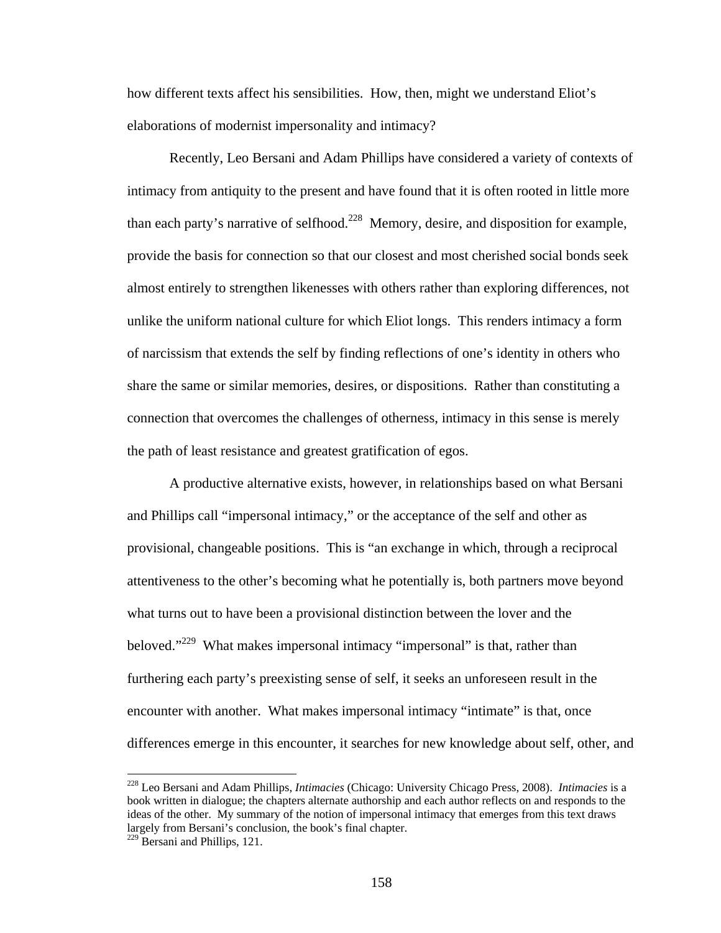how different texts affect his sensibilities. How, then, might we understand Eliot's elaborations of modernist impersonality and intimacy?

 Recently, Leo Bersani and Adam Phillips have considered a variety of contexts of intimacy from antiquity to the present and have found that it is often rooted in little more than each party's narrative of selfhood.<sup>228</sup> Memory, desire, and disposition for example, provide the basis for connection so that our closest and most cherished social bonds seek almost entirely to strengthen likenesses with others rather than exploring differences, not unlike the uniform national culture for which Eliot longs. This renders intimacy a form of narcissism that extends the self by finding reflections of one's identity in others who share the same or similar memories, desires, or dispositions. Rather than constituting a connection that overcomes the challenges of otherness, intimacy in this sense is merely the path of least resistance and greatest gratification of egos.

A productive alternative exists, however, in relationships based on what Bersani and Phillips call "impersonal intimacy," or the acceptance of the self and other as provisional, changeable positions. This is "an exchange in which, through a reciprocal attentiveness to the other's becoming what he potentially is, both partners move beyond what turns out to have been a provisional distinction between the lover and the beloved."<sup>229</sup> What makes impersonal intimacy "impersonal" is that, rather than furthering each party's preexisting sense of self, it seeks an unforeseen result in the encounter with another. What makes impersonal intimacy "intimate" is that, once differences emerge in this encounter, it searches for new knowledge about self, other, and

<sup>228</sup> Leo Bersani and Adam Phillips, *Intimacies* (Chicago: University Chicago Press, 2008). *Intimacies* is a book written in dialogue; the chapters alternate authorship and each author reflects on and responds to the ideas of the other. My summary of the notion of impersonal intimacy that emerges from this text draws largely from Bersani's conclusion, the book's final chapter.

<sup>&</sup>lt;sup>229</sup> Bersani and Phillips, 121.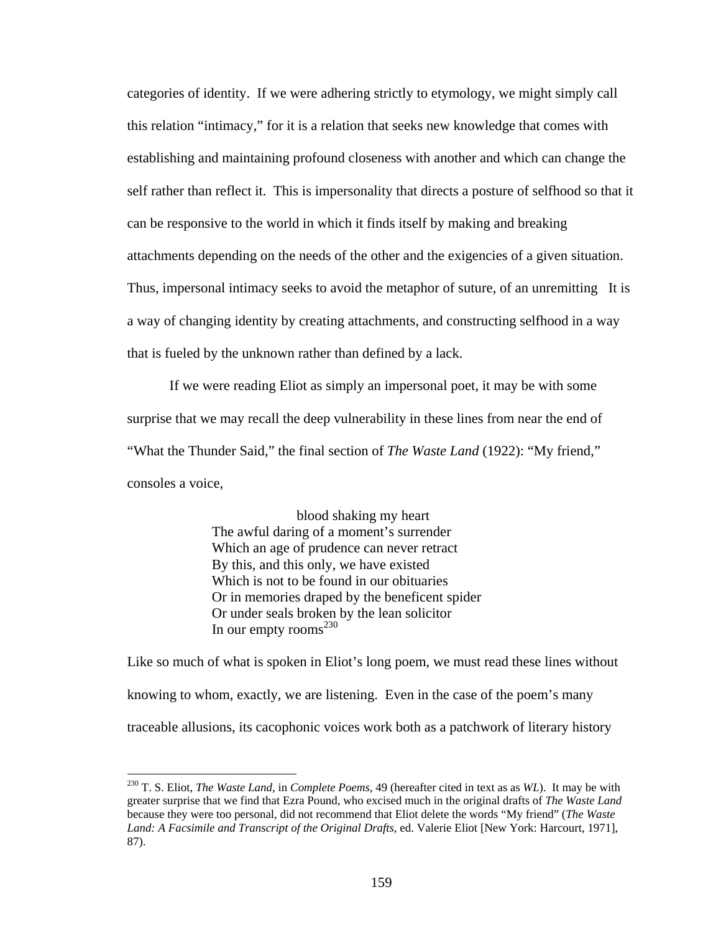categories of identity. If we were adhering strictly to etymology, we might simply call this relation "intimacy," for it is a relation that seeks new knowledge that comes with establishing and maintaining profound closeness with another and which can change the self rather than reflect it. This is impersonality that directs a posture of selfhood so that it can be responsive to the world in which it finds itself by making and breaking attachments depending on the needs of the other and the exigencies of a given situation. Thus, impersonal intimacy seeks to avoid the metaphor of suture, of an unremitting It is a way of changing identity by creating attachments, and constructing selfhood in a way that is fueled by the unknown rather than defined by a lack.

If we were reading Eliot as simply an impersonal poet, it may be with some surprise that we may recall the deep vulnerability in these lines from near the end of "What the Thunder Said," the final section of *The Waste Land* (1922): "My friend," consoles a voice,

> blood shaking my heart The awful daring of a moment's surrender Which an age of prudence can never retract By this, and this only, we have existed Which is not to be found in our obituaries Or in memories draped by the beneficent spider Or under seals broken by the lean solicitor In our empty rooms $^{230}$

Like so much of what is spoken in Eliot's long poem, we must read these lines without knowing to whom, exactly, we are listening. Even in the case of the poem's many traceable allusions, its cacophonic voices work both as a patchwork of literary history

<sup>230</sup> T. S. Eliot, *The Waste Land*, in *Complete Poems*, 49 (hereafter cited in text as as *WL*). It may be with greater surprise that we find that Ezra Pound, who excised much in the original drafts of *The Waste Land*  because they were too personal, did not recommend that Eliot delete the words "My friend" (*The Waste Land: A Facsimile and Transcript of the Original Drafts*, ed. Valerie Eliot [New York: Harcourt, 1971], 87).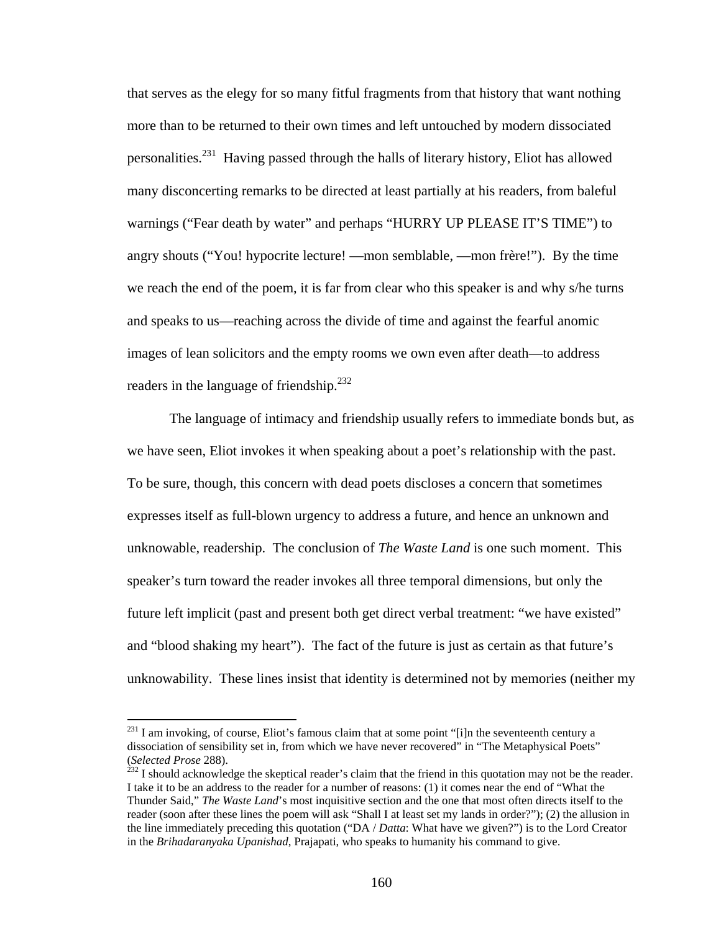that serves as the elegy for so many fitful fragments from that history that want nothing more than to be returned to their own times and left untouched by modern dissociated personalities.<sup>231</sup> Having passed through the halls of literary history, Eliot has allowed many disconcerting remarks to be directed at least partially at his readers, from baleful warnings ("Fear death by water" and perhaps "HURRY UP PLEASE IT'S TIME") to angry shouts ("You! hypocrite lecture! —mon semblable, —mon frère!"). By the time we reach the end of the poem, it is far from clear who this speaker is and why s/he turns and speaks to us—reaching across the divide of time and against the fearful anomic images of lean solicitors and the empty rooms we own even after death—to address readers in the language of friendship. $^{232}$ 

 The language of intimacy and friendship usually refers to immediate bonds but, as we have seen, Eliot invokes it when speaking about a poet's relationship with the past. To be sure, though, this concern with dead poets discloses a concern that sometimes expresses itself as full-blown urgency to address a future, and hence an unknown and unknowable, readership. The conclusion of *The Waste Land* is one such moment. This speaker's turn toward the reader invokes all three temporal dimensions, but only the future left implicit (past and present both get direct verbal treatment: "we have existed" and "blood shaking my heart"). The fact of the future is just as certain as that future's unknowability. These lines insist that identity is determined not by memories (neither my

 $^{231}$  I am invoking, of course, Eliot's famous claim that at some point "[i]n the seventeenth century a dissociation of sensibility set in, from which we have never recovered" in "The Metaphysical Poets" (Selected Prose 288).

<sup>&</sup>lt;sup>232</sup> I should acknowledge the skeptical reader's claim that the friend in this quotation may not be the reader. I take it to be an address to the reader for a number of reasons: (1) it comes near the end of "What the Thunder Said," *The Waste Land*'s most inquisitive section and the one that most often directs itself to the reader (soon after these lines the poem will ask "Shall I at least set my lands in order?"); (2) the allusion in the line immediately preceding this quotation ("DA / *Datta*: What have we given?") is to the Lord Creator in the *Brihadaranyaka Upanishad*, Prajapati, who speaks to humanity his command to give.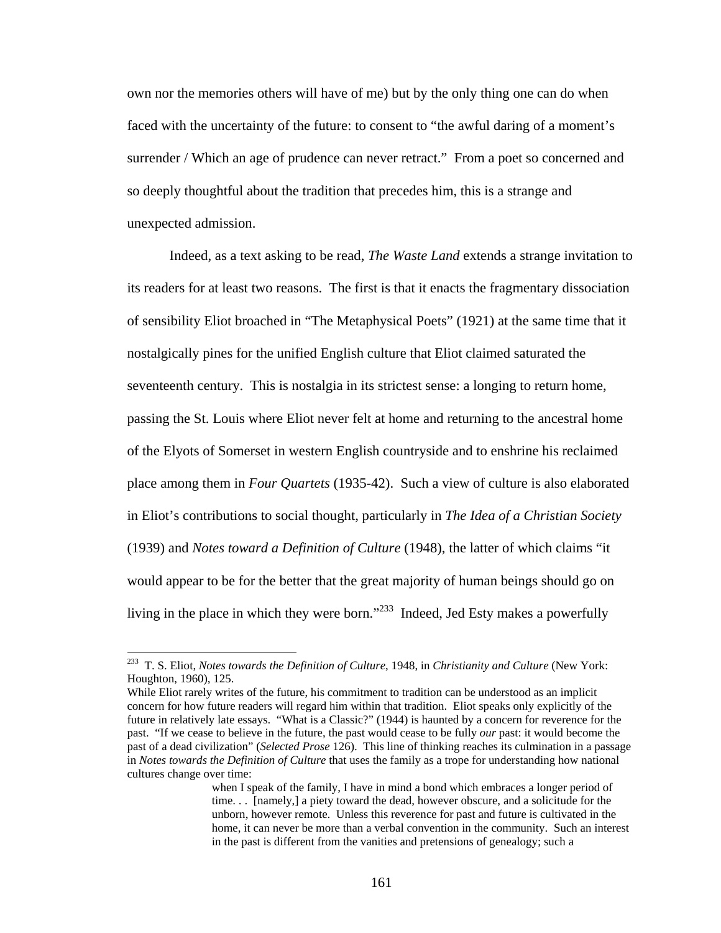own nor the memories others will have of me) but by the only thing one can do when faced with the uncertainty of the future: to consent to "the awful daring of a moment's surrender / Which an age of prudence can never retract." From a poet so concerned and so deeply thoughtful about the tradition that precedes him, this is a strange and unexpected admission.

Indeed, as a text asking to be read, *The Waste Land* extends a strange invitation to its readers for at least two reasons. The first is that it enacts the fragmentary dissociation of sensibility Eliot broached in "The Metaphysical Poets" (1921) at the same time that it nostalgically pines for the unified English culture that Eliot claimed saturated the seventeenth century. This is nostalgia in its strictest sense: a longing to return home, passing the St. Louis where Eliot never felt at home and returning to the ancestral home of the Elyots of Somerset in western English countryside and to enshrine his reclaimed place among them in *Four Quartets* (1935-42). Such a view of culture is also elaborated in Eliot's contributions to social thought, particularly in *The Idea of a Christian Society* (1939) and *Notes toward a Definition of Culture* (1948), the latter of which claims "it would appear to be for the better that the great majority of human beings should go on living in the place in which they were born."<sup>233</sup> Indeed, Jed Esty makes a powerfully

<sup>233</sup> T. S. Eliot, *Notes towards the Definition of Culture*, 1948, in *Christianity and Culture* (New York: Houghton, 1960), 125.

While Eliot rarely writes of the future, his commitment to tradition can be understood as an implicit concern for how future readers will regard him within that tradition. Eliot speaks only explicitly of the future in relatively late essays. "What is a Classic?" (1944) is haunted by a concern for reverence for the past. "If we cease to believe in the future, the past would cease to be fully *our* past: it would become the past of a dead civilization" (*Selected Prose* 126). This line of thinking reaches its culmination in a passage in *Notes towards the Definition of Culture* that uses the family as a trope for understanding how national cultures change over time:

when I speak of the family, I have in mind a bond which embraces a longer period of time. . . [namely,] a piety toward the dead, however obscure, and a solicitude for the unborn, however remote. Unless this reverence for past and future is cultivated in the home, it can never be more than a verbal convention in the community. Such an interest in the past is different from the vanities and pretensions of genealogy; such a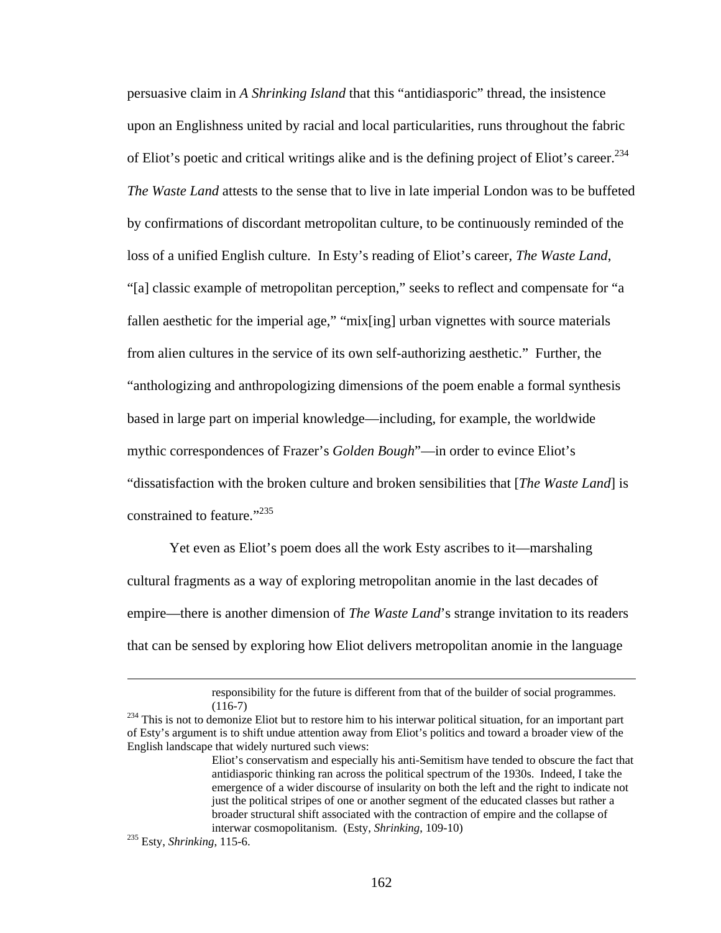persuasive claim in *A Shrinking Island* that this "antidiasporic" thread, the insistence upon an Englishness united by racial and local particularities, runs throughout the fabric of Eliot's poetic and critical writings alike and is the defining project of Eliot's career.<sup>234</sup> *The Waste Land* attests to the sense that to live in late imperial London was to be buffeted by confirmations of discordant metropolitan culture, to be continuously reminded of the loss of a unified English culture. In Esty's reading of Eliot's career, *The Waste Land*, "[a] classic example of metropolitan perception," seeks to reflect and compensate for "a fallen aesthetic for the imperial age," "mix[ing] urban vignettes with source materials from alien cultures in the service of its own self-authorizing aesthetic." Further, the "anthologizing and anthropologizing dimensions of the poem enable a formal synthesis based in large part on imperial knowledge—including, for example, the worldwide mythic correspondences of Frazer's *Golden Bough*"—in order to evince Eliot's "dissatisfaction with the broken culture and broken sensibilities that [*The Waste Land*] is constrained to feature."<sup>235</sup>

 Yet even as Eliot's poem does all the work Esty ascribes to it—marshaling cultural fragments as a way of exploring metropolitan anomie in the last decades of empire—there is another dimension of *The Waste Land*'s strange invitation to its readers that can be sensed by exploring how Eliot delivers metropolitan anomie in the language

responsibility for the future is different from that of the builder of social programmes.

<sup>(116-7) 234</sup> This is not to demonize Eliot but to restore him to his interwar political situation, for an important part of Esty's argument is to shift undue attention away from Eliot's politics and toward a broader view of the English landscape that widely nurtured such views:

Eliot's conservatism and especially his anti-Semitism have tended to obscure the fact that antidiasporic thinking ran across the political spectrum of the 1930s. Indeed, I take the emergence of a wider discourse of insularity on both the left and the right to indicate not just the political stripes of one or another segment of the educated classes but rather a broader structural shift associated with the contraction of empire and the collapse of interwar cosmopolitanism. (Esty, *Shrinking*, 109-10) 235 Esty, *Shrinking*, 115-6.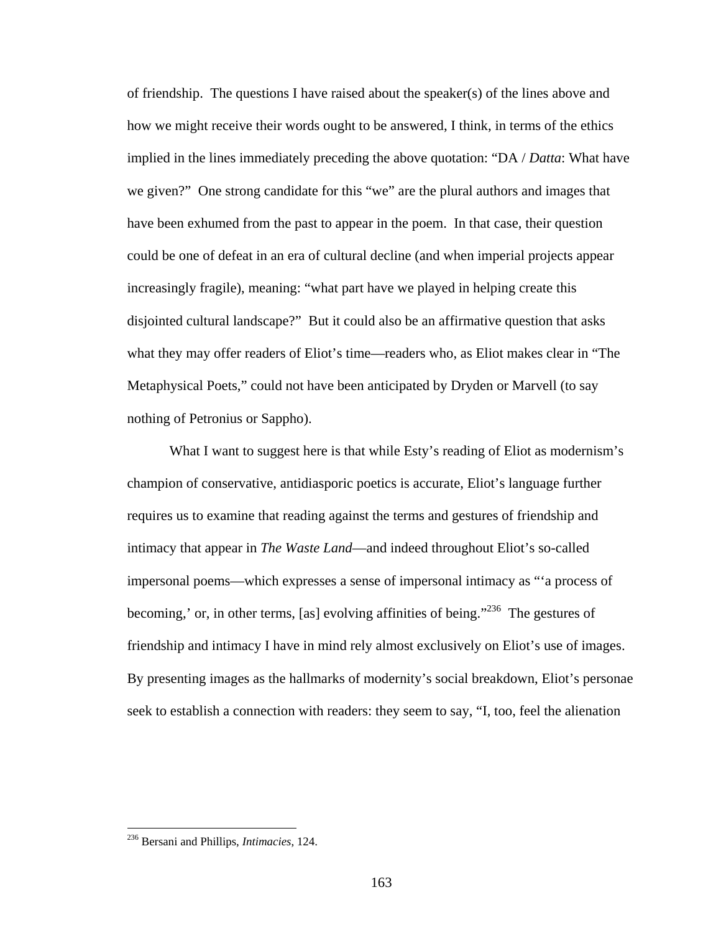of friendship. The questions I have raised about the speaker(s) of the lines above and how we might receive their words ought to be answered, I think, in terms of the ethics implied in the lines immediately preceding the above quotation: "DA / *Datta*: What have we given?" One strong candidate for this "we" are the plural authors and images that have been exhumed from the past to appear in the poem. In that case, their question could be one of defeat in an era of cultural decline (and when imperial projects appear increasingly fragile), meaning: "what part have we played in helping create this disjointed cultural landscape?" But it could also be an affirmative question that asks what they may offer readers of Eliot's time—readers who, as Eliot makes clear in "The Metaphysical Poets," could not have been anticipated by Dryden or Marvell (to say nothing of Petronius or Sappho).

What I want to suggest here is that while Esty's reading of Eliot as modernism's champion of conservative, antidiasporic poetics is accurate, Eliot's language further requires us to examine that reading against the terms and gestures of friendship and intimacy that appear in *The Waste Land*—and indeed throughout Eliot's so-called impersonal poems—which expresses a sense of impersonal intimacy as "'a process of becoming,' or, in other terms, [as] evolving affinities of being.<sup>3236</sup> The gestures of friendship and intimacy I have in mind rely almost exclusively on Eliot's use of images. By presenting images as the hallmarks of modernity's social breakdown, Eliot's personae seek to establish a connection with readers: they seem to say, "I, too, feel the alienation

<sup>236</sup> Bersani and Phillips, *Intimacies*, 124.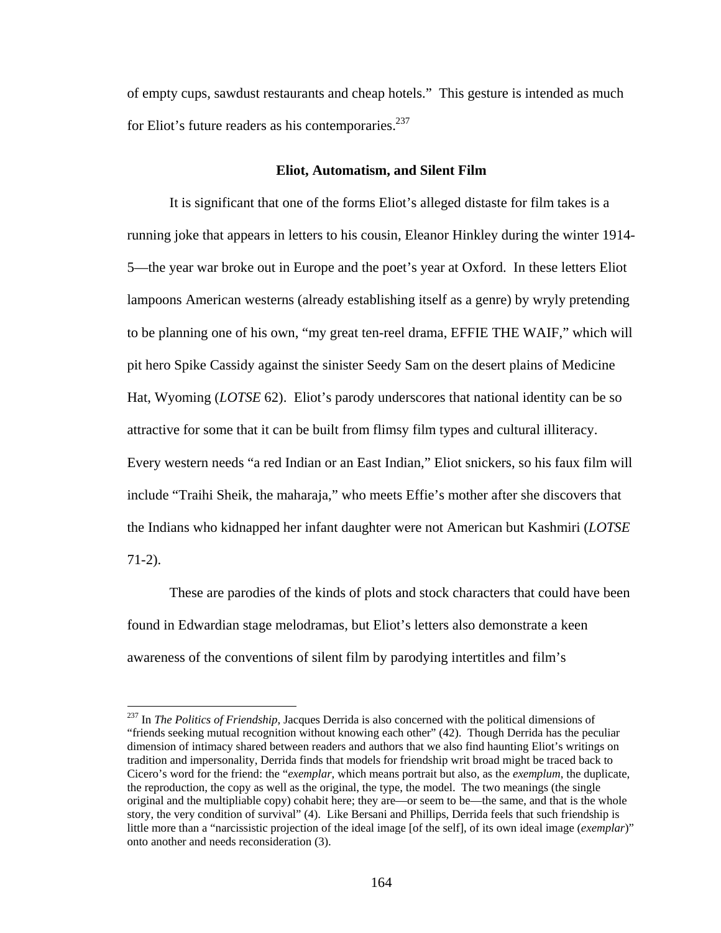of empty cups, sawdust restaurants and cheap hotels." This gesture is intended as much for Eliot's future readers as his contemporaries.<sup>237</sup>

## **Eliot, Automatism, and Silent Film**

It is significant that one of the forms Eliot's alleged distaste for film takes is a running joke that appears in letters to his cousin, Eleanor Hinkley during the winter 1914- 5—the year war broke out in Europe and the poet's year at Oxford. In these letters Eliot lampoons American westerns (already establishing itself as a genre) by wryly pretending to be planning one of his own, "my great ten-reel drama, EFFIE THE WAIF," which will pit hero Spike Cassidy against the sinister Seedy Sam on the desert plains of Medicine Hat, Wyoming (*LOTSE* 62). Eliot's parody underscores that national identity can be so attractive for some that it can be built from flimsy film types and cultural illiteracy. Every western needs "a red Indian or an East Indian," Eliot snickers, so his faux film will include "Traihi Sheik, the maharaja," who meets Effie's mother after she discovers that the Indians who kidnapped her infant daughter were not American but Kashmiri (*LOTSE* 71-2).

These are parodies of the kinds of plots and stock characters that could have been found in Edwardian stage melodramas, but Eliot's letters also demonstrate a keen awareness of the conventions of silent film by parodying intertitles and film's

<sup>&</sup>lt;sup>237</sup> In *The Politics of Friendship*, Jacques Derrida is also concerned with the political dimensions of "friends seeking mutual recognition without knowing each other" (42). Though Derrida has the peculiar dimension of intimacy shared between readers and authors that we also find haunting Eliot's writings on tradition and impersonality, Derrida finds that models for friendship writ broad might be traced back to Cicero's word for the friend: the "*exemplar*, which means portrait but also, as the *exemplum*, the duplicate, the reproduction, the copy as well as the original, the type, the model. The two meanings (the single original and the multipliable copy) cohabit here; they are—or seem to be—the same, and that is the whole story, the very condition of survival" (4). Like Bersani and Phillips, Derrida feels that such friendship is little more than a "narcissistic projection of the ideal image [of the self], of its own ideal image (*exemplar*)" onto another and needs reconsideration (3).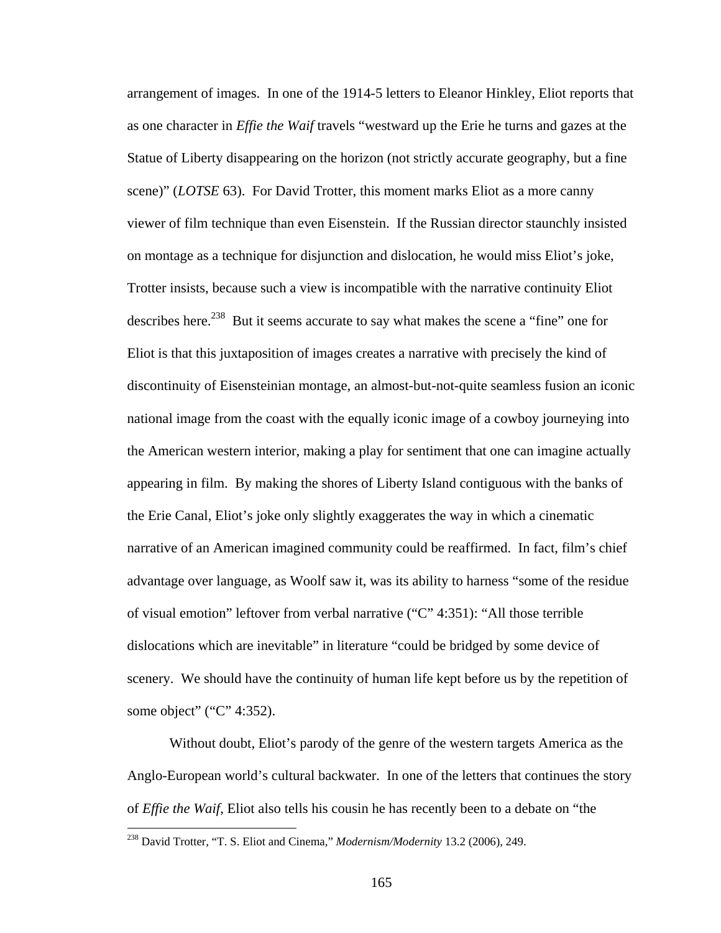arrangement of images. In one of the 1914-5 letters to Eleanor Hinkley, Eliot reports that as one character in *Effie the Waif* travels "westward up the Erie he turns and gazes at the Statue of Liberty disappearing on the horizon (not strictly accurate geography, but a fine scene)" (*LOTSE* 63). For David Trotter, this moment marks Eliot as a more canny viewer of film technique than even Eisenstein. If the Russian director staunchly insisted on montage as a technique for disjunction and dislocation, he would miss Eliot's joke, Trotter insists, because such a view is incompatible with the narrative continuity Eliot describes here.<sup>238</sup> But it seems accurate to say what makes the scene a "fine" one for Eliot is that this juxtaposition of images creates a narrative with precisely the kind of discontinuity of Eisensteinian montage, an almost-but-not-quite seamless fusion an iconic national image from the coast with the equally iconic image of a cowboy journeying into the American western interior, making a play for sentiment that one can imagine actually appearing in film. By making the shores of Liberty Island contiguous with the banks of the Erie Canal, Eliot's joke only slightly exaggerates the way in which a cinematic narrative of an American imagined community could be reaffirmed. In fact, film's chief advantage over language, as Woolf saw it, was its ability to harness "some of the residue of visual emotion" leftover from verbal narrative ("C" 4:351): "All those terrible dislocations which are inevitable" in literature "could be bridged by some device of scenery. We should have the continuity of human life kept before us by the repetition of some object" ("C" 4:352).

Without doubt, Eliot's parody of the genre of the western targets America as the Anglo-European world's cultural backwater. In one of the letters that continues the story of *Effie the Waif*, Eliot also tells his cousin he has recently been to a debate on "the

<u>.</u>

<sup>238</sup> David Trotter, "T. S. Eliot and Cinema," *Modernism/Modernity* 13.2 (2006), 249.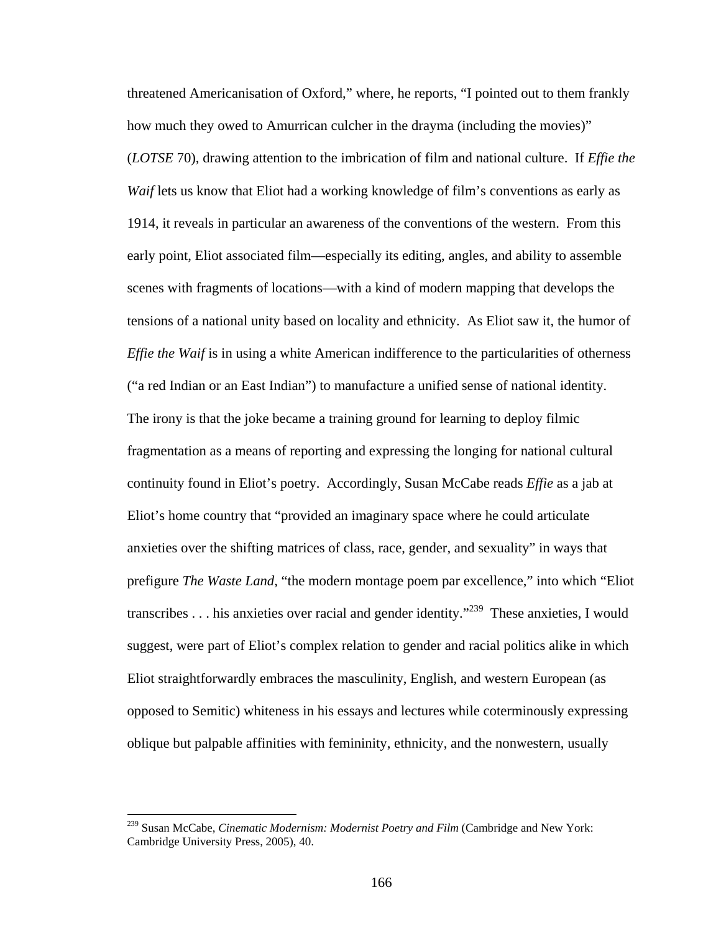threatened Americanisation of Oxford," where, he reports, "I pointed out to them frankly how much they owed to Amurrican culcher in the drayma (including the movies)" (*LOTSE* 70), drawing attention to the imbrication of film and national culture. If *Effie the Waif* lets us know that Eliot had a working knowledge of film's conventions as early as 1914, it reveals in particular an awareness of the conventions of the western. From this early point, Eliot associated film—especially its editing, angles, and ability to assemble scenes with fragments of locations—with a kind of modern mapping that develops the tensions of a national unity based on locality and ethnicity. As Eliot saw it, the humor of *Effie the Waif* is in using a white American indifference to the particularities of otherness ("a red Indian or an East Indian") to manufacture a unified sense of national identity. The irony is that the joke became a training ground for learning to deploy filmic fragmentation as a means of reporting and expressing the longing for national cultural continuity found in Eliot's poetry. Accordingly, Susan McCabe reads *Effie* as a jab at Eliot's home country that "provided an imaginary space where he could articulate anxieties over the shifting matrices of class, race, gender, and sexuality" in ways that prefigure *The Waste Land*, "the modern montage poem par excellence," into which "Eliot transcribes  $\dots$  his anxieties over racial and gender identity.<sup> $239$ </sup> These anxieties, I would suggest, were part of Eliot's complex relation to gender and racial politics alike in which Eliot straightforwardly embraces the masculinity, English, and western European (as opposed to Semitic) whiteness in his essays and lectures while coterminously expressing oblique but palpable affinities with femininity, ethnicity, and the nonwestern, usually

<sup>239</sup> Susan McCabe, *Cinematic Modernism: Modernist Poetry and Film* (Cambridge and New York: Cambridge University Press, 2005), 40.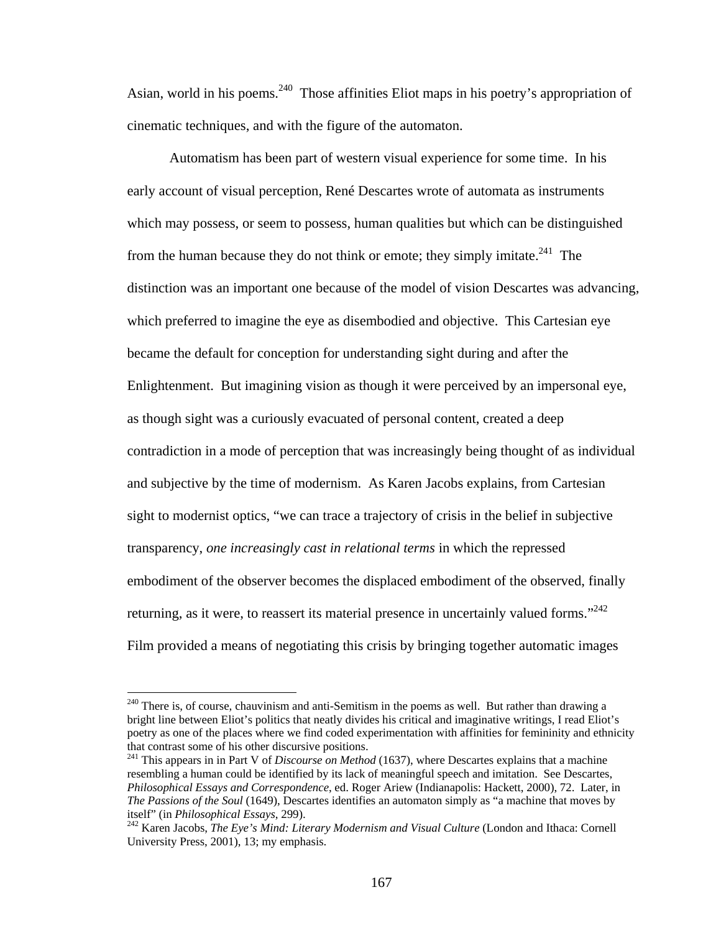Asian, world in his poems.<sup>240</sup> Those affinities Eliot maps in his poetry's appropriation of cinematic techniques, and with the figure of the automaton.

Automatism has been part of western visual experience for some time. In his early account of visual perception, René Descartes wrote of automata as instruments which may possess, or seem to possess, human qualities but which can be distinguished from the human because they do not think or emote; they simply imitate. $241$  The distinction was an important one because of the model of vision Descartes was advancing, which preferred to imagine the eye as disembodied and objective. This Cartesian eye became the default for conception for understanding sight during and after the Enlightenment. But imagining vision as though it were perceived by an impersonal eye, as though sight was a curiously evacuated of personal content, created a deep contradiction in a mode of perception that was increasingly being thought of as individual and subjective by the time of modernism. As Karen Jacobs explains, from Cartesian sight to modernist optics, "we can trace a trajectory of crisis in the belief in subjective transparency, *one increasingly cast in relational terms* in which the repressed embodiment of the observer becomes the displaced embodiment of the observed, finally returning, as it were, to reassert its material presence in uncertainly valued forms."<sup>242</sup> Film provided a means of negotiating this crisis by bringing together automatic images

<sup>&</sup>lt;sup>240</sup> There is, of course, chauvinism and anti-Semitism in the poems as well. But rather than drawing a bright line between Eliot's politics that neatly divides his critical and imaginative writings, I read Eliot's poetry as one of the places where we find coded experimentation with affinities for femininity and ethnicity that contrast some of his other discursive positions.

<sup>&</sup>lt;sup>241</sup> This appears in in Part V of *Discourse on Method* (1637), where Descartes explains that a machine resembling a human could be identified by its lack of meaningful speech and imitation. See Descartes, *Philosophical Essays and Correspondence*, ed. Roger Ariew (Indianapolis: Hackett, 2000), 72. Later, in *The Passions of the Soul* (1649), Descartes identifies an automaton simply as "a machine that moves by itself" (in *Philosophical Essays*, 299). 242 Karen Jacobs, *The Eye's Mind: Literary Modernism and Visual Culture* (London and Ithaca: Cornell

University Press, 2001), 13; my emphasis.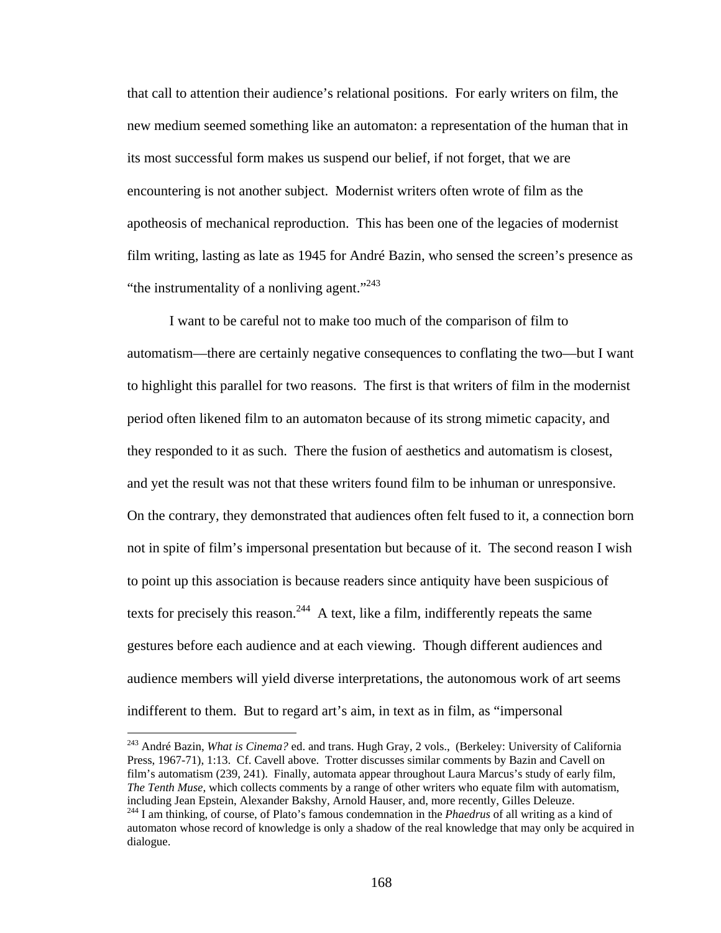that call to attention their audience's relational positions. For early writers on film, the new medium seemed something like an automaton: a representation of the human that in its most successful form makes us suspend our belief, if not forget, that we are encountering is not another subject. Modernist writers often wrote of film as the apotheosis of mechanical reproduction. This has been one of the legacies of modernist film writing, lasting as late as 1945 for André Bazin, who sensed the screen's presence as "the instrumentality of a nonliving agent."<sup>243</sup>

I want to be careful not to make too much of the comparison of film to automatism—there are certainly negative consequences to conflating the two—but I want to highlight this parallel for two reasons. The first is that writers of film in the modernist period often likened film to an automaton because of its strong mimetic capacity, and they responded to it as such. There the fusion of aesthetics and automatism is closest, and yet the result was not that these writers found film to be inhuman or unresponsive. On the contrary, they demonstrated that audiences often felt fused to it, a connection born not in spite of film's impersonal presentation but because of it. The second reason I wish to point up this association is because readers since antiquity have been suspicious of texts for precisely this reason.<sup>244</sup> A text, like a film, indifferently repeats the same gestures before each audience and at each viewing. Though different audiences and audience members will yield diverse interpretations, the autonomous work of art seems indifferent to them. But to regard art's aim, in text as in film, as "impersonal

<sup>243</sup> André Bazin, *What is Cinema?* ed. and trans. Hugh Gray, 2 vols., (Berkeley: University of California Press, 1967-71), 1:13. Cf. Cavell above. Trotter discusses similar comments by Bazin and Cavell on film's automatism (239, 241). Finally, automata appear throughout Laura Marcus's study of early film, *The Tenth Muse*, which collects comments by a range of other writers who equate film with automatism, including Jean Epstein, Alexander Bakshy, Arnold Hauser, and, more recently, Gilles Deleuze. 244 I am thinking, of course, of Plato's famous condemnation in the *Phaedrus* of all writing as a kind of

automaton whose record of knowledge is only a shadow of the real knowledge that may only be acquired in dialogue.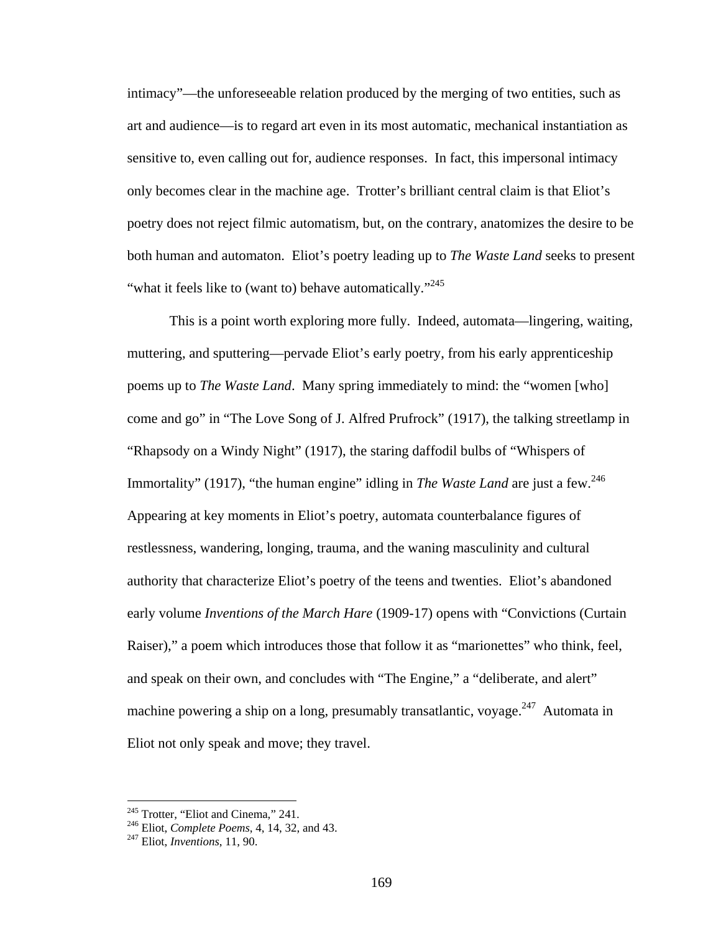intimacy"—the unforeseeable relation produced by the merging of two entities, such as art and audience—is to regard art even in its most automatic, mechanical instantiation as sensitive to, even calling out for, audience responses. In fact, this impersonal intimacy only becomes clear in the machine age. Trotter's brilliant central claim is that Eliot's poetry does not reject filmic automatism, but, on the contrary, anatomizes the desire to be both human and automaton. Eliot's poetry leading up to *The Waste Land* seeks to present "what it feels like to (want to) behave automatically."<sup>245</sup>

This is a point worth exploring more fully. Indeed, automata—lingering, waiting, muttering, and sputtering—pervade Eliot's early poetry, from his early apprenticeship poems up to *The Waste Land*. Many spring immediately to mind: the "women [who] come and go" in "The Love Song of J. Alfred Prufrock" (1917), the talking streetlamp in "Rhapsody on a Windy Night" (1917), the staring daffodil bulbs of "Whispers of Immortality" (1917), "the human engine" idling in *The Waste Land* are just a few.<sup>246</sup> Appearing at key moments in Eliot's poetry, automata counterbalance figures of restlessness, wandering, longing, trauma, and the waning masculinity and cultural authority that characterize Eliot's poetry of the teens and twenties. Eliot's abandoned early volume *Inventions of the March Hare* (1909-17) opens with "Convictions (Curtain Raiser)," a poem which introduces those that follow it as "marionettes" who think, feel, and speak on their own, and concludes with "The Engine," a "deliberate, and alert" machine powering a ship on a long, presumably transatlantic, voyage.<sup>247</sup> Automata in Eliot not only speak and move; they travel.

<sup>&</sup>lt;sup>245</sup> Trotter, "Eliot and Cinema," 241.

<sup>&</sup>lt;sup>246</sup> Eliot, *Complete Poems*, 4, 14, 32, and 43.<br><sup>247</sup> Eliot, *Inventions*, 11, 90.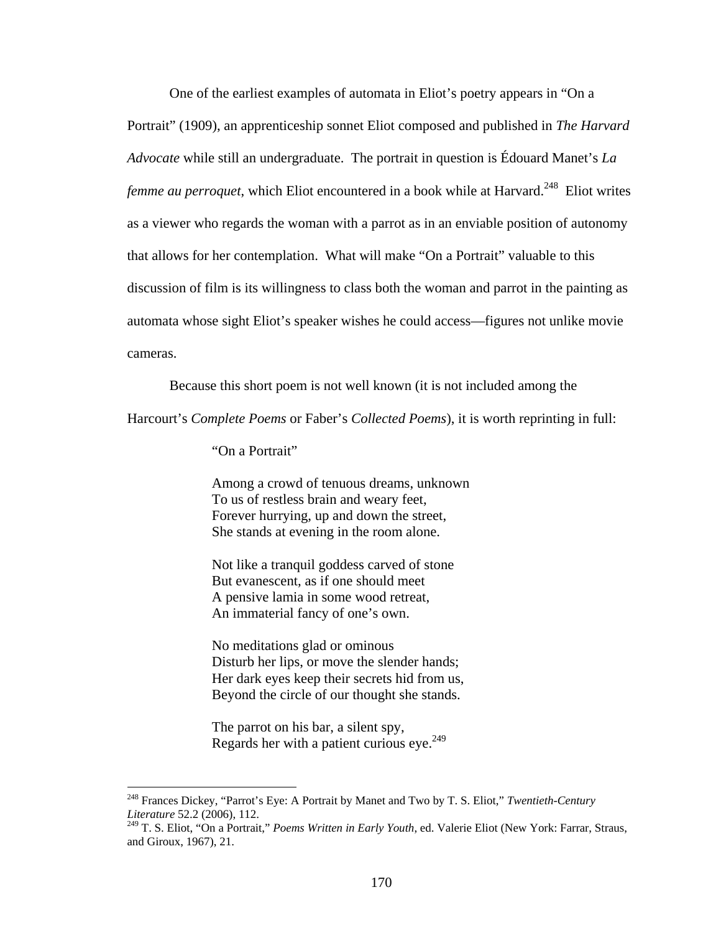One of the earliest examples of automata in Eliot's poetry appears in "On a Portrait" (1909), an apprenticeship sonnet Eliot composed and published in *The Harvard Advocate* while still an undergraduate. The portrait in question is Édouard Manet's *La femme au perroquet*, which Eliot encountered in a book while at Harvard.<sup>248</sup> Eliot writes as a viewer who regards the woman with a parrot as in an enviable position of autonomy that allows for her contemplation. What will make "On a Portrait" valuable to this discussion of film is its willingness to class both the woman and parrot in the painting as automata whose sight Eliot's speaker wishes he could access—figures not unlike movie cameras.

Because this short poem is not well known (it is not included among the

Harcourt's *Complete Poems* or Faber's *Collected Poems*), it is worth reprinting in full:

"On a Portrait"

 $\overline{a}$ 

Among a crowd of tenuous dreams, unknown To us of restless brain and weary feet, Forever hurrying, up and down the street, She stands at evening in the room alone.

Not like a tranquil goddess carved of stone But evanescent, as if one should meet A pensive lamia in some wood retreat, An immaterial fancy of one's own.

No meditations glad or ominous Disturb her lips, or move the slender hands; Her dark eyes keep their secrets hid from us, Beyond the circle of our thought she stands.

The parrot on his bar, a silent spy, Regards her with a patient curious eye.<sup>249</sup>

<sup>248</sup> Frances Dickey, "Parrot's Eye: A Portrait by Manet and Two by T. S. Eliot," *Twentieth-Century Literature* 52.2 (2006), 112.

<sup>249</sup> T. S. Eliot, "On a Portrait," *Poems Written in Early Youth*, ed. Valerie Eliot (New York: Farrar, Straus, and Giroux, 1967), 21.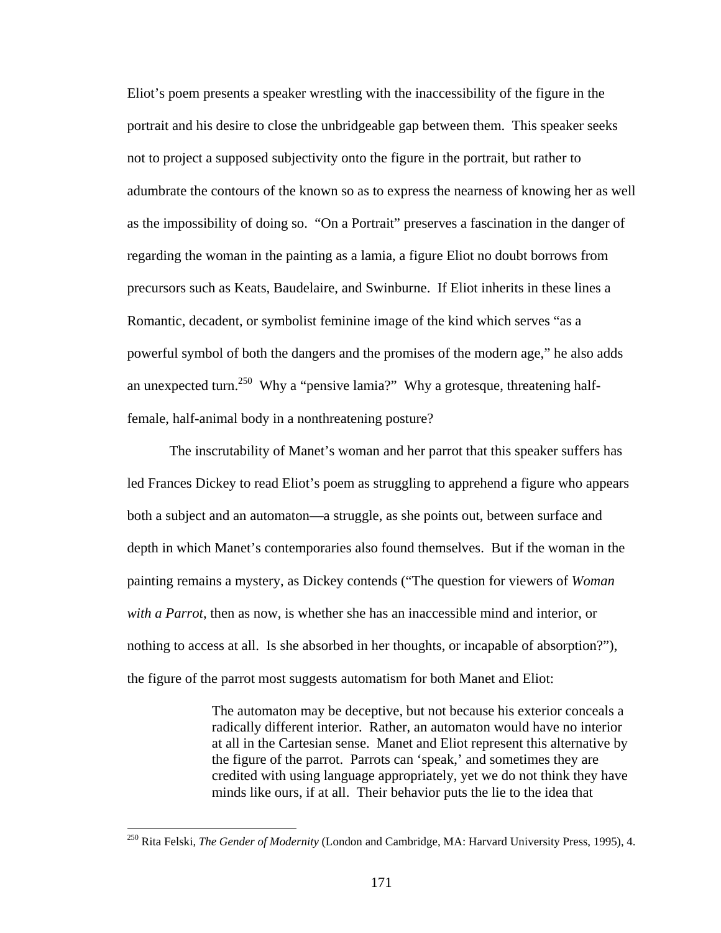Eliot's poem presents a speaker wrestling with the inaccessibility of the figure in the portrait and his desire to close the unbridgeable gap between them. This speaker seeks not to project a supposed subjectivity onto the figure in the portrait, but rather to adumbrate the contours of the known so as to express the nearness of knowing her as well as the impossibility of doing so. "On a Portrait" preserves a fascination in the danger of regarding the woman in the painting as a lamia, a figure Eliot no doubt borrows from precursors such as Keats, Baudelaire, and Swinburne. If Eliot inherits in these lines a Romantic, decadent, or symbolist feminine image of the kind which serves "as a powerful symbol of both the dangers and the promises of the modern age," he also adds an unexpected turn.<sup>250</sup> Why a "pensive lamia?" Why a grotesque, threatening halffemale, half-animal body in a nonthreatening posture?

The inscrutability of Manet's woman and her parrot that this speaker suffers has led Frances Dickey to read Eliot's poem as struggling to apprehend a figure who appears both a subject and an automaton—a struggle, as she points out, between surface and depth in which Manet's contemporaries also found themselves. But if the woman in the painting remains a mystery, as Dickey contends ("The question for viewers of *Woman with a Parrot*, then as now, is whether she has an inaccessible mind and interior, or nothing to access at all. Is she absorbed in her thoughts, or incapable of absorption?"), the figure of the parrot most suggests automatism for both Manet and Eliot:

> The automaton may be deceptive, but not because his exterior conceals a radically different interior. Rather, an automaton would have no interior at all in the Cartesian sense. Manet and Eliot represent this alternative by the figure of the parrot. Parrots can 'speak,' and sometimes they are credited with using language appropriately, yet we do not think they have minds like ours, if at all. Their behavior puts the lie to the idea that

<sup>250</sup> Rita Felski, *The Gender of Modernity* (London and Cambridge, MA: Harvard University Press, 1995), 4.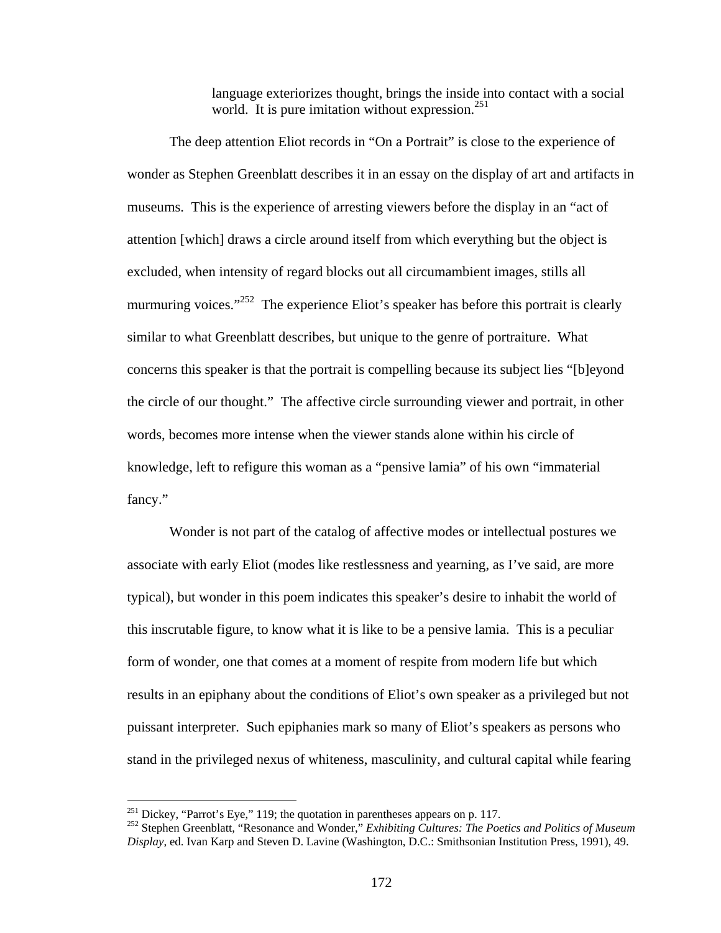language exteriorizes thought, brings the inside into contact with a social world. It is pure imitation without expression. $^{251}$ 

The deep attention Eliot records in "On a Portrait" is close to the experience of wonder as Stephen Greenblatt describes it in an essay on the display of art and artifacts in museums. This is the experience of arresting viewers before the display in an "act of attention [which] draws a circle around itself from which everything but the object is excluded, when intensity of regard blocks out all circumambient images, stills all murmuring voices."<sup>252</sup> The experience Eliot's speaker has before this portrait is clearly similar to what Greenblatt describes, but unique to the genre of portraiture. What concerns this speaker is that the portrait is compelling because its subject lies "[b]eyond the circle of our thought." The affective circle surrounding viewer and portrait, in other words, becomes more intense when the viewer stands alone within his circle of knowledge, left to refigure this woman as a "pensive lamia" of his own "immaterial fancy."

 Wonder is not part of the catalog of affective modes or intellectual postures we associate with early Eliot (modes like restlessness and yearning, as I've said, are more typical), but wonder in this poem indicates this speaker's desire to inhabit the world of this inscrutable figure, to know what it is like to be a pensive lamia. This is a peculiar form of wonder, one that comes at a moment of respite from modern life but which results in an epiphany about the conditions of Eliot's own speaker as a privileged but not puissant interpreter. Such epiphanies mark so many of Eliot's speakers as persons who stand in the privileged nexus of whiteness, masculinity, and cultural capital while fearing

<sup>&</sup>lt;sup>251</sup> Dickey, "Parrot's Eye," 119; the quotation in parentheses appears on p. 117.

<sup>&</sup>lt;sup>252</sup> Stephen Greenblatt, "Resonance and Wonder," *Exhibiting Cultures: The Poetics and Politics of Museum Display*, ed. Ivan Karp and Steven D. Lavine (Washington, D.C.: Smithsonian Institution Press, 1991), 49.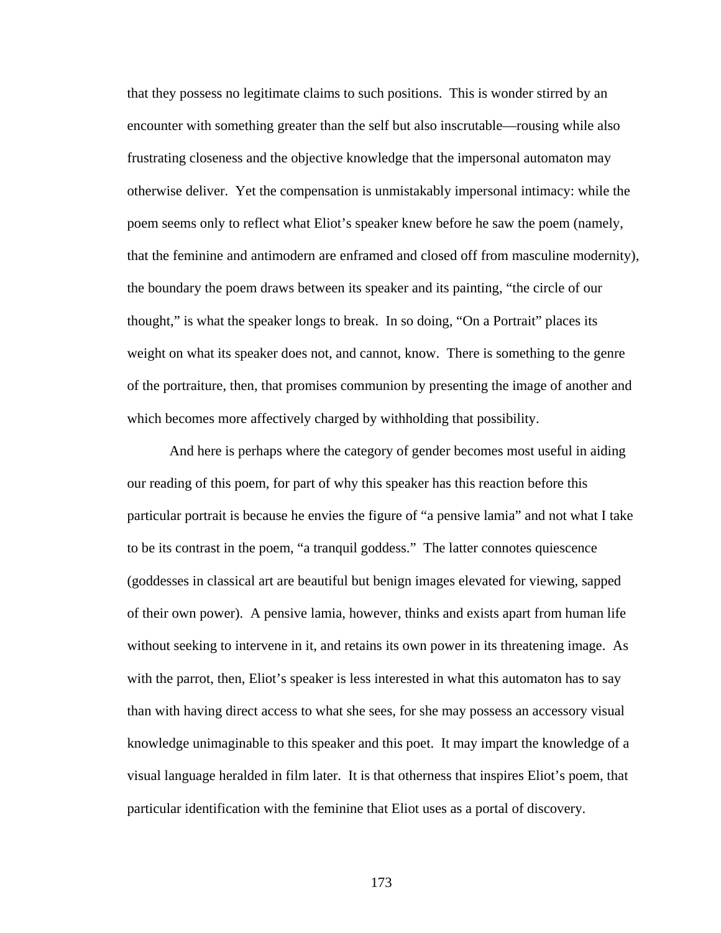that they possess no legitimate claims to such positions. This is wonder stirred by an encounter with something greater than the self but also inscrutable—rousing while also frustrating closeness and the objective knowledge that the impersonal automaton may otherwise deliver. Yet the compensation is unmistakably impersonal intimacy: while the poem seems only to reflect what Eliot's speaker knew before he saw the poem (namely, that the feminine and antimodern are enframed and closed off from masculine modernity), the boundary the poem draws between its speaker and its painting, "the circle of our thought," is what the speaker longs to break. In so doing, "On a Portrait" places its weight on what its speaker does not, and cannot, know. There is something to the genre of the portraiture, then, that promises communion by presenting the image of another and which becomes more affectively charged by withholding that possibility.

And here is perhaps where the category of gender becomes most useful in aiding our reading of this poem, for part of why this speaker has this reaction before this particular portrait is because he envies the figure of "a pensive lamia" and not what I take to be its contrast in the poem, "a tranquil goddess." The latter connotes quiescence (goddesses in classical art are beautiful but benign images elevated for viewing, sapped of their own power). A pensive lamia, however, thinks and exists apart from human life without seeking to intervene in it, and retains its own power in its threatening image. As with the parrot, then, Eliot's speaker is less interested in what this automaton has to say than with having direct access to what she sees, for she may possess an accessory visual knowledge unimaginable to this speaker and this poet. It may impart the knowledge of a visual language heralded in film later. It is that otherness that inspires Eliot's poem, that particular identification with the feminine that Eliot uses as a portal of discovery.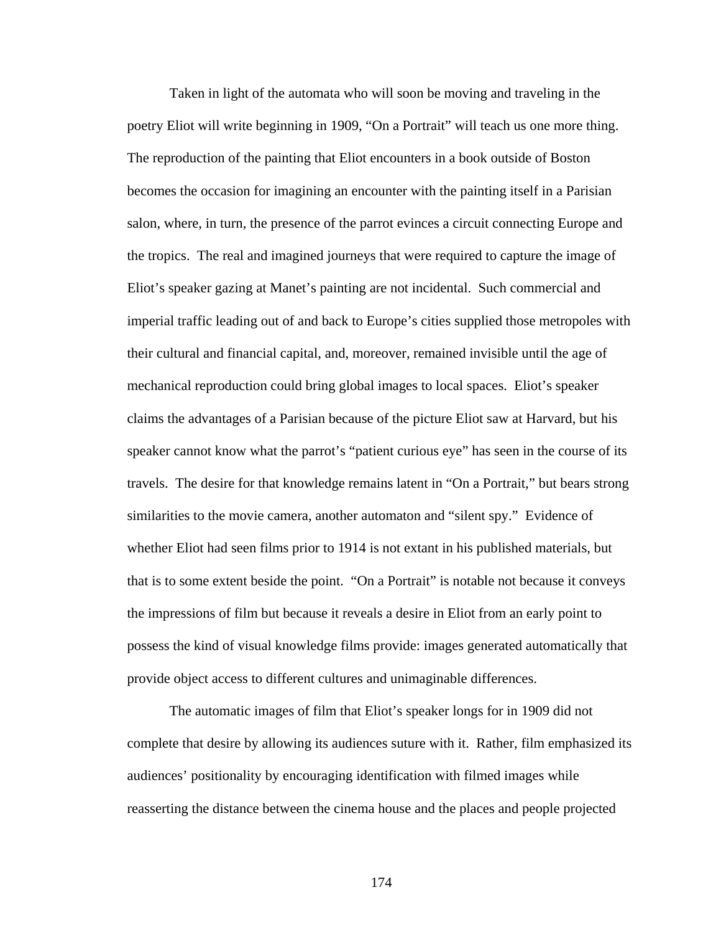Taken in light of the automata who will soon be moving and traveling in the poetry Eliot will write beginning in 1909, "On a Portrait" will teach us one more thing. The reproduction of the painting that Eliot encounters in a book outside of Boston becomes the occasion for imagining an encounter with the painting itself in a Parisian salon, where, in turn, the presence of the parrot evinces a circuit connecting Europe and the tropics. The real and imagined journeys that were required to capture the image of Eliot's speaker gazing at Manet's painting are not incidental. Such commercial and imperial traffic leading out of and back to Europe's cities supplied those metropoles with their cultural and financial capital, and, moreover, remained invisible until the age of mechanical reproduction could bring global images to local spaces. Eliot's speaker claims the advantages of a Parisian because of the picture Eliot saw at Harvard, but his speaker cannot know what the parrot's "patient curious eye" has seen in the course of its travels. The desire for that knowledge remains latent in "On a Portrait," but bears strong similarities to the movie camera, another automaton and "silent spy." Evidence of whether Eliot had seen films prior to 1914 is not extant in his published materials, but that is to some extent beside the point. "On a Portrait" is notable not because it conveys the impressions of film but because it reveals a desire in Eliot from an early point to possess the kind of visual knowledge films provide: images generated automatically that provide object access to different cultures and unimaginable differences.

The automatic images of film that Eliot's speaker longs for in 1909 did not complete that desire by allowing its audiences suture with it. Rather, film emphasized its audiences' positionality by encouraging identification with filmed images while reasserting the distance between the cinema house and the places and people projected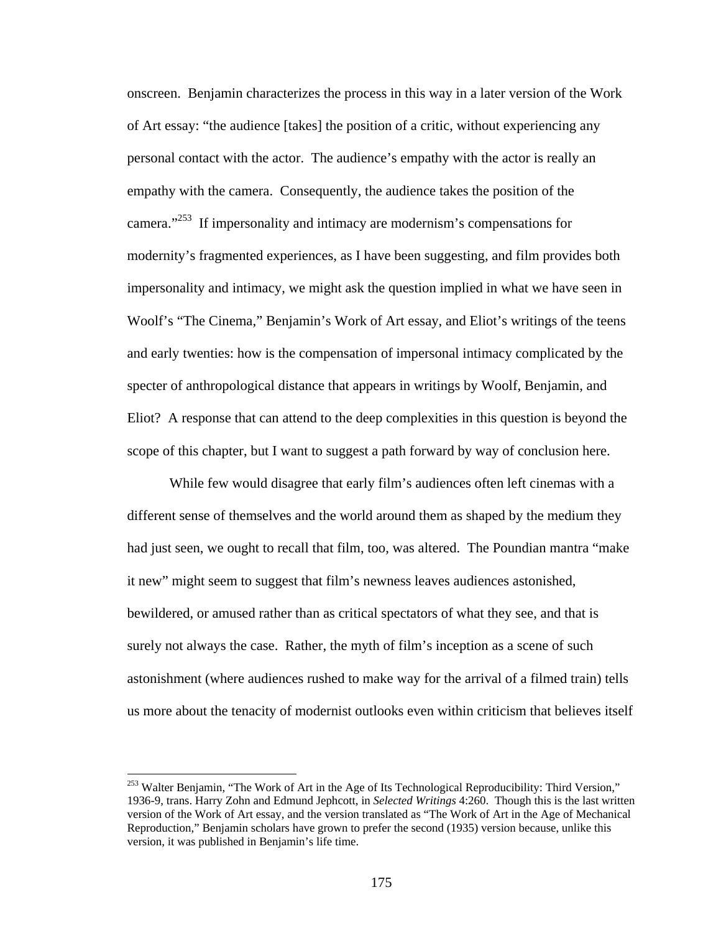onscreen. Benjamin characterizes the process in this way in a later version of the Work of Art essay: "the audience [takes] the position of a critic, without experiencing any personal contact with the actor. The audience's empathy with the actor is really an empathy with the camera. Consequently, the audience takes the position of the camera."<sup> $253$ </sup> If impersonality and intimacy are modernism's compensations for modernity's fragmented experiences, as I have been suggesting, and film provides both impersonality and intimacy, we might ask the question implied in what we have seen in Woolf's "The Cinema," Benjamin's Work of Art essay, and Eliot's writings of the teens and early twenties: how is the compensation of impersonal intimacy complicated by the specter of anthropological distance that appears in writings by Woolf, Benjamin, and Eliot? A response that can attend to the deep complexities in this question is beyond the scope of this chapter, but I want to suggest a path forward by way of conclusion here.

While few would disagree that early film's audiences often left cinemas with a different sense of themselves and the world around them as shaped by the medium they had just seen, we ought to recall that film, too, was altered. The Poundian mantra "make it new" might seem to suggest that film's newness leaves audiences astonished, bewildered, or amused rather than as critical spectators of what they see, and that is surely not always the case. Rather, the myth of film's inception as a scene of such astonishment (where audiences rushed to make way for the arrival of a filmed train) tells us more about the tenacity of modernist outlooks even within criticism that believes itself

<sup>&</sup>lt;sup>253</sup> Walter Benjamin, "The Work of Art in the Age of Its Technological Reproducibility: Third Version," 1936-9, trans. Harry Zohn and Edmund Jephcott, in *Selected Writings* 4:260. Though this is the last written version of the Work of Art essay, and the version translated as "The Work of Art in the Age of Mechanical Reproduction," Benjamin scholars have grown to prefer the second (1935) version because, unlike this version, it was published in Benjamin's life time.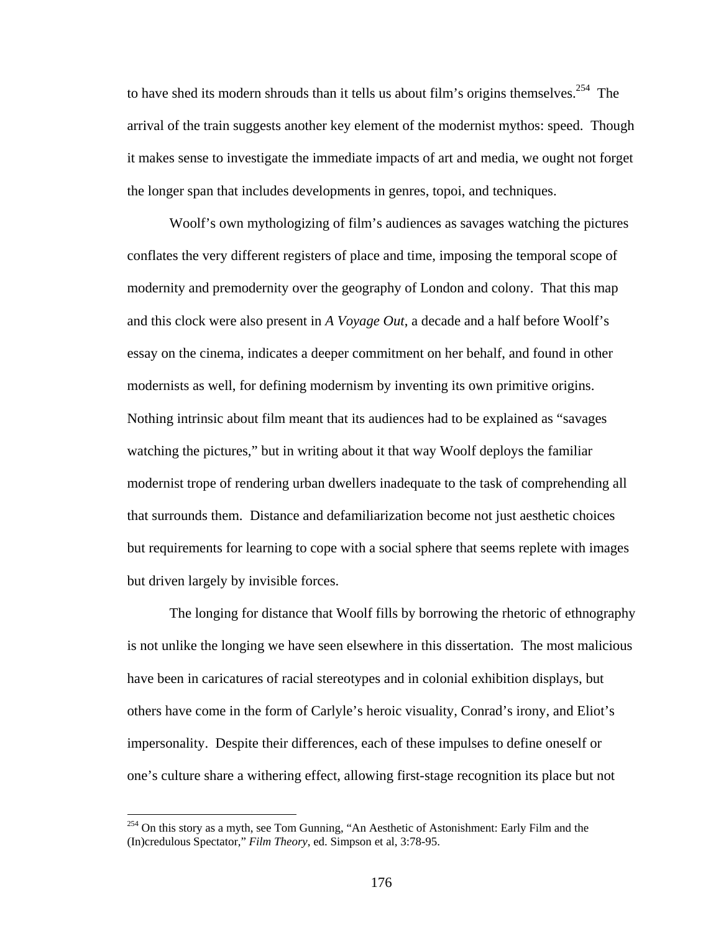to have shed its modern shrouds than it tells us about film's origins themselves.<sup>254</sup> The arrival of the train suggests another key element of the modernist mythos: speed. Though it makes sense to investigate the immediate impacts of art and media, we ought not forget the longer span that includes developments in genres, topoi, and techniques.

Woolf's own mythologizing of film's audiences as savages watching the pictures conflates the very different registers of place and time, imposing the temporal scope of modernity and premodernity over the geography of London and colony. That this map and this clock were also present in *A Voyage Out*, a decade and a half before Woolf's essay on the cinema, indicates a deeper commitment on her behalf, and found in other modernists as well, for defining modernism by inventing its own primitive origins. Nothing intrinsic about film meant that its audiences had to be explained as "savages watching the pictures," but in writing about it that way Woolf deploys the familiar modernist trope of rendering urban dwellers inadequate to the task of comprehending all that surrounds them. Distance and defamiliarization become not just aesthetic choices but requirements for learning to cope with a social sphere that seems replete with images but driven largely by invisible forces.

The longing for distance that Woolf fills by borrowing the rhetoric of ethnography is not unlike the longing we have seen elsewhere in this dissertation. The most malicious have been in caricatures of racial stereotypes and in colonial exhibition displays, but others have come in the form of Carlyle's heroic visuality, Conrad's irony, and Eliot's impersonality. Despite their differences, each of these impulses to define oneself or one's culture share a withering effect, allowing first-stage recognition its place but not

<sup>&</sup>lt;sup>254</sup> On this story as a myth, see Tom Gunning, "An Aesthetic of Astonishment: Early Film and the (In)credulous Spectator," *Film Theory*, ed. Simpson et al, 3:78-95.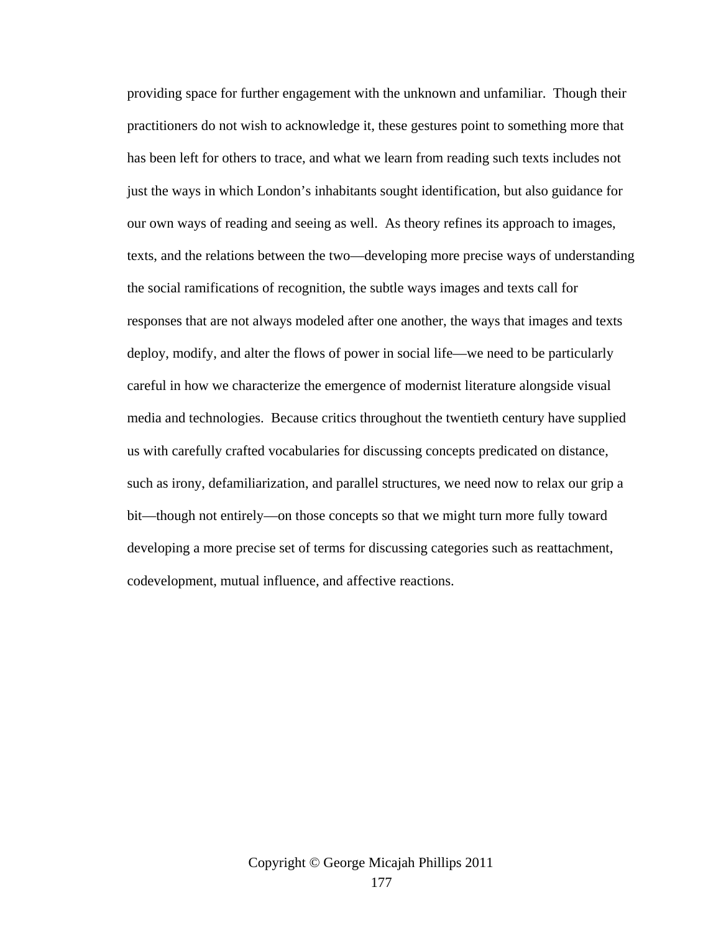providing space for further engagement with the unknown and unfamiliar. Though their practitioners do not wish to acknowledge it, these gestures point to something more that has been left for others to trace, and what we learn from reading such texts includes not just the ways in which London's inhabitants sought identification, but also guidance for our own ways of reading and seeing as well. As theory refines its approach to images, texts, and the relations between the two—developing more precise ways of understanding the social ramifications of recognition, the subtle ways images and texts call for responses that are not always modeled after one another, the ways that images and texts deploy, modify, and alter the flows of power in social life—we need to be particularly careful in how we characterize the emergence of modernist literature alongside visual media and technologies. Because critics throughout the twentieth century have supplied us with carefully crafted vocabularies for discussing concepts predicated on distance, such as irony, defamiliarization, and parallel structures, we need now to relax our grip a bit—though not entirely—on those concepts so that we might turn more fully toward developing a more precise set of terms for discussing categories such as reattachment, codevelopment, mutual influence, and affective reactions.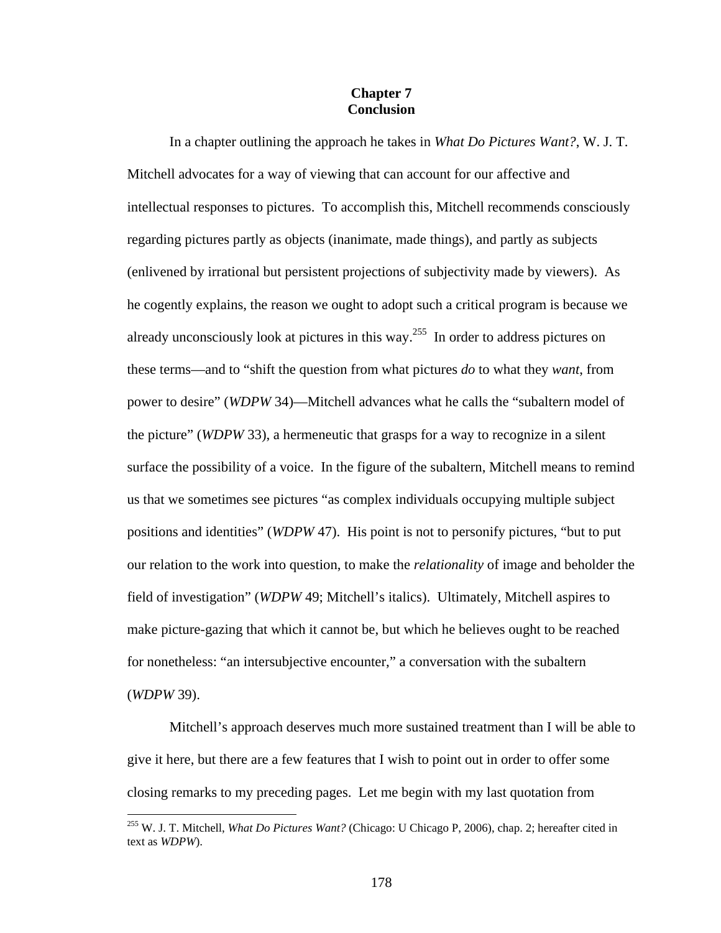## **Chapter 7 Conclusion**

In a chapter outlining the approach he takes in *What Do Pictures Want?*, W. J. T. Mitchell advocates for a way of viewing that can account for our affective and intellectual responses to pictures. To accomplish this, Mitchell recommends consciously regarding pictures partly as objects (inanimate, made things), and partly as subjects (enlivened by irrational but persistent projections of subjectivity made by viewers). As he cogently explains, the reason we ought to adopt such a critical program is because we already unconsciously look at pictures in this way.<sup>255</sup> In order to address pictures on these terms—and to "shift the question from what pictures *do* to what they *want*, from power to desire" (*WDPW* 34)—Mitchell advances what he calls the "subaltern model of the picture" (*WDPW* 33), a hermeneutic that grasps for a way to recognize in a silent surface the possibility of a voice. In the figure of the subaltern, Mitchell means to remind us that we sometimes see pictures "as complex individuals occupying multiple subject positions and identities" (*WDPW* 47). His point is not to personify pictures, "but to put our relation to the work into question, to make the *relationality* of image and beholder the field of investigation" (*WDPW* 49; Mitchell's italics). Ultimately, Mitchell aspires to make picture-gazing that which it cannot be, but which he believes ought to be reached for nonetheless: "an intersubjective encounter," a conversation with the subaltern (*WDPW* 39).

Mitchell's approach deserves much more sustained treatment than I will be able to give it here, but there are a few features that I wish to point out in order to offer some closing remarks to my preceding pages. Let me begin with my last quotation from

<sup>255</sup> W. J. T. Mitchell, *What Do Pictures Want?* (Chicago: U Chicago P, 2006), chap. 2; hereafter cited in text as *WDPW*).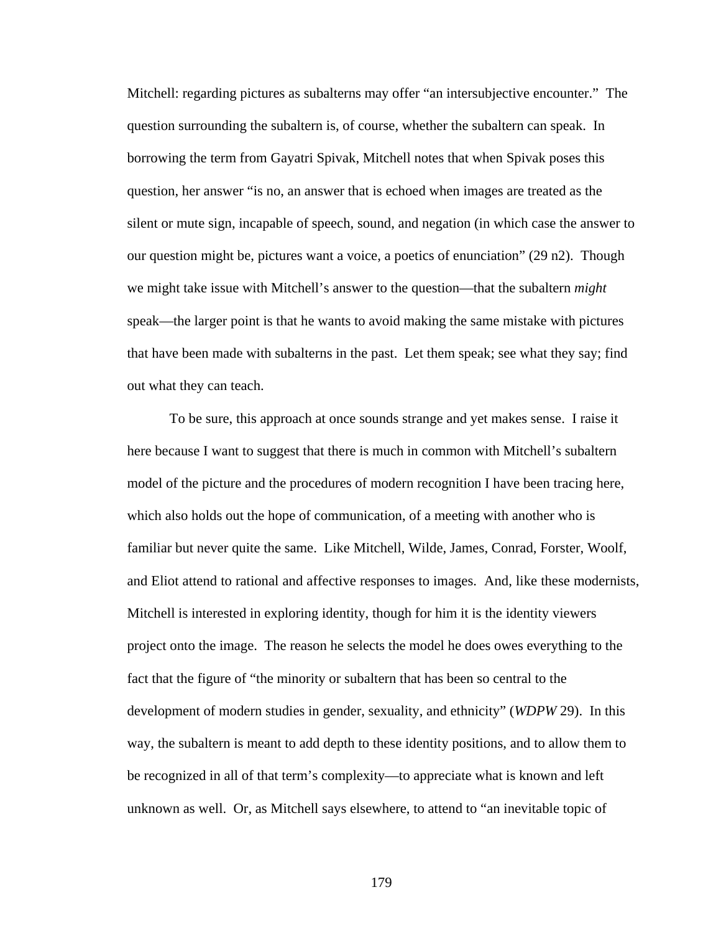Mitchell: regarding pictures as subalterns may offer "an intersubjective encounter." The question surrounding the subaltern is, of course, whether the subaltern can speak. In borrowing the term from Gayatri Spivak, Mitchell notes that when Spivak poses this question, her answer "is no, an answer that is echoed when images are treated as the silent or mute sign, incapable of speech, sound, and negation (in which case the answer to our question might be, pictures want a voice, a poetics of enunciation" (29 n2). Though we might take issue with Mitchell's answer to the question—that the subaltern *might* speak—the larger point is that he wants to avoid making the same mistake with pictures that have been made with subalterns in the past. Let them speak; see what they say; find out what they can teach.

To be sure, this approach at once sounds strange and yet makes sense. I raise it here because I want to suggest that there is much in common with Mitchell's subaltern model of the picture and the procedures of modern recognition I have been tracing here, which also holds out the hope of communication, of a meeting with another who is familiar but never quite the same. Like Mitchell, Wilde, James, Conrad, Forster, Woolf, and Eliot attend to rational and affective responses to images. And, like these modernists, Mitchell is interested in exploring identity, though for him it is the identity viewers project onto the image. The reason he selects the model he does owes everything to the fact that the figure of "the minority or subaltern that has been so central to the development of modern studies in gender, sexuality, and ethnicity" (*WDPW* 29). In this way, the subaltern is meant to add depth to these identity positions, and to allow them to be recognized in all of that term's complexity—to appreciate what is known and left unknown as well. Or, as Mitchell says elsewhere, to attend to "an inevitable topic of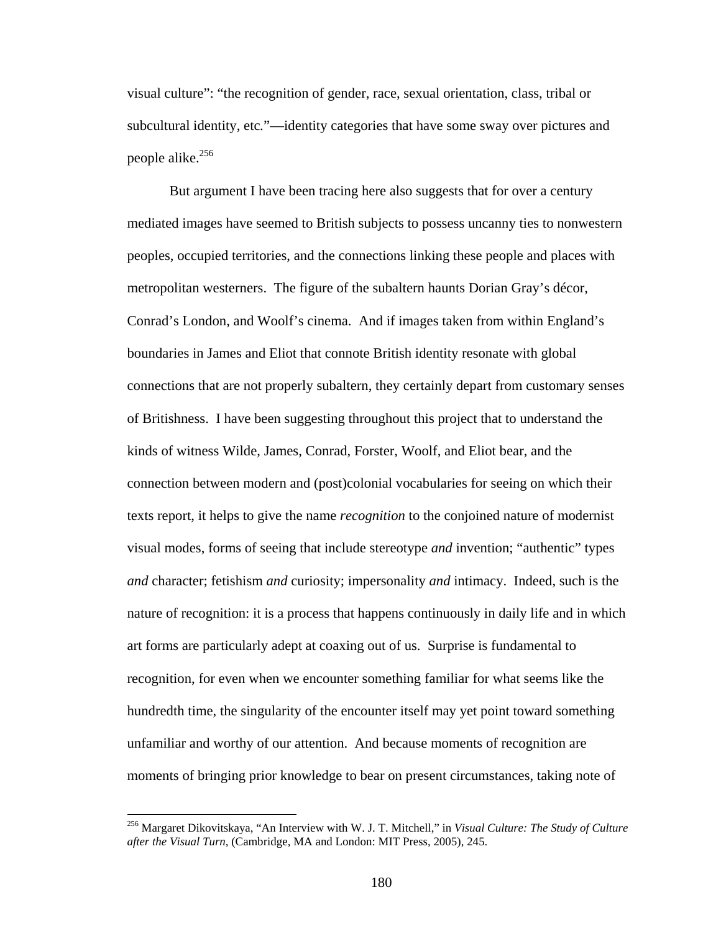visual culture": "the recognition of gender, race, sexual orientation, class, tribal or subcultural identity, etc*.*"—identity categories that have some sway over pictures and people alike.<sup>256</sup>

But argument I have been tracing here also suggests that for over a century mediated images have seemed to British subjects to possess uncanny ties to nonwestern peoples, occupied territories, and the connections linking these people and places with metropolitan westerners. The figure of the subaltern haunts Dorian Gray's décor, Conrad's London, and Woolf's cinema. And if images taken from within England's boundaries in James and Eliot that connote British identity resonate with global connections that are not properly subaltern, they certainly depart from customary senses of Britishness. I have been suggesting throughout this project that to understand the kinds of witness Wilde, James, Conrad, Forster, Woolf, and Eliot bear, and the connection between modern and (post)colonial vocabularies for seeing on which their texts report, it helps to give the name *recognition* to the conjoined nature of modernist visual modes, forms of seeing that include stereotype *and* invention; "authentic" types *and* character; fetishism *and* curiosity; impersonality *and* intimacy. Indeed, such is the nature of recognition: it is a process that happens continuously in daily life and in which art forms are particularly adept at coaxing out of us. Surprise is fundamental to recognition, for even when we encounter something familiar for what seems like the hundredth time, the singularity of the encounter itself may yet point toward something unfamiliar and worthy of our attention. And because moments of recognition are moments of bringing prior knowledge to bear on present circumstances, taking note of

<sup>256</sup> Margaret Dikovitskaya, "An Interview with W. J. T. Mitchell," in *Visual Culture: The Study of Culture after the Visual Turn*, (Cambridge, MA and London: MIT Press, 2005), 245.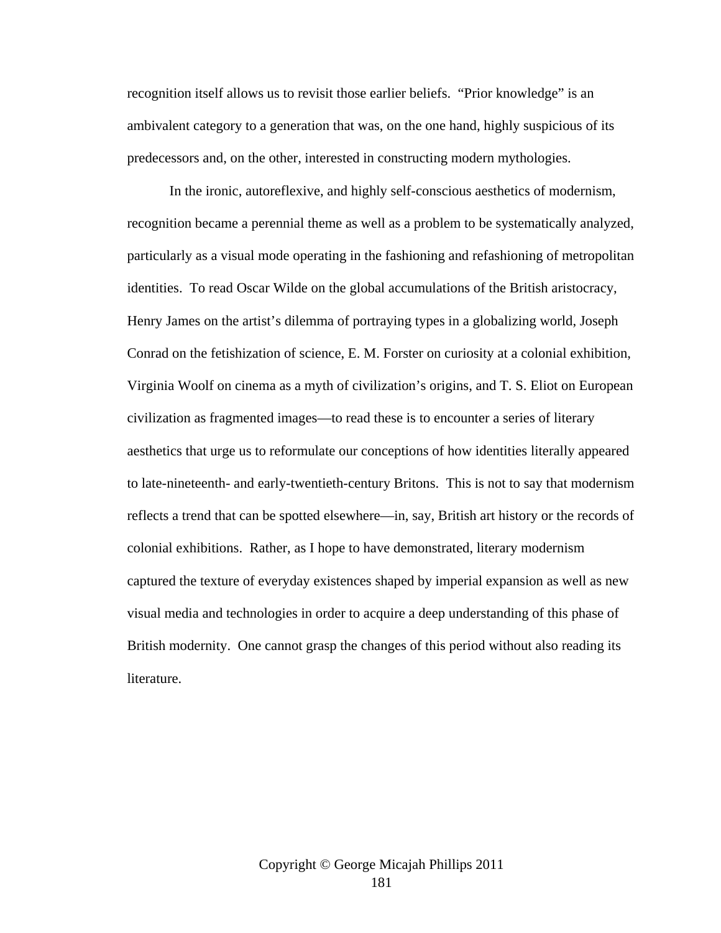recognition itself allows us to revisit those earlier beliefs. "Prior knowledge" is an ambivalent category to a generation that was, on the one hand, highly suspicious of its predecessors and, on the other, interested in constructing modern mythologies.

In the ironic, autoreflexive, and highly self-conscious aesthetics of modernism, recognition became a perennial theme as well as a problem to be systematically analyzed, particularly as a visual mode operating in the fashioning and refashioning of metropolitan identities. To read Oscar Wilde on the global accumulations of the British aristocracy, Henry James on the artist's dilemma of portraying types in a globalizing world, Joseph Conrad on the fetishization of science, E. M. Forster on curiosity at a colonial exhibition, Virginia Woolf on cinema as a myth of civilization's origins, and T. S. Eliot on European civilization as fragmented images—to read these is to encounter a series of literary aesthetics that urge us to reformulate our conceptions of how identities literally appeared to late-nineteenth- and early-twentieth-century Britons. This is not to say that modernism reflects a trend that can be spotted elsewhere—in, say, British art history or the records of colonial exhibitions. Rather, as I hope to have demonstrated, literary modernism captured the texture of everyday existences shaped by imperial expansion as well as new visual media and technologies in order to acquire a deep understanding of this phase of British modernity. One cannot grasp the changes of this period without also reading its literature.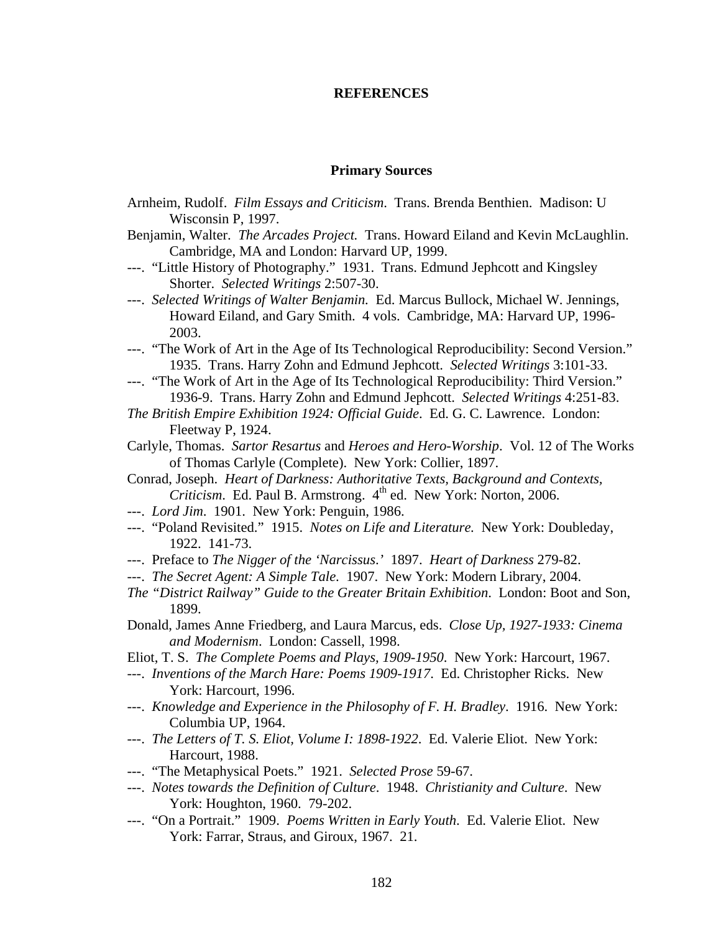## **REFERENCES**

## **Primary Sources**

- Arnheim, Rudolf. *Film Essays and Criticism*. Trans. Brenda Benthien. Madison: U Wisconsin P, 1997.
- Benjamin, Walter. *The Arcades Project.* Trans. Howard Eiland and Kevin McLaughlin. Cambridge, MA and London: Harvard UP, 1999.
- ---. "Little History of Photography." 1931. Trans. Edmund Jephcott and Kingsley Shorter. *Selected Writings* 2:507-30.
- ---. *Selected Writings of Walter Benjamin.* Ed. Marcus Bullock, Michael W. Jennings, Howard Eiland, and Gary Smith. 4 vols. Cambridge, MA: Harvard UP, 1996- 2003.
- ---. "The Work of Art in the Age of Its Technological Reproducibility: Second Version." 1935. Trans. Harry Zohn and Edmund Jephcott. *Selected Writings* 3:101-33.
- ---. "The Work of Art in the Age of Its Technological Reproducibility: Third Version." 1936-9. Trans. Harry Zohn and Edmund Jephcott. *Selected Writings* 4:251-83.
- *The British Empire Exhibition 1924: Official Guide*. Ed. G. C. Lawrence. London: Fleetway P, 1924.
- Carlyle, Thomas. *Sartor Resartus* and *Heroes and Hero-Worship*. Vol. 12 of The Works of Thomas Carlyle (Complete). New York: Collier, 1897.
- Conrad, Joseph. *Heart of Darkness: Authoritative Texts, Background and Contexts, Criticism.* Ed. Paul B. Armstrong. 4<sup>th</sup> ed. New York: Norton, 2006.
- ---. *Lord Jim*. 1901. New York: Penguin, 1986.
- ---. "Poland Revisited." 1915. *Notes on Life and Literature.* New York: Doubleday, 1922. 141-73.
- ---. Preface to *The Nigger of the 'Narcissus*.*'* 1897. *Heart of Darkness* 279-82.
- ---. *The Secret Agent: A Simple Tale*. 1907. New York: Modern Library, 2004.
- *The "District Railway" Guide to the Greater Britain Exhibition*. London: Boot and Son, 1899.
- Donald, James Anne Friedberg, and Laura Marcus, eds. *Close Up, 1927-1933: Cinema and Modernism*. London: Cassell, 1998.
- Eliot, T. S. *The Complete Poems and Plays, 1909-1950*. New York: Harcourt, 1967.
- ---. *Inventions of the March Hare: Poems 1909-1917*. Ed. Christopher Ricks. New York: Harcourt, 1996.
- ---. *Knowledge and Experience in the Philosophy of F. H. Bradley*. 1916. New York: Columbia UP, 1964.
- ---. *The Letters of T. S. Eliot, Volume I: 1898-1922*. Ed. Valerie Eliot. New York: Harcourt, 1988.
- ---. "The Metaphysical Poets." 1921. *Selected Prose* 59-67.
- ---. *Notes towards the Definition of Culture*. 1948. *Christianity and Culture*. New York: Houghton, 1960. 79-202.
- ---. "On a Portrait." 1909. *Poems Written in Early Youth*. Ed. Valerie Eliot. New York: Farrar, Straus, and Giroux, 1967. 21.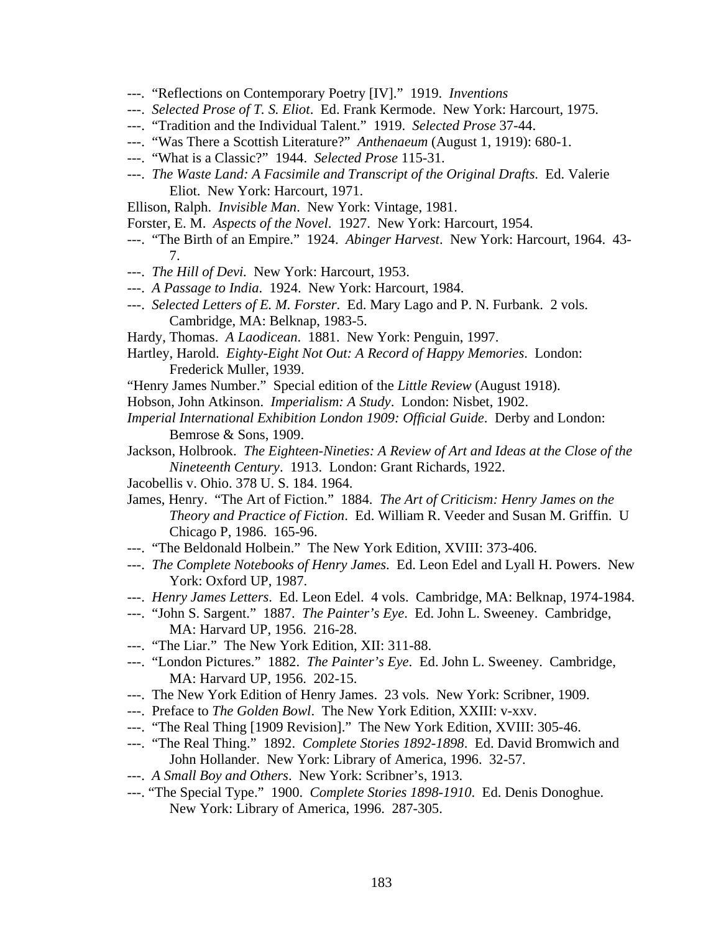- ---. "Reflections on Contemporary Poetry [IV]." 1919. *Inventions*
- ---. *Selected Prose of T. S. Eliot*. Ed. Frank Kermode. New York: Harcourt, 1975.
- ---. "Tradition and the Individual Talent." 1919. *Selected Prose* 37-44.
- ---. "Was There a Scottish Literature?" *Anthenaeum* (August 1, 1919): 680-1.
- ---. "What is a Classic?" 1944. *Selected Prose* 115-31.
- ---. *The Waste Land: A Facsimile and Transcript of the Original Drafts*. Ed. Valerie Eliot. New York: Harcourt, 1971.
- Ellison, Ralph. *Invisible Man*. New York: Vintage, 1981.
- Forster, E. M. *Aspects of the Novel*. 1927. New York: Harcourt, 1954.
- ---. "The Birth of an Empire." 1924. *Abinger Harvest*. New York: Harcourt, 1964. 43- 7.
- ---. *The Hill of Devi.* New York: Harcourt, 1953.
- ---. *A Passage to India*. 1924. New York: Harcourt, 1984.
- ---. *Selected Letters of E. M. Forster*. Ed. Mary Lago and P. N. Furbank. 2 vols. Cambridge, MA: Belknap, 1983-5.
- Hardy, Thomas. *A Laodicean*. 1881.New York: Penguin, 1997.
- Hartley, Harold. *Eighty-Eight Not Out: A Record of Happy Memories*. London: Frederick Muller, 1939.
- "Henry James Number." Special edition of the *Little Review* (August 1918).
- Hobson, John Atkinson. *Imperialism: A Study*. London: Nisbet, 1902.
- *Imperial International Exhibition London 1909: Official Guide*. Derby and London: Bemrose & Sons, 1909.
- Jackson, Holbrook. *The Eighteen-Nineties: A Review of Art and Ideas at the Close of the Nineteenth Century*. 1913. London: Grant Richards, 1922.
- Jacobellis v. Ohio. 378 U. S. 184. 1964.
- James, Henry. "The Art of Fiction." 1884. *The Art of Criticism: Henry James on the Theory and Practice of Fiction*. Ed. William R. Veeder and Susan M. Griffin. U Chicago P, 1986. 165-96.
- ---. "The Beldonald Holbein." The New York Edition, XVIII: 373-406.
- ---. *The Complete Notebooks of Henry James*. Ed. Leon Edel and Lyall H. Powers. New York: Oxford UP, 1987.
- ---. *Henry James Letters*. Ed. Leon Edel. 4 vols. Cambridge, MA: Belknap, 1974-1984.
- ---. "John S. Sargent." 1887. *The Painter's Eye*. Ed. John L. Sweeney. Cambridge, MA: Harvard UP, 1956. 216-28.
- ---. "The Liar." The New York Edition, XII: 311-88.
- ---. "London Pictures." 1882. *The Painter's Eye*. Ed. John L. Sweeney. Cambridge, MA: Harvard UP, 1956. 202-15.
- ---. The New York Edition of Henry James. 23 vols. New York: Scribner, 1909.
- ---. Preface to *The Golden Bowl*. The New York Edition, XXIII: v-xxv.
- ---. "The Real Thing [1909 Revision]." The New York Edition, XVIII: 305-46.
- ---. "The Real Thing." 1892. *Complete Stories 1892-1898*. Ed. David Bromwich and John Hollander. New York: Library of America, 1996. 32-57.
- ---. *A Small Boy and Others*. New York: Scribner's, 1913.
- ---. "The Special Type." 1900. *Complete Stories 1898-1910*. Ed. Denis Donoghue. New York: Library of America, 1996. 287-305.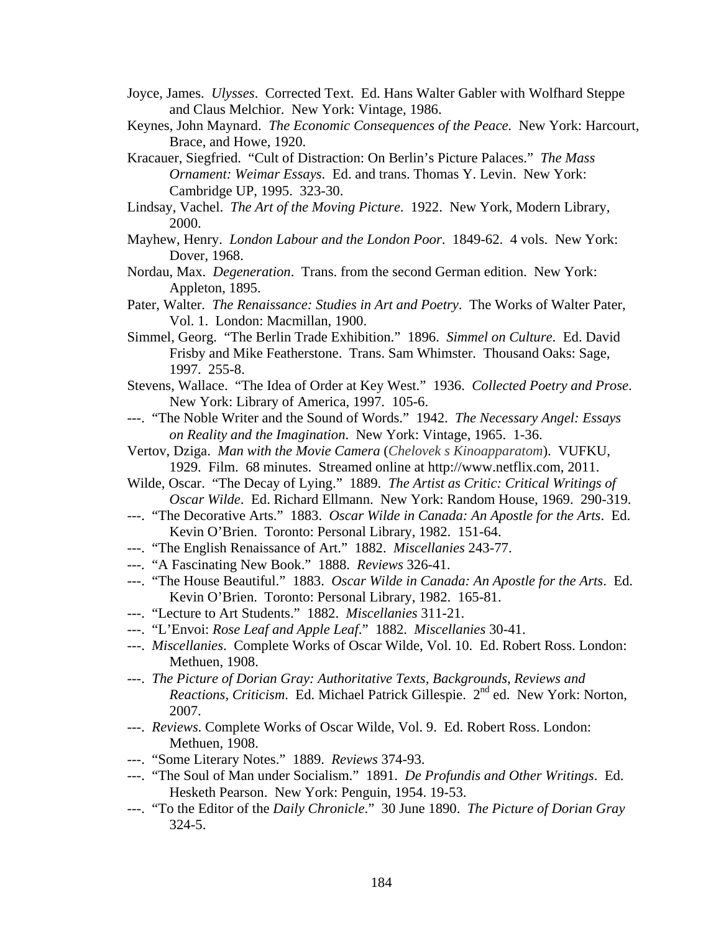- Joyce, James. *Ulysses*. Corrected Text. Ed. Hans Walter Gabler with Wolfhard Steppe and Claus Melchior. New York: Vintage, 1986.
- Keynes, John Maynard. *The Economic Consequences of the Peace*. New York: Harcourt, Brace, and Howe, 1920.
- Kracauer, Siegfried. "Cult of Distraction: On Berlin's Picture Palaces." *The Mass Ornament: Weimar Essays*. Ed. and trans. Thomas Y. Levin. New York: Cambridge UP, 1995. 323-30.
- Lindsay, Vachel. *The Art of the Moving Picture*. 1922. New York, Modern Library, 2000.
- Mayhew, Henry. *London Labour and the London Poor*. 1849-62. 4 vols. New York: Dover, 1968.
- Nordau, Max. *Degeneration*. Trans. from the second German edition. New York: Appleton, 1895.
- Pater, Walter. *The Renaissance: Studies in Art and Poetry*. The Works of Walter Pater, Vol. 1. London: Macmillan, 1900.
- Simmel, Georg. "The Berlin Trade Exhibition." 1896. *Simmel on Culture*. Ed. David Frisby and Mike Featherstone. Trans. Sam Whimster. Thousand Oaks: Sage, 1997. 255-8.
- Stevens, Wallace. "The Idea of Order at Key West." 1936. *Collected Poetry and Prose*. New York: Library of America, 1997. 105-6.
- ---. "The Noble Writer and the Sound of Words." 1942. *The Necessary Angel: Essays on Reality and the Imagination*. New York: Vintage, 1965. 1-36.
- Vertov, Dziga. *Man with the Movie Camera* (*Chelovek s Kinoapparatom*). VUFKU, 1929. Film. 68 minutes. Streamed online at http://www.netflix.com, 2011.
- Wilde, Oscar. "The Decay of Lying." 1889. *The Artist as Critic: Critical Writings of Oscar Wilde*. Ed. Richard Ellmann. New York: Random House, 1969. 290-319.
- ---. "The Decorative Arts." 1883. *Oscar Wilde in Canada: An Apostle for the Arts*. Ed. Kevin O'Brien. Toronto: Personal Library, 1982. 151-64.
- ---. "The English Renaissance of Art." 1882. *Miscellanies* 243-77.
- ---. "A Fascinating New Book." 1888. *Reviews* 326-41.
- ---. "The House Beautiful." 1883. *Oscar Wilde in Canada: An Apostle for the Arts*. Ed. Kevin O'Brien. Toronto: Personal Library, 1982. 165-81.
- ---. "Lecture to Art Students." 1882. *Miscellanies* 311-21.
- ---. "L'Envoi: *Rose Leaf and Apple Leaf*." 1882. *Miscellanies* 30-41.
- ---. *Miscellanies*. Complete Works of Oscar Wilde, Vol. 10. Ed. Robert Ross. London: Methuen, 1908.
- ---. *The Picture of Dorian Gray: Authoritative Texts, Backgrounds, Reviews and Reactions, Criticism*. Ed. Michael Patrick Gillespie. 2nd ed. New York: Norton, 2007.
- ---. *Reviews*. Complete Works of Oscar Wilde, Vol. 9. Ed. Robert Ross. London: Methuen, 1908.
- ---. "Some Literary Notes." 1889. *Reviews* 374-93.
- ---. "The Soul of Man under Socialism." 1891. *De Profundis and Other Writings*. Ed. Hesketh Pearson. New York: Penguin, 1954. 19-53.
- ---. "To the Editor of the *Daily Chronicle*." 30 June 1890. *The Picture of Dorian Gray*  324-5.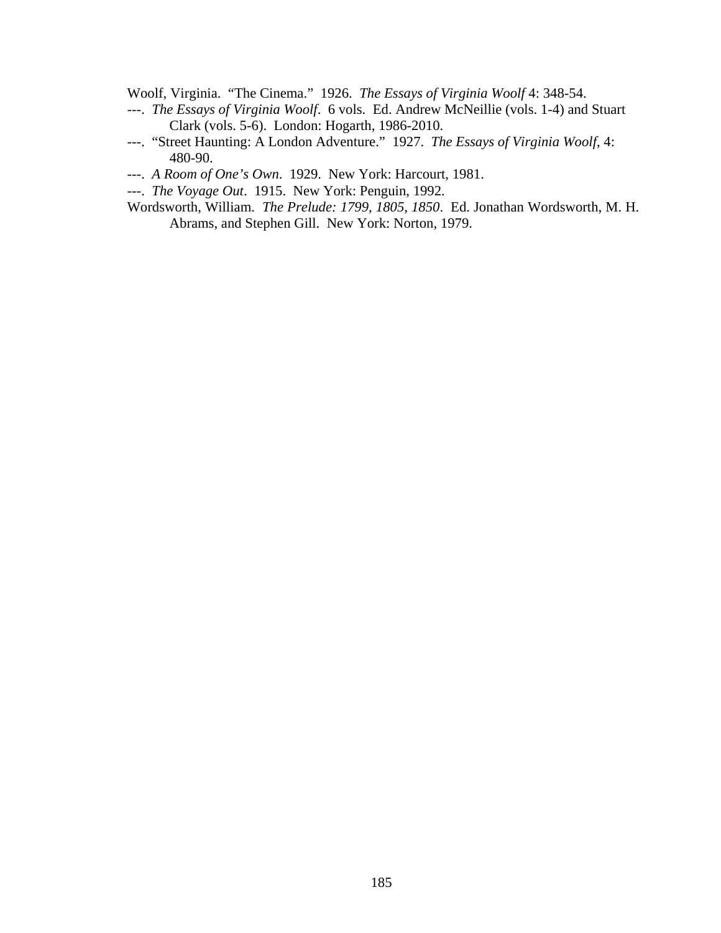Woolf, Virginia. "The Cinema." 1926. *The Essays of Virginia Woolf* 4: 348-54.

- ---. *The Essays of Virginia Woolf*. 6 vols. Ed. Andrew McNeillie (vols. 1-4) and Stuart Clark (vols. 5-6). London: Hogarth, 1986-2010.
- ---. "Street Haunting: A London Adventure." 1927. *The Essays of Virginia Woolf*, 4: 480-90.
- ---. *A Room of One's Own*. 1929. New York: Harcourt, 1981.
- ---. *The Voyage Out*. 1915. New York: Penguin, 1992.
- Wordsworth, William. *The Prelude: 1799, 1805, 1850*. Ed. Jonathan Wordsworth, M. H. Abrams, and Stephen Gill. New York: Norton, 1979.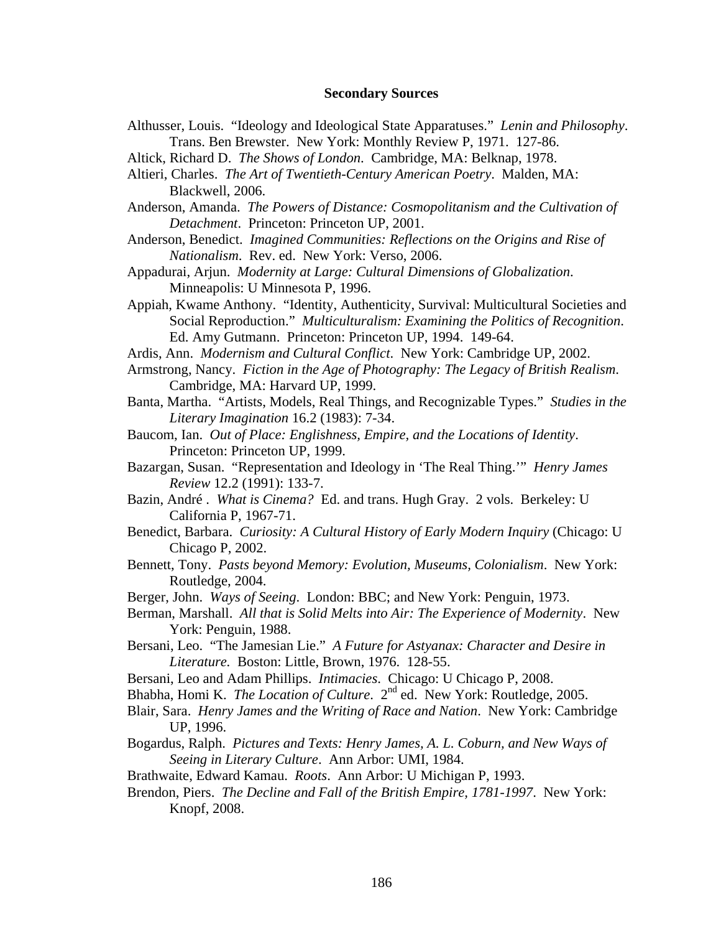## **Secondary Sources**

- Althusser, Louis. "Ideology and Ideological State Apparatuses." *Lenin and Philosophy*. Trans. Ben Brewster. New York: Monthly Review P, 1971. 127-86.
- Altick, Richard D. *The Shows of London*. Cambridge, MA: Belknap, 1978.
- Altieri, Charles. *The Art of Twentieth-Century American Poetry*. Malden, MA: Blackwell, 2006.
- Anderson, Amanda. *The Powers of Distance: Cosmopolitanism and the Cultivation of Detachment*. Princeton: Princeton UP, 2001.
- Anderson, Benedict. *Imagined Communities: Reflections on the Origins and Rise of Nationalism*. Rev. ed. New York: Verso, 2006.
- Appadurai, Arjun. *Modernity at Large: Cultural Dimensions of Globalization*. Minneapolis: U Minnesota P, 1996.
- Appiah, Kwame Anthony. "Identity, Authenticity, Survival: Multicultural Societies and Social Reproduction." *Multiculturalism: Examining the Politics of Recognition*. Ed. Amy Gutmann. Princeton: Princeton UP, 1994. 149-64.
- Ardis, Ann. *Modernism and Cultural Conflict*. New York: Cambridge UP, 2002.
- Armstrong, Nancy. *Fiction in the Age of Photography: The Legacy of British Realism*. Cambridge, MA: Harvard UP, 1999.
- Banta, Martha. "Artists, Models, Real Things, and Recognizable Types." *Studies in the Literary Imagination* 16.2 (1983): 7-34.
- Baucom, Ian. *Out of Place: Englishness, Empire, and the Locations of Identity*. Princeton: Princeton UP, 1999.
- Bazargan, Susan. "Representation and Ideology in 'The Real Thing.'" *Henry James Review* 12.2 (1991): 133-7.
- Bazin, André . *What is Cinema?* Ed. and trans. Hugh Gray. 2 vols. Berkeley: U California P, 1967-71.
- Benedict, Barbara. *Curiosity: A Cultural History of Early Modern Inquiry* (Chicago: U Chicago P, 2002.
- Bennett, Tony. *Pasts beyond Memory: Evolution, Museums, Colonialism*. New York: Routledge, 2004.
- Berger, John. *Ways of Seeing*. London: BBC; and New York: Penguin, 1973.
- Berman, Marshall. *All that is Solid Melts into Air: The Experience of Modernity*. New York: Penguin, 1988.
- Bersani, Leo. "The Jamesian Lie." *A Future for Astyanax: Character and Desire in Literature.* Boston: Little, Brown, 1976. 128-55.
- Bersani, Leo and Adam Phillips. *Intimacies*. Chicago: U Chicago P, 2008.
- Bhabha, Homi K. *The Location of Culture*. 2<sup>nd</sup> ed. New York: Routledge, 2005.
- Blair, Sara. *Henry James and the Writing of Race and Nation*. New York: Cambridge UP, 1996.
- Bogardus, Ralph. *Pictures and Texts: Henry James, A. L. Coburn, and New Ways of Seeing in Literary Culture*. Ann Arbor: UMI, 1984.
- Brathwaite, Edward Kamau. *Roots*. Ann Arbor: U Michigan P, 1993.
- Brendon, Piers. *The Decline and Fall of the British Empire, 1781-1997*. New York: Knopf, 2008.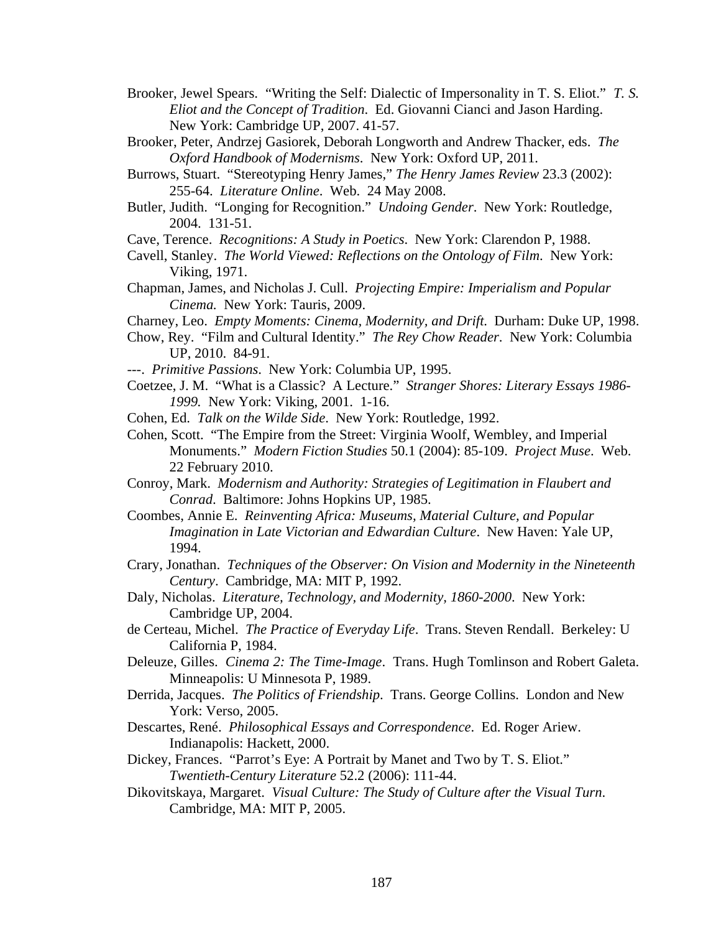- Brooker, Jewel Spears. "Writing the Self: Dialectic of Impersonality in T. S. Eliot." *T. S. Eliot and the Concept of Tradition*. Ed. Giovanni Cianci and Jason Harding. New York: Cambridge UP, 2007. 41-57.
- Brooker, Peter, Andrzej Gasiorek, Deborah Longworth and Andrew Thacker, eds. *The Oxford Handbook of Modernisms*. New York: Oxford UP, 2011.
- Burrows, Stuart. "Stereotyping Henry James," *The Henry James Review* 23.3 (2002): 255-64. *Literature Online*. Web. 24 May 2008.
- Butler, Judith. "Longing for Recognition." *Undoing Gender*. New York: Routledge, 2004. 131-51.

Cave, Terence. *Recognitions: A Study in Poetics*. New York: Clarendon P, 1988.

- Cavell, Stanley. *The World Viewed: Reflections on the Ontology of Film*. New York: Viking, 1971.
- Chapman, James, and Nicholas J. Cull. *Projecting Empire: Imperialism and Popular Cinema.* New York: Tauris, 2009.
- Charney, Leo. *Empty Moments: Cinema, Modernity, and Drift*. Durham: Duke UP, 1998.
- Chow, Rey. "Film and Cultural Identity." *The Rey Chow Reader*. New York: Columbia UP, 2010. 84-91.
- ---. *Primitive Passions*. New York: Columbia UP, 1995.
- Coetzee, J. M. "What is a Classic? A Lecture." *Stranger Shores: Literary Essays 1986- 1999.* New York: Viking, 2001. 1-16.
- Cohen, Ed. *Talk on the Wilde Side*. New York: Routledge, 1992.
- Cohen, Scott. "The Empire from the Street: Virginia Woolf, Wembley, and Imperial Monuments." *Modern Fiction Studies* 50.1 (2004): 85-109. *Project Muse*. Web. 22 February 2010.
- Conroy, Mark. *Modernism and Authority: Strategies of Legitimation in Flaubert and Conrad*. Baltimore: Johns Hopkins UP, 1985.
- Coombes, Annie E. *Reinventing Africa: Museums, Material Culture, and Popular Imagination in Late Victorian and Edwardian Culture*. New Haven: Yale UP, 1994.
- Crary, Jonathan. *Techniques of the Observer: On Vision and Modernity in the Nineteenth Century*. Cambridge, MA: MIT P, 1992.
- Daly, Nicholas. *Literature, Technology, and Modernity, 1860-2000*. New York: Cambridge UP, 2004.
- de Certeau, Michel. *The Practice of Everyday Life*. Trans. Steven Rendall. Berkeley: U California P, 1984.
- Deleuze, Gilles. *Cinema 2: The Time-Image*. Trans. Hugh Tomlinson and Robert Galeta. Minneapolis: U Minnesota P, 1989.
- Derrida, Jacques. *The Politics of Friendship*. Trans. George Collins. London and New York: Verso, 2005.
- Descartes, René. *Philosophical Essays and Correspondence*. Ed. Roger Ariew. Indianapolis: Hackett, 2000.
- Dickey, Frances. "Parrot's Eye: A Portrait by Manet and Two by T. S. Eliot." *Twentieth-Century Literature* 52.2 (2006): 111-44.
- Dikovitskaya, Margaret. *Visual Culture: The Study of Culture after the Visual Turn*. Cambridge, MA: MIT P, 2005.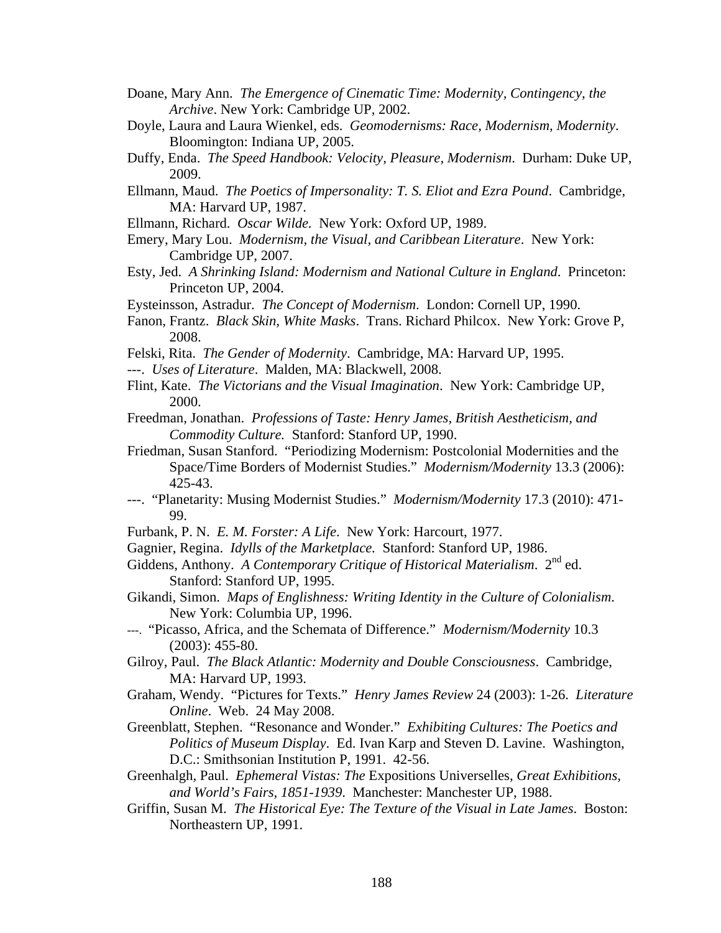- Doane, Mary Ann. *The Emergence of Cinematic Time: Modernity, Contingency, the Archive*. New York: Cambridge UP, 2002.
- Doyle, Laura and Laura Wienkel, eds. *Geomodernisms: Race, Modernism, Modernity*. Bloomington: Indiana UP, 2005.
- Duffy, Enda. *The Speed Handbook: Velocity, Pleasure, Modernism*. Durham: Duke UP, 2009.
- Ellmann, Maud. *The Poetics of Impersonality: T. S. Eliot and Ezra Pound*. Cambridge, MA: Harvard UP, 1987.
- Ellmann, Richard. *Oscar Wilde.* New York: Oxford UP, 1989.
- Emery, Mary Lou. *Modernism, the Visual, and Caribbean Literature*. New York: Cambridge UP, 2007.
- Esty, Jed. *A Shrinking Island: Modernism and National Culture in England*. Princeton: Princeton UP, 2004.
- Eysteinsson, Astradur. *The Concept of Modernism*. London: Cornell UP, 1990.
- Fanon, Frantz. *Black Skin, White Masks*. Trans. Richard Philcox. New York: Grove P, 2008.
- Felski, Rita. *The Gender of Modernity*. Cambridge, MA: Harvard UP, 1995.
- ---. *Uses of Literature*. Malden, MA: Blackwell, 2008.
- Flint, Kate. *The Victorians and the Visual Imagination*. New York: Cambridge UP, 2000.
- Freedman, Jonathan. *Professions of Taste: Henry James, British Aestheticism, and Commodity Culture.* Stanford: Stanford UP, 1990.
- Friedman, Susan Stanford. "Periodizing Modernism: Postcolonial Modernities and the Space/Time Borders of Modernist Studies." *Modernism/Modernity* 13.3 (2006): 425-43.
- ---. "Planetarity: Musing Modernist Studies." *Modernism/Modernity* 17.3 (2010): 471- 99.
- Furbank, P. N. *E. M. Forster: A Life*. New York: Harcourt, 1977.
- Gagnier, Regina. *Idylls of the Marketplace.* Stanford: Stanford UP, 1986.
- Giddens, Anthony. *A Contemporary Critique of Historical Materialism.* 2<sup>nd</sup> ed. Stanford: Stanford UP, 1995.
- Gikandi, Simon. *Maps of Englishness: Writing Identity in the Culture of Colonialism*. New York: Columbia UP, 1996.
- ---. "Picasso, Africa, and the Schemata of Difference." *Modernism/Modernity* 10.3 (2003): 455-80.
- Gilroy, Paul. *The Black Atlantic: Modernity and Double Consciousness*. Cambridge, MA: Harvard UP, 1993.
- Graham, Wendy. "Pictures for Texts." *Henry James Review* 24 (2003): 1-26. *Literature Online*. Web. 24 May 2008.
- Greenblatt, Stephen. "Resonance and Wonder." *Exhibiting Cultures: The Poetics and Politics of Museum Display*. Ed. Ivan Karp and Steven D. Lavine. Washington, D.C.: Smithsonian Institution P, 1991. 42-56.
- Greenhalgh, Paul. *Ephemeral Vistas: The* Expositions Universelles*, Great Exhibitions, and World's Fairs, 1851-1939*. Manchester: Manchester UP, 1988.
- Griffin, Susan M. *The Historical Eye: The Texture of the Visual in Late James*. Boston: Northeastern UP, 1991.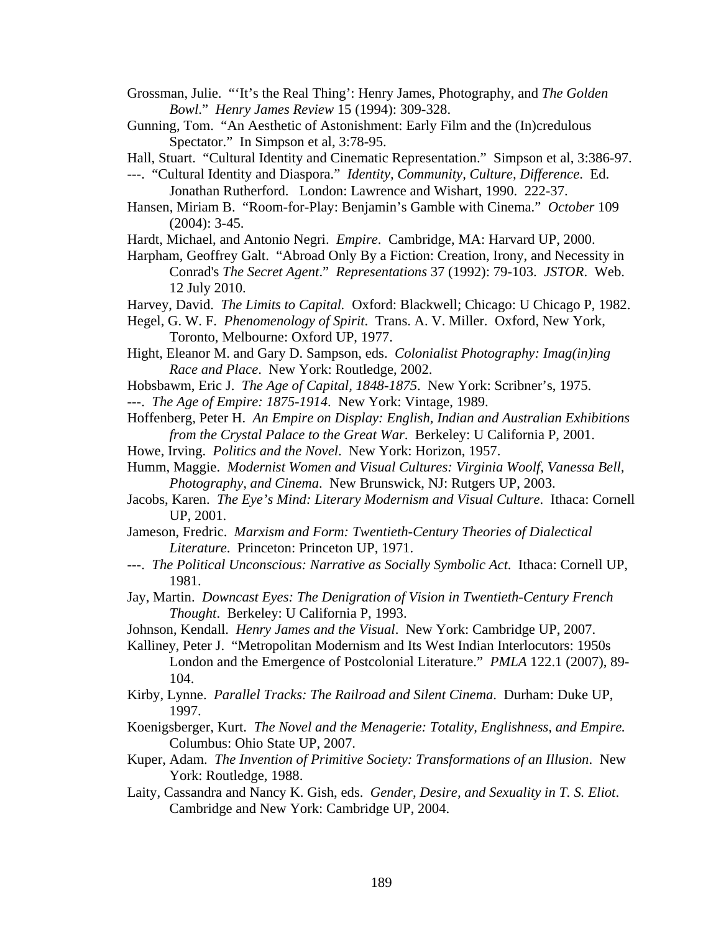- Grossman, Julie. "'It's the Real Thing': Henry James, Photography, and *The Golden Bowl*." *Henry James Review* 15 (1994): 309-328.
- Gunning, Tom. "An Aesthetic of Astonishment: Early Film and the (In)credulous Spectator." In Simpson et al, 3:78-95.
- Hall, Stuart. "Cultural Identity and Cinematic Representation." Simpson et al, 3:386-97.
- ---. "Cultural Identity and Diaspora." *Identity, Community, Culture, Difference*. Ed. Jonathan Rutherford. London: Lawrence and Wishart, 1990. 222-37.
- Hansen, Miriam B. "Room-for-Play: Benjamin's Gamble with Cinema." *October* 109 (2004): 3-45.
- Hardt, Michael, and Antonio Negri. *Empire*. Cambridge, MA: Harvard UP, 2000.
- Harpham, Geoffrey Galt. "Abroad Only By a Fiction: Creation, Irony, and Necessity in Conrad's *The Secret Agent*." *Representations* 37 (1992): 79-103. *JSTOR*. Web. 12 July 2010.
- Harvey, David. *The Limits to Capital.* Oxford: Blackwell; Chicago: U Chicago P, 1982.
- Hegel, G. W. F. *Phenomenology of Spirit*. Trans. A. V. Miller. Oxford, New York, Toronto, Melbourne: Oxford UP, 1977.
- Hight, Eleanor M. and Gary D. Sampson, eds. *Colonialist Photography: Imag(in)ing Race and Place*. New York: Routledge, 2002.
- Hobsbawm, Eric J. *The Age of Capital, 1848-1875*. New York: Scribner's, 1975.
- ---. *The Age of Empire: 1875-1914*. New York: Vintage, 1989.
- Hoffenberg, Peter H. *An Empire on Display: English, Indian and Australian Exhibitions from the Crystal Palace to the Great War*. Berkeley: U California P, 2001.
- Howe, Irving. *Politics and the Novel*. New York: Horizon, 1957.
- Humm, Maggie. *Modernist Women and Visual Cultures: Virginia Woolf, Vanessa Bell, Photography, and Cinema*. New Brunswick, NJ: Rutgers UP, 2003.
- Jacobs, Karen. *The Eye's Mind: Literary Modernism and Visual Culture*. Ithaca: Cornell UP, 2001.
- Jameson, Fredric. *Marxism and Form: Twentieth-Century Theories of Dialectical Literature*. Princeton: Princeton UP, 1971.
- ---. *The Political Unconscious: Narrative as Socially Symbolic Act*. Ithaca: Cornell UP, 1981.
- Jay, Martin. *Downcast Eyes: The Denigration of Vision in Twentieth-Century French Thought*. Berkeley: U California P, 1993.
- Johnson, Kendall. *Henry James and the Visual*. New York: Cambridge UP, 2007.
- Kalliney, Peter J. "Metropolitan Modernism and Its West Indian Interlocutors: 1950s London and the Emergence of Postcolonial Literature." *PMLA* 122.1 (2007), 89- 104.
- Kirby, Lynne. *Parallel Tracks: The Railroad and Silent Cinema*. Durham: Duke UP, 1997.
- Koenigsberger, Kurt. *The Novel and the Menagerie: Totality, Englishness, and Empire.*  Columbus: Ohio State UP, 2007.
- Kuper, Adam. *The Invention of Primitive Society: Transformations of an Illusion*. New York: Routledge, 1988.
- Laity, Cassandra and Nancy K. Gish, eds. *Gender, Desire, and Sexuality in T. S. Eliot*. Cambridge and New York: Cambridge UP, 2004.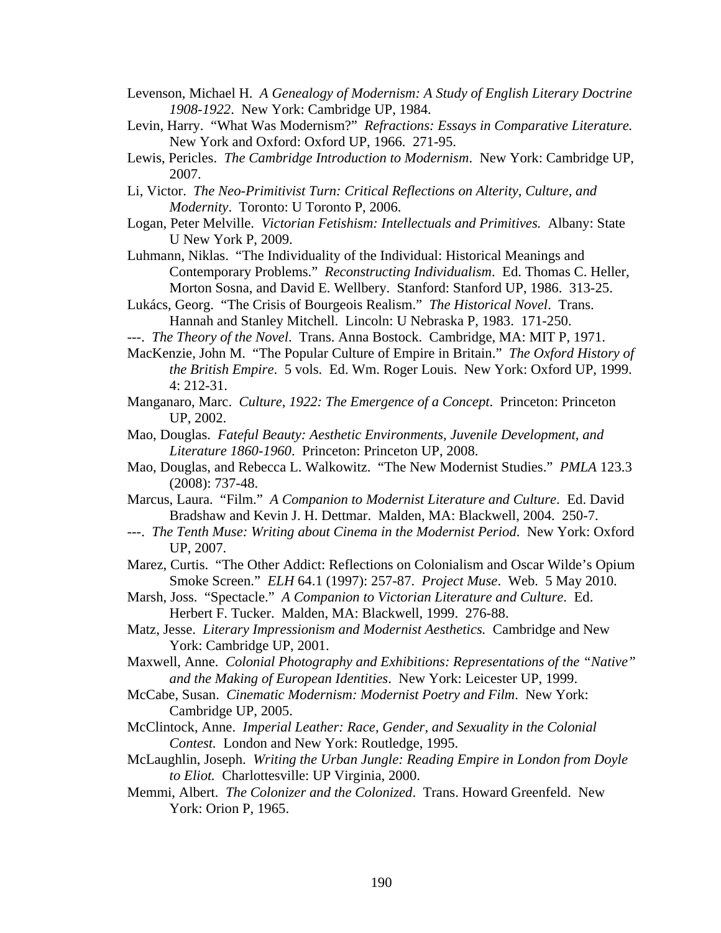- Levenson, Michael H. *A Genealogy of Modernism: A Study of English Literary Doctrine 1908-1922*. New York: Cambridge UP, 1984.
- Levin, Harry. "What Was Modernism?" *Refractions: Essays in Comparative Literature.*  New York and Oxford: Oxford UP, 1966. 271-95.
- Lewis, Pericles. *The Cambridge Introduction to Modernism*. New York: Cambridge UP, 2007.
- Li, Victor. *The Neo-Primitivist Turn: Critical Reflections on Alterity, Culture, and Modernity*. Toronto: U Toronto P, 2006.
- Logan, Peter Melville. *Victorian Fetishism: Intellectuals and Primitives.* Albany: State U New York P, 2009.
- Luhmann, Niklas. "The Individuality of the Individual: Historical Meanings and Contemporary Problems." *Reconstructing Individualism*. Ed. Thomas C. Heller, Morton Sosna, and David E. Wellbery. Stanford: Stanford UP, 1986. 313-25.
- Lukács, Georg. "The Crisis of Bourgeois Realism." *The Historical Novel*. Trans. Hannah and Stanley Mitchell. Lincoln: U Nebraska P, 1983. 171-250.
- ---. *The Theory of the Novel*. Trans. Anna Bostock. Cambridge, MA: MIT P, 1971.
- MacKenzie, John M. "The Popular Culture of Empire in Britain." *The Oxford History of the British Empire*. 5 vols. Ed. Wm. Roger Louis. New York: Oxford UP, 1999. 4: 212-31.
- Manganaro, Marc. *Culture, 1922: The Emergence of a Concept*. Princeton: Princeton UP, 2002.
- Mao, Douglas. *Fateful Beauty: Aesthetic Environments, Juvenile Development, and Literature 1860-1960*. Princeton: Princeton UP, 2008.
- Mao, Douglas, and Rebecca L. Walkowitz. "The New Modernist Studies." *PMLA* 123.3 (2008): 737-48.
- Marcus, Laura. "Film." *A Companion to Modernist Literature and Culture*. Ed. David Bradshaw and Kevin J. H. Dettmar. Malden, MA: Blackwell, 2004. 250-7.
- ---. *The Tenth Muse: Writing about Cinema in the Modernist Period*. New York: Oxford UP, 2007.
- Marez, Curtis. "The Other Addict: Reflections on Colonialism and Oscar Wilde's Opium Smoke Screen." *ELH* 64.1 (1997): 257-87. *Project Muse*. Web. 5 May 2010.
- Marsh, Joss. "Spectacle." *A Companion to Victorian Literature and Culture*. Ed. Herbert F. Tucker. Malden, MA: Blackwell, 1999. 276-88.
- Matz, Jesse. *Literary Impressionism and Modernist Aesthetics.* Cambridge and New York: Cambridge UP, 2001.
- Maxwell, Anne. *Colonial Photography and Exhibitions: Representations of the "Native" and the Making of European Identities*. New York: Leicester UP, 1999.
- McCabe, Susan. *Cinematic Modernism: Modernist Poetry and Film*. New York: Cambridge UP, 2005.
- McClintock, Anne. *Imperial Leather: Race, Gender, and Sexuality in the Colonial Contest.* London and New York: Routledge, 1995.
- McLaughlin, Joseph. *Writing the Urban Jungle: Reading Empire in London from Doyle to Eliot.* Charlottesville: UP Virginia, 2000.
- Memmi, Albert. *The Colonizer and the Colonized*. Trans. Howard Greenfeld. New York: Orion P, 1965.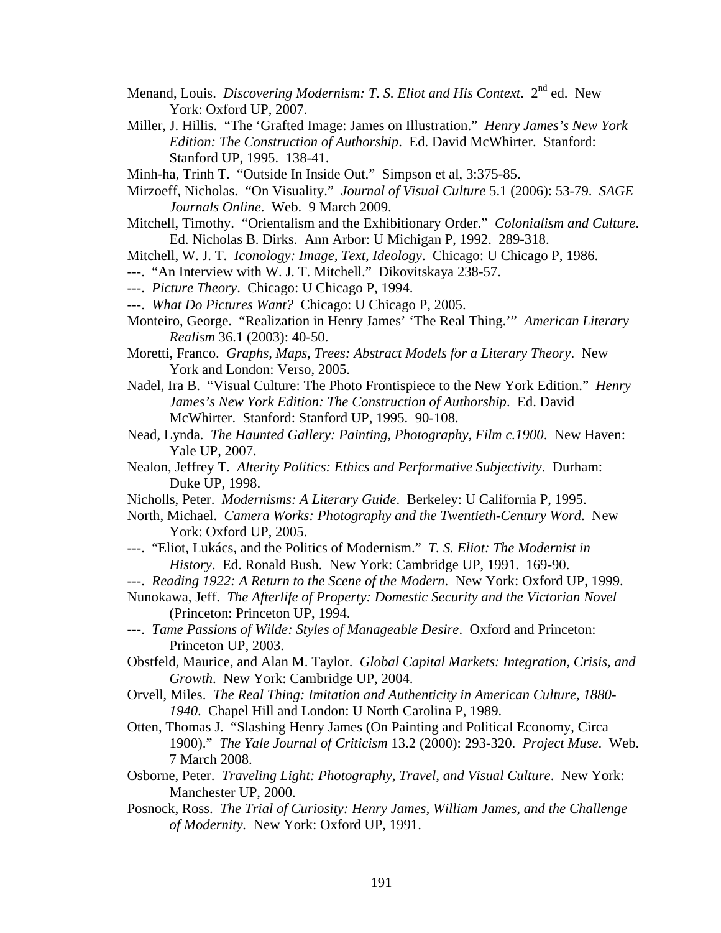- Menand, Louis. *Discovering Modernism: T. S. Eliot and His Context*. 2nd ed. New York: Oxford UP, 2007.
- Miller, J. Hillis. "The 'Grafted Image: James on Illustration." *Henry James's New York Edition: The Construction of Authorship*. Ed. David McWhirter. Stanford: Stanford UP, 1995. 138-41.
- Minh-ha, Trinh T. "Outside In Inside Out." Simpson et al, 3:375-85.
- Mirzoeff, Nicholas. "On Visuality." *Journal of Visual Culture* 5.1 (2006): 53-79. *SAGE Journals Online*. Web. 9 March 2009.
- Mitchell, Timothy. "Orientalism and the Exhibitionary Order." *Colonialism and Culture*. Ed. Nicholas B. Dirks. Ann Arbor: U Michigan P, 1992. 289-318.
- Mitchell, W. J. T. *Iconology: Image, Text, Ideology*. Chicago: U Chicago P, 1986.
- ---. "An Interview with W. J. T. Mitchell." Dikovitskaya 238-57.
- ---. *Picture Theory*. Chicago: U Chicago P, 1994.
- ---. *What Do Pictures Want?* Chicago: U Chicago P, 2005.
- Monteiro, George. "Realization in Henry James' 'The Real Thing.'" *American Literary Realism* 36.1 (2003): 40-50.
- Moretti, Franco. *Graphs, Maps, Trees: Abstract Models for a Literary Theory*. New York and London: Verso, 2005.
- Nadel, Ira B. "Visual Culture: The Photo Frontispiece to the New York Edition." *Henry James's New York Edition: The Construction of Authorship*. Ed. David McWhirter. Stanford: Stanford UP, 1995. 90-108.
- Nead, Lynda. *The Haunted Gallery: Painting, Photography, Film c.1900*. New Haven: Yale UP, 2007.
- Nealon, Jeffrey T. *Alterity Politics: Ethics and Performative Subjectivity*. Durham: Duke UP, 1998.
- Nicholls, Peter. *Modernisms: A Literary Guide*. Berkeley: U California P, 1995.
- North, Michael. *Camera Works: Photography and the Twentieth-Century Word*. New York: Oxford UP, 2005.
- ---. "Eliot, Lukács, and the Politics of Modernism." *T. S. Eliot: The Modernist in History*. Ed. Ronald Bush. New York: Cambridge UP, 1991. 169-90.
- ---. *Reading 1922: A Return to the Scene of the Modern*. New York: Oxford UP, 1999.
- Nunokawa, Jeff. *The Afterlife of Property: Domestic Security and the Victorian Novel* (Princeton: Princeton UP, 1994.
- ---. *Tame Passions of Wilde: Styles of Manageable Desire*. Oxford and Princeton: Princeton UP, 2003.
- Obstfeld, Maurice, and Alan M. Taylor. *Global Capital Markets: Integration, Crisis, and Growth*. New York: Cambridge UP, 2004.
- Orvell, Miles. *The Real Thing: Imitation and Authenticity in American Culture, 1880- 1940*. Chapel Hill and London: U North Carolina P, 1989.
- Otten, Thomas J. "Slashing Henry James (On Painting and Political Economy, Circa 1900)." *The Yale Journal of Criticism* 13.2 (2000): 293-320. *Project Muse*. Web. 7 March 2008.
- Osborne, Peter. *Traveling Light: Photography, Travel, and Visual Culture*. New York: Manchester UP, 2000.
- Posnock, Ross. *The Trial of Curiosity: Henry James, William James, and the Challenge of Modernity.* New York: Oxford UP, 1991.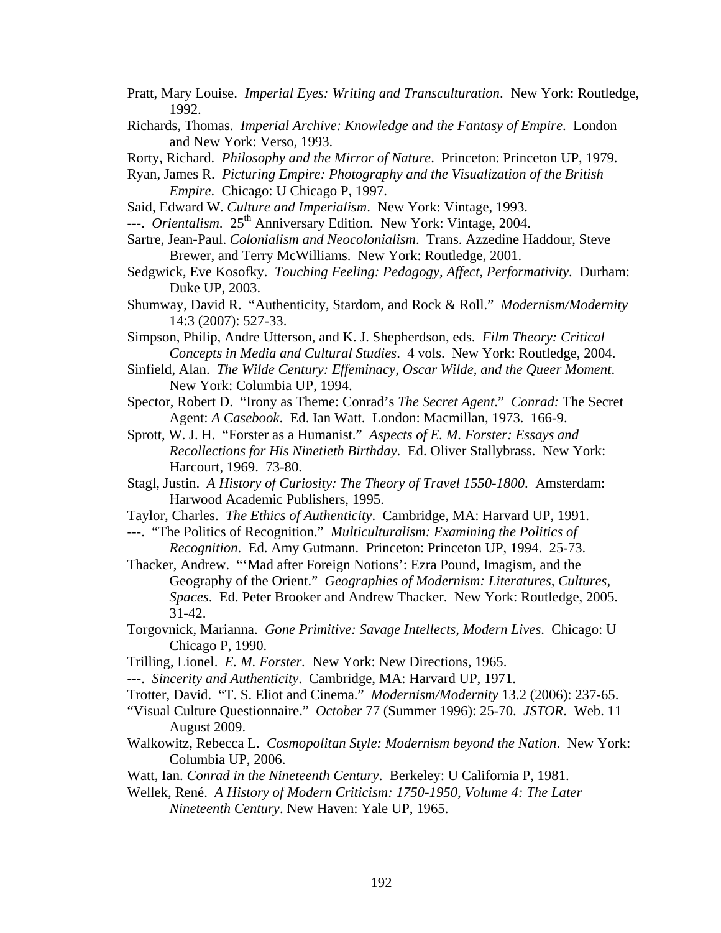- Pratt, Mary Louise. *Imperial Eyes: Writing and Transculturation*. New York: Routledge, 1992.
- Richards, Thomas. *Imperial Archive: Knowledge and the Fantasy of Empire*. London and New York: Verso, 1993.
- Rorty, Richard. *Philosophy and the Mirror of Nature*. Princeton: Princeton UP, 1979.
- Ryan, James R. *Picturing Empire: Photography and the Visualization of the British Empire*. Chicago: U Chicago P, 1997.
- Said, Edward W. *Culture and Imperialism*. New York: Vintage, 1993.
- ---. *Orientalism.* 25<sup>th</sup> Anniversary Edition. New York: Vintage, 2004.
- Sartre, Jean-Paul. *Colonialism and Neocolonialism*. Trans. Azzedine Haddour, Steve Brewer, and Terry McWilliams. New York: Routledge, 2001.
- Sedgwick, Eve Kosofky. *Touching Feeling: Pedagogy, Affect, Performativity.* Durham: Duke UP, 2003.
- Shumway, David R. "Authenticity, Stardom, and Rock & Roll." *Modernism/Modernity* 14:3 (2007): 527-33.
- Simpson, Philip, Andre Utterson, and K. J. Shepherdson, eds. *Film Theory: Critical Concepts in Media and Cultural Studies*. 4 vols. New York: Routledge, 2004.
- Sinfield, Alan. *The Wilde Century: Effeminacy, Oscar Wilde, and the Queer Moment*. New York: Columbia UP, 1994.
- Spector, Robert D. "Irony as Theme: Conrad's *The Secret Agent*." *Conrad:* The Secret Agent: *A Casebook*. Ed. Ian Watt. London: Macmillan, 1973. 166-9.
- Sprott, W. J. H. "Forster as a Humanist." *Aspects of E. M. Forster: Essays and Recollections for His Ninetieth Birthday*. Ed. Oliver Stallybrass. New York: Harcourt, 1969. 73-80.
- Stagl, Justin. *A History of Curiosity: The Theory of Travel 1550-1800*. Amsterdam: Harwood Academic Publishers, 1995.
- Taylor, Charles. *The Ethics of Authenticity*. Cambridge, MA: Harvard UP, 1991.
- ---. "The Politics of Recognition." *Multiculturalism: Examining the Politics of Recognition*. Ed. Amy Gutmann. Princeton: Princeton UP, 1994. 25-73.
- Thacker, Andrew. "'Mad after Foreign Notions': Ezra Pound, Imagism, and the Geography of the Orient." *Geographies of Modernism: Literatures, Cultures, Spaces*. Ed. Peter Brooker and Andrew Thacker. New York: Routledge, 2005. 31-42.
- Torgovnick, Marianna. *Gone Primitive: Savage Intellects, Modern Lives*. Chicago: U Chicago P, 1990.
- Trilling, Lionel. *E. M. Forster.* New York: New Directions, 1965.
- ---. *Sincerity and Authenticity*. Cambridge, MA: Harvard UP, 1971.
- Trotter, David. "T. S. Eliot and Cinema." *Modernism/Modernity* 13.2 (2006): 237-65.
- "Visual Culture Questionnaire." *October* 77 (Summer 1996): 25-70. *JSTOR*. Web. 11 August 2009.
- Walkowitz, Rebecca L. *Cosmopolitan Style: Modernism beyond the Nation*. New York: Columbia UP, 2006.
- Watt, Ian. *Conrad in the Nineteenth Century*. Berkeley: U California P, 1981.
- Wellek, René. *A History of Modern Criticism: 1750-1950, Volume 4: The Later Nineteenth Century*. New Haven: Yale UP, 1965.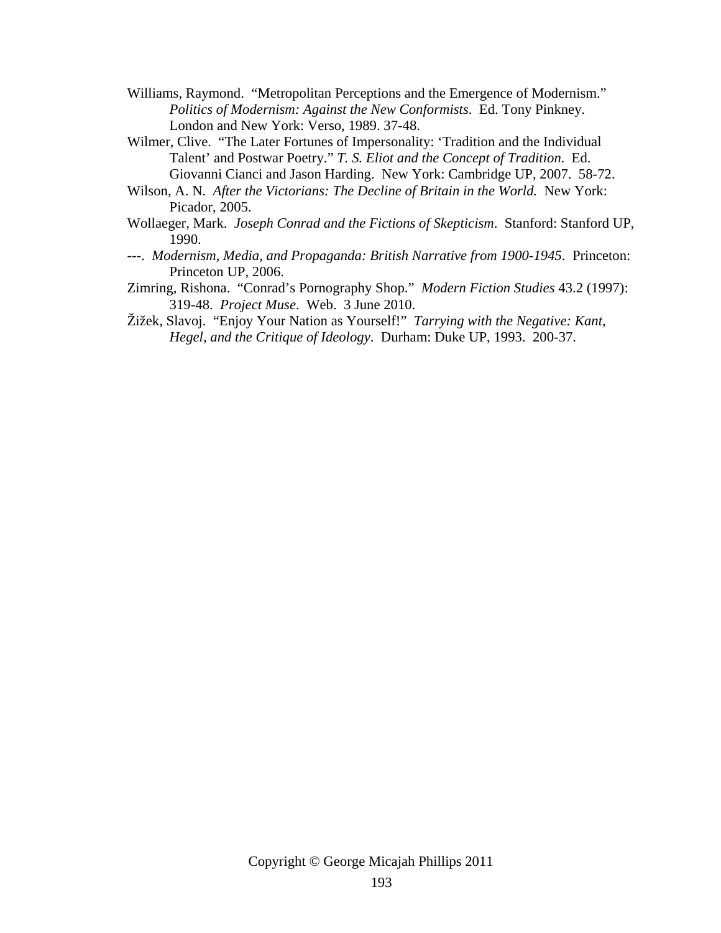- Williams, Raymond. "Metropolitan Perceptions and the Emergence of Modernism." *Politics of Modernism: Against the New Conformists*. Ed. Tony Pinkney. London and New York: Verso, 1989. 37-48.
- Wilmer, Clive. "The Later Fortunes of Impersonality: 'Tradition and the Individual Talent' and Postwar Poetry." *T. S. Eliot and the Concept of Tradition*. Ed. Giovanni Cianci and Jason Harding. New York: Cambridge UP, 2007. 58-72.
- Wilson, A. N. *After the Victorians: The Decline of Britain in the World.* New York: Picador, 2005.
- Wollaeger, Mark. *Joseph Conrad and the Fictions of Skepticism*. Stanford: Stanford UP, 1990.
- ---. *Modernism, Media, and Propaganda: British Narrative from 1900-1945*. Princeton: Princeton UP, 2006.
- Zimring, Rishona. "Conrad's Pornography Shop." *Modern Fiction Studies* 43.2 (1997): 319-48. *Project Muse*. Web. 3 June 2010.
- Žižek, Slavoj. "Enjoy Your Nation as Yourself!" *Tarrying with the Negative: Kant, Hegel, and the Critique of Ideology*. Durham: Duke UP, 1993. 200-37.